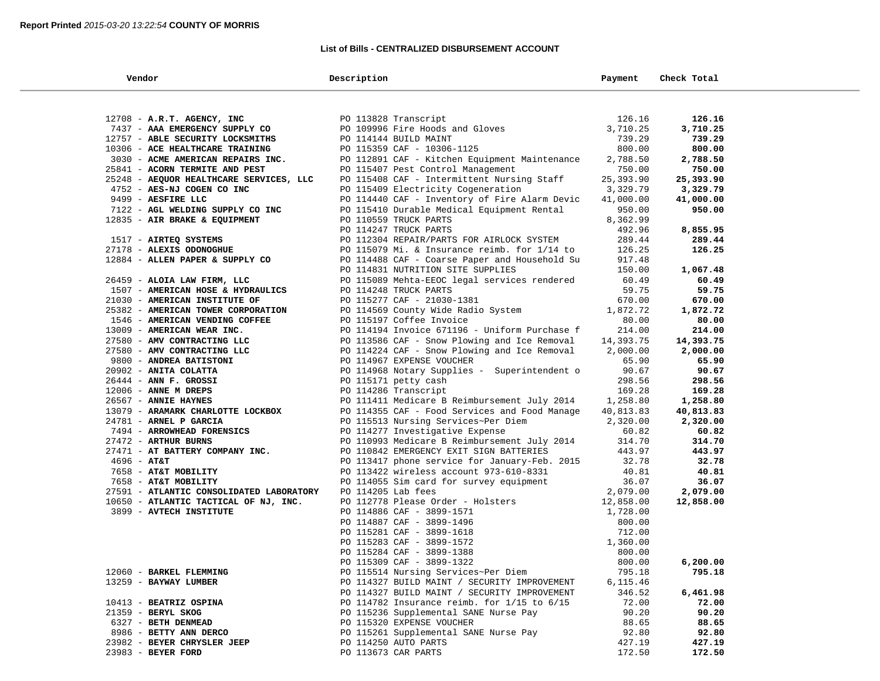## **List of Bills - CENTRALIZED DISBURSEMENT ACCOUNT**

| Vendor                                   | Description                                                                         | Payment          | Check Total |
|------------------------------------------|-------------------------------------------------------------------------------------|------------------|-------------|
|                                          |                                                                                     |                  |             |
| 12708 - A.R.T. AGENCY, INC               | PO 113828 Transcript<br>PO 109996 Fire Hoods and Gloves                             | 126.16           | 126.16      |
| 7437 - AAA EMERGENCY SUPPLY CO           |                                                                                     | 3,710.25         | 3,710.25    |
| 12757 - ABLE SECURITY LOCKSMITHS         | PO 114144 BUILD MAINT                                                               | 739.29           | 739.29      |
| 10306 - ACE HEALTHCARE TRAINING          | PO 115359 CAF - 10306-1125                                                          | 800.00           | 800.00      |
| 3030 - ACME AMERICAN REPAIRS INC.        | PO 112891 CAF - Kitchen Equipment Maintenance                                       | 2,788.50         | 2,788.50    |
| 25841 - ACORN TERMITE AND PEST           | PO 115407 Pest Control Management                                                   | 750.00           | 750.00      |
| 25248 - AEQUOR HEALTHCARE SERVICES, LLC  | PO 115408 CAF - Intermittent Nursing Staff                                          | 25,393.90        | 25,393.90   |
| 4752 - AES-NJ COGEN CO INC               | PO 115409 Electricity Cogeneration                                                  | 3,329.79         | 3,329.79    |
| 9499 - AESFIRE LLC                       | PO 114440 CAF - Inventory of Fire Alarm Devic                                       | 41,000.00        | 41,000.00   |
| 7122 - AGL WELDING SUPPLY CO INC         | PO 115410 Durable Medical Equipment Rental                                          | 950.00           | 950.00      |
| 12835 - AIR BRAKE & EQUIPMENT            | PO 110559 TRUCK PARTS                                                               | 8,362.99         |             |
|                                          | PO 114247 TRUCK PARTS                                                               | 492.96           | 8,855.95    |
| 1517 - AIRTEQ SYSTEMS                    | PO 112304 REPAIR/PARTS FOR AIRLOCK SYSTEM                                           | 289.44           | 289.44      |
| 27178 - ALEXIS ODONOGHUE                 | PO 115079 Mi. & Insurance reimb. for 1/14 to                                        | 126.25           | 126.25      |
| 12884 - ALLEN PAPER & SUPPLY CO          | PO 114488 CAF - Coarse Paper and Household Su                                       | 917.48           |             |
|                                          | PO 114831 NUTRITION SITE SUPPLIES                                                   | 150.00           | 1,067.48    |
| 26459 - ALOIA LAW FIRM, LLC              | PO 115089 Mehta-EEOC legal services rendered                                        | 60.49            | 60.49       |
| 1507 - AMERICAN HOSE & HYDRAULICS        | PO 114248 TRUCK PARTS                                                               | 59.75            | 59.75       |
| 21030 - AMERICAN INSTITUTE OF            | PO 115277 CAF - 21030-1381                                                          | 670.00           | 670.00      |
| 25382 - AMERICAN TOWER CORPORATION       | PO 114569 County Wide Radio System                                                  | 1,872.72         | 1,872.72    |
| 1546 - AMERICAN VENDING COFFEE           | PO 115197 Coffee Invoice                                                            | 80.00            | 80.00       |
| 13009 - AMERICAN WEAR INC.               | PO 114194 Invoice 671196 - Uniform Purchase f                                       | 214.00           | 214.00      |
| 27580 - AMV CONTRACTING LLC              | PO 113586 CAF - Snow Plowing and Ice Removal                                        | 14,393.75        | 14,393.75   |
| 27580 - AMV CONTRACTING LLC              | PO 114224 CAF - Snow Plowing and Ice Removal                                        | 2,000.00         | 2,000.00    |
| 9800 - ANDREA BATISTONI                  | PO 114967 EXPENSE VOUCHER                                                           | 65.90            | 65.90       |
| 20902 - ANITA COLATTA                    | PO 114968 Notary Supplies - Superintendent o                                        | 90.67            | 90.67       |
| $26444$ - ANN F. GROSSI                  | PO 115171 petty cash                                                                | 298.56           | 298.56      |
| $12006$ - ANNE M DREPS                   | PO 114286 Transcript                                                                | 169.28           | 169.28      |
| 26567 - ANNIE HAYNES                     | PO 111411 Medicare B Reimbursement July 2014                                        | 1,258.80         | 1,258.80    |
| 13079 - ARAMARK CHARLOTTE LOCKBOX        | PO 114355 CAF - Food Services and Food Manage                                       | 40,813.83        | 40,813.83   |
| 24781 - ARNEL P GARCIA                   | PO 115513 Nursing Services~Per Diem                                                 | 2,320.00         | 2,320.00    |
| 7494 - ARROWHEAD FORENSICS               | PO 114277 Investigative Expense                                                     | 60.82            | 60.82       |
| 27472 - ARTHUR BURNS                     | PO 110993 Medicare B Reimbursement July 2014                                        | 314.70           | 314.70      |
| 27471 - AT BATTERY COMPANY INC.          | PO 110842 EMERGENCY EXIT SIGN BATTERIES                                             | 443.97           | 443.97      |
| $4696 - AT&T$                            | PO 113417 phone service for January-Feb. 2015                                       | 32.78            | 32.78       |
| 7658 - AT&T MOBILITY                     | PO 113422 wireless account 973-610-8331                                             | 40.81            | 40.81       |
| 7658 - AT&T MOBILITY                     | PO 114055 Sim card for survey equipment                                             | 36.07            | 36.07       |
| 27591 - ATLANTIC CONSOLIDATED LABORATORY | PO 114205 Lab fees                                                                  | 2,079.00         | 2,079.00    |
| 10650 - ATLANTIC TACTICAL OF NJ, INC.    | PO 112778 Please Order - Holsters                                                   | 12,858.00        | 12,858.00   |
| 3899 - AVTECH INSTITUTE                  | PO 114886 CAF - 3899-1571                                                           | 1,728.00         |             |
|                                          | PO 114887 CAF - 3899-1496                                                           | 800.00           |             |
|                                          | PO 115281 CAF - 3899-1618                                                           | 712.00           |             |
|                                          | PO 115283 CAF - 3899-1572                                                           | 1,360.00         |             |
|                                          | PO 115284 CAF - 3899-1388                                                           | 800.00<br>800.00 | 6,200.00    |
| 12060 - BARKEL FLEMMING                  | PO 115309 CAF - 3899-1322                                                           | 795.18           | 795.18      |
| 13259 - BAYWAY LUMBER                    | PO 115514 Nursing Services~Per Diem<br>PO 114327 BUILD MAINT / SECURITY IMPROVEMENT | 6,115.46         |             |
|                                          | PO 114327 BUILD MAINT / SECURITY IMPROVEMENT                                        | 346.52           | 6,461.98    |
| 10413 - BEATRIZ OSPINA                   | PO 114782 Insurance reimb. for $1/15$ to $6/15$                                     | 72.00            | 72.00       |
| 21359 - BERYL SKOG                       | PO 115236 Supplemental SANE Nurse Pay                                               | 90.20            | 90.20       |
| 6327 - BETH DENMEAD                      | PO 115320 EXPENSE VOUCHER                                                           | 88.65            | 88.65       |
| 8986 - BETTY ANN DERCO                   | PO 115261 Supplemental SANE Nurse Pay                                               | 92.80            | 92.80       |
| 23982 - BEYER CHRYSLER JEEP              | PO 114250 AUTO PARTS                                                                | 427.19           | 427.19      |
| 23983 - BEYER FORD                       | PO 113673 CAR PARTS                                                                 | 172.50           | 172.50      |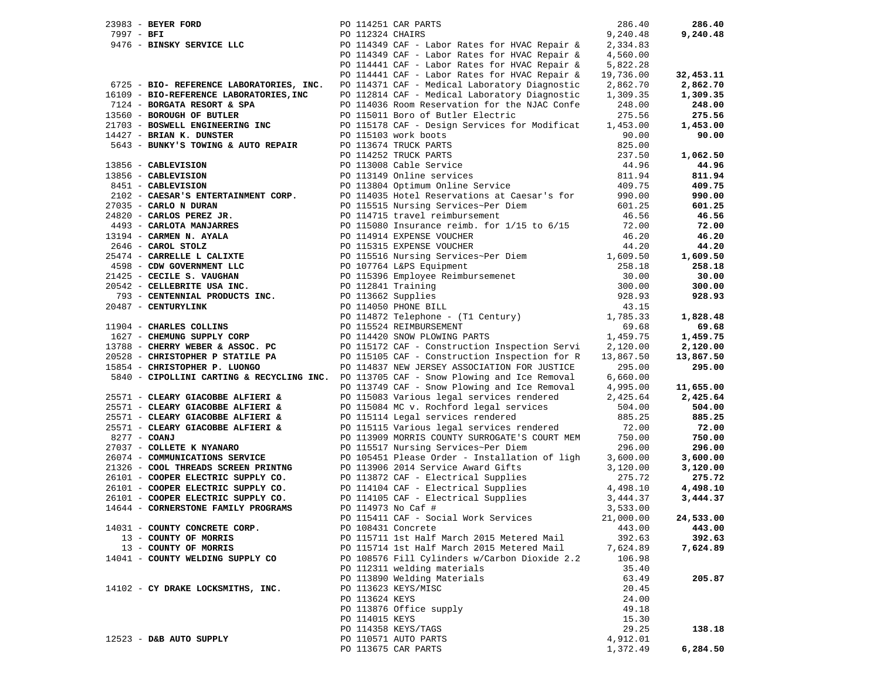| 23983 - BEYER FORD                                                                     | PO 114251 CAR PARTS                                                                                                                                                                                                                                | 286.40    | 286.40    |
|----------------------------------------------------------------------------------------|----------------------------------------------------------------------------------------------------------------------------------------------------------------------------------------------------------------------------------------------------|-----------|-----------|
| 9476 - BINSKY SERVICE LLC                                                              | PO 112324 CHAIRS                                                                                                                                                                                                                                   | 9,240.48  | 9,240.48  |
|                                                                                        | PO 114349 CAF - Labor Rates for HVAC Repair &                                                                                                                                                                                                      | 2,334.83  |           |
|                                                                                        | PO 114349 CAF - Labor Rates for HVAC Repair &                                                                                                                                                                                                      | 4,560.00  |           |
|                                                                                        | PO 114441 CAF - Labor Rates for HVAC Repair &                                                                                                                                                                                                      | 5,822.28  |           |
|                                                                                        | PO 114441 CAF - Labor Rates for HVAC Repair &                                                                                                                                                                                                      | 19,736.00 | 32,453.11 |
| 6725 - BIO- REFERENCE LABORATORIES, INC.                                               | PO 114371 CAF - Medical Laboratory Diagnostic                                                                                                                                                                                                      | 2,862.70  | 2,862.70  |
| 16109 - BIO-REFERENCE LABORATORIES, INC                                                | PO 112814 CAF - Medical Laboratory Diagnostic                                                                                                                                                                                                      | 1,309.35  | 1,309.35  |
| 7124 - BORGATA RESORT & SPA                                                            | PO 114036 Room Reservation for the NJAC Confe                                                                                                                                                                                                      | 248.00    | 248.00    |
|                                                                                        |                                                                                                                                                                                                                                                    |           |           |
| 13560 - BOROUGH OF BUTLER                                                              | PO 115011 Boro of Butler Electric                                                                                                                                                                                                                  | 275.56    | 275.56    |
| 21703 - BOSWELL ENGINEERING INC                                                        | PO 115178 CAF - Design Services for Modificat                                                                                                                                                                                                      | 1,453.00  | 1,453.00  |
| 14427 - BRIAN K. DUNSTER                                                               | PO 115103 work boots                                                                                                                                                                                                                               | 90.00     | 90.00     |
| 5643 - BUNKY'S TOWING & AUTO REPAIR                                                    | PO 113674 TRUCK PARTS<br>PO 114252 TRUCK PARTS<br>PO 113008 Cable Service<br>PO 113149 Online services<br>PO 113804 Optimum Online Service                                                                                                         | 825.00    |           |
|                                                                                        |                                                                                                                                                                                                                                                    | 237.50    | 1,062.50  |
| 13856 - CABLEVISION                                                                    |                                                                                                                                                                                                                                                    | 44.96     | 44.96     |
| 13856 - CABLEVISION                                                                    |                                                                                                                                                                                                                                                    | 811.94    | 811.94    |
| 8451 - CABLEVISION                                                                     |                                                                                                                                                                                                                                                    | 409.75    | 409.75    |
| 2102 - CAESAR'S ENTERTAINMENT CORP.                                                    | PO 114035 Hotel Reservations at Caesar's for 990.00                                                                                                                                                                                                |           | 990.00    |
| $21035$ - CARLO N DURAN<br>24820 - CARLOS PEREZ JR.                                    | PO 115515 Nursing Services~Per Diem<br>PO 114715 travel reimbursement                                                                                                                                                                              | 601.25    | 601.25    |
|                                                                                        | PO 114715 travel reimbursement                                                                                                                                                                                                                     | 46.56     | 46.56     |
| 4493 - CARLOTA MANJARRES                                                               | PO 115080 Insurance reimb. for 1/15 to 6/15                                                                                                                                                                                                        | 72.00     | 72.00     |
| 13194 - CARMEN N. AYALA                                                                | PO 114914 EXPENSE VOUCHER                                                                                                                                                                                                                          | 46.20     | 46.20     |
|                                                                                        | PO 115315 EXPENSE VOUCHER                                                                                                                                                                                                                          | 44.20     | 44.20     |
| $2646$ - CAROL STOLZ<br>$25474$ - CARRELLE L CALIXTE                                   | PO 115516 Nursing Services~Per Diem 1,609.50                                                                                                                                                                                                       |           | 1,609.50  |
| 4598 - CDW GOVERNMENT LLC                                                              |                                                                                                                                                                                                                                                    |           | 258.18    |
| 21425 - CECILE S. VAUGHAN                                                              |                                                                                                                                                                                                                                                    |           | 30.00     |
| 20542 - CELLEBRITE USA INC.                                                            |                                                                                                                                                                                                                                                    |           | 300.00    |
| 1542 - CELLEBRITE USA INC.<br>793 - CENTENNIAL PRODUCTS INC.                           |                                                                                                                                                                                                                                                    |           | 928.93    |
| 20487 - CENTURYLINK                                                                    |                                                                                                                                                                                                                                                    |           |           |
|                                                                                        | PO 107764 L&PS Equipment<br>PO 115396 Employee Reimbursemenet<br>PO 112841 Training<br>PO 113662 Supplies<br>PO 114650 PHOME BILL<br>PO 114650 PO PHOME BILL<br>13562 PO PHOME BILL<br>13562 PO PHOME BILL<br>1356 PO PHOME BILL<br>1365 28.93<br> |           | 1,828.48  |
|                                                                                        | PO 114872 Telephone - (T1 Century) $1,785.33$<br>PO 115524 REIMBURSEMENT                                                                                                                                                                           |           |           |
| 11904 - CHARLES COLLINS                                                                | $69.68$<br>1,459.75                                                                                                                                                                                                                                |           | 69.68     |
| 1627 - CHEMUNG SUPPLY CORP                                                             | PO 114420 SNOW PLOWING PARTS                                                                                                                                                                                                                       |           | 1,459.75  |
| 13788 - CHERRY WEBER & ASSOC. PC                                                       | PO 115172 CAF - Construction Inspection Servi                                                                                                                                                                                                      | 2,120.00  | 2,120.00  |
| 20528 - CHRISTOPHER P STATILE PA                                                       | PO 115105 CAF - Construction Inspection for R                                                                                                                                                                                                      | 13,867.50 | 13,867.50 |
| 15854 - CHRISTOPHER P. LUONGO                                                          | PO 114837 NEW JERSEY ASSOCIATION FOR JUSTICE                                                                                                                                                                                                       | 295.00    | 295.00    |
| 5840 - CIPOLLINI CARTING & RECYCLING INC. PO 113705 CAF - Snow Plowing and Ice Removal |                                                                                                                                                                                                                                                    | 6,660.00  |           |
|                                                                                        | PO 113749 CAF - Snow Plowing and Ice Removal                                                                                                                                                                                                       | 4,995.00  | 11,655.00 |
| 25571 - CLEARY GIACOBBE ALFIERI &                                                      | PO 115083 Various legal services rendered                                                                                                                                                                                                          | 2,425.64  | 2,425.64  |
| 25571 - CLEARY GIACOBBE ALFIERI &                                                      | PO 115084 MC v. Rochford legal services                                                                                                                                                                                                            | 504.00    | 504.00    |
| 25571 - CLEARY GIACOBBE ALFIERI &                                                      | PO 115114 Legal services rendered                                                                                                                                                                                                                  | 885.25    | 885.25    |
| 25571 - CLEARY GIACOBBE ALFIERI &                                                      | PO 115115 Various legal services rendered                                                                                                                                                                                                          | 72.00     | 72.00     |
| 8277 - COANJ                                                                           | PO 113909 MORRIS COUNTY SURROGATE'S COURT MEM                                                                                                                                                                                                      | 750.00    | 750.00    |
| 27037 - COLLETE K NYANARO                                                              | PO 115517 Nursing Services~Per Diem                                                                                                                                                                                                                | 296.00    | 296.00    |
| 26074 - COMMUNICATIONS SERVICE                                                         | PO 105451 Please Order - Installation of ligh                                                                                                                                                                                                      | 3,600.00  | 3,600.00  |
| 21326 - COOL THREADS SCREEN PRINTNG                                                    | PO 113906 2014 Service Award Gifts<br>PO 113872 CAF - Electrical Supplies                                                                                                                                                                          | 3,120.00  | 3,120.00  |
| 26101 - COOPER ELECTRIC SUPPLY CO.                                                     |                                                                                                                                                                                                                                                    | 275.72    | 275.72    |
| 26101 - COOPER ELECTRIC SUPPLY CO.                                                     |                                                                                                                                                                                                                                                    | 4,498.10  | 4,498.10  |
| 26101 - COOPER ELECTRIC SUPPLY CO.                                                     | PO 114104 CAF - Electrical Supplies<br>PO 114105 CAF - Electrical Supplies                                                                                                                                                                         | 3,444.37  | 3,444.37  |
| 14644 - CORNERSTONE FAMILY PROGRAMS                                                    | PO 114973 No Caf #                                                                                                                                                                                                                                 | 3,533.00  |           |
|                                                                                        | PO 115411 CAF - Social Work Services                                                                                                                                                                                                               | 21,000.00 | 24,533.00 |
| 14031 - COUNTY CONCRETE CORP.                                                          | PO 108431 Concrete                                                                                                                                                                                                                                 | 443.00    | 443.00    |
| 13 - COUNTY OF MORRIS                                                                  | PO 115711 1st Half March 2015 Metered Mail                                                                                                                                                                                                         | 392.63    | 392.63    |
| 13 - COUNTY OF MORRIS                                                                  | PO 115714 1st Half March 2015 Metered Mail                                                                                                                                                                                                         | 7,624.89  | 7,624.89  |
|                                                                                        |                                                                                                                                                                                                                                                    |           |           |
| 14041 - COUNTY WELDING SUPPLY CO                                                       | PO 108576 Fill Cylinders w/Carbon Dioxide 2.2                                                                                                                                                                                                      | 106.98    |           |
|                                                                                        | PO 112311 welding materials                                                                                                                                                                                                                        | 35.40     |           |
|                                                                                        | PO 113890 Welding Materials                                                                                                                                                                                                                        | 63.49     | 205.87    |
| 14102 - CY DRAKE LOCKSMITHS, INC.                                                      | PO 113623 KEYS/MISC                                                                                                                                                                                                                                | 20.45     |           |
|                                                                                        | PO 113624 KEYS                                                                                                                                                                                                                                     | 24.00     |           |
|                                                                                        | PO 113876 Office supply                                                                                                                                                                                                                            | 49.18     |           |
|                                                                                        | PO 114015 KEYS                                                                                                                                                                                                                                     | 15.30     |           |
|                                                                                        | PO 114358 KEYS/TAGS                                                                                                                                                                                                                                | 29.25     | 138.18    |
| 12523 - D&B AUTO SUPPLY                                                                | PO 110571 AUTO PARTS                                                                                                                                                                                                                               | 4,912.01  |           |
|                                                                                        | PO 113675 CAR PARTS                                                                                                                                                                                                                                | 1,372.49  | 6,284.50  |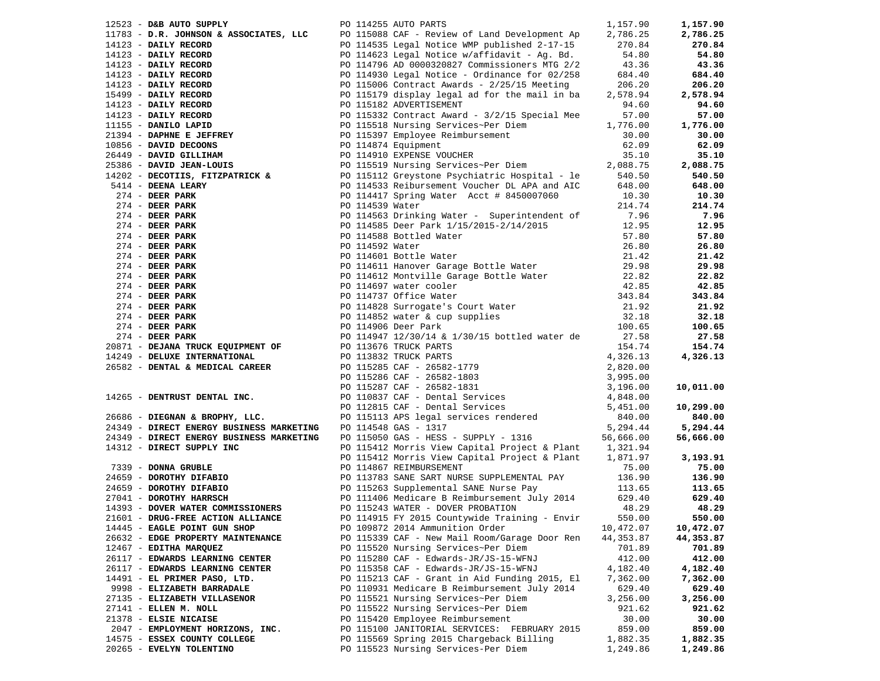| 12523 - D&B AUTO SUPPLY           | PO 114255 AUTO PARTS<br>1753 - Des Araro Stephen, 1972, 1973 - 1972, 1972, 1972, 1972, 1972, 1982, 1982, 1982, 1982, 1982, 1982, 1982, 1982, 1982, 1982, 1982, 1982, 1982, 1982, 1982, 1982, 1982, 1982, 1982, 1982, 1982, 1982, 1982, 1982, 1982, 19 | 1,157.90  | 1,157.90         |
|-----------------------------------|-------------------------------------------------------------------------------------------------------------------------------------------------------------------------------------------------------------------------------------------------------|-----------|------------------|
|                                   |                                                                                                                                                                                                                                                       |           | 2,786.25         |
|                                   |                                                                                                                                                                                                                                                       |           | 270.84           |
|                                   |                                                                                                                                                                                                                                                       |           | 54.80            |
|                                   |                                                                                                                                                                                                                                                       |           | 43.36            |
|                                   |                                                                                                                                                                                                                                                       |           | 684.40           |
|                                   |                                                                                                                                                                                                                                                       |           | 206.20           |
|                                   |                                                                                                                                                                                                                                                       |           | 2,578.94         |
|                                   |                                                                                                                                                                                                                                                       |           | 94.60            |
|                                   |                                                                                                                                                                                                                                                       |           | 57.00            |
|                                   |                                                                                                                                                                                                                                                       |           | 1,776.00         |
|                                   |                                                                                                                                                                                                                                                       |           | 30.00            |
|                                   |                                                                                                                                                                                                                                                       |           | 62.09            |
|                                   |                                                                                                                                                                                                                                                       |           | 35.10            |
|                                   |                                                                                                                                                                                                                                                       |           | 2,088.75         |
|                                   |                                                                                                                                                                                                                                                       |           | 540.50           |
|                                   |                                                                                                                                                                                                                                                       |           | 648.00           |
|                                   |                                                                                                                                                                                                                                                       |           | 10.30            |
|                                   |                                                                                                                                                                                                                                                       |           | 214.74           |
|                                   |                                                                                                                                                                                                                                                       |           | 7.96             |
|                                   |                                                                                                                                                                                                                                                       |           | 12.95            |
|                                   |                                                                                                                                                                                                                                                       |           | 57.80            |
|                                   |                                                                                                                                                                                                                                                       |           | 26.80            |
|                                   |                                                                                                                                                                                                                                                       |           | 21.42            |
|                                   |                                                                                                                                                                                                                                                       |           | 29.98            |
|                                   |                                                                                                                                                                                                                                                       |           | 22.82            |
|                                   |                                                                                                                                                                                                                                                       |           | 42.85            |
|                                   |                                                                                                                                                                                                                                                       |           | 343.84           |
|                                   |                                                                                                                                                                                                                                                       |           | 21.92            |
|                                   |                                                                                                                                                                                                                                                       |           | 32.18            |
|                                   |                                                                                                                                                                                                                                                       |           | 100.65           |
|                                   |                                                                                                                                                                                                                                                       |           | 27.58            |
|                                   |                                                                                                                                                                                                                                                       |           | 154.74           |
|                                   |                                                                                                                                                                                                                                                       |           | 4,326.13         |
|                                   |                                                                                                                                                                                                                                                       |           |                  |
|                                   |                                                                                                                                                                                                                                                       |           |                  |
|                                   |                                                                                                                                                                                                                                                       |           | 10,011.00        |
|                                   |                                                                                                                                                                                                                                                       |           |                  |
|                                   |                                                                                                                                                                                                                                                       |           | 10,299.00        |
|                                   |                                                                                                                                                                                                                                                       |           | 840.00           |
|                                   |                                                                                                                                                                                                                                                       |           | 5,294.44         |
|                                   |                                                                                                                                                                                                                                                       |           | 56,666.00        |
|                                   | PO 115412 Morris View Capital Project & Plant 1,321.94<br>PO 115412 Morris View Capital Project & Plant 1,871.97                                                                                                                                      |           |                  |
|                                   |                                                                                                                                                                                                                                                       |           | 3,193.91         |
|                                   | 14312 - DIRECT SUPPLY INC<br>PO 115412 Morris View Capital Project & Plant<br>PO 115412 Morris View Capital Project & Plant<br>PO 115412 Morris View Capital Project & Plant<br>PO 11542 Morris View Capital Project & Plant<br>PO 1156               |           | 75.00            |
|                                   |                                                                                                                                                                                                                                                       |           | 136.90           |
|                                   |                                                                                                                                                                                                                                                       |           | 113.65<br>629.40 |
|                                   |                                                                                                                                                                                                                                                       |           |                  |
|                                   |                                                                                                                                                                                                                                                       |           | 48.29            |
| 21601 - DRUG-FREE ACTION ALLIANCE | PO 114915 FY 2015 Countywide Training - Envir 550.00                                                                                                                                                                                                  |           | 550.00           |
| 14445 - EAGLE POINT GUN SHOP      | PO 109872 2014 Ammunition Order                                                                                                                                                                                                                       | 10,472.07 | 10,472.07        |
| 26632 - EDGE PROPERTY MAINTENANCE | PO 115339 CAF - New Mail Room/Garage Door Ren                                                                                                                                                                                                         | 44,353.87 | 44,353.87        |
| 12467 - EDITHA MARQUEZ            | PO 115520 Nursing Services~Per Diem                                                                                                                                                                                                                   | 701.89    | 701.89           |
| 26117 - EDWARDS LEARNING CENTER   | PO 115280 CAF - Edwards-JR/JS-15-WFNJ                                                                                                                                                                                                                 | 412.00    | 412.00           |
| 26117 - EDWARDS LEARNING CENTER   | PO 115358 CAF - Edwards-JR/JS-15-WFNJ                                                                                                                                                                                                                 | 4,182.40  | 4,182.40         |
| 14491 - EL PRIMER PASO, LTD.      | PO 115213 CAF - Grant in Aid Funding 2015, El                                                                                                                                                                                                         | 7,362.00  | 7,362.00         |
| 9998 - ELIZABETH BARRADALE        | PO 110931 Medicare B Reimbursement July 2014                                                                                                                                                                                                          | 629.40    | 629.40           |
| 27135 - ELIZABETH VILLASENOR      | PO 115521 Nursing Services~Per Diem                                                                                                                                                                                                                   | 3,256.00  | 3,256.00         |
| 27141 - ELLEN M. NOLL             | PO 115522 Nursing Services~Per Diem                                                                                                                                                                                                                   | 921.62    | 921.62           |
| 21378 - ELSIE NICAISE             | PO 115420 Employee Reimbursement                                                                                                                                                                                                                      | 30.00     | 30.00            |
| 2047 - EMPLOYMENT HORIZONS, INC.  | PO 115100 JANITORIAL SERVICES: FEBRUARY 2015                                                                                                                                                                                                          | 859.00    | 859.00           |
| 14575 - ESSEX COUNTY COLLEGE      | PO 115569 Spring 2015 Chargeback Billing                                                                                                                                                                                                              | 1,882.35  | 1,882.35         |
| 20265 - EVELYN TOLENTINO          | PO 115523 Nursing Services-Per Diem                                                                                                                                                                                                                   | 1,249.86  | 1,249.86         |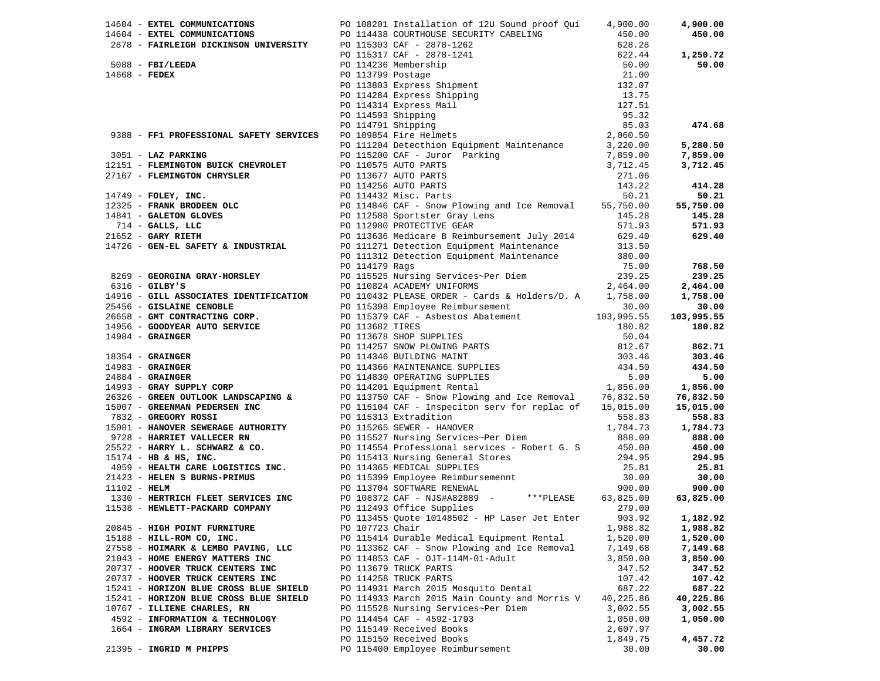|  |                                        |                 |                                                                                                                                                                                                                                                                                                                                                                                                                                                   |           | 4,900.00         |
|--|----------------------------------------|-----------------|---------------------------------------------------------------------------------------------------------------------------------------------------------------------------------------------------------------------------------------------------------------------------------------------------------------------------------------------------------------------------------------------------------------------------------------------------|-----------|------------------|
|  |                                        |                 |                                                                                                                                                                                                                                                                                                                                                                                                                                                   |           | 450.00           |
|  |                                        |                 |                                                                                                                                                                                                                                                                                                                                                                                                                                                   |           |                  |
|  |                                        |                 |                                                                                                                                                                                                                                                                                                                                                                                                                                                   |           | 1,250.72         |
|  |                                        |                 |                                                                                                                                                                                                                                                                                                                                                                                                                                                   |           | 50.00            |
|  |                                        |                 |                                                                                                                                                                                                                                                                                                                                                                                                                                                   |           |                  |
|  |                                        |                 |                                                                                                                                                                                                                                                                                                                                                                                                                                                   |           |                  |
|  |                                        |                 |                                                                                                                                                                                                                                                                                                                                                                                                                                                   |           |                  |
|  |                                        |                 |                                                                                                                                                                                                                                                                                                                                                                                                                                                   |           |                  |
|  |                                        |                 |                                                                                                                                                                                                                                                                                                                                                                                                                                                   |           |                  |
|  |                                        |                 |                                                                                                                                                                                                                                                                                                                                                                                                                                                   |           |                  |
|  |                                        |                 |                                                                                                                                                                                                                                                                                                                                                                                                                                                   |           | 474.68           |
|  |                                        |                 | 14604 - EXTEL COMMUNICATIONS political and procedure and properties are the communications of 120 South 2017 (ABELING)<br>2878 - FAIRLEIGH DICKINSON UNIVERSITY (ABELING)<br>2878 - FAIRLEIGH DICKINSON UNIVERSITY (ABELING)<br>2888 -                                                                                                                                                                                                            |           |                  |
|  |                                        |                 |                                                                                                                                                                                                                                                                                                                                                                                                                                                   |           | 5,280.50         |
|  |                                        |                 |                                                                                                                                                                                                                                                                                                                                                                                                                                                   |           | 7,859.00         |
|  |                                        |                 |                                                                                                                                                                                                                                                                                                                                                                                                                                                   |           | 3,712.45         |
|  |                                        |                 |                                                                                                                                                                                                                                                                                                                                                                                                                                                   |           |                  |
|  |                                        |                 |                                                                                                                                                                                                                                                                                                                                                                                                                                                   |           | 414.28           |
|  |                                        |                 |                                                                                                                                                                                                                                                                                                                                                                                                                                                   |           | 50.21            |
|  |                                        |                 |                                                                                                                                                                                                                                                                                                                                                                                                                                                   |           | 55,750.00        |
|  |                                        |                 |                                                                                                                                                                                                                                                                                                                                                                                                                                                   |           | 145.28           |
|  |                                        |                 |                                                                                                                                                                                                                                                                                                                                                                                                                                                   |           | 571.93           |
|  |                                        |                 |                                                                                                                                                                                                                                                                                                                                                                                                                                                   |           | 629.40           |
|  |                                        |                 |                                                                                                                                                                                                                                                                                                                                                                                                                                                   |           |                  |
|  |                                        |                 |                                                                                                                                                                                                                                                                                                                                                                                                                                                   |           |                  |
|  |                                        |                 |                                                                                                                                                                                                                                                                                                                                                                                                                                                   |           | 768.50           |
|  |                                        |                 |                                                                                                                                                                                                                                                                                                                                                                                                                                                   |           | 239.25           |
|  |                                        |                 |                                                                                                                                                                                                                                                                                                                                                                                                                                                   |           |                  |
|  |                                        |                 |                                                                                                                                                                                                                                                                                                                                                                                                                                                   |           | 2,464.00         |
|  |                                        |                 |                                                                                                                                                                                                                                                                                                                                                                                                                                                   |           | 1,758.00         |
|  |                                        |                 |                                                                                                                                                                                                                                                                                                                                                                                                                                                   |           | 30.00            |
|  |                                        |                 |                                                                                                                                                                                                                                                                                                                                                                                                                                                   |           | 103,995.55       |
|  |                                        |                 |                                                                                                                                                                                                                                                                                                                                                                                                                                                   |           | 180.82           |
|  |                                        |                 |                                                                                                                                                                                                                                                                                                                                                                                                                                                   |           |                  |
|  |                                        |                 |                                                                                                                                                                                                                                                                                                                                                                                                                                                   |           | 862.71           |
|  |                                        |                 |                                                                                                                                                                                                                                                                                                                                                                                                                                                   |           | 303.46           |
|  |                                        |                 |                                                                                                                                                                                                                                                                                                                                                                                                                                                   |           | 434.50           |
|  |                                        |                 |                                                                                                                                                                                                                                                                                                                                                                                                                                                   |           | 5.00             |
|  |                                        |                 |                                                                                                                                                                                                                                                                                                                                                                                                                                                   |           | 5.00<br>1,856.00 |
|  |                                        |                 |                                                                                                                                                                                                                                                                                                                                                                                                                                                   |           | 76,832.50        |
|  |                                        |                 |                                                                                                                                                                                                                                                                                                                                                                                                                                                   |           | 15,015.00        |
|  |                                        |                 |                                                                                                                                                                                                                                                                                                                                                                                                                                                   |           | 558.83           |
|  |                                        |                 |                                                                                                                                                                                                                                                                                                                                                                                                                                                   |           | 1,784.73         |
|  |                                        |                 |                                                                                                                                                                                                                                                                                                                                                                                                                                                   |           | 888.00           |
|  |                                        |                 |                                                                                                                                                                                                                                                                                                                                                                                                                                                   |           | 450.00           |
|  |                                        |                 |                                                                                                                                                                                                                                                                                                                                                                                                                                                   |           | 294.95           |
|  |                                        |                 |                                                                                                                                                                                                                                                                                                                                                                                                                                                   |           | 25.81            |
|  |                                        |                 |                                                                                                                                                                                                                                                                                                                                                                                                                                                   |           | 30.00            |
|  |                                        |                 | $(1389 - \text{GDEMING GEM}) = \text{GDEMING GEM} \begin{bmatrix} 111119 & \text{Rejection Explane, 111190} & \text{Rejection Explane, 111191} & \text{Rejection Explane, 111191} & \text{Rejection Explane, 111191} & \text{Rejection Explane, 111191} & \text{Rejection Explane, 111191} & \text{Rejection, 111191} & \text{Rejection, 11191} & \text{Rejection, 11191} & \text{Rejection, 11191} & \text{Rejection, 11191} & \text{Rejection,$ |           | 900.00           |
|  |                                        |                 |                                                                                                                                                                                                                                                                                                                                                                                                                                                   |           |                  |
|  |                                        |                 |                                                                                                                                                                                                                                                                                                                                                                                                                                                   |           | 63,825.00        |
|  |                                        |                 |                                                                                                                                                                                                                                                                                                                                                                                                                                                   |           |                  |
|  |                                        |                 |                                                                                                                                                                                                                                                                                                                                                                                                                                                   |           | 903.92 1,182.92  |
|  | 20845 - HIGH POINT FURNITURE           | PO 107723 Chair |                                                                                                                                                                                                                                                                                                                                                                                                                                                   | 1,988.82  | 1,988.82         |
|  | 15188 - HILL-ROM CO, INC.              |                 | PO 115414 Durable Medical Equipment Rental                                                                                                                                                                                                                                                                                                                                                                                                        | 1,520.00  | 1,520.00         |
|  | 27558 - HOIMARK & LEMBO PAVING, LLC    |                 | PO 113362 CAF - Snow Plowing and Ice Removal                                                                                                                                                                                                                                                                                                                                                                                                      | 7,149.68  | 7,149.68         |
|  | 21043 - HOME ENERGY MATTERS INC        |                 | PO 114853 CAF - OJT-114M-01-Adult                                                                                                                                                                                                                                                                                                                                                                                                                 | 3,850.00  | 3,850.00         |
|  | 20737 - HOOVER TRUCK CENTERS INC       |                 | PO 113679 TRUCK PARTS                                                                                                                                                                                                                                                                                                                                                                                                                             | 347.52    | 347.52           |
|  | 20737 - HOOVER TRUCK CENTERS INC       |                 | PO 114258 TRUCK PARTS                                                                                                                                                                                                                                                                                                                                                                                                                             | 107.42    | 107.42           |
|  | 15241 - HORIZON BLUE CROSS BLUE SHIELD |                 | PO 114931 March 2015 Mosquito Dental                                                                                                                                                                                                                                                                                                                                                                                                              | 687.22    | 687.22           |
|  | 15241 - HORIZON BLUE CROSS BLUE SHIELD |                 | PO 114933 March 2015 Main County and Morris V                                                                                                                                                                                                                                                                                                                                                                                                     | 40,225.86 | 40,225.86        |
|  | 10767 - ILLIENE CHARLES, RN            |                 | PO 115528 Nursing Services~Per Diem                                                                                                                                                                                                                                                                                                                                                                                                               | 3,002.55  | 3,002.55         |
|  | 4592 - INFORMATION & TECHNOLOGY        |                 | PO 114454 CAF - 4592-1793                                                                                                                                                                                                                                                                                                                                                                                                                         | 1,050.00  | 1,050.00         |
|  | 1664 - INGRAM LIBRARY SERVICES         |                 | PO 115149 Received Books                                                                                                                                                                                                                                                                                                                                                                                                                          | 2,607.97  |                  |
|  |                                        |                 | PO 115150 Received Books                                                                                                                                                                                                                                                                                                                                                                                                                          | 1,849.75  | 4,457.72         |
|  | 21395 - INGRID M PHIPPS                |                 | PO 115400 Employee Reimbursement                                                                                                                                                                                                                                                                                                                                                                                                                  | 30.00     | 30.00            |
|  |                                        |                 |                                                                                                                                                                                                                                                                                                                                                                                                                                                   |           |                  |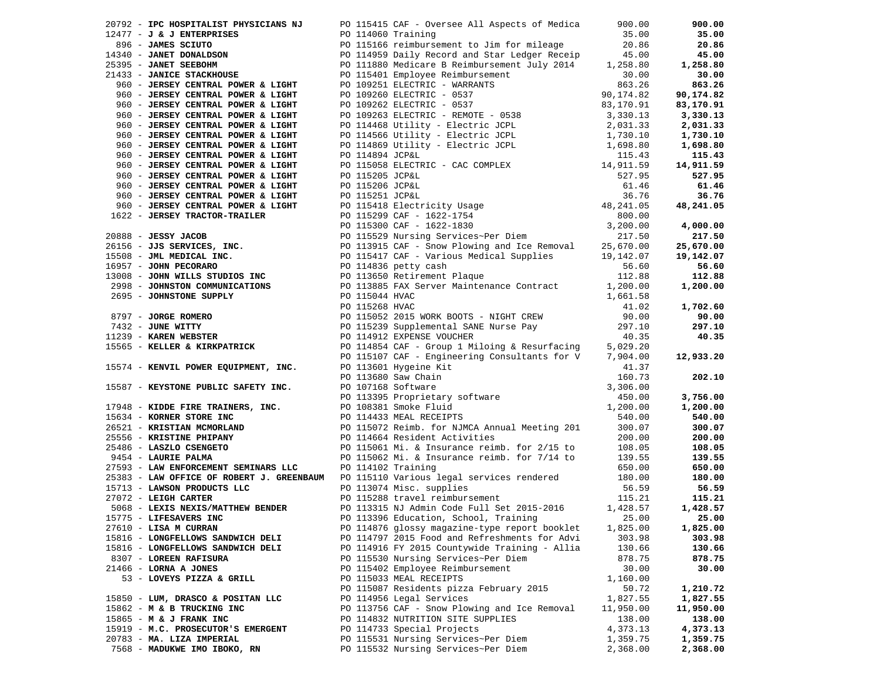| 20792 - IPC HOSPITALIST PHYSICIANS NJ PO 115415 CAF - Oversee All Aspects of Medica                                                                                                                                                                                                                  |                    |                                                     | 900.00    | 900.00    |
|------------------------------------------------------------------------------------------------------------------------------------------------------------------------------------------------------------------------------------------------------------------------------------------------------|--------------------|-----------------------------------------------------|-----------|-----------|
|                                                                                                                                                                                                                                                                                                      |                    |                                                     |           | 35.00     |
|                                                                                                                                                                                                                                                                                                      |                    |                                                     |           | 20.86     |
|                                                                                                                                                                                                                                                                                                      |                    |                                                     |           | 45.00     |
| 12477 - <b>J &amp; J ENTERPRISES</b><br>12477 - <b>J &amp; J ENTERPRISES</b><br>1340 - <b>JAMES SCIUTO</b><br>14340 - <b>JAMES SCIUTO</b><br>14340 - <b>JAMES SCIUTO</b><br>14340 - <b>JAMES SCIUTO</b><br>14340 - <b>JAMES SCIUTO</b><br>14340 - <b>JAMES SCIUTO</b><br>14340 - <b>JAMES SCIUTO</b> |                    |                                                     |           | 1,258.80  |
|                                                                                                                                                                                                                                                                                                      |                    |                                                     |           | 30.00     |
|                                                                                                                                                                                                                                                                                                      |                    |                                                     |           | 863.26    |
|                                                                                                                                                                                                                                                                                                      |                    |                                                     |           | 90,174.82 |
|                                                                                                                                                                                                                                                                                                      |                    |                                                     |           | 83,170.91 |
|                                                                                                                                                                                                                                                                                                      |                    |                                                     |           | 3,330.13  |
|                                                                                                                                                                                                                                                                                                      |                    |                                                     |           |           |
|                                                                                                                                                                                                                                                                                                      |                    |                                                     |           | 2,031.33  |
|                                                                                                                                                                                                                                                                                                      |                    |                                                     |           | 1,730.10  |
|                                                                                                                                                                                                                                                                                                      |                    |                                                     |           | 1,698.80  |
|                                                                                                                                                                                                                                                                                                      |                    |                                                     |           | 115.43    |
|                                                                                                                                                                                                                                                                                                      |                    |                                                     |           | 14,911.59 |
|                                                                                                                                                                                                                                                                                                      |                    |                                                     |           | 527.95    |
|                                                                                                                                                                                                                                                                                                      |                    |                                                     |           | 61.46     |
|                                                                                                                                                                                                                                                                                                      |                    |                                                     |           | 36.76     |
|                                                                                                                                                                                                                                                                                                      |                    |                                                     |           | 48,241.05 |
|                                                                                                                                                                                                                                                                                                      |                    |                                                     |           |           |
|                                                                                                                                                                                                                                                                                                      |                    |                                                     |           | 4,000.00  |
|                                                                                                                                                                                                                                                                                                      |                    |                                                     |           | 217.50    |
|                                                                                                                                                                                                                                                                                                      |                    |                                                     |           | 25,670.00 |
|                                                                                                                                                                                                                                                                                                      |                    |                                                     |           | 19,142.07 |
|                                                                                                                                                                                                                                                                                                      |                    |                                                     |           | 56.60     |
|                                                                                                                                                                                                                                                                                                      |                    |                                                     |           | 112.88    |
|                                                                                                                                                                                                                                                                                                      |                    |                                                     |           |           |
|                                                                                                                                                                                                                                                                                                      |                    |                                                     |           | 1,200.00  |
|                                                                                                                                                                                                                                                                                                      |                    |                                                     |           |           |
|                                                                                                                                                                                                                                                                                                      |                    |                                                     |           | 1,702.60  |
|                                                                                                                                                                                                                                                                                                      |                    |                                                     |           | 90.00     |
|                                                                                                                                                                                                                                                                                                      |                    |                                                     |           | 297.10    |
|                                                                                                                                                                                                                                                                                                      |                    |                                                     |           | 40.35     |
|                                                                                                                                                                                                                                                                                                      |                    |                                                     |           |           |
|                                                                                                                                                                                                                                                                                                      |                    |                                                     |           | 12,933.20 |
|                                                                                                                                                                                                                                                                                                      |                    |                                                     |           |           |
|                                                                                                                                                                                                                                                                                                      |                    |                                                     |           | 202.10    |
|                                                                                                                                                                                                                                                                                                      |                    |                                                     |           |           |
|                                                                                                                                                                                                                                                                                                      |                    |                                                     |           | 3,756.00  |
|                                                                                                                                                                                                                                                                                                      |                    |                                                     |           | 1,200.00  |
|                                                                                                                                                                                                                                                                                                      |                    |                                                     |           | 540.00    |
|                                                                                                                                                                                                                                                                                                      |                    |                                                     |           | 300.07    |
|                                                                                                                                                                                                                                                                                                      |                    |                                                     |           | 200.00    |
|                                                                                                                                                                                                                                                                                                      |                    |                                                     |           | 108.05    |
|                                                                                                                                                                                                                                                                                                      |                    |                                                     |           | 139.55    |
| 14139 - JAMES PARKLESS (49) 11439 - NATURE 2002<br>25135 - JAMES PARKLESS (49) 11439 - NATURE PARKLESS (49) 11439 - NATURE 2003<br>26135 - JAMES PARKLESS (49) 11439 - NATURE 2003<br>26135 - JAMES CRIPPAL PORTAL PORT PRODUCED TO<br>27593 - LAW ENFORCEMENT SEMINARS LLC                          | PO 114102 Training |                                                     | 650.00    | 650.00    |
|                                                                                                                                                                                                                                                                                                      |                    |                                                     |           | 180.00    |
| 25383 - LAW OPFICE OF ROBERT J. GREENBAUM PO 115110 Various legal services rendered 180.00<br>15713 - LAWSON PRODUCTS LLC PO 113074 Misc. supplies 56.59<br>27072 - LEIGH CARTER PO 115288 travel reimbursement 115.21<br>5068 - LEXIS                                                               |                    |                                                     |           | 56.59     |
|                                                                                                                                                                                                                                                                                                      |                    |                                                     |           | 115.21    |
|                                                                                                                                                                                                                                                                                                      |                    |                                                     |           |           |
| 5068 - LEXIS NEXIS/MATTHEW BENDER<br>5775 - LIEESAVERS INC                                                                                                                                                                                                                                           |                    |                                                     |           | 1,428.57  |
| 15775 - LIFESAVERS INC                                                                                                                                                                                                                                                                               |                    | PO 113396 Education, School, Training $25.00$ 25.00 |           |           |
| 27610 - LISA M CURRAN                                                                                                                                                                                                                                                                                |                    | PO 114876 glossy magazine-type report booklet       | 1,825.00  | 1,825.00  |
| 15816 - LONGFELLOWS SANDWICH DELI                                                                                                                                                                                                                                                                    |                    | PO 114797 2015 Food and Refreshments for Advi       | 303.98    | 303.98    |
| 15816 - LONGFELLOWS SANDWICH DELI                                                                                                                                                                                                                                                                    |                    | PO 114916 FY 2015 Countywide Training - Allia       | 130.66    | 130.66    |
| 8307 - LOREEN RAFISURA                                                                                                                                                                                                                                                                               |                    | PO 115530 Nursing Services~Per Diem                 | 878.75    | 878.75    |
| $21466$ - LORNA A JONES                                                                                                                                                                                                                                                                              |                    | PO 115402 Employee Reimbursement                    | 30.00     | 30.00     |
| 53 - LOVEYS PIZZA & GRILL                                                                                                                                                                                                                                                                            |                    | PO 115033 MEAL RECEIPTS                             | 1,160.00  |           |
|                                                                                                                                                                                                                                                                                                      |                    | PO 115087 Residents pizza February 2015             | 50.72     | 1,210.72  |
| 15850 - LUM, DRASCO & POSITAN LLC                                                                                                                                                                                                                                                                    |                    | PO 114956 Legal Services                            | 1,827.55  | 1,827.55  |
| 15862 - M & B TRUCKING INC                                                                                                                                                                                                                                                                           |                    | PO 113756 CAF - Snow Plowing and Ice Removal        | 11,950.00 | 11,950.00 |
| 15865 - M & J FRANK INC                                                                                                                                                                                                                                                                              |                    | PO 114832 NUTRITION SITE SUPPLIES                   | 138.00    | 138.00    |
| 15919 - M.C. PROSECUTOR'S EMERGENT                                                                                                                                                                                                                                                                   |                    | PO 114733 Special Projects                          | 4,373.13  | 4,373.13  |
| 20783 - MA. LIZA IMPERIAL                                                                                                                                                                                                                                                                            |                    | PO 115531 Nursing Services~Per Diem                 | 1,359.75  | 1,359.75  |
| 7568 - MADUKWE IMO IBOKO, RN                                                                                                                                                                                                                                                                         |                    | PO 115532 Nursing Services~Per Diem                 | 2,368.00  | 2,368.00  |
|                                                                                                                                                                                                                                                                                                      |                    |                                                     |           |           |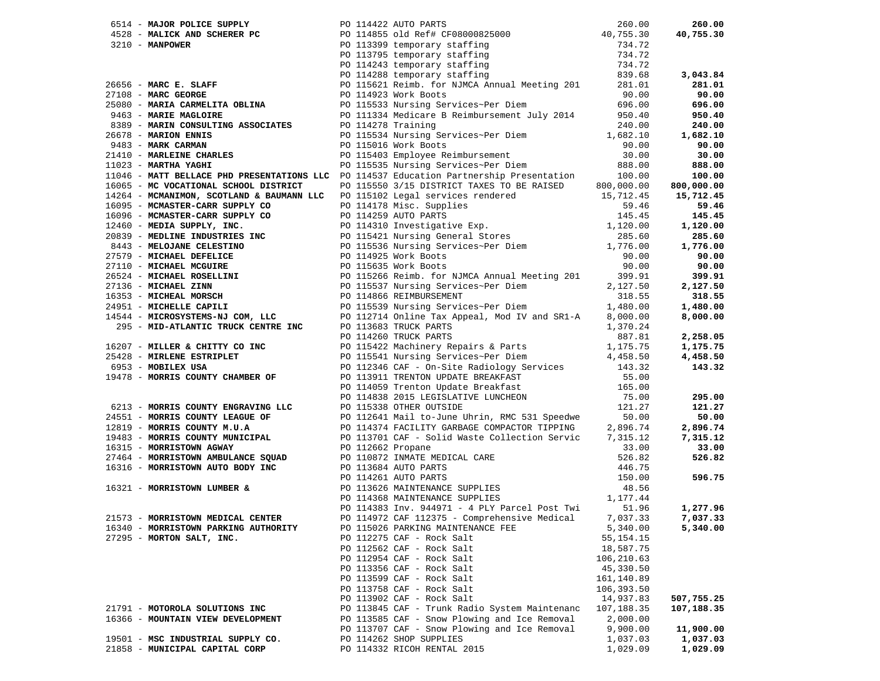|                                      |  |                                                                                                                                                                                                                               |             | 260.00            |
|--------------------------------------|--|-------------------------------------------------------------------------------------------------------------------------------------------------------------------------------------------------------------------------------|-------------|-------------------|
|                                      |  |                                                                                                                                                                                                                               |             | 40,755.30         |
|                                      |  |                                                                                                                                                                                                                               |             |                   |
|                                      |  |                                                                                                                                                                                                                               |             |                   |
|                                      |  |                                                                                                                                                                                                                               |             |                   |
|                                      |  |                                                                                                                                                                                                                               |             | 3,043.84          |
|                                      |  |                                                                                                                                                                                                                               |             | 281.01            |
|                                      |  |                                                                                                                                                                                                                               |             | 90.00             |
|                                      |  |                                                                                                                                                                                                                               |             | 696.00            |
|                                      |  |                                                                                                                                                                                                                               |             | 950.40            |
|                                      |  |                                                                                                                                                                                                                               |             | 240.00            |
|                                      |  |                                                                                                                                                                                                                               |             | 1,682.10          |
|                                      |  |                                                                                                                                                                                                                               |             | 90.00             |
|                                      |  |                                                                                                                                                                                                                               |             | 30.00             |
|                                      |  |                                                                                                                                                                                                                               |             |                   |
|                                      |  |                                                                                                                                                                                                                               |             | 888.00            |
|                                      |  | 11046 - MATT BELLACE PHD PRESENTATIONS LLC PO 114537 Education Partnership Presentation 100.00<br>16065 - MC VOCATIONAL SCHOOL DISTRICT PO 115550 3/15 DISTRICT TAXES TO BE RAISED 800,000.00                                 |             | 100.00            |
|                                      |  |                                                                                                                                                                                                                               |             | 800,000.00        |
|                                      |  |                                                                                                                                                                                                                               |             | 15,712.45         |
|                                      |  |                                                                                                                                                                                                                               |             | 59.46             |
|                                      |  |                                                                                                                                                                                                                               |             | 145.45            |
|                                      |  |                                                                                                                                                                                                                               |             | 1,120.00          |
|                                      |  |                                                                                                                                                                                                                               |             | 285.60            |
|                                      |  |                                                                                                                                                                                                                               |             | 1,776.00          |
|                                      |  |                                                                                                                                                                                                                               |             | 90.00             |
|                                      |  |                                                                                                                                                                                                                               |             | 90.00             |
|                                      |  |                                                                                                                                                                                                                               |             | 399.91            |
|                                      |  |                                                                                                                                                                                                                               |             | 2,127.50          |
|                                      |  |                                                                                                                                                                                                                               |             | 318.55            |
|                                      |  |                                                                                                                                                                                                                               |             | 1,480.00          |
|                                      |  |                                                                                                                                                                                                                               |             | 8,000.00          |
|                                      |  |                                                                                                                                                                                                                               |             |                   |
|                                      |  |                                                                                                                                                                                                                               |             | 2,258.05          |
|                                      |  |                                                                                                                                                                                                                               |             | 1,175.75          |
|                                      |  |                                                                                                                                                                                                                               |             | 4,458.50          |
|                                      |  |                                                                                                                                                                                                                               |             | 143.32            |
|                                      |  |                                                                                                                                                                                                                               |             |                   |
|                                      |  |                                                                                                                                                                                                                               |             |                   |
|                                      |  |                                                                                                                                                                                                                               |             | 295.00            |
|                                      |  |                                                                                                                                                                                                                               |             | 121.27            |
|                                      |  |                                                                                                                                                                                                                               |             | 50.00             |
|                                      |  |                                                                                                                                                                                                                               |             | 2,896.74          |
|                                      |  |                                                                                                                                                                                                                               |             | 7,315.12          |
|                                      |  |                                                                                                                                                                                                                               |             | 33.00             |
|                                      |  |                                                                                                                                                                                                                               |             | 526.82            |
|                                      |  | 110465 - MATHEMACH PHO PERSIDENTION IN THE CONTROLL CONTROLL IN THE SECTION 110065 - MATHEM 110065 - MATHEM 2010.000 113560 AND MATHEM 2013 - MATHEM 11039 - MATHEM 11039 - MATHEM 20131 - MATHEM 20131 - MATHEM 20131 - MATH |             |                   |
|                                      |  |                                                                                                                                                                                                                               |             | 596.75            |
|                                      |  |                                                                                                                                                                                                                               |             |                   |
|                                      |  |                                                                                                                                                                                                                               |             |                   |
|                                      |  |                                                                                                                                                                                                                               |             |                   |
|                                      |  |                                                                                                                                                                                                                               |             | 1,277.96          |
|                                      |  | PO 114972 CAF 112375 - Comprehensive Medical                                                                                                                                                                                  |             | 7,037.33 7,037.33 |
| 16340 - MORRISTOWN PARKING AUTHORITY |  | PO 115026 PARKING MAINTENANCE FEE                                                                                                                                                                                             | 5,340.00    | 5,340.00          |
| 27295 - MORTON SALT, INC.            |  | PO 112275 CAF - Rock Salt                                                                                                                                                                                                     | 55, 154. 15 |                   |
|                                      |  | PO 112562 CAF - Rock Salt                                                                                                                                                                                                     | 18,587.75   |                   |
|                                      |  | PO 112954 CAF - Rock Salt                                                                                                                                                                                                     | 106,210.63  |                   |
|                                      |  | PO 113356 CAF - Rock Salt                                                                                                                                                                                                     | 45,330.50   |                   |
|                                      |  | PO 113599 CAF - Rock Salt                                                                                                                                                                                                     | 161,140.89  |                   |
|                                      |  | PO 113758 CAF - Rock Salt                                                                                                                                                                                                     | 106,393.50  |                   |
|                                      |  | PO 113902 CAF - Rock Salt                                                                                                                                                                                                     | 14,937.83   | 507,755.25        |
| 21791 - MOTOROLA SOLUTIONS INC       |  | PO 113845 CAF - Trunk Radio System Maintenanc                                                                                                                                                                                 | 107,188.35  | 107,188.35        |
| 16366 - MOUNTAIN VIEW DEVELOPMENT    |  | PO 113585 CAF - Snow Plowing and Ice Removal                                                                                                                                                                                  | 2,000.00    |                   |
|                                      |  | PO 113707 CAF - Snow Plowing and Ice Removal                                                                                                                                                                                  | 9,900.00    | 11,900.00         |
| 19501 - MSC INDUSTRIAL SUPPLY CO.    |  | PO 114262 SHOP SUPPLIES                                                                                                                                                                                                       | 1,037.03    | 1,037.03          |
| 21858 - MUNICIPAL CAPITAL CORP       |  | PO 114332 RICOH RENTAL 2015                                                                                                                                                                                                   | 1,029.09    | 1,029.09          |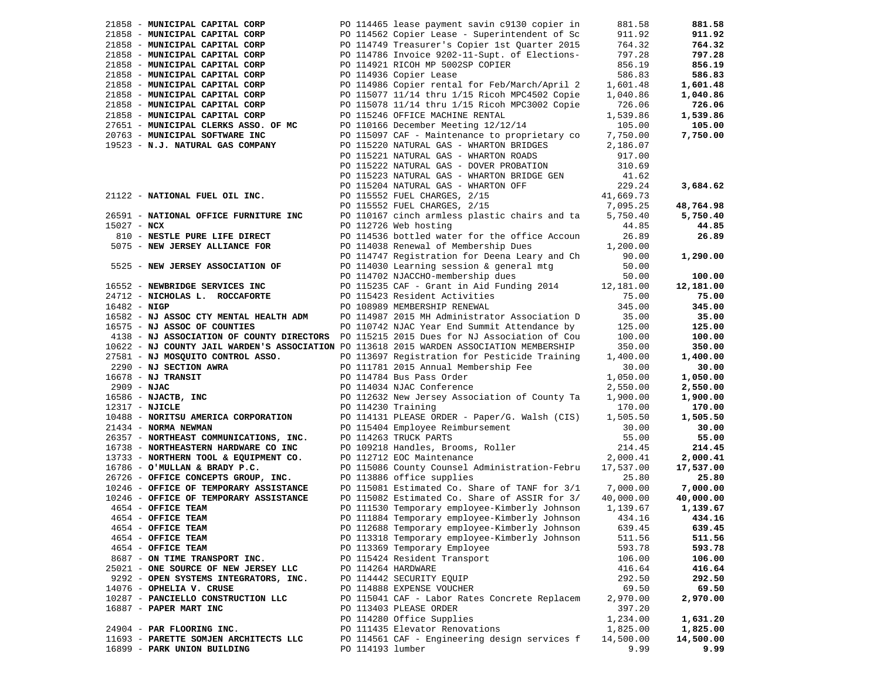|                | 21858 - MUNICIPAL CAPITAL CORP                                                           |                    | PO 114465 lease payment savin c9130 copier in                                                  | 881.58                | 881.58                |
|----------------|------------------------------------------------------------------------------------------|--------------------|------------------------------------------------------------------------------------------------|-----------------------|-----------------------|
|                | 21858 - MUNICIPAL CAPITAL CORP                                                           |                    | PO 114562 Copier Lease - Superintendent of Sc                                                  | 911.92                | 911.92                |
|                | 21858 - MUNICIPAL CAPITAL CORP                                                           |                    | PO 114749 Treasurer's Copier 1st Quarter 2015                                                  | 764.32                | 764.32                |
|                | 21858 - MUNICIPAL CAPITAL CORP                                                           |                    | PO 114786 Invoice 9202-11-Supt. of Elections-                                                  | 797.28                | 797.28                |
|                | 21858 - MUNICIPAL CAPITAL CORP                                                           |                    | PO 114921 RICOH MP 5002SP COPIER                                                               | 856.19                | 856.19                |
|                | 21858 - MUNICIPAL CAPITAL CORP                                                           |                    | PO 114936 Copier Lease                                                                         | 586.83                | 586.83                |
|                | 21858 - MUNICIPAL CAPITAL CORP                                                           |                    | PO 114986 Copier rental for Feb/March/April 2                                                  | 1,601.48              | 1,601.48              |
|                | 21858 - MUNICIPAL CAPITAL CORP                                                           |                    | PO 115077 11/14 thru 1/15 Ricoh MPC4502 Copie                                                  | 1,040.86              | 1,040.86              |
|                | 21858 - MUNICIPAL CAPITAL CORP                                                           |                    | PO 115078 11/14 thru 1/15 Ricoh MPC3002 Copie                                                  | 726.06                | 726.06                |
|                | 21858 - MUNICIPAL CAPITAL CORP                                                           |                    | PO 115246 OFFICE MACHINE RENTAL                                                                | 1,539.86              | 1,539.86              |
|                | 27651 - MUNICIPAL CLERKS ASSO. OF MC                                                     |                    | PO 110166 December Meeting 12/12/14                                                            | 105.00                | 105.00                |
|                | 20763 - MUNICIPAL SOFTWARE INC                                                           |                    | PO 115097 CAF - Maintenance to proprietary co                                                  | 7,750.00              | 7,750.00              |
|                | 19523 - N.J. NATURAL GAS COMPANY                                                         |                    | PO 115220 NATURAL GAS - WHARTON BRIDGES                                                        | 2,186.07              |                       |
|                |                                                                                          |                    | PO 115221 NATURAL GAS - WHARTON ROADS                                                          | 917.00                |                       |
|                |                                                                                          |                    | PO 115222 NATURAL GAS - DOVER PROBATION                                                        | 310.69                |                       |
|                |                                                                                          |                    | PO 115223 NATURAL GAS - WHARTON BRIDGE GEN                                                     | 41.62                 |                       |
|                |                                                                                          |                    | PO 115204 NATURAL GAS - WHARTON OFF                                                            | 229.24                | 3,684.62              |
|                | 21122 - NATIONAL FUEL OIL INC.                                                           |                    | PO 115552 FUEL CHARGES, 2/15                                                                   | 41,669.73             |                       |
|                |                                                                                          |                    | PO 115552 FUEL CHARGES, 2/15                                                                   | 7,095.25              | 48,764.98             |
|                | 26591 - NATIONAL OFFICE FURNITURE INC                                                    |                    | PO 110167 cinch armless plastic chairs and ta                                                  | 5,750.40              | 5,750.40              |
| $15027 - NCX$  |                                                                                          |                    | PO 112726 Web hosting                                                                          | 44.85                 | 44.85                 |
|                |                                                                                          |                    |                                                                                                |                       |                       |
|                | 810 - NESTLE PURE LIFE DIRECT                                                            |                    | PO 114536 bottled water for the office Accoun                                                  | 26.89                 | 26.89                 |
|                | 5075 - NEW JERSEY ALLIANCE FOR                                                           |                    | PO 114038 Renewal of Membership Dues 1,200.00                                                  |                       |                       |
|                |                                                                                          |                    | PO 114747 Registration for Deena Leary and Ch                                                  | 90.00                 | 1,290.00              |
|                | 5525 - NEW JERSEY ASSOCIATION OF                                                         |                    | PO 114030 Learning session & general mtg                                                       | 50.00                 |                       |
|                |                                                                                          |                    | PO 114702 NJACCHO-membership dues                                                              | 50.00                 | 100.00                |
|                | 16552 - NEWBRIDGE SERVICES INC                                                           |                    | PO 115235 CAF - Grant in Aid Funding 2014 12,181.00                                            |                       | 12,181.00             |
|                | 24712 - NICHOLAS L. ROCCAFORTE                                                           |                    | PO 115423 Resident Activities                                                                  | 75.00                 | 75.00                 |
| $16482 - NIGP$ |                                                                                          |                    | PO 108989 MEMBERSHIP RENEWAL                                                                   | 345.00                | 345.00                |
|                | 16582 - NJ ASSOC CTY MENTAL HEALTH ADM                                                   |                    | PO 114987 2015 MH Administrator Association D                                                  | 35.00                 | 35.00                 |
|                | 16575 - NJ ASSOC OF COUNTIES                                                             |                    | PO 110742 NJAC Year End Summit Attendance by                                                   | 125.00                | 125.00                |
|                | 4138 - NJ ASSOCIATION OF COUNTY DIRECTORS PO 115215 2015 Dues for NJ Association of Cou  |                    |                                                                                                | 100.00                | 100.00                |
|                | 10622 - NJ COUNTY JAIL WARDEN'S ASSOCIATION PO 113618 2015 WARDEN ASSOCIATION MEMBERSHIP |                    |                                                                                                | 350.00                | 350.00                |
|                | 27581 - NJ MOSQUITO CONTROL ASSO.                                                        |                    | PO 113697 Registration for Pesticide Training                                                  | 1,400.00              | 1,400.00              |
|                | 2290 - NJ SECTION AWRA                                                                   |                    | PO 111781 2015 Annual Membership Fee                                                           | 30.00                 | 30.00                 |
|                | $16678$ - NJ TRANSIT                                                                     |                    | PO 114784 Bus Pass Order                                                                       | 1,050.00              | 1,050.00              |
| $2909 - NJAC$  |                                                                                          |                    | PO 114034 NJAC Conference                                                                      | 2,550.00              | 2,550.00              |
|                | 16586 - NJACTB, INC                                                                      |                    | PO 112632 New Jersey Association of County Ta                                                  | 1,900.00              | 1,900.00              |
| 12317 - NJICLE |                                                                                          | PO 114230 Training |                                                                                                | 170.00                | 170.00                |
|                | 10488 - NORITSU AMERICA CORPORATION                                                      |                    | PO 114131 PLEASE ORDER - Paper/G. Walsh (CIS)                                                  | 1,505.50              | 1,505.50              |
|                | 21434 - NORMA NEWMAN                                                                     |                    | PO 115404 Employee Reimbursement                                                               | 30.00                 | 30.00                 |
|                | 26357 - NORTHEAST COMMUNICATIONS, INC.                                                   |                    | PO 114263 TRUCK PARTS                                                                          | 55.00                 | 55.00                 |
|                | 16738 - NORTHEASTERN HARDWARE CO INC                                                     |                    | PO 109218 Handles, Brooms, Roller                                                              | 214.45                | 214.45                |
|                | 13733 - NORTHERN TOOL & EQUIPMENT CO.                                                    |                    | PO 112712 EOC Maintenance                                                                      | 2,000.41              | 2,000.41              |
|                | 16786 - O'MULLAN & BRADY P.C.                                                            |                    | PO 115086 County Counsel Administration-Febru                                                  | 17,537.00             | 17,537.00             |
|                | 26726 - OFFICE CONCEPTS GROUP, INC.<br>10246 - OFFICE OF TEMPORARY ASSISTANCE            |                    | PO 113886 office supplies<br>PO 115081 Estimated Co. Share of TANF for 3/1 7,000.00            | 25.80                 | 25.80<br>7,000.00     |
|                | 10246 - OFFICE OF TEMPORARY ASSISTANCE                                                   |                    |                                                                                                |                       |                       |
|                | 4654 - OFFICE TEAM                                                                       |                    | PO 115082 Estimated Co. Share of ASSIR for 3/<br>PO 111530 Temporary employee-Kimberly Johnson | 40,000.00<br>1,139.67 | 40,000.00<br>1,139.67 |
|                | 4654 - OFFICE TEAM                                                                       |                    | PO 111884 Temporary employee-Kimberly Johnson                                                  | 434.16                | 434.16                |
|                | 4654 - OFFICE TEAM                                                                       |                    | PO 112688 Temporary employee-Kimberly Johnson                                                  | 639.45                | 639.45                |
|                | 4654 - OFFICE TEAM                                                                       |                    | PO 113318 Temporary employee-Kimberly Johnson                                                  | 511.56                | 511.56                |
|                | 4654 - OFFICE TEAM                                                                       |                    | PO 113369 Temporary Employee                                                                   | 593.78                | 593.78                |
|                | 8687 - ON TIME TRANSPORT INC.                                                            |                    | PO 115424 Resident Transport                                                                   | 106.00                | 106.00                |
|                | 25021 - ONE SOURCE OF NEW JERSEY LLC                                                     |                    | PO 114264 HARDWARE                                                                             | 416.64                | 416.64                |
|                |                                                                                          |                    |                                                                                                |                       |                       |
|                | 9292 - OPEN SYSTEMS INTEGRATORS, INC.                                                    |                    | PO 114442 SECURITY EQUIP                                                                       | 292.50                | 292.50                |
|                | 14076 - OPHELIA V. CRUSE                                                                 |                    | PO 114888 EXPENSE VOUCHER                                                                      | 69.50                 | 69.50                 |
|                | 10287 - PANCIELLO CONSTRUCTION LLC                                                       |                    | PO 115041 CAF - Labor Rates Concrete Replacem<br>PO 113403 PLEASE ORDER                        | 2,970.00              | 2,970.00              |
|                | 16887 - PAPER MART INC                                                                   |                    | PO 114280 Office Supplies                                                                      | 397.20                |                       |
|                |                                                                                          |                    | PO 111435 Elevator Renovations                                                                 | 1,234.00              | 1,631.20              |
|                | 24904 - PAR FLOORING INC.                                                                |                    |                                                                                                | 1,825.00              | 1,825.00              |
|                | 11693 - PARETTE SOMJEN ARCHITECTS LLC<br>16899 - PARK UNION BUILDING                     | PO 114193 lumber   | PO 114561 CAF - Engineering design services f                                                  | 14,500.00<br>9.99     | 14,500.00<br>9.99     |
|                |                                                                                          |                    |                                                                                                |                       |                       |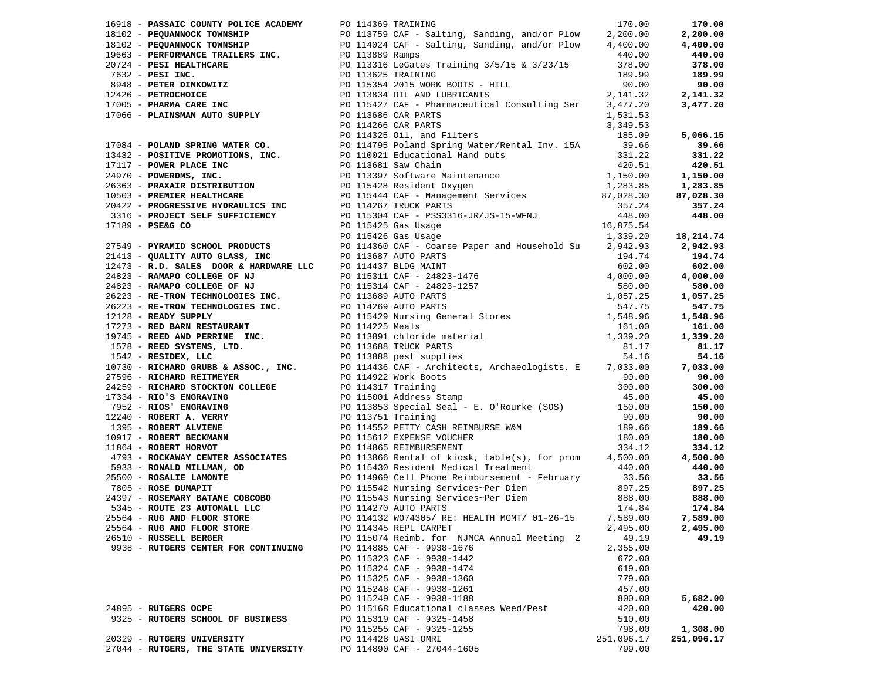| 16918 - PASSAIC COUNTY POLICE ACADEMY PO 114369 TRAINING | 170.00                                                                                                                                                                                                                        |            | 170.00     |
|----------------------------------------------------------|-------------------------------------------------------------------------------------------------------------------------------------------------------------------------------------------------------------------------------|------------|------------|
|                                                          |                                                                                                                                                                                                                               |            |            |
|                                                          |                                                                                                                                                                                                                               |            |            |
|                                                          |                                                                                                                                                                                                                               |            |            |
|                                                          |                                                                                                                                                                                                                               |            |            |
|                                                          |                                                                                                                                                                                                                               |            |            |
|                                                          |                                                                                                                                                                                                                               |            |            |
|                                                          |                                                                                                                                                                                                                               |            |            |
|                                                          |                                                                                                                                                                                                                               |            |            |
|                                                          |                                                                                                                                                                                                                               |            |            |
|                                                          |                                                                                                                                                                                                                               |            |            |
|                                                          |                                                                                                                                                                                                                               |            |            |
|                                                          |                                                                                                                                                                                                                               |            |            |
|                                                          |                                                                                                                                                                                                                               |            |            |
|                                                          |                                                                                                                                                                                                                               |            |            |
|                                                          |                                                                                                                                                                                                                               |            |            |
|                                                          |                                                                                                                                                                                                                               |            |            |
|                                                          |                                                                                                                                                                                                                               |            |            |
|                                                          |                                                                                                                                                                                                                               |            |            |
|                                                          |                                                                                                                                                                                                                               |            |            |
|                                                          |                                                                                                                                                                                                                               |            |            |
|                                                          |                                                                                                                                                                                                                               |            |            |
|                                                          |                                                                                                                                                                                                                               |            |            |
|                                                          |                                                                                                                                                                                                                               |            |            |
|                                                          |                                                                                                                                                                                                                               |            |            |
|                                                          | 19619 - Seaming company and the company of the company of the seaming and the seaming of the seaming and the seaming and the seaming of the seaming and the seaming and the seaming and the seaming and the seaming and the s |            |            |
|                                                          |                                                                                                                                                                                                                               |            |            |
|                                                          |                                                                                                                                                                                                                               |            |            |
|                                                          |                                                                                                                                                                                                                               |            |            |
|                                                          |                                                                                                                                                                                                                               |            |            |
|                                                          |                                                                                                                                                                                                                               |            |            |
|                                                          |                                                                                                                                                                                                                               |            |            |
|                                                          |                                                                                                                                                                                                                               |            |            |
|                                                          |                                                                                                                                                                                                                               |            |            |
|                                                          |                                                                                                                                                                                                                               |            |            |
|                                                          |                                                                                                                                                                                                                               |            |            |
|                                                          |                                                                                                                                                                                                                               |            |            |
|                                                          |                                                                                                                                                                                                                               |            |            |
|                                                          |                                                                                                                                                                                                                               |            |            |
|                                                          |                                                                                                                                                                                                                               |            |            |
|                                                          |                                                                                                                                                                                                                               |            |            |
|                                                          |                                                                                                                                                                                                                               |            |            |
|                                                          |                                                                                                                                                                                                                               |            |            |
|                                                          |                                                                                                                                                                                                                               |            |            |
|                                                          |                                                                                                                                                                                                                               |            |            |
|                                                          |                                                                                                                                                                                                                               |            |            |
|                                                          |                                                                                                                                                                                                                               |            |            |
|                                                          |                                                                                                                                                                                                                               |            |            |
|                                                          |                                                                                                                                                                                                                               |            |            |
| 25564 - RUG AND FLOOR STORE                              | PO 114345 REPL CARPET                                                                                                                                                                                                         | 2,495.00   | 2,495.00   |
| 26510 - RUSSELL BERGER                                   | PO 115074 Reimb. for NJMCA Annual Meeting 2                                                                                                                                                                                   | 49.19      | 49.19      |
| 9938 - RUTGERS CENTER FOR CONTINUING                     | PO 114885 CAF - 9938-1676                                                                                                                                                                                                     | 2,355.00   |            |
|                                                          | PO 115323 CAF - 9938-1442                                                                                                                                                                                                     | 672.00     |            |
|                                                          | PO 115324 CAF - 9938-1474                                                                                                                                                                                                     | 619.00     |            |
|                                                          | PO 115325 CAF - 9938-1360                                                                                                                                                                                                     | 779.00     |            |
|                                                          | PO 115248 CAF - 9938-1261                                                                                                                                                                                                     | 457.00     |            |
|                                                          | PO 115249 CAF - 9938-1188                                                                                                                                                                                                     | 800.00     | 5,682.00   |
| 24895 - RUTGERS OCPE                                     | PO 115168 Educational classes Weed/Pest                                                                                                                                                                                       | 420.00     | 420.00     |
| 9325 - RUTGERS SCHOOL OF BUSINESS                        | PO 115319 CAF - 9325-1458                                                                                                                                                                                                     | 510.00     |            |
|                                                          | PO 115255 CAF - 9325-1255                                                                                                                                                                                                     | 798.00     | 1,308.00   |
| 20329 - RUTGERS UNIVERSITY                               | PO 114428 UASI OMRI                                                                                                                                                                                                           | 251,096.17 | 251,096.17 |
| 27044 - RUTGERS, THE STATE UNIVERSITY                    | PO 114890 CAF - 27044-1605                                                                                                                                                                                                    | 799.00     |            |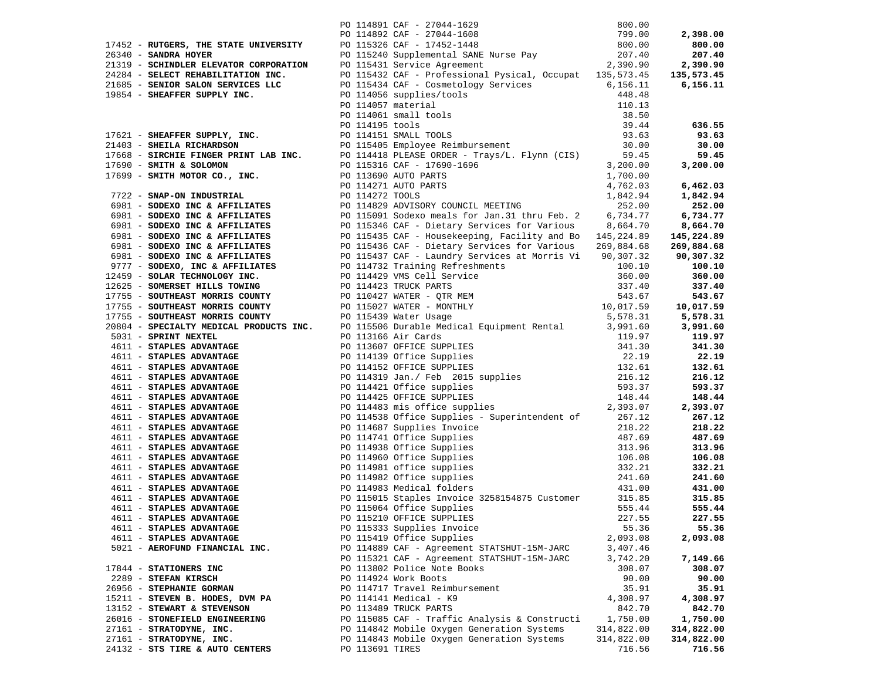|                                 | 17452 - RUTCHER PRESS, THE SIXTEENT DO 114812 CAF - 77044-1628<br>261340 - BARDHA ROTER WAYSPERTY (0) 115320 CAF - 17454-1628<br>261340 - BARDHA ROTER WAYSPERTY (0) 115320 Supplemented Rev. 17452-1448<br>261340 - BARDHA ROTER W |            |            |
|---------------------------------|-------------------------------------------------------------------------------------------------------------------------------------------------------------------------------------------------------------------------------------|------------|------------|
|                                 |                                                                                                                                                                                                                                     |            |            |
|                                 |                                                                                                                                                                                                                                     |            |            |
|                                 |                                                                                                                                                                                                                                     |            |            |
|                                 |                                                                                                                                                                                                                                     |            |            |
|                                 |                                                                                                                                                                                                                                     |            |            |
|                                 |                                                                                                                                                                                                                                     |            |            |
|                                 |                                                                                                                                                                                                                                     |            |            |
|                                 |                                                                                                                                                                                                                                     |            |            |
|                                 |                                                                                                                                                                                                                                     |            |            |
|                                 |                                                                                                                                                                                                                                     |            |            |
|                                 |                                                                                                                                                                                                                                     |            |            |
|                                 |                                                                                                                                                                                                                                     |            |            |
|                                 |                                                                                                                                                                                                                                     |            |            |
|                                 |                                                                                                                                                                                                                                     |            |            |
|                                 |                                                                                                                                                                                                                                     |            |            |
|                                 |                                                                                                                                                                                                                                     |            |            |
|                                 |                                                                                                                                                                                                                                     |            |            |
|                                 |                                                                                                                                                                                                                                     |            |            |
|                                 |                                                                                                                                                                                                                                     |            |            |
|                                 |                                                                                                                                                                                                                                     |            |            |
|                                 |                                                                                                                                                                                                                                     |            |            |
|                                 |                                                                                                                                                                                                                                     |            |            |
|                                 |                                                                                                                                                                                                                                     |            |            |
|                                 |                                                                                                                                                                                                                                     |            |            |
|                                 |                                                                                                                                                                                                                                     |            |            |
|                                 |                                                                                                                                                                                                                                     |            |            |
|                                 |                                                                                                                                                                                                                                     |            |            |
|                                 |                                                                                                                                                                                                                                     |            |            |
|                                 |                                                                                                                                                                                                                                     |            |            |
|                                 |                                                                                                                                                                                                                                     |            |            |
|                                 |                                                                                                                                                                                                                                     |            |            |
|                                 |                                                                                                                                                                                                                                     |            |            |
|                                 |                                                                                                                                                                                                                                     |            |            |
|                                 |                                                                                                                                                                                                                                     |            |            |
|                                 |                                                                                                                                                                                                                                     |            |            |
|                                 |                                                                                                                                                                                                                                     |            |            |
|                                 |                                                                                                                                                                                                                                     |            | 119.97     |
|                                 |                                                                                                                                                                                                                                     |            | 341.30     |
|                                 |                                                                                                                                                                                                                                     |            |            |
|                                 |                                                                                                                                                                                                                                     |            | 22.19      |
|                                 |                                                                                                                                                                                                                                     |            | 132.61     |
|                                 |                                                                                                                                                                                                                                     |            | 216.12     |
|                                 |                                                                                                                                                                                                                                     |            | 593.37     |
|                                 |                                                                                                                                                                                                                                     |            |            |
|                                 |                                                                                                                                                                                                                                     |            | 148.44     |
|                                 |                                                                                                                                                                                                                                     |            | 2,393.07   |
|                                 |                                                                                                                                                                                                                                     |            | 267.12     |
|                                 |                                                                                                                                                                                                                                     |            |            |
|                                 |                                                                                                                                                                                                                                     |            | 218.22     |
|                                 |                                                                                                                                                                                                                                     |            | 487.69     |
|                                 |                                                                                                                                                                                                                                     |            | 313.96     |
|                                 |                                                                                                                                                                                                                                     |            | 106.08     |
|                                 |                                                                                                                                                                                                                                     |            |            |
|                                 |                                                                                                                                                                                                                                     |            | 332.21     |
|                                 |                                                                                                                                                                                                                                     |            | 241.60     |
|                                 |                                                                                                                                                                                                                                     |            | 431.00     |
|                                 |                                                                                                                                                                                                                                     |            |            |
|                                 |                                                                                                                                                                                                                                     |            | 315.85     |
|                                 |                                                                                                                                                                                                                                     |            | 555.44     |
| 4611 - STAPLES ADVANTAGE        | PO 115210 OFFICE SUPPLIES                                                                                                                                                                                                           | 227.55     | 227.55     |
| 4611 - STAPLES ADVANTAGE        | PO 115333 Supplies Invoice                                                                                                                                                                                                          | 55.36      | 55.36      |
|                                 |                                                                                                                                                                                                                                     |            |            |
| 4611 - STAPLES ADVANTAGE        | PO 115419 Office Supplies                                                                                                                                                                                                           | 2,093.08   | 2,093.08   |
| 5021 - AEROFUND FINANCIAL INC.  | PO 114889 CAF - Agreement STATSHUT-15M-JARC                                                                                                                                                                                         | 3,407.46   |            |
|                                 | PO 115321 CAF - Agreement STATSHUT-15M-JARC                                                                                                                                                                                         | 3,742.20   | 7,149.66   |
|                                 |                                                                                                                                                                                                                                     |            |            |
| 17844 - STATIONERS INC          | PO 113802 Police Note Books                                                                                                                                                                                                         | 308.07     | 308.07     |
| 2289 - STEFAN KIRSCH            | PO 114924 Work Boots                                                                                                                                                                                                                | 90.00      | 90.00      |
| 26956 - STEPHANIE GORMAN        | PO 114717 Travel Reimbursement                                                                                                                                                                                                      | 35.91      | 35.91      |
| 15211 - STEVEN B. HODES, DVM PA | PO 114141 Medical - K9                                                                                                                                                                                                              | 4,308.97   | 4,308.97   |
|                                 |                                                                                                                                                                                                                                     |            |            |
| 13152 - STEWART & STEVENSON     | PO 113489 TRUCK PARTS                                                                                                                                                                                                               | 842.70     | 842.70     |
| 26016 - STONEFIELD ENGINEERING  | PO 115085 CAF - Traffic Analysis & Constructi                                                                                                                                                                                       | 1,750.00   | 1,750.00   |
| 27161 - STRATODYNE, INC.        | PO 114842 Mobile Oxygen Generation Systems                                                                                                                                                                                          | 314,822.00 | 314,822.00 |
| 27161 - STRATODYNE, INC.        | PO 114843 Mobile Oxygen Generation Systems                                                                                                                                                                                          | 314,822.00 | 314,822.00 |
|                                 |                                                                                                                                                                                                                                     |            |            |
| 24132 - STS TIRE & AUTO CENTERS | PO 113691 TIRES                                                                                                                                                                                                                     | 716.56     | 716.56     |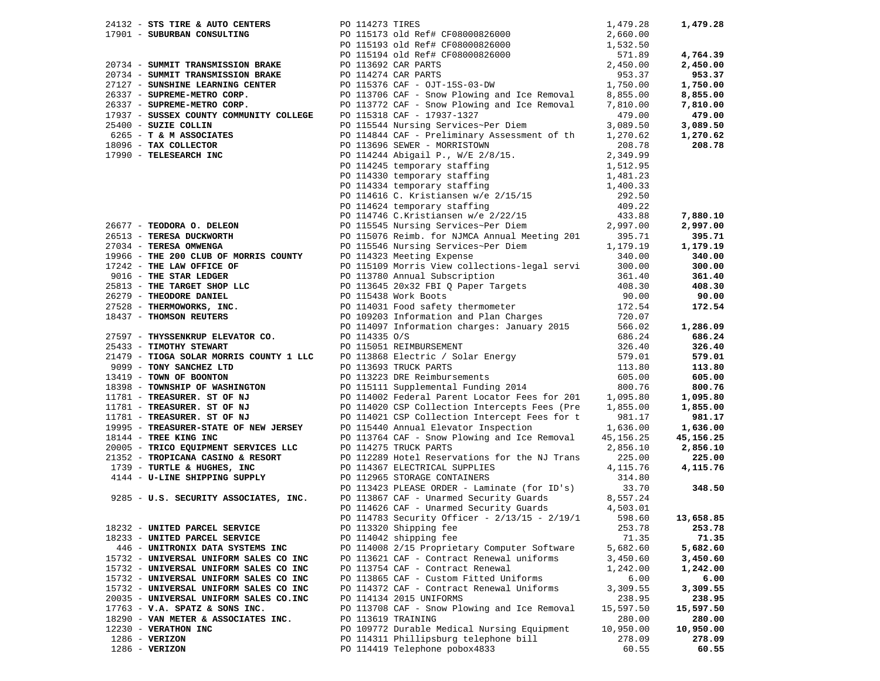| 24132 - STS TIRE & AUTO CENTERS                    | PO 114273 TIRES                                                                                                                                                                                                                               | 1,479.28              | 1,479.28  |
|----------------------------------------------------|-----------------------------------------------------------------------------------------------------------------------------------------------------------------------------------------------------------------------------------------------|-----------------------|-----------|
|                                                    |                                                                                                                                                                                                                                               |                       |           |
|                                                    |                                                                                                                                                                                                                                               |                       |           |
|                                                    |                                                                                                                                                                                                                                               |                       | 4,764.39  |
|                                                    | 1,479.28<br>1,479.28<br>20734 - SUBURBAN CONSULTING<br>20734 - SUMMIT TRANSMISSION BRAKE<br>20734 - SUMMIT TRANSMISSION BRAKE<br>20734 - SUMMIT TRANSMISSION BRAKE<br>20734 - SUMMIT TRANSMISSION BRAKE<br>20113692 CAR PARTS<br>20114274 CAR |                       | 2,450.00  |
|                                                    |                                                                                                                                                                                                                                               |                       | 953.37    |
|                                                    |                                                                                                                                                                                                                                               |                       | 1,750.00  |
|                                                    |                                                                                                                                                                                                                                               |                       | 8,855.00  |
|                                                    |                                                                                                                                                                                                                                               |                       | 7,810.00  |
| 17937 - SUSSEX COUNTY COMMUNITY COLLEGE            | PO 115318 CAF - 17937-1327                                                                                                                                                                                                                    | 479.00                | 479.00    |
| 25400 - SUZIE COLLIN                               | PO 115544 Nursing Services~Per Diem                                                                                                                                                                                                           | 3,089.50              | 3,089.50  |
| $6265$ - T & M ASSOCIATES<br>18096 - TAX COLLECTOR | PO 114844 CAF - Preliminary Assessment of th                                                                                                                                                                                                  | 1,270.62              | 1,270.62  |
|                                                    | PO 113696 SEWER - MORRISTOWN                                                                                                                                                                                                                  | 208.78                | 208.78    |
| 17990 - TELESEARCH INC                             |                                                                                                                                                                                                                                               |                       |           |
|                                                    |                                                                                                                                                                                                                                               |                       |           |
|                                                    |                                                                                                                                                                                                                                               |                       |           |
|                                                    |                                                                                                                                                                                                                                               |                       |           |
|                                                    |                                                                                                                                                                                                                                               |                       |           |
|                                                    |                                                                                                                                                                                                                                               |                       |           |
|                                                    |                                                                                                                                                                                                                                               |                       | 7,880.10  |
| 26677 - TEODORA O. DELEON                          | PO 114896 SEWER - MORKISTOWN<br>PO 114244 Abigail P., W/E 2/8/15.<br>PO 114245 temporary staffing<br>PO 114330 temporary staffing<br>PO 114330 temporary staffing<br>PO 114334 temporary staffing<br>1,481.23<br>PO 114546 C. Kristiansen w/  |                       | 2,997.00  |
| 26513 - TERESA DUCKWORTH                           | PO 115076 Reimb. for NJMCA Annual Meeting 201 395.71<br>PO 115546 Nursing Services~Per Diem 1,179.19<br>PO 114323 Meeting Expense 340.00                                                                                                      |                       | 395.71    |
| 27034 - TERESA OMWENGA                             |                                                                                                                                                                                                                                               |                       | 1,179.19  |
|                                                    |                                                                                                                                                                                                                                               |                       | 340.00    |
|                                                    |                                                                                                                                                                                                                                               |                       | 300.00    |
|                                                    |                                                                                                                                                                                                                                               |                       | 361.40    |
|                                                    |                                                                                                                                                                                                                                               |                       | 408.30    |
|                                                    |                                                                                                                                                                                                                                               |                       | 90.00     |
|                                                    |                                                                                                                                                                                                                                               |                       | 172.54    |
|                                                    | 37034 - TRESA OMWENGA<br>19966 - THE 200 CLUB OF MORRIS COUNTY<br>19742 - THE LAN OFFICE OF<br>17242 - THE LAN OFFICE OF<br>17342 - THE STAR LEDGER<br>18150 Morris View collections-legal servi<br>200.00<br>2016 - THE STAR LEDGER<br>26279 |                       |           |
|                                                    |                                                                                                                                                                                                                                               |                       | 1,286.09  |
|                                                    |                                                                                                                                                                                                                                               |                       | 686.24    |
|                                                    |                                                                                                                                                                                                                                               |                       | 326.40    |
|                                                    |                                                                                                                                                                                                                                               |                       | 579.01    |
|                                                    |                                                                                                                                                                                                                                               |                       | 113.80    |
|                                                    |                                                                                                                                                                                                                                               |                       | 605.00    |
|                                                    |                                                                                                                                                                                                                                               |                       | 800.76    |
|                                                    |                                                                                                                                                                                                                                               |                       | 1,095.80  |
|                                                    |                                                                                                                                                                                                                                               |                       | 1,855.00  |
|                                                    |                                                                                                                                                                                                                                               |                       | 981.17    |
|                                                    |                                                                                                                                                                                                                                               | $1,636.00$<br>5,156 0 | 1,636.00  |
|                                                    |                                                                                                                                                                                                                                               |                       | 45,156.25 |
|                                                    |                                                                                                                                                                                                                                               |                       | 2,856.10  |
|                                                    |                                                                                                                                                                                                                                               |                       | 225.00    |
|                                                    |                                                                                                                                                                                                                                               |                       | 4,115.76  |
|                                                    |                                                                                                                                                                                                                                               |                       |           |
|                                                    |                                                                                                                                                                                                                                               |                       | 348.50    |
|                                                    |                                                                                                                                                                                                                                               |                       |           |
|                                                    | PO 114626 CAF - Unarmed Security Guards                                                                                                                                                                                                       | 4,503.01              |           |
|                                                    | PO 114783 Security Officer - $2/13/15$ - $2/19/1$                                                                                                                                                                                             | 598.60                | 13,658.85 |
| 18232 - UNITED PARCEL SERVICE                      | PO 113320 Shipping fee                                                                                                                                                                                                                        | 253.78                | 253.78    |
| 18233 - UNITED PARCEL SERVICE                      | PO 114042 shipping fee                                                                                                                                                                                                                        | 71.35                 | 71.35     |
| 446 - UNITRONIX DATA SYSTEMS INC                   | PO 114008 2/15 Proprietary Computer Software                                                                                                                                                                                                  | 5,682.60              | 5,682.60  |
| 15732 - UNIVERSAL UNIFORM SALES CO INC             | PO 113621 CAF - Contract Renewal uniforms                                                                                                                                                                                                     | 3,450.60              | 3,450.60  |
| 15732 - UNIVERSAL UNIFORM SALES CO INC             | PO 113754 CAF - Contract Renewal                                                                                                                                                                                                              | 1,242.00              | 1,242.00  |
| 15732 - UNIVERSAL UNIFORM SALES CO INC             | PO 113865 CAF - Custom Fitted Uniforms                                                                                                                                                                                                        | 6.00                  | 6.00      |
| 15732 - UNIVERSAL UNIFORM SALES CO INC             | PO 114372 CAF - Contract Renewal Uniforms                                                                                                                                                                                                     | 3,309.55              | 3,309.55  |
| 20035 - UNIVERSAL UNIFORM SALES CO.INC             | PO 114134 2015 UNIFORMS                                                                                                                                                                                                                       | 238.95                | 238.95    |
| 17763 - V.A. SPATZ & SONS INC.                     | PO 113708 CAF - Snow Plowing and Ice Removal                                                                                                                                                                                                  | 15,597.50             | 15,597.50 |
| 18290 - VAN METER & ASSOCIATES INC.                | PO 113619 TRAINING                                                                                                                                                                                                                            | 280.00                | 280.00    |
| 12230 - VERATHON INC                               | PO 109772 Durable Medical Nursing Equipment                                                                                                                                                                                                   | 10,950.00             | 10,950.00 |
| $1286$ - VERIZON                                   | PO 114311 Phillipsburg telephone bill                                                                                                                                                                                                         | 278.09                | 278.09    |
| $1286$ - VERIZON                                   | PO 114419 Telephone pobox4833                                                                                                                                                                                                                 | 60.55                 | 60.55     |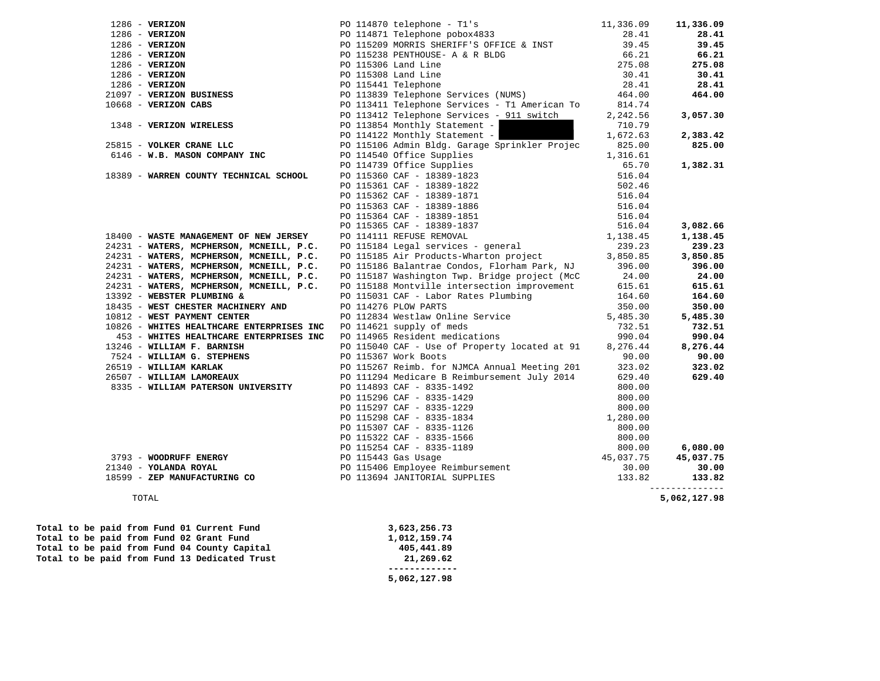| $1286 - VERIZON$                                           | PO 114870 telephone - Tl's                                                                                                                                                                                                                     | 11,336.09 | 11,336.09                |
|------------------------------------------------------------|------------------------------------------------------------------------------------------------------------------------------------------------------------------------------------------------------------------------------------------------|-----------|--------------------------|
| $1286$ - VERIZON                                           | PO 114871 Telephone pobox4833                                                                                                                                                                                                                  | 28.41     | 28.41                    |
| $1286$ - VERIZON                                           | PO 115209 MORRIS SHERIFF'S OFFICE & INST                                                                                                                                                                                                       | 39.45     | 39.45                    |
| $1286$ - VERIZON                                           | PO 115238 PENTHOUSE- A & R BLDG                                                                                                                                                                                                                | 66.21     | 66.21                    |
| $1286$ - VERIZON                                           | PO 115306 Land Line                                                                                                                                                                                                                            | 275.08    | 275.08                   |
| $1286$ - VERIZON                                           | PO 115308 Land Line                                                                                                                                                                                                                            | 30.41     | 30.41                    |
| $1286$ - VERIZON                                           |                                                                                                                                                                                                                                                | 28.41     | 28.41                    |
| 21097 - VERIZON BUSINESS                                   | PO 115300 Band Bine<br>PO 115441 Telephone Services (NUMS)<br>PO 113411 Telephone Services - T1 American To                                                                                                                                    | 464.00    | 464.00                   |
| $10668$ - VERIZON CABS                                     |                                                                                                                                                                                                                                                | 814.74    |                          |
|                                                            | PO 113412 Telephone Services - 911 switch                                                                                                                                                                                                      | 2,242.56  | 3,057.30                 |
| 1348 - VERIZON WIRELESS                                    | PO 113854 Monthly Statement -                                                                                                                                                                                                                  | 710.79    |                          |
|                                                            | - C 11003 Monthly Statement -<br>PO 114122 Monthly Statement -                                                                                                                                                                                 | 1,672.63  | 2,383.42                 |
| 25815 - VOLKER CRANE LLC                                   | PO 115106 Admin Bldg. Garage Sprinkler Projec                                                                                                                                                                                                  | 825.00    | 825.00                   |
| 6146 - W.B. MASON COMPANY INC                              | PO 114540 Office Supplies                                                                                                                                                                                                                      | 1,316.61  |                          |
|                                                            |                                                                                                                                                                                                                                                | 65.70     | 1,382.31                 |
| 18389 - WARREN COUNTY TECHNICAL SCHOOL                     | PO 114739 Office Supplies<br>PO 115360 CAF - 18389-1823<br>PO 115361 CAF - 18389-1822<br>PO 115362 CAF - 18389-1871<br>PO 115363 CAF - 18389-1886                                                                                              | 516.04    |                          |
|                                                            |                                                                                                                                                                                                                                                | 502.46    |                          |
|                                                            |                                                                                                                                                                                                                                                | 516.04    |                          |
|                                                            |                                                                                                                                                                                                                                                | 516.04    |                          |
|                                                            | PO 115364 CAF - 18389-1851                                                                                                                                                                                                                     | 516.04    |                          |
|                                                            | PO 115365 CAF - 18389-1837                                                                                                                                                                                                                     | 516.04    | 3,082.66                 |
| 18400 - WASTE MANAGEMENT OF NEW JERSEY                     | PO 115365 CAF - 18389-1837<br>PO 114111 REFUSE REMOVAL<br>PO 115184 Legal services - general                                                                                                                                                   | 1,138.45  | 1,138.45                 |
| 24231 - WATERS, MCPHERSON, MCNEILL, P.C.                   |                                                                                                                                                                                                                                                | 239.23    | 239.23                   |
| 24231 - WATERS, MCPHERSON, MCNEILL, P.C.                   | PO 115185 Air Products-Wharton project                                                                                                                                                                                                         | 3,850.85  | 3,850.85                 |
| 24231 - WATERS, MCPHERSON, MCNEILL, P.C.                   | PO 115186 Balantrae Condos, Florham Park, NJ                                                                                                                                                                                                   | 396.00    | 396.00                   |
|                                                            |                                                                                                                                                                                                                                                |           |                          |
| 24231 - WATERS, MCPHERSON, MCNEILL, P.C.                   | PO 115187 Washington Twp. Bridge project (McC                                                                                                                                                                                                  | 24.00     | 24.00<br>615.61          |
| 24231 - WATERS, MCPHERSON, MCNEILL, P.C.                   | PO 115188 Montville intersection improvement                                                                                                                                                                                                   | 615.61    |                          |
| 13392 - WEBSTER PLUMBING &                                 | PO 115031 CAF - Labor Rates Plumbing                                                                                                                                                                                                           | 164.60    | 164.60                   |
| 18435 - WEST CHESTER MACHINERY AND                         | PO 114276 PLOW PARTS                                                                                                                                                                                                                           | 350.00    | 350.00                   |
| 10812 - WEST PAYMENT CENTER                                | PO 112834 Westlaw Online Service                                                                                                                                                                                                               | 5,485.30  | 5,485.30                 |
| 10826 - WHITES HEALTHCARE ENTERPRISES INC                  | PO 114621 supply of meds                                                                                                                                                                                                                       | 732.51    | 732.51                   |
| 453 - WHITES HEALTHCARE ENTERPRISES INC                    | PO 114965 Resident medications                                                                                                                                                                                                                 | 990.04    | 990.04                   |
| 13246 - WILLIAM F. BARNISH                                 | PO 115040 CAF - Use of Property located at 91                                                                                                                                                                                                  | 8,276.44  | 8,276.44                 |
| 7524 - WILLIAM G. STEPHENS                                 | PO 115367 Work Boots                                                                                                                                                                                                                           | 90.00     | 90.00                    |
| 26519 - WILLIAM KARLAK                                     | PO 115267 Reimb. for NJMCA Annual Meeting 201                                                                                                                                                                                                  | 323.02    | 323.02                   |
| 26507 - WILLIAM LAMOREAUX                                  | PO 111294 Medicare B Reimbursement July 2014                                                                                                                                                                                                   | 629.40    | 629.40                   |
| 8335 - WILLIAM PATERSON UNIVERSITY                         | PO 114893 CAF - 8335-1492                                                                                                                                                                                                                      | 800.00    |                          |
|                                                            |                                                                                                                                                                                                                                                |           |                          |
|                                                            |                                                                                                                                                                                                                                                |           |                          |
|                                                            |                                                                                                                                                                                                                                                |           |                          |
|                                                            |                                                                                                                                                                                                                                                |           |                          |
|                                                            |                                                                                                                                                                                                                                                |           |                          |
|                                                            |                                                                                                                                                                                                                                                |           | 6,080.00                 |
| 3793 - WOODRUFF ENERGY                                     |                                                                                                                                                                                                                                                |           | 45,037.75                |
| 21340 - YOLANDA ROYAL                                      |                                                                                                                                                                                                                                                |           | 30.00                    |
| 18599 - ZEP MANUFACTURING CO PO 113694 JANITORIAL SUPPLIES | PO 115296 CAF - 8335-1429<br>PO 115297 CAF - 8335-1229<br>PO 115298 CAF - 8335-1834<br>PO 115307 CAF - 8335-1126<br>PO 115307 CAF - 8335-1126<br>PO 115322 CAF - 8335-1566<br>PO 115254 CAF - 8335-1189<br>PO 115443 Gas Usage<br>PO 115406 Em |           | 133.82<br>______________ |
| TOTAL                                                      |                                                                                                                                                                                                                                                |           | 5,062,127.98             |
| Total to be paid from Fund 01 Current Fund                 | 3,623,256.73                                                                                                                                                                                                                                   |           |                          |
|                                                            |                                                                                                                                                                                                                                                |           |                          |

Total to be paid from Fund 02 Grant Fund 1,012,159.74<br>
Total to be paid from Fund 04 County Capital 405,441.89 Total to be paid from Fund 04 County Capital **405,441.89**<br>Total to be paid from Fund 13 Dedicated Trust **405,441.89** Total to be paid from Fund 13 Dedicated Trust

 **------------- 5,062,127.98**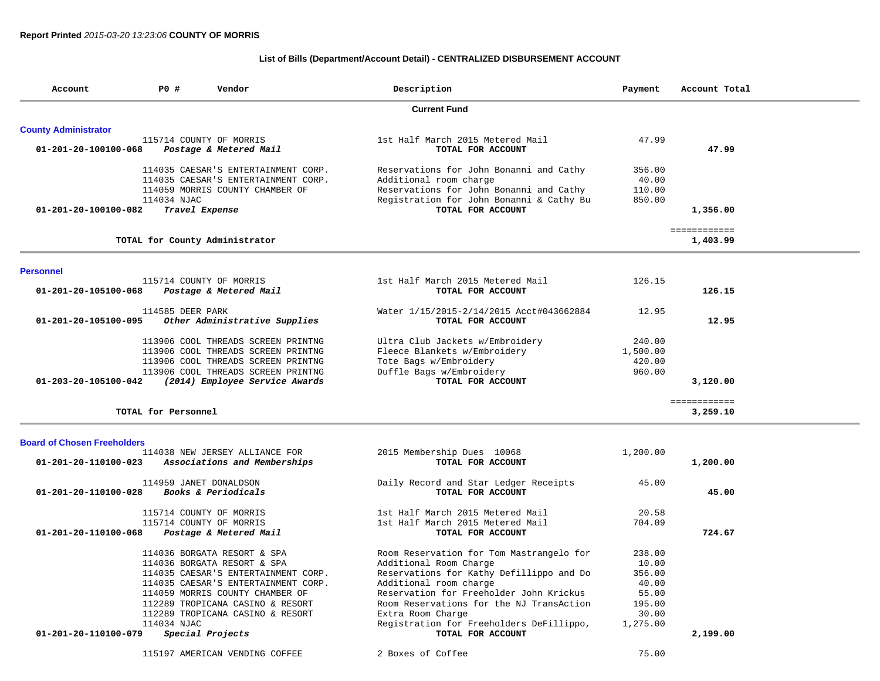## **List of Bills (Department/Account Detail) - CENTRALIZED DISBURSEMENT ACCOUNT**

| Account                            | P0 #                | Vendor                              | Description                              | Payment  | Account Total |
|------------------------------------|---------------------|-------------------------------------|------------------------------------------|----------|---------------|
|                                    |                     |                                     | <b>Current Fund</b>                      |          |               |
| <b>County Administrator</b>        |                     |                                     |                                          |          |               |
|                                    |                     | 115714 COUNTY OF MORRIS             | 1st Half March 2015 Metered Mail         | 47.99    |               |
| 01-201-20-100100-068               |                     | Postage & Metered Mail              | TOTAL FOR ACCOUNT                        |          | 47.99         |
|                                    |                     | 114035 CAESAR'S ENTERTAINMENT CORP. | Reservations for John Bonanni and Cathy  | 356.00   |               |
|                                    |                     | 114035 CAESAR'S ENTERTAINMENT CORP. | Additional room charge                   | 40.00    |               |
|                                    |                     | 114059 MORRIS COUNTY CHAMBER OF     | Reservations for John Bonanni and Cathy  | 110.00   |               |
|                                    | 114034 NJAC         |                                     | Registration for John Bonanni & Cathy Bu | 850.00   |               |
| 01-201-20-100100-082               |                     | Travel Expense                      | TOTAL FOR ACCOUNT                        |          | 1,356.00      |
|                                    |                     |                                     |                                          |          | ============  |
|                                    |                     | TOTAL for County Administrator      |                                          |          | 1,403.99      |
| <b>Personnel</b>                   |                     |                                     |                                          |          |               |
|                                    |                     | 115714 COUNTY OF MORRIS             | 1st Half March 2015 Metered Mail         | 126.15   |               |
| 01-201-20-105100-068               |                     | Postage & Metered Mail              | TOTAL FOR ACCOUNT                        |          | 126.15        |
|                                    | 114585 DEER PARK    |                                     | Water 1/15/2015-2/14/2015 Acct#043662884 | 12.95    |               |
| 01-201-20-105100-095               |                     | Other Administrative Supplies       | TOTAL FOR ACCOUNT                        |          | 12.95         |
|                                    |                     | 113906 COOL THREADS SCREEN PRINTNG  | Ultra Club Jackets w/Embroidery          | 240.00   |               |
|                                    |                     | 113906 COOL THREADS SCREEN PRINTNG  | Fleece Blankets w/Embroidery             | 1,500.00 |               |
|                                    |                     | 113906 COOL THREADS SCREEN PRINTNG  | Tote Bags w/Embroidery                   | 420.00   |               |
|                                    |                     | 113906 COOL THREADS SCREEN PRINTNG  | Duffle Bags w/Embroidery                 | 960.00   |               |
| 01-203-20-105100-042               |                     | (2014) Employee Service Awards      | TOTAL FOR ACCOUNT                        |          | 3,120.00      |
|                                    |                     |                                     |                                          |          | ============  |
|                                    | TOTAL for Personnel |                                     |                                          |          | 3,259.10      |
| <b>Board of Chosen Freeholders</b> |                     |                                     |                                          |          |               |
|                                    |                     | 114038 NEW JERSEY ALLIANCE FOR      | 2015 Membership Dues 10068               | 1,200.00 |               |
| 01-201-20-110100-023               |                     | Associations and Memberships        | TOTAL FOR ACCOUNT                        |          | 1,200.00      |
|                                    |                     | 114959 JANET DONALDSON              | Daily Record and Star Ledger Receipts    | 45.00    |               |
| 01-201-20-110100-028               |                     | Books & Periodicals                 | TOTAL FOR ACCOUNT                        |          | 45.00         |
|                                    |                     | 115714 COUNTY OF MORRIS             | 1st Half March 2015 Metered Mail         | 20.58    |               |
|                                    |                     | 115714 COUNTY OF MORRIS             | 1st Half March 2015 Metered Mail         | 704.09   |               |
| 01-201-20-110100-068               |                     | Postage & Metered Mail              | TOTAL FOR ACCOUNT                        |          | 724.67        |
|                                    |                     | 114036 BORGATA RESORT & SPA         | Room Reservation for Tom Mastrangelo for | 238.00   |               |
|                                    |                     | 114036 BORGATA RESORT & SPA         | Additional Room Charge                   | 10.00    |               |
|                                    |                     | 114035 CAESAR'S ENTERTAINMENT CORP. | Reservations for Kathy Defillippo and Do | 356.00   |               |
|                                    |                     | 114035 CAESAR'S ENTERTAINMENT CORP. | Additional room charge                   | 40.00    |               |
|                                    |                     | 114059 MORRIS COUNTY CHAMBER OF     | Reservation for Freeholder John Krickus  | 55.00    |               |
|                                    |                     | 112289 TROPICANA CASINO & RESORT    | Room Reservations for the NJ TransAction | 195.00   |               |
|                                    |                     | 112289 TROPICANA CASINO & RESORT    | Extra Room Charge                        | 30.00    |               |
|                                    | 114034 NJAC         |                                     | Registration for Freeholders DeFillippo, | 1,275.00 |               |
| 01-201-20-110100-079               |                     | Special Projects                    | TOTAL FOR ACCOUNT                        |          | 2,199.00      |
|                                    |                     | 115197 AMERICAN VENDING COFFEE      | 2 Boxes of Coffee                        | 75.00    |               |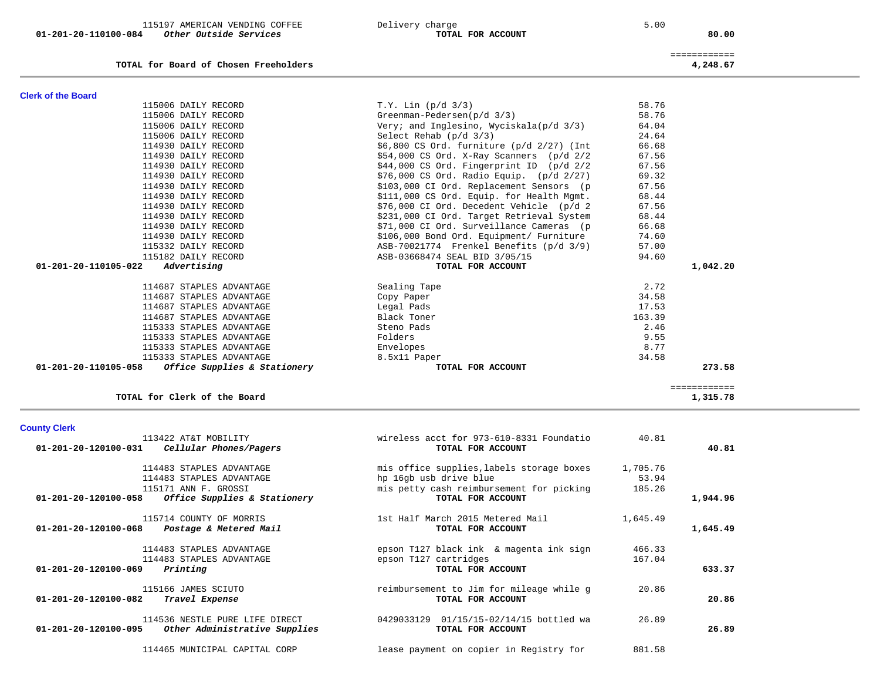|  | 115197 AMERICAN VENDING COFFEE |  |
|--|--------------------------------|--|
|  |                                |  |

01-201-20-110100-084 Other Outside Services **<b>TOTAL FOR ACCOUNT** 

# 115197 Delivery charge 115197 Books and the set of the set of the set of the set of the set of the set of the set of the set of the set of the set of the set of the set of the set of the set of the set of the set of the se

80.00

|                                          | _____________<br>_____________ |
|------------------------------------------|--------------------------------|
| for Board of Chosen Freeholders<br>TOTAL | 4,248.67                       |

| <b>Clerk of the Board</b>                            |                                               |        |              |
|------------------------------------------------------|-----------------------------------------------|--------|--------------|
| 115006 DAILY RECORD                                  | $T.Y.$ Lin ( $p/d$ 3/3)                       | 58.76  |              |
| 115006 DAILY RECORD                                  | Greenman-Pedersen(p/d 3/3)                    | 58.76  |              |
| 115006 DAILY RECORD                                  | Very; and Inglesino, Wyciskala(p/d 3/3)       | 64.04  |              |
| 115006 DAILY RECORD                                  | Select Rehab $(p/d \t3/3)$                    | 24.64  |              |
| 114930 DAILY RECORD                                  | $$6,800$ CS Ord. furniture (p/d $2/27$ ) (Int | 66.68  |              |
| 114930 DAILY RECORD                                  | $$54,000$ CS Ord. X-Ray Scanners ( $p/d$ 2/2  | 67.56  |              |
| 114930 DAILY RECORD                                  | $$44,000$ CS Ord. Fingerprint ID (p/d 2/2)    | 67.56  |              |
| 114930 DAILY RECORD                                  | $$76,000$ CS Ord. Radio Equip. (p/d $2/27$ )  | 69.32  |              |
| 114930 DAILY RECORD                                  | \$103,000 CI Ord. Replacement Sensors (p      | 67.56  |              |
| 114930 DAILY RECORD                                  | \$111,000 CS Ord. Equip. for Health Mgmt.     | 68.44  |              |
| 114930 DAILY RECORD                                  | \$76,000 CI Ord. Decedent Vehicle (p/d 2      | 67.56  |              |
| 114930 DAILY RECORD                                  | \$231,000 CI Ord. Target Retrieval System     | 68.44  |              |
| 114930 DAILY RECORD                                  | \$71,000 CI Ord. Surveillance Cameras (p      | 66.68  |              |
| 114930 DAILY RECORD                                  | \$106,000 Bond Ord. Equipment/ Furniture      | 74.60  |              |
| 115332 DAILY RECORD                                  | ASB-70021774 Frenkel Benefits (p/d 3/9)       | 57.00  |              |
| 115182 DAILY RECORD                                  | ASB-03668474 SEAL BID 3/05/15                 | 94.60  |              |
| 01-201-20-110105-022<br>Advertising                  | TOTAL FOR ACCOUNT                             |        | 1,042.20     |
| 114687 STAPLES ADVANTAGE                             | Sealing Tape                                  | 2.72   |              |
| 114687 STAPLES ADVANTAGE                             | Copy Paper                                    | 34.58  |              |
| 114687 STAPLES ADVANTAGE                             | Legal Pads                                    | 17.53  |              |
| 114687 STAPLES ADVANTAGE                             | Black Toner                                   | 163.39 |              |
| 115333 STAPLES ADVANTAGE                             | Steno Pads                                    | 2.46   |              |
| 115333 STAPLES ADVANTAGE                             | Folders                                       | 9.55   |              |
| 115333 STAPLES ADVANTAGE                             | Envelopes                                     | 8.77   |              |
| 115333 STAPLES ADVANTAGE                             | 8.5x11 Paper                                  | 34.58  |              |
| 01-201-20-110105-058<br>Office Supplies & Stationery | TOTAL FOR ACCOUNT                             |        | 273.58       |
|                                                      |                                               |        | ============ |
| TOTAL for Clerk of the Board                         |                                               |        | 1,315.78     |

## **TOTAL for Clerk of the Board 1,315.78**

# **County Clerk**

| 113422 AT&T MOBILITY<br>Cellular Phones/Pagers<br>01-201-20-120100-031 | wireless acct for 973-610-8331 Foundatio<br>TOTAL FOR ACCOUNT | 40.81    | 40.81    |
|------------------------------------------------------------------------|---------------------------------------------------------------|----------|----------|
| 114483 STAPLES ADVANTAGE                                               | mis office supplies, labels storage boxes                     | 1,705.76 |          |
| 114483 STAPLES ADVANTAGE                                               | hp 16gb usb drive blue                                        | 53.94    |          |
| 115171 ANN F. GROSSI                                                   | mis petty cash reimbursement for picking                      | 185.26   |          |
| 01-201-20-120100-058<br>Office Supplies & Stationery                   | TOTAL FOR ACCOUNT                                             |          | 1,944.96 |
| 115714 COUNTY OF MORRIS                                                | 1st Half March 2015 Metered Mail                              | 1,645.49 |          |
| Postage & Metered Mail<br>01-201-20-120100-068                         | TOTAL FOR ACCOUNT                                             |          | 1,645.49 |
| 114483 STAPLES ADVANTAGE                                               | epson T127 black ink & magenta ink sign                       | 466.33   |          |
| 114483 STAPLES ADVANTAGE                                               | epson T127 cartridges                                         | 167.04   |          |
| 01-201-20-120100-069<br>Printing                                       | TOTAL FOR ACCOUNT                                             |          | 633.37   |
| 115166 JAMES SCIUTO                                                    | reimbursement to Jim for mileage while g                      | 20.86    |          |
| 01-201-20-120100-082<br>Travel Expense                                 | TOTAL FOR ACCOUNT                                             |          | 20.86    |
| 114536 NESTLE PURE LIFE DIRECT                                         | 01/15/15-02/14/15 bottled wa<br>0429033129                    | 26.89    |          |
| 01-201-20-120100-095<br>Other Administrative Supplies                  | TOTAL FOR ACCOUNT                                             |          | 26.89    |
| 114465 MUNICIPAL CAPITAL CORP                                          | lease payment on copier in Registry for                       | 881.58   |          |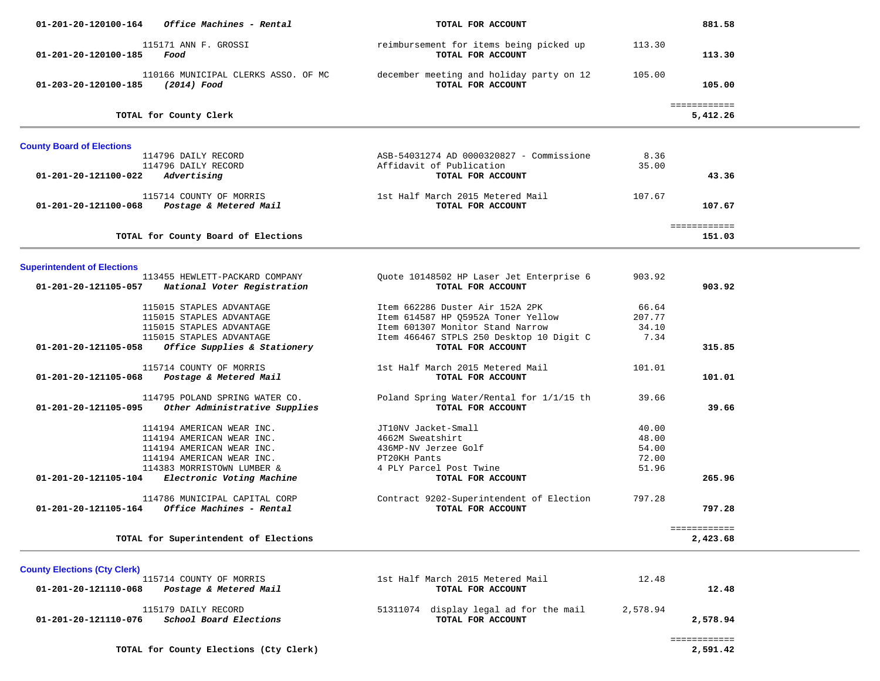| 01-201-20-120100-164<br><i>Office Machines - Rental</i>                                  | TOTAL FOR ACCOUNT                                             |          | 881.58                   |  |
|------------------------------------------------------------------------------------------|---------------------------------------------------------------|----------|--------------------------|--|
| 115171 ANN F. GROSSI<br>01-201-20-120100-185<br>Food                                     | reimbursement for items being picked up<br>TOTAL FOR ACCOUNT  | 113.30   | 113.30                   |  |
| 110166 MUNICIPAL CLERKS ASSO. OF MC<br>01-203-20-120100-185<br>(2014) Food               | december meeting and holiday party on 12<br>TOTAL FOR ACCOUNT | 105.00   | 105.00                   |  |
| TOTAL for County Clerk                                                                   |                                                               |          | ============<br>5,412.26 |  |
| <b>County Board of Elections</b>                                                         |                                                               |          |                          |  |
| 114796 DAILY RECORD                                                                      | ASB-54031274 AD 0000320827 - Commissione                      | 8.36     |                          |  |
| 114796 DAILY RECORD                                                                      | Affidavit of Publication                                      | 35.00    |                          |  |
| 01-201-20-121100-022<br>Advertising                                                      | TOTAL FOR ACCOUNT                                             |          | 43.36                    |  |
| 115714 COUNTY OF MORRIS<br>01-201-20-121100-068<br>Postage & Metered Mail                | 1st Half March 2015 Metered Mail<br>TOTAL FOR ACCOUNT         | 107.67   | 107.67                   |  |
| TOTAL for County Board of Elections                                                      |                                                               |          | ============<br>151.03   |  |
|                                                                                          |                                                               |          |                          |  |
| <b>Superintendent of Elections</b>                                                       |                                                               |          |                          |  |
| 113455 HEWLETT-PACKARD COMPANY<br>01-201-20-121105-057<br>National Voter Registration    | Quote 10148502 HP Laser Jet Enterprise 6<br>TOTAL FOR ACCOUNT | 903.92   | 903.92                   |  |
|                                                                                          |                                                               |          |                          |  |
| 115015 STAPLES ADVANTAGE                                                                 | Item 662286 Duster Air 152A 2PK                               | 66.64    |                          |  |
| 115015 STAPLES ADVANTAGE                                                                 | Item 614587 HP Q5952A Toner Yellow                            | 207.77   |                          |  |
| 115015 STAPLES ADVANTAGE                                                                 | Item 601307 Monitor Stand Narrow                              | 34.10    |                          |  |
| 115015 STAPLES ADVANTAGE                                                                 | Item 466467 STPLS 250 Desktop 10 Digit C                      | 7.34     |                          |  |
| Office Supplies & Stationery<br>01-201-20-121105-058                                     | TOTAL FOR ACCOUNT                                             |          | 315.85                   |  |
| 115714 COUNTY OF MORRIS                                                                  | 1st Half March 2015 Metered Mail                              | 101.01   |                          |  |
| 01-201-20-121105-068<br>Postage & Metered Mail                                           | TOTAL FOR ACCOUNT                                             |          | 101.01                   |  |
|                                                                                          |                                                               |          |                          |  |
| 114795 POLAND SPRING WATER CO.                                                           | Poland Spring Water/Rental for 1/1/15 th                      | 39.66    |                          |  |
| 01-201-20-121105-095<br>Other Administrative Supplies                                    | TOTAL FOR ACCOUNT                                             |          | 39.66                    |  |
| 114194 AMERICAN WEAR INC.                                                                | JT10NV Jacket-Small                                           | 40.00    |                          |  |
| 114194 AMERICAN WEAR INC.                                                                | 4662M Sweatshirt                                              | 48.00    |                          |  |
| 114194 AMERICAN WEAR INC.                                                                | 436MP-NV Jerzee Golf                                          | 54.00    |                          |  |
| 114194 AMERICAN WEAR INC.                                                                | PT20KH Pants                                                  | 72.00    |                          |  |
| 114383 MORRISTOWN LUMBER &                                                               | 4 PLY Parcel Post Twine                                       | 51.96    |                          |  |
| Electronic Voting Machine<br>01-201-20-121105-104                                        | TOTAL FOR ACCOUNT                                             |          | 265.96                   |  |
|                                                                                          |                                                               |          |                          |  |
| 114786 MUNICIPAL CAPITAL CORP<br>$01 - 201 - 20 - 121105 - 164$ Office Machines - Rental | Contract 9202-Superintendent of Election<br>TOTAL FOR ACCOUNT | 797.28   | 797.28                   |  |
| TOTAL for Superintendent of Elections                                                    |                                                               |          | ============<br>2,423.68 |  |
|                                                                                          |                                                               |          |                          |  |
| <b>County Elections (Cty Clerk)</b><br>115714 COUNTY OF MORRIS                           | 1st Half March 2015 Metered Mail                              | 12.48    |                          |  |
| 01-201-20-121110-068<br>Postage & Metered Mail                                           | TOTAL FOR ACCOUNT                                             |          | 12.48                    |  |
| 115179 DAILY RECORD                                                                      | 51311074 display legal ad for the mail                        | 2,578.94 |                          |  |
| 01-201-20-121110-076<br>School Board Elections                                           | TOTAL FOR ACCOUNT                                             |          | 2,578.94                 |  |
|                                                                                          |                                                               |          |                          |  |
|                                                                                          |                                                               |          | ============             |  |
| TOTAL for County Elections (Cty Clerk)                                                   |                                                               |          | 2,591.42                 |  |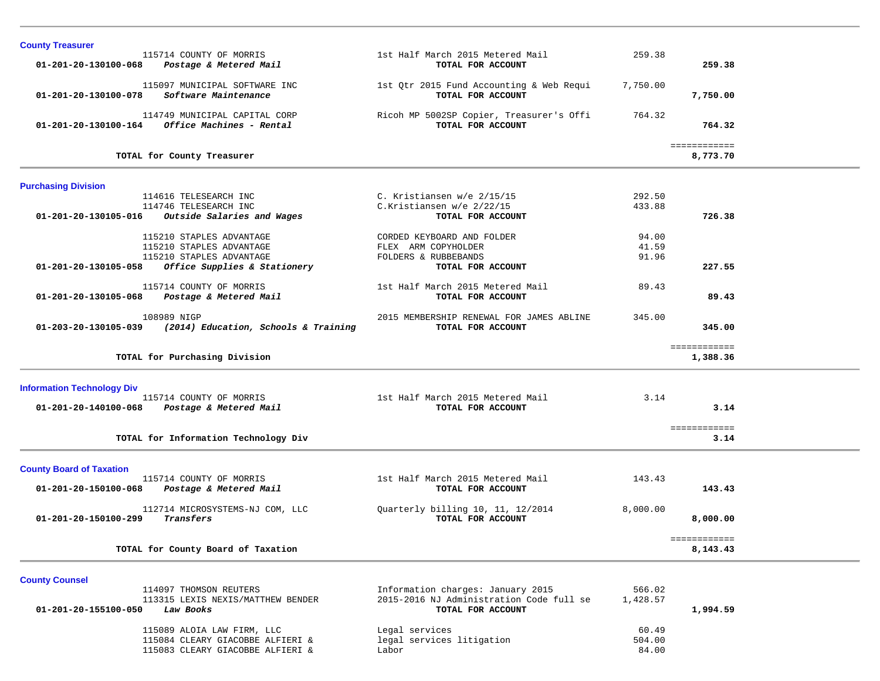| <b>County Treasurer</b>           |                                                                      |                                                               |                  |                          |  |
|-----------------------------------|----------------------------------------------------------------------|---------------------------------------------------------------|------------------|--------------------------|--|
|                                   | 115714 COUNTY OF MORRIS                                              | 1st Half March 2015 Metered Mail                              | 259.38           | 259.38                   |  |
| 01-201-20-130100-068              | Postage & Metered Mail                                               | TOTAL FOR ACCOUNT                                             |                  |                          |  |
| 01-201-20-130100-078              | 115097 MUNICIPAL SOFTWARE INC<br>Software Maintenance                | 1st Qtr 2015 Fund Accounting & Web Requi<br>TOTAL FOR ACCOUNT | 7,750.00         | 7,750.00                 |  |
|                                   | 114749 MUNICIPAL CAPITAL CORP                                        | Ricoh MP 5002SP Copier, Treasurer's Offi                      | 764.32           |                          |  |
|                                   | $01 - 201 - 20 - 130100 - 164$ Office Machines - Rental              | TOTAL FOR ACCOUNT                                             |                  | 764.32                   |  |
|                                   | TOTAL for County Treasurer                                           |                                                               |                  | ============<br>8,773.70 |  |
|                                   |                                                                      |                                                               |                  |                          |  |
| <b>Purchasing Division</b>        |                                                                      |                                                               |                  |                          |  |
|                                   | 114616 TELESEARCH INC<br>114746 TELESEARCH INC                       | C. Kristiansen w/e 2/15/15<br>C.Kristiansen w/e 2/22/15       | 292.50<br>433.88 |                          |  |
| 01-201-20-130105-016              | Outside Salaries and Wages                                           | TOTAL FOR ACCOUNT                                             |                  | 726.38                   |  |
|                                   |                                                                      |                                                               |                  |                          |  |
|                                   | 115210 STAPLES ADVANTAGE                                             | CORDED KEYBOARD AND FOLDER                                    | 94.00            |                          |  |
|                                   | 115210 STAPLES ADVANTAGE                                             | FLEX ARM COPYHOLDER                                           | 41.59            |                          |  |
|                                   | 115210 STAPLES ADVANTAGE                                             | FOLDERS & RUBBEBANDS                                          | 91.96            |                          |  |
| 01-201-20-130105-058              | Office Supplies & Stationery                                         | TOTAL FOR ACCOUNT                                             |                  | 227.55                   |  |
|                                   | 115714 COUNTY OF MORRIS                                              | 1st Half March 2015 Metered Mail                              | 89.43            |                          |  |
| $01 - 201 - 20 - 130105 - 068$    | Postage & Metered Mail                                               | TOTAL FOR ACCOUNT                                             |                  | 89.43                    |  |
|                                   |                                                                      |                                                               |                  |                          |  |
|                                   | 108989 NIGP                                                          | 2015 MEMBERSHIP RENEWAL FOR JAMES ABLINE                      | 345.00           |                          |  |
| 01-203-20-130105-039              | (2014) Education, Schools & Training                                 | TOTAL FOR ACCOUNT                                             |                  | 345.00                   |  |
|                                   |                                                                      |                                                               |                  | ============             |  |
|                                   |                                                                      |                                                               |                  |                          |  |
|                                   | TOTAL for Purchasing Division                                        |                                                               |                  | 1,388.36                 |  |
|                                   |                                                                      |                                                               |                  |                          |  |
|                                   |                                                                      |                                                               |                  |                          |  |
| <b>Information Technology Div</b> | 115714 COUNTY OF MORRIS                                              | 1st Half March 2015 Metered Mail                              | 3.14             |                          |  |
| 01-201-20-140100-068              | Postage & Metered Mail                                               | TOTAL FOR ACCOUNT                                             |                  | 3.14                     |  |
|                                   |                                                                      |                                                               |                  |                          |  |
|                                   |                                                                      |                                                               |                  | ============             |  |
|                                   | TOTAL for Information Technology Div                                 |                                                               |                  | 3.14                     |  |
|                                   |                                                                      |                                                               |                  |                          |  |
| <b>County Board of Taxation</b>   |                                                                      |                                                               |                  |                          |  |
|                                   | 115714 COUNTY OF MORRIS                                              | 1st Half March 2015 Metered Mail                              | 143.43           |                          |  |
| 01-201-20-150100-068              | Postage & Metered Mail                                               | TOTAL FOR ACCOUNT                                             |                  | 143.43                   |  |
|                                   | 112714 MICROSYSTEMS-NJ COM, LLC                                      | Quarterly billing 10, 11, 12/2014                             | 8,000.00         |                          |  |
| 01-201-20-150100-299              | Transfers                                                            | TOTAL FOR ACCOUNT                                             |                  | 8,000.00                 |  |
|                                   |                                                                      |                                                               |                  |                          |  |
|                                   |                                                                      |                                                               |                  | ------------             |  |
|                                   | TOTAL for County Board of Taxation                                   |                                                               |                  | 8,143.43                 |  |
|                                   |                                                                      |                                                               |                  |                          |  |
| <b>County Counsel</b>             |                                                                      |                                                               |                  |                          |  |
|                                   | 114097 THOMSON REUTERS                                               | Information charges: January 2015                             | 566.02           |                          |  |
|                                   | 113315 LEXIS NEXIS/MATTHEW BENDER                                    | 2015-2016 NJ Administration Code full se                      | 1,428.57         |                          |  |
| 01-201-20-155100-050              | Law Books                                                            | TOTAL FOR ACCOUNT                                             |                  | 1,994.59                 |  |
|                                   | 115089 ALOIA LAW FIRM, LLC                                           | Legal services                                                | 60.49            |                          |  |
|                                   | 115084 CLEARY GIACOBBE ALFIERI &<br>115083 CLEARY GIACOBBE ALFIERI & | legal services litigation<br>Labor                            | 504.00<br>84.00  |                          |  |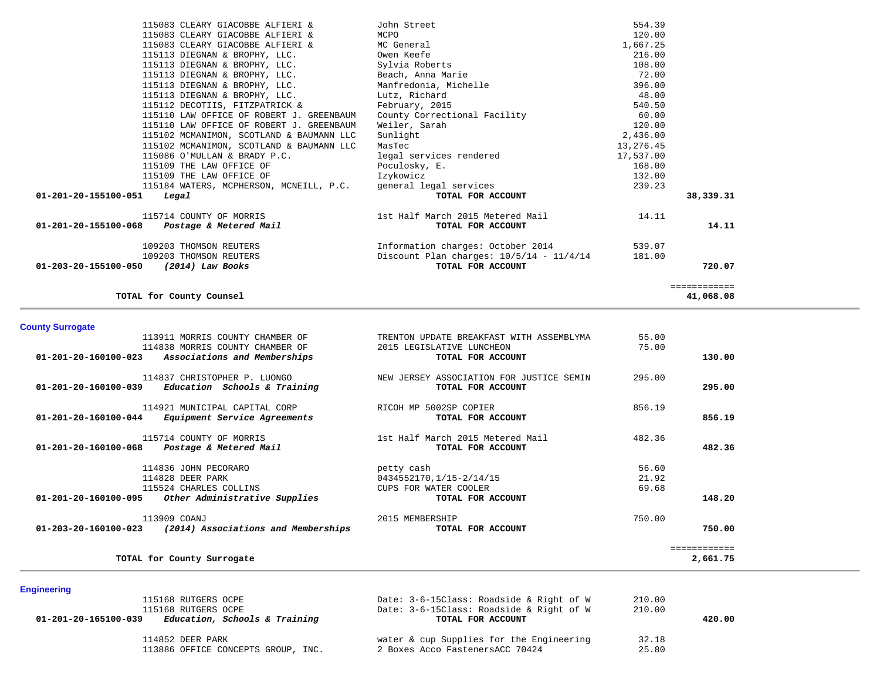| 115083 CLEARY GIACOBBE ALFIERI &            | John Street                                | 554.39    |              |
|---------------------------------------------|--------------------------------------------|-----------|--------------|
| 115083 CLEARY GIACOBBE ALFIERI &            | MCPO                                       | 120.00    |              |
| 115083 CLEARY GIACOBBE ALFIERI &            | MC General                                 | 1,667.25  |              |
| 115113 DIEGNAN & BROPHY, LLC.               | Owen Keefe                                 | 216.00    |              |
| 115113 DIEGNAN & BROPHY, LLC.               | Sylvia Roberts                             | 108.00    |              |
| 115113 DIEGNAN & BROPHY, LLC.               | Beach, Anna Marie                          | 72.00     |              |
| 115113 DIEGNAN & BROPHY, LLC.               | Manfredonia, Michelle                      | 396.00    |              |
| 115113 DIEGNAN & BROPHY, LLC.               | Lutz, Richard                              | 48.00     |              |
| 115112 DECOTIIS, FITZPATRICK &              | February, 2015                             | 540.50    |              |
| 115110 LAW OFFICE OF ROBERT J. GREENBAUM    | County Correctional Facility               | 60.00     |              |
| 115110 LAW OFFICE OF ROBERT J. GREENBAUM    | Weiler, Sarah                              | 120.00    |              |
| 115102 MCMANIMON, SCOTLAND & BAUMANN LLC    | Sunlight                                   | 2,436.00  |              |
| 115102 MCMANIMON, SCOTLAND & BAUMANN LLC    | MasTec                                     | 13,276.45 |              |
| 115086 O'MULLAN & BRADY P.C.                | legal services rendered                    | 17,537.00 |              |
| 115109 THE LAW OFFICE OF                    | Poculosky, E.                              | 168.00    |              |
| 115109 THE LAW OFFICE OF                    | Izykowicz                                  | 132.00    |              |
| 115184 WATERS, MCPHERSON, MCNEILL, P.C.     | general legal services                     | 239.23    |              |
| 01-201-20-155100-051<br>Legal               | TOTAL FOR ACCOUNT                          |           | 38,339.31    |
| 115714 COUNTY OF MORRIS                     | 1st Half March 2015 Metered Mail           | 14.11     |              |
| 01-201-20-155100-068 Postage & Metered Mail | TOTAL FOR ACCOUNT                          |           | 14.11        |
| 109203 THOMSON REUTERS                      | Information charges: October 2014          | 539.07    |              |
| 109203 THOMSON REUTERS                      | Discount Plan charges: $10/5/14 - 11/4/14$ | 181.00    |              |
| 01-203-20-155100-050 (2014) Law Books       | TOTAL FOR ACCOUNT                          |           | 720.07       |
|                                             |                                            |           | ============ |
| TOTAL for County Counsel                    |                                            |           | 41,068.08    |

**County Surrogate** 

|                                | TOTAL for County Surrogate                          |                                          |        | ============<br>2,661.75 |
|--------------------------------|-----------------------------------------------------|------------------------------------------|--------|--------------------------|
| $01 - 203 - 20 - 160100 - 023$ | 113909 COANJ<br>(2014) Associations and Memberships | 2015 MEMBERSHIP<br>TOTAL FOR ACCOUNT     | 750.00 | 750.00                   |
|                                | 01-201-20-160100-095 Other Administrative Supplies  | TOTAL FOR ACCOUNT                        |        | 148.20                   |
|                                | 115524 CHARLES COLLINS                              | CUPS FOR WATER COOLER                    | 69.68  |                          |
|                                | 114828 DEER PARK                                    | 0434552170,1/15-2/14/15                  | 21.92  |                          |
|                                | 114836 JOHN PECORARO                                | petty cash                               | 56.60  |                          |
|                                | 01-201-20-160100-068 Postage & Metered Mail         | TOTAL FOR ACCOUNT                        |        | 482.36                   |
|                                | 115714 COUNTY OF MORRIS                             | 1st Half March 2015 Metered Mail         | 482.36 |                          |
| 01-201-20-160100-044           | Equipment Service Agreements                        | TOTAL FOR ACCOUNT                        |        | 856.19                   |
|                                | 114921 MUNICIPAL CAPITAL CORP                       | RICOH MP 5002SP COPIER                   | 856.19 |                          |
| 01-201-20-160100-039           | Education Schools & Training                        | TOTAL FOR ACCOUNT                        |        | 295.00                   |
|                                | 114837 CHRISTOPHER P. LUONGO                        | NEW JERSEY ASSOCIATION FOR JUSTICE SEMIN | 295.00 |                          |
| 01-201-20-160100-023           | Associations and Memberships                        | TOTAL FOR ACCOUNT                        |        | 130.00                   |
|                                | 114838 MORRIS COUNTY CHAMBER OF                     | 2015 LEGISLATIVE LUNCHEON                | 75.00  |                          |
|                                | 113911 MORRIS COUNTY CHAMBER OF                     | TRENTON UPDATE BREAKFAST WITH ASSEMBLYMA | 55.00  |                          |

| 115168 RUTGERS OCPE                                   | Date: 3-6-15Class: Roadside & Right of W | 210.00 |        |
|-------------------------------------------------------|------------------------------------------|--------|--------|
| 115168 RUTGERS OCPE                                   | Date: 3-6-15Class: Roadside & Right of W | 210.00 |        |
| Education, Schools & Training<br>01-201-20-165100-039 | TOTAL FOR ACCOUNT                        |        | 420.00 |
| 114852 DEER PARK                                      | water & cup Supplies for the Engineering | 32.18  |        |
| 113886 OFFICE CONCEPTS GROUP, INC.                    | 2 Boxes Acco FastenersACC 70424          | 25.80  |        |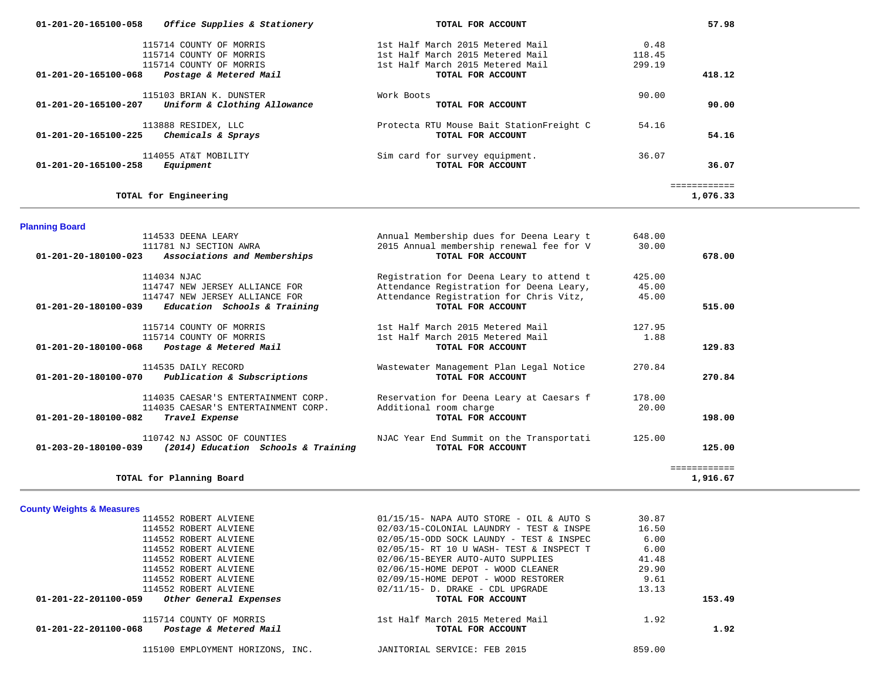| 115714 COUNTY OF MORRIS<br>115714 COUNTY OF MORRIS                                                                                                                                                                                                     | 1st Half March 2015 Metered Mail<br>1st Half March 2015 Metered Mail                                                                                                                                                                                                                                                                                          | 118.45<br>299.19                                                  |                          |  |
|--------------------------------------------------------------------------------------------------------------------------------------------------------------------------------------------------------------------------------------------------------|---------------------------------------------------------------------------------------------------------------------------------------------------------------------------------------------------------------------------------------------------------------------------------------------------------------------------------------------------------------|-------------------------------------------------------------------|--------------------------|--|
| Postage & Metered Mail<br>01-201-20-165100-068                                                                                                                                                                                                         | TOTAL FOR ACCOUNT                                                                                                                                                                                                                                                                                                                                             |                                                                   | 418.12                   |  |
| 115103 BRIAN K. DUNSTER                                                                                                                                                                                                                                | Work Boots                                                                                                                                                                                                                                                                                                                                                    | 90.00                                                             |                          |  |
| Uniform & Clothing Allowance<br>01-201-20-165100-207                                                                                                                                                                                                   | TOTAL FOR ACCOUNT                                                                                                                                                                                                                                                                                                                                             |                                                                   | 90.00                    |  |
| 113888 RESIDEX, LLC<br>Chemicals & Sprays<br>01-201-20-165100-225                                                                                                                                                                                      | Protecta RTU Mouse Bait StationFreight C<br>TOTAL FOR ACCOUNT                                                                                                                                                                                                                                                                                                 | 54.16                                                             | 54.16                    |  |
| 114055 AT&T MOBILITY<br>01-201-20-165100-258<br>Equipment                                                                                                                                                                                              | Sim card for survey equipment.<br>TOTAL FOR ACCOUNT                                                                                                                                                                                                                                                                                                           | 36.07                                                             | 36.07                    |  |
| TOTAL for Engineering                                                                                                                                                                                                                                  |                                                                                                                                                                                                                                                                                                                                                               |                                                                   | ============<br>1,076.33 |  |
| <b>Planning Board</b>                                                                                                                                                                                                                                  |                                                                                                                                                                                                                                                                                                                                                               |                                                                   |                          |  |
| 114533 DEENA LEARY<br>111781 NJ SECTION AWRA<br>01-201-20-180100-023<br>Associations and Memberships                                                                                                                                                   | Annual Membership dues for Deena Leary t<br>2015 Annual membership renewal fee for V<br>TOTAL FOR ACCOUNT                                                                                                                                                                                                                                                     | 648.00<br>30.00                                                   | 678.00                   |  |
| 114034 NJAC<br>114747 NEW JERSEY ALLIANCE FOR<br>114747 NEW JERSEY ALLIANCE FOR<br>01-201-20-180100-039<br>Education Schools & Training                                                                                                                | Registration for Deena Leary to attend t<br>Attendance Registration for Deena Leary,<br>Attendance Registration for Chris Vitz,<br>TOTAL FOR ACCOUNT                                                                                                                                                                                                          | 425.00<br>45.00<br>45.00                                          | 515.00                   |  |
| 115714 COUNTY OF MORRIS<br>115714 COUNTY OF MORRIS<br>Postage & Metered Mail<br>01-201-20-180100-068                                                                                                                                                   | 1st Half March 2015 Metered Mail<br>1st Half March 2015 Metered Mail<br>TOTAL FOR ACCOUNT                                                                                                                                                                                                                                                                     | 127.95<br>1.88                                                    | 129.83                   |  |
| 114535 DAILY RECORD<br>Publication & Subscriptions<br>01-201-20-180100-070                                                                                                                                                                             | Wastewater Management Plan Legal Notice<br>TOTAL FOR ACCOUNT                                                                                                                                                                                                                                                                                                  | 270.84                                                            | 270.84                   |  |
| 114035 CAESAR'S ENTERTAINMENT CORP.<br>114035 CAESAR'S ENTERTAINMENT CORP.<br>01-201-20-180100-082<br>Travel Expense                                                                                                                                   | Reservation for Deena Leary at Caesars f<br>Additional room charge<br>TOTAL FOR ACCOUNT                                                                                                                                                                                                                                                                       | 178.00<br>20.00                                                   | 198.00                   |  |
| 110742 NJ ASSOC OF COUNTIES<br>(2014) Education Schools & Training<br>01-203-20-180100-039                                                                                                                                                             | NJAC Year End Summit on the Transportati<br>TOTAL FOR ACCOUNT                                                                                                                                                                                                                                                                                                 | 125.00                                                            | 125.00                   |  |
| TOTAL for Planning Board                                                                                                                                                                                                                               |                                                                                                                                                                                                                                                                                                                                                               |                                                                   | ============<br>1,916.67 |  |
| <b>County Weights &amp; Measures</b>                                                                                                                                                                                                                   |                                                                                                                                                                                                                                                                                                                                                               |                                                                   |                          |  |
| 114552 ROBERT ALVIENE<br>114552 ROBERT ALVIENE<br>114552 ROBERT ALVIENE<br>114552 ROBERT ALVIENE<br>114552 ROBERT ALVIENE<br>114552 ROBERT ALVIENE<br>114552 ROBERT ALVIENE<br>114552 ROBERT ALVIENE<br>01-201-22-201100-059<br>Other General Expenses | $01/15/15$ - NAPA AUTO STORE - OIL & AUTO S<br>02/03/15-COLONIAL LAUNDRY - TEST & INSPE<br>02/05/15-ODD SOCK LAUNDY - TEST & INSPEC<br>02/05/15- RT 10 U WASH- TEST & INSPECT T<br>02/06/15-BEYER AUTO-AUTO SUPPLIES<br>02/06/15-HOME DEPOT - WOOD CLEANER<br>02/09/15-HOME DEPOT - WOOD RESTORER<br>$02/11/15$ - D. DRAKE - CDL UPGRADE<br>TOTAL FOR ACCOUNT | 30.87<br>16.50<br>6.00<br>6.00<br>41.48<br>29.90<br>9.61<br>13.13 | 153.49                   |  |
| 115714 COUNTY OF MORRIS                                                                                                                                                                                                                                | 1st Half March 2015 Metered Mail                                                                                                                                                                                                                                                                                                                              | 1.92                                                              |                          |  |
| Postage & Metered Mail<br>01-201-22-201100-068                                                                                                                                                                                                         | TOTAL FOR ACCOUNT                                                                                                                                                                                                                                                                                                                                             |                                                                   | 1.92                     |  |
| 115100 EMPLOYMENT HORIZONS, INC.                                                                                                                                                                                                                       | JANITORIAL SERVICE: FEB 2015                                                                                                                                                                                                                                                                                                                                  | 859.00                                                            |                          |  |

 **01-201-20-165100-058** *Office Supplies & Stationery* **TOTAL FOR ACCOUNT 57.98**

115714 COUNTY OF MORRIS 1st Half March 2015 Metered Mail 0.48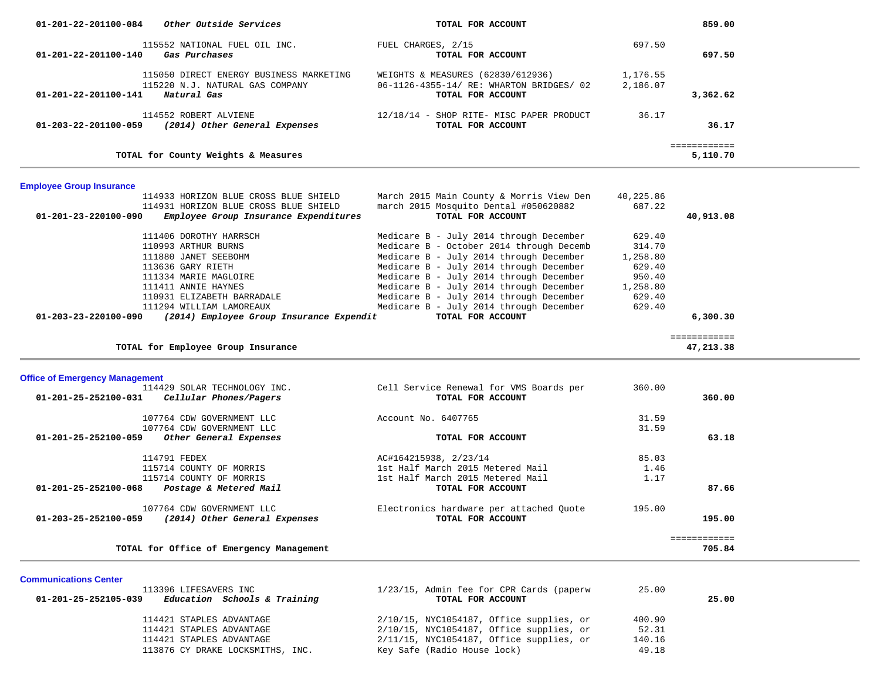| 01-201-22-201100-084                  | Other Outside Services                                                                                                                                                   | TOTAL FOR ACCOUNT                                                                                                                                                                                                                                                                                          |                                                                        | 859.00                    |
|---------------------------------------|--------------------------------------------------------------------------------------------------------------------------------------------------------------------------|------------------------------------------------------------------------------------------------------------------------------------------------------------------------------------------------------------------------------------------------------------------------------------------------------------|------------------------------------------------------------------------|---------------------------|
| 01-201-22-201100-140                  | 115552 NATIONAL FUEL OIL INC.<br>Gas Purchases                                                                                                                           | FUEL CHARGES, 2/15<br>TOTAL FOR ACCOUNT                                                                                                                                                                                                                                                                    | 697.50                                                                 | 697.50                    |
| 01-201-22-201100-141                  | 115050 DIRECT ENERGY BUSINESS MARKETING<br>115220 N.J. NATURAL GAS COMPANY<br>Natural Gas                                                                                | WEIGHTS & MEASURES (62830/612936)<br>06-1126-4355-14/ RE: WHARTON BRIDGES/ 02<br>TOTAL FOR ACCOUNT                                                                                                                                                                                                         | 1,176.55<br>2,186.07                                                   | 3,362.62                  |
| 01-203-22-201100-059                  | 114552 ROBERT ALVIENE<br>(2014) Other General Expenses                                                                                                                   | 12/18/14 - SHOP RITE- MISC PAPER PRODUCT<br>TOTAL FOR ACCOUNT                                                                                                                                                                                                                                              | 36.17                                                                  | 36.17                     |
|                                       | TOTAL for County Weights & Measures                                                                                                                                      |                                                                                                                                                                                                                                                                                                            |                                                                        | ============<br>5,110.70  |
| <b>Employee Group Insurance</b>       |                                                                                                                                                                          |                                                                                                                                                                                                                                                                                                            |                                                                        |                           |
| 01-201-23-220100-090                  | 114933 HORIZON BLUE CROSS BLUE SHIELD<br>114931 HORIZON BLUE CROSS BLUE SHIELD<br>Employee Group Insurance Expenditures                                                  | March 2015 Main County & Morris View Den<br>march 2015 Mosquito Dental #050620882<br>TOTAL FOR ACCOUNT                                                                                                                                                                                                     | 40,225.86<br>687.22                                                    | 40,913.08                 |
|                                       | 111406 DOROTHY HARRSCH<br>110993 ARTHUR BURNS<br>111880 JANET SEEBOHM<br>113636 GARY RIETH<br>111334 MARIE MAGLOIRE<br>111411 ANNIE HAYNES<br>110931 ELIZABETH BARRADALE | Medicare B - July 2014 through December<br>Medicare B - October 2014 through Decemb<br>Medicare B - July 2014 through December<br>Medicare B - July 2014 through December<br>Medicare B - July 2014 through December<br>Medicare B - July 2014 through December<br>Medicare B - July 2014 through December | 629.40<br>314.70<br>1,258.80<br>629.40<br>950.40<br>1,258.80<br>629.40 |                           |
| 01-203-23-220100-090                  | 111294 WILLIAM LAMOREAUX<br>(2014) Employee Group Insurance Expendit                                                                                                     | Medicare B - July 2014 through December<br>TOTAL FOR ACCOUNT                                                                                                                                                                                                                                               | 629.40                                                                 | 6,300.30                  |
|                                       | TOTAL for Employee Group Insurance                                                                                                                                       |                                                                                                                                                                                                                                                                                                            |                                                                        | ============<br>47,213.38 |
| <b>Office of Emergency Management</b> |                                                                                                                                                                          |                                                                                                                                                                                                                                                                                                            |                                                                        |                           |
| 01-201-25-252100-031                  | 114429 SOLAR TECHNOLOGY INC.<br>Cellular Phones/Pagers                                                                                                                   | Cell Service Renewal for VMS Boards per<br>TOTAL FOR ACCOUNT                                                                                                                                                                                                                                               | 360.00                                                                 | 360.00                    |
| 01-201-25-252100-059                  | 107764 CDW GOVERNMENT LLC<br>107764 CDW GOVERNMENT LLC<br>Other General Expenses                                                                                         | Account No. 6407765<br>TOTAL FOR ACCOUNT                                                                                                                                                                                                                                                                   | 31.59<br>31.59                                                         | 63.18                     |
| 01-201-25-252100-068                  | 114791 FEDEX<br>115714 COUNTY OF MORRIS<br>115714 COUNTY OF MORRIS<br>Postage & Metered Mail                                                                             | AC#164215938, 2/23/14<br>1st Half March 2015 Metered Mail<br>1st Half March 2015 Metered Mail<br>TOTAL FOR ACCOUNT                                                                                                                                                                                         | 85.03<br>1.46<br>1.17                                                  | 87.66                     |
| 01-203-25-252100-059                  | 107764 CDW GOVERNMENT LLC<br>(2014) Other General Expenses                                                                                                               | Electronics hardware per attached Quote<br>TOTAL FOR ACCOUNT                                                                                                                                                                                                                                               | 195.00                                                                 | 195.00                    |
|                                       | TOTAL for Office of Emergency Management                                                                                                                                 |                                                                                                                                                                                                                                                                                                            |                                                                        | ============<br>705.84    |

| 113396 LIFESAVERS INC                                | 1/23/15, Admin fee for CPR Cards (paperw    | 25.00  |       |
|------------------------------------------------------|---------------------------------------------|--------|-------|
| Education Schools & Training<br>01-201-25-252105-039 | TOTAL FOR ACCOUNT                           |        | 25.00 |
| 114421 STAPLES ADVANTAGE                             | $2/10/15$ , NYC1054187, Office supplies, or | 400.90 |       |
| 114421 STAPLES ADVANTAGE                             | $2/10/15$ , NYC1054187, Office supplies, or | 52.31  |       |
| 114421 STAPLES ADVANTAGE                             | $2/11/15$ , NYC1054187, Office supplies, or | 140.16 |       |
| 113876 CY DRAKE LOCKSMITHS, INC.                     | Key Safe (Radio House lock)                 | 49.18  |       |

**Communications Center**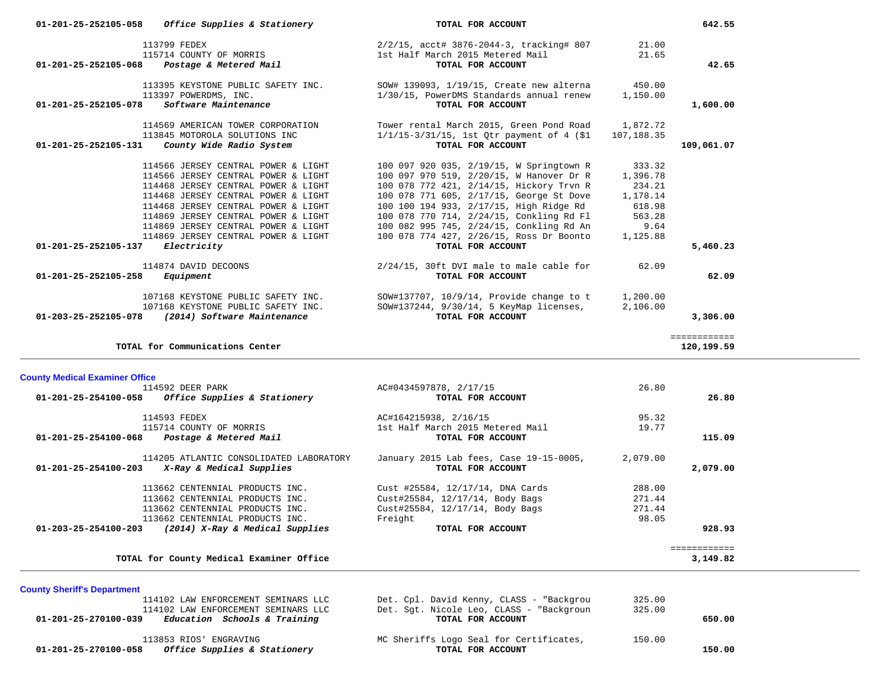| 01-201-25-252105-058                  | Office Supplies & Stationery                                      | TOTAL FOR ACCOUNT                                                                                 |                | 642.55       |
|---------------------------------------|-------------------------------------------------------------------|---------------------------------------------------------------------------------------------------|----------------|--------------|
| 01-201-25-252105-068                  | 113799 FEDEX<br>115714 COUNTY OF MORRIS<br>Postage & Metered Mail | 2/2/15, acct# 3876-2044-3, tracking# 807<br>1st Half March 2015 Metered Mail<br>TOTAL FOR ACCOUNT | 21.00<br>21.65 | 42.65        |
|                                       |                                                                   |                                                                                                   |                |              |
|                                       | 113395 KEYSTONE PUBLIC SAFETY INC.                                | SOW# 139093, 1/19/15, Create new alterna                                                          | 450.00         |              |
| 01-201-25-252105-078                  | 113397 POWERDMS, INC.<br>Software Maintenance                     | 1/30/15, PowerDMS Standards annual renew<br>TOTAL FOR ACCOUNT                                     | 1,150.00       | 1,600.00     |
|                                       |                                                                   |                                                                                                   |                |              |
|                                       | 114569 AMERICAN TOWER CORPORATION                                 | Tower rental March 2015, Green Pond Road                                                          | 1,872.72       |              |
|                                       | 113845 MOTOROLA SOLUTIONS INC                                     | $1/1/15-3/31/15$ , 1st Qtr payment of 4 (\$1)                                                     | 107,188.35     |              |
| 01-201-25-252105-131                  | County Wide Radio System                                          | TOTAL FOR ACCOUNT                                                                                 |                | 109,061.07   |
|                                       | 114566 JERSEY CENTRAL POWER & LIGHT                               | 100 097 920 035, 2/19/15, W Springtown R                                                          | 333.32         |              |
|                                       | 114566 JERSEY CENTRAL POWER & LIGHT                               | 100 097 970 519, 2/20/15, W Hanover Dr R                                                          | 1,396.78       |              |
|                                       | 114468 JERSEY CENTRAL POWER & LIGHT                               | 100 078 772 421, 2/14/15, Hickory Trvn R                                                          | 234.21         |              |
|                                       | 114468 JERSEY CENTRAL POWER & LIGHT                               | 100 078 771 605, 2/17/15, George St Dove                                                          | 1,178.14       |              |
|                                       | 114468 JERSEY CENTRAL POWER & LIGHT                               | 100 100 194 933, 2/17/15, High Ridge Rd                                                           | 618.98         |              |
|                                       | 114869 JERSEY CENTRAL POWER & LIGHT                               | 100 078 770 714, 2/24/15, Conkling Rd Fl                                                          | 563.28         |              |
|                                       | 114869 JERSEY CENTRAL POWER & LIGHT                               | 100 082 995 745, 2/24/15, Conkling Rd An                                                          | 9.64           |              |
|                                       | 114869 JERSEY CENTRAL POWER & LIGHT                               | 100 078 774 427, 2/26/15, Ross Dr Boonto                                                          | 1,125.88       |              |
| 01-201-25-252105-137                  | Electricity                                                       | TOTAL FOR ACCOUNT                                                                                 |                | 5,460.23     |
|                                       | 114874 DAVID DECOONS                                              | 2/24/15, 30ft DVI male to male cable for                                                          | 62.09          |              |
| 01-201-25-252105-258                  | Equipment                                                         | TOTAL FOR ACCOUNT                                                                                 |                | 62.09        |
|                                       | 107168 KEYSTONE PUBLIC SAFETY INC.                                | SOW#137707, 10/9/14, Provide change to t                                                          | 1,200.00       |              |
|                                       | 107168 KEYSTONE PUBLIC SAFETY INC.                                | SOW#137244, 9/30/14, 5 KeyMap licenses,                                                           | 2,106.00       |              |
| 01-203-25-252105-078                  | (2014) Software Maintenance                                       | TOTAL FOR ACCOUNT                                                                                 |                | 3,306.00     |
|                                       |                                                                   |                                                                                                   |                | ============ |
|                                       | TOTAL for Communications Center                                   |                                                                                                   |                | 120,199.59   |
| <b>County Medical Examiner Office</b> |                                                                   |                                                                                                   |                |              |
|                                       | 114592 DEER PARK                                                  | AC#0434597878, 2/17/15                                                                            | 26.80          |              |
| 01-201-25-254100-058                  | Office Supplies & Stationery                                      | TOTAL FOR ACCOUNT                                                                                 |                | 26.80        |
|                                       | 114593 FEDEX                                                      | AC#164215938, 2/16/15                                                                             | 95.32          |              |
|                                       | 115714 COUNTY OF MORRIS                                           | 1st Half March 2015 Metered Mail                                                                  | 19.77          |              |
| 01-201-25-254100-068                  | Postage & Metered Mail                                            | TOTAL FOR ACCOUNT                                                                                 |                | 115.09       |
|                                       | 114205 ATLANTIC CONSOLIDATED LABORATORY                           | January 2015 Lab fees, Case 19-15-0005,                                                           | 2,079.00       |              |
| 01-201-25-254100-203                  | X-Ray & Medical Supplies                                          | TOTAL FOR ACCOUNT                                                                                 |                | 2,079.00     |
|                                       | 113662 CENTENNIAL PRODUCTS INC.                                   | Cust #25584, 12/17/14, DNA Cards                                                                  | 288.00         |              |
|                                       | 113662 CENTENNIAL PRODUCTS INC.                                   | Cust#25584, 12/17/14, Body Bags                                                                   | 271.44         |              |
|                                       | 113662 CENTENNIAL PRODUCTS INC.                                   | Cust#25584, 12/17/14, Body Bags                                                                   | 271.44         |              |
|                                       | 113662 CENTENNIAL PRODUCTS INC.                                   | Freight                                                                                           | 98.05          |              |
| 01-203-25-254100-203                  | (2014) X-Ray & Medical Supplies                                   | TOTAL FOR ACCOUNT                                                                                 |                | 928.93       |

 ============ **TOTAL for County Medical Examiner Office 3,149.82**

# **County Sheriff's Department** 114102 LAW ENFORCEMENT SEMINARS LLC Det. Cpl. David Kenny, CLASS - "Backgrou 325.00 114102 LAW ENFORCEMENT SEMINARS LLC Det. Sgt. Nicole Leo, CLASS - "Backgroun 325.000 Bducation Schools & Training  **01-201-25-270100-039** *Education Schools & Training* **TOTAL FOR ACCOUNT 650.00** 113853 RIOS' ENGRAVING<br>
150.00<br> **113853 RIOS' ENGRAVING**<br> **150.00**<br> **150.00**<br> **150.00**<br> **150.00**<br> **150.00 01-201-25-270100-058** *Office Supplies & Stationery* **TOTAL FOR ACCOUNT 150.00**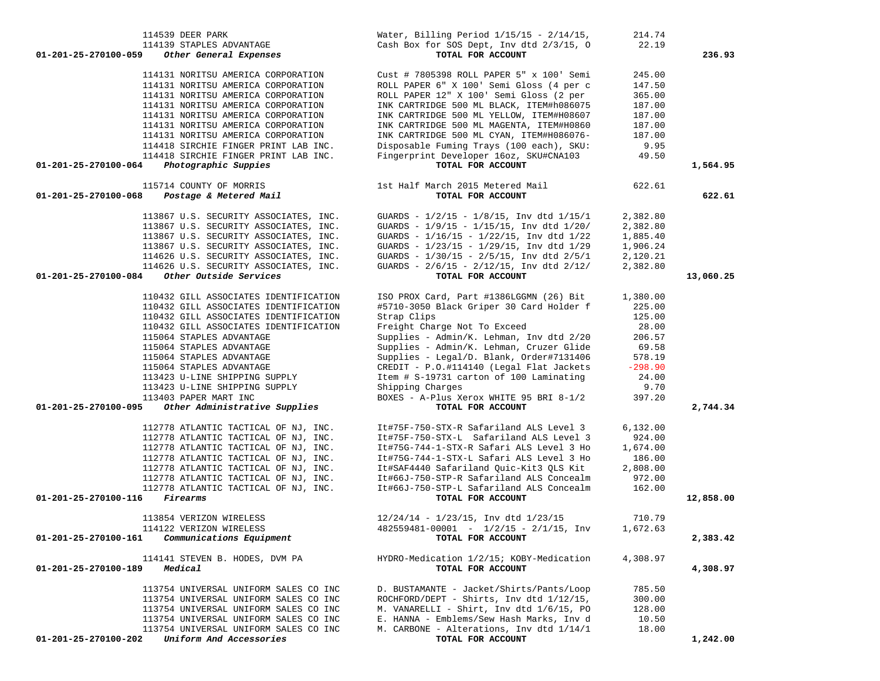| 114539 DEER PARK<br>114139 STAPLES ADVANTAGE<br>01-201-25-270100-059<br>Other General Expenses                                                       | Water, Billing Period $1/15/15 - 2/14/15$ ,<br>Cash Box for SOS Dept, Inv dtd 2/3/15, 0<br>TOTAL FOR ACCOUNT                                                                | 214.74<br>22.19                      | 236.93    |
|------------------------------------------------------------------------------------------------------------------------------------------------------|-----------------------------------------------------------------------------------------------------------------------------------------------------------------------------|--------------------------------------|-----------|
| 114131 NORITSU AMERICA CORPORATION<br>114131 NORITSU AMERICA CORPORATION<br>114131 NORITSU AMERICA CORPORATION<br>114131 NORITSU AMERICA CORPORATION | Cust # 7805398 ROLL PAPER 5" x 100' Semi<br>ROLL PAPER 6" X 100' Semi Gloss (4 per c<br>ROLL PAPER 12" X 100' Semi Gloss (2 per<br>INK CARTRIDGE 500 ML BLACK, ITEM#h086075 | 245.00<br>147.50<br>365.00<br>187.00 |           |
| 114131 NORITSU AMERICA CORPORATION<br>114131 NORITSU AMERICA CORPORATION<br>114131 NORITSU AMERICA CORPORATION                                       | INK CARTRIDGE 500 ML YELLOW, ITEM#H08607<br>INK CARTRIDGE 500 ML MAGENTA, ITEM#H0860<br>INK CARTRIDGE 500 ML CYAN, ITEM#H086076-                                            | 187.00<br>187.00<br>187.00           |           |
| 114418 SIRCHIE FINGER PRINT LAB INC.<br>114418 SIRCHIE FINGER PRINT LAB INC.                                                                         | Disposable Fuming Trays (100 each), SKU:<br>Fingerprint Developer 16oz, SKU#CNA103                                                                                          | 9.95<br>49.50                        |           |
| Photographic Suppies<br>01-201-25-270100-064                                                                                                         | TOTAL FOR ACCOUNT                                                                                                                                                           |                                      | 1,564.95  |
| 115714 COUNTY OF MORRIS<br>Postage & Metered Mail<br>01-201-25-270100-068                                                                            | 1st Half March 2015 Metered Mail<br>TOTAL FOR ACCOUNT                                                                                                                       | 622.61                               | 622.61    |
| 113867 U.S. SECURITY ASSOCIATES, INC.                                                                                                                | GUARDS - $1/2/15$ - $1/8/15$ , Inv dtd $1/15/1$                                                                                                                             | 2,382.80                             |           |
| 113867 U.S. SECURITY ASSOCIATES, INC.                                                                                                                | GUARDS - $1/9/15$ - $1/15/15$ , Inv dtd $1/20/$                                                                                                                             | 2,382.80                             |           |
| 113867 U.S. SECURITY ASSOCIATES, INC.<br>113867 U.S. SECURITY ASSOCIATES, INC.                                                                       | GUARDS - 1/16/15 - 1/22/15, Inv dtd 1/22<br>GUARDS - 1/23/15 - 1/29/15, Inv dtd 1/29                                                                                        | 1,885.40<br>1,906.24                 |           |
| 114626 U.S. SECURITY ASSOCIATES, INC.                                                                                                                | GUARDS - $1/30/15$ - $2/5/15$ , Inv dtd $2/5/1$                                                                                                                             | 2,120.21                             |           |
| 114626 U.S. SECURITY ASSOCIATES, INC.                                                                                                                | GUARDS - $2/6/15$ - $2/12/15$ , Inv dtd $2/12/$                                                                                                                             | 2,382.80                             |           |
| Other Outside Services<br>01-201-25-270100-084                                                                                                       | TOTAL FOR ACCOUNT                                                                                                                                                           |                                      | 13,060.25 |
| 110432 GILL ASSOCIATES IDENTIFICATION                                                                                                                | ISO PROX Card, Part #1386LGGMN (26) Bit                                                                                                                                     | 1,380.00                             |           |
| 110432 GILL ASSOCIATES IDENTIFICATION                                                                                                                | #5710-3050 Black Griper 30 Card Holder f                                                                                                                                    | 225.00                               |           |
| 110432 GILL ASSOCIATES IDENTIFICATION                                                                                                                | Strap Clips                                                                                                                                                                 | 125.00                               |           |
| 110432 GILL ASSOCIATES IDENTIFICATION                                                                                                                | Freight Charge Not To Exceed                                                                                                                                                | 28.00                                |           |
| 115064 STAPLES ADVANTAGE                                                                                                                             | Supplies - Admin/K. Lehman, Inv dtd 2/20                                                                                                                                    | 206.57                               |           |
| 115064 STAPLES ADVANTAGE<br>115064 STAPLES ADVANTAGE                                                                                                 | Supplies - Admin/K. Lehman, Cruzer Glide<br>Supplies - Legal/D. Blank, Order#7131406                                                                                        | 69.58<br>578.19                      |           |
| 115064 STAPLES ADVANTAGE                                                                                                                             | CREDIT - P.O.#114140 (Legal Flat Jackets                                                                                                                                    | $-298.90$                            |           |
| 113423 U-LINE SHIPPING SUPPLY                                                                                                                        | Item # S-19731 carton of 100 Laminating                                                                                                                                     | 24.00                                |           |
| 113423 U-LINE SHIPPING SUPPLY                                                                                                                        | Shipping Charges                                                                                                                                                            | 9.70                                 |           |
| 113403 PAPER MART INC                                                                                                                                | BOXES - A-Plus Xerox WHITE 95 BRI 8-1/2                                                                                                                                     | 397.20                               |           |
| Other Administrative Supplies<br>01-201-25-270100-095                                                                                                | TOTAL FOR ACCOUNT                                                                                                                                                           |                                      | 2,744.34  |
| 112778 ATLANTIC TACTICAL OF NJ, INC.                                                                                                                 | It#75F-750-STX-R Safariland ALS Level 3                                                                                                                                     | 6, 132.00                            |           |
| 112778 ATLANTIC TACTICAL OF NJ, INC.                                                                                                                 | It#75F-750-STX-L Safariland ALS Level 3                                                                                                                                     | 924.00                               |           |
| 112778 ATLANTIC TACTICAL OF NJ, INC.                                                                                                                 | It#75G-744-1-STX-R Safari ALS Level 3 Ho                                                                                                                                    | 1,674.00                             |           |
| 112778 ATLANTIC TACTICAL OF NJ, INC.                                                                                                                 | It#75G-744-1-STX-L Safari ALS Level 3 Ho                                                                                                                                    | 186.00                               |           |
| 112778 ATLANTIC TACTICAL OF NJ, INC.<br>112778 ATLANTIC TACTICAL OF NJ, INC.                                                                         | It#SAF4440 Safariland Quic-Kit3 QLS Kit<br>It#66J-750-STP-R Safariland ALS Concealm                                                                                         | 2,808.00<br>972.00                   |           |
| 112778 ATLANTIC TACTICAL OF NJ, INC.                                                                                                                 | It#66J-750-STP-L Safariland ALS Concealm                                                                                                                                    | 162.00                               |           |
| 01-201-25-270100-116<br>Firearms                                                                                                                     | TOTAL FOR ACCOUNT                                                                                                                                                           |                                      | 12,858.00 |
| 113854 VERIZON WIRELESS                                                                                                                              | $12/24/14 - 1/23/15$ , Inv dtd $1/23/15$                                                                                                                                    | 710.79                               |           |
| 114122 VERIZON WIRELESS                                                                                                                              | $482559481 - 00001 - 1/2/15 - 2/1/15$ , Inv                                                                                                                                 | 1,672.63                             |           |
| Communications Equipment<br>01-201-25-270100-161                                                                                                     | TOTAL FOR ACCOUNT                                                                                                                                                           |                                      | 2,383.42  |
| 114141 STEVEN B. HODES, DVM PA<br>01-201-25-270100-189<br>Medical                                                                                    | HYDRO-Medication 1/2/15; KOBY-Medication<br>TOTAL FOR ACCOUNT                                                                                                               | 4,308.97                             | 4,308.97  |
| 113754 UNIVERSAL UNIFORM SALES CO INC                                                                                                                | D. BUSTAMANTE - Jacket/Shirts/Pants/Loop                                                                                                                                    | 785.50                               |           |
| 113754 UNIVERSAL UNIFORM SALES CO INC                                                                                                                | ROCHFORD/DEPT - Shirts, Inv dtd 1/12/15,                                                                                                                                    | 300.00                               |           |
| 113754 UNIVERSAL UNIFORM SALES CO INC                                                                                                                | M. VANARELLI - Shirt, Inv dtd 1/6/15, PO                                                                                                                                    | 128.00                               |           |
| 113754 UNIVERSAL UNIFORM SALES CO INC                                                                                                                | E. HANNA - Emblems/Sew Hash Marks, Inv d                                                                                                                                    | 10.50                                |           |
| 113754 UNIVERSAL UNIFORM SALES CO INC<br>01-201-25-270100-202<br>Uniform And Accessories                                                             | M. CARBONE - Alterations, Inv dtd 1/14/1<br>TOTAL FOR ACCOUNT                                                                                                               | 18.00                                | 1,242.00  |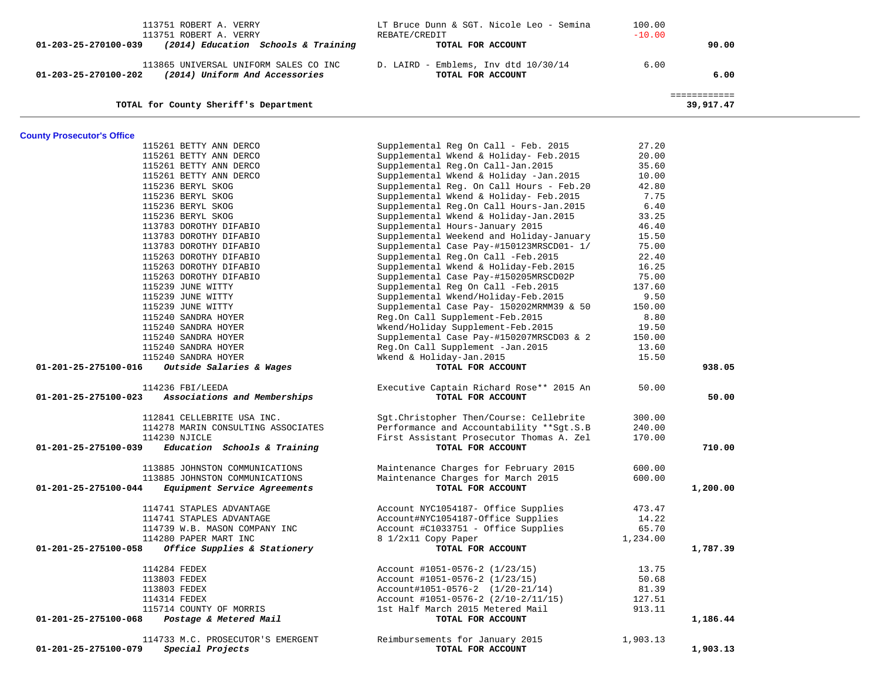| 113751 ROBERT A. VERRY                                      | LT Bruce Dunn & SGT. Nicole Leo - Semina  | 100.00   |              |  |
|-------------------------------------------------------------|-------------------------------------------|----------|--------------|--|
| 113751 ROBERT A. VERRY                                      | REBATE/CREDIT                             | $-10.00$ |              |  |
| (2014) Education Schools & Training<br>01-203-25-270100-039 | TOTAL FOR ACCOUNT                         |          | 90.00        |  |
|                                                             |                                           |          |              |  |
| 113865 UNIVERSAL UNIFORM SALES CO INC                       | D. LAIRD - Emblems, Inv dtd 10/30/14      | 6.00     |              |  |
| (2014) Uniform And Accessories<br>01-203-25-270100-202      | TOTAL FOR ACCOUNT                         |          | 6.00         |  |
|                                                             |                                           |          |              |  |
|                                                             |                                           |          | ============ |  |
| TOTAL for County Sheriff's Department                       |                                           |          | 39,917.47    |  |
|                                                             |                                           |          |              |  |
| <b>County Prosecutor's Office</b>                           |                                           |          |              |  |
| 115261 BETTY ANN DERCO                                      | Supplemental Reg On Call - Feb. 2015      | 27.20    |              |  |
| 115261 BETTY ANN DERCO                                      | Supplemental Wkend & Holiday- Feb. 2015   | 20.00    |              |  |
| 115261 BETTY ANN DERCO                                      | Supplemental Reg.On Call-Jan.2015         | 35.60    |              |  |
| 115261 BETTY ANN DERCO                                      | Supplemental Wkend & Holiday -Jan.2015    | 10.00    |              |  |
| 115236 BERYL SKOG                                           | Supplemental Reg. On Call Hours - Feb. 20 | 42.80    |              |  |
| 115236 BERYL SKOG                                           | Supplemental Wkend & Holiday- Feb. 2015   | 7.75     |              |  |
| 115236 BERYL SKOG                                           | Supplemental Reg.On Call Hours-Jan. 2015  | 6.40     |              |  |
| 115236 BERYL SKOG                                           | Supplemental Wkend & Holiday-Jan. 2015    | 33.25    |              |  |
| 113783 DOROTHY DIFABIO                                      | Supplemental Hours-January 2015           | 46.40    |              |  |
| 113783 DOROTHY DIFABIO                                      | Supplemental Weekend and Holiday-January  | 15.50    |              |  |
| 113783 DOROTHY DIFABIO                                      | Supplemental Case Pay-#150123MRSCD01- 1/  | 75.00    |              |  |
| 115263 DOROTHY DIFABIO                                      | Supplemental Reg.On Call -Feb. 2015       | 22.40    |              |  |
| 115263 DOROTHY DIFABIO                                      | Supplemental Wkend & Holiday-Feb. 2015    | 16.25    |              |  |
| 115263 DOROTHY DIFABIO                                      | Supplemental Case Pay-#150205MRSCD02P     | 75.00    |              |  |
| 115239 JUNE WITTY                                           | Supplemental Reg On Call -Feb. 2015       | 137.60   |              |  |
| 115239 JUNE WITTY                                           | Supplemental Wkend/Holiday-Feb.2015       | 9.50     |              |  |
| 115239 JUNE WITTY                                           | Supplemental Case Pay- 150202MRMM39 & 50  | 150.00   |              |  |
| 115240 SANDRA HOYER                                         | Reg.On Call Supplement-Feb.2015           | 8.80     |              |  |
| 115240 SANDRA HOYER                                         | Wkend/Holiday Supplement-Feb. 2015        | 19.50    |              |  |
| 115240 SANDRA HOYER                                         | Supplemental Case Pay-#150207MRSCD03 & 2  | 150.00   |              |  |
| 115240 SANDRA HOYER                                         | Reg.On Call Supplement -Jan. 2015         | 13.60    |              |  |
| 115240 SANDRA HOYER                                         | Wkend & Holiday-Jan.2015                  | 15.50    |              |  |
| 01-201-25-275100-016<br>Outside Salaries & Wages            | TOTAL FOR ACCOUNT                         |          | 938.05       |  |
| 114236 FBI/LEEDA                                            | Executive Captain Richard Rose** 2015 An  | 50.00    |              |  |
| Associations and Memberships<br>01-201-25-275100-023        | TOTAL FOR ACCOUNT                         |          | 50.00        |  |
| 112841 CELLEBRITE USA INC.                                  | Sgt. Christopher Then/Course: Cellebrite  | 300.00   |              |  |
| 114278 MARIN CONSULTING ASSOCIATES                          | Performance and Accountability **Sqt.S.B  | 240.00   |              |  |
| 114230 NJICLE                                               | First Assistant Prosecutor Thomas A. Zel  | 170.00   |              |  |
| Education Schools & Training<br>01-201-25-275100-039        | TOTAL FOR ACCOUNT                         |          | 710.00       |  |
|                                                             |                                           |          |              |  |
| 113885 JOHNSTON COMMUNICATIONS                              | Maintenance Charges for February 2015     | 600.00   |              |  |
| 113885 JOHNSTON COMMUNICATIONS                              | Maintenance Charges for March 2015        | 600.00   |              |  |
| Equipment Service Agreements<br>01-201-25-275100-044        | TOTAL FOR ACCOUNT                         |          | 1,200.00     |  |
| 114741 STAPLES ADVANTAGE                                    | Account NYC1054187- Office Supplies       | 473.47   |              |  |
| 114741 STAPLES ADVANTAGE                                    | Account#NYC1054187-Office Supplies        | 14.22    |              |  |
| 114739 W.B. MASON COMPANY INC                               | Account #C1033751 - Office Supplies       | 65.70    |              |  |
| 114280 PAPER MART INC                                       | 8 1/2x11 Copy Paper                       | 1,234.00 |              |  |
| Office Supplies & Stationery<br>01-201-25-275100-058        | TOTAL FOR ACCOUNT                         |          | 1,787.39     |  |
|                                                             |                                           |          |              |  |
| 114284 FEDEX                                                | Account #1051-0576-2 (1/23/15)            | 13.75    |              |  |
| 113803 FEDEX                                                | Account #1051-0576-2 (1/23/15)            | 50.68    |              |  |
| 113803 FEDEX                                                | $Account#1051-0576-2 (1/20-21/14)$        | 81.39    |              |  |
| 114314 FEDEX                                                | Account #1051-0576-2 (2/10-2/11/15)       | 127.51   |              |  |
| 115714 COUNTY OF MORRIS                                     | 1st Half March 2015 Metered Mail          | 913.11   |              |  |
| 01-201-25-275100-068<br>Postage & Metered Mail              | TOTAL FOR ACCOUNT                         |          | 1,186.44     |  |
| 114733 M.C. PROSECUTOR'S EMERGENT                           | Reimbursements for January 2015           | 1,903.13 |              |  |
| 01-201-25-275100-079<br>Special Projects                    | TOTAL FOR ACCOUNT                         |          | 1,903.13     |  |
|                                                             |                                           |          |              |  |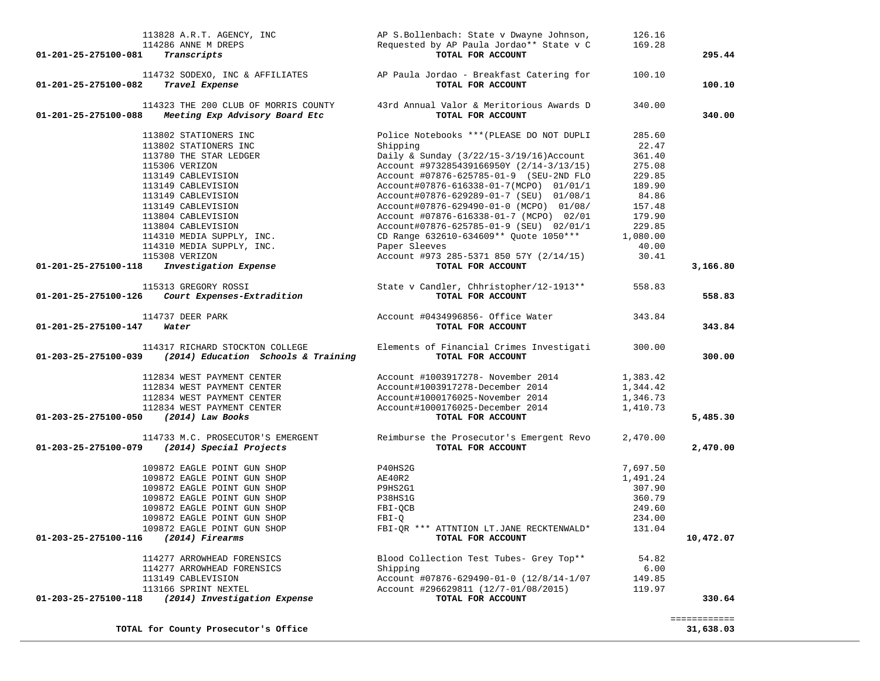| 113828 A.R.T. AGENCY, INC                                   | AP S.Bollenbach: State v Dwayne Johnson,                                 | 126.16   |              |
|-------------------------------------------------------------|--------------------------------------------------------------------------|----------|--------------|
| 114286 ANNE M DREPS                                         | Requested by AP Paula Jordao** State v C                                 | 169.28   |              |
| 01-201-25-275100-081<br>Transcripts                         | TOTAL FOR ACCOUNT                                                        |          | 295.44       |
|                                                             | 114732 SODEXO, INC & AFFILIATES AP Paula Jordao - Breakfast Catering for | 100.10   |              |
| Travel Expense<br>01-201-25-275100-082                      | TOTAL FOR ACCOUNT                                                        |          | 100.10       |
| 114323 THE 200 CLUB OF MORRIS COUNTY                        | 43rd Annual Valor & Meritorious Awards D                                 | 340.00   |              |
| Meeting Exp Advisory Board Etc<br>01-201-25-275100-088      | TOTAL FOR ACCOUNT                                                        |          | 340.00       |
| 113802 STATIONERS INC                                       | Police Notebooks *** (PLEASE DO NOT DUPLI                                | 285.60   |              |
| 113802 STATIONERS INC                                       | Shipping                                                                 | 22.47    |              |
| 113780 THE STAR LEDGER                                      | Daily & Sunday $(3/22/15-3/19/16)$ Account                               | 361.40   |              |
| 115306 VERIZON                                              | Account #973285439166950Y (2/14-3/13/15)                                 | 275.08   |              |
| 113149 CABLEVISION                                          | Account #07876-625785-01-9 (SEU-2ND FLO                                  | 229.85   |              |
| 113149 CABLEVISION                                          | Account#07876-616338-01-7(MCPO) 01/01/1                                  | 189.90   |              |
| 113149 CABLEVISION                                          | Account#07876-629289-01-7 (SEU) 01/08/1                                  | 84.86    |              |
| 113149 CABLEVISION                                          | Account#07876-629490-01-0 (MCPO) 01/08/                                  | 157.48   |              |
| 113804 CABLEVISION                                          | Account #07876-616338-01-7 (MCPO) 02/01                                  | 179.90   |              |
| 113804 CABLEVISION                                          | Account#07876-625785-01-9 (SEU) 02/01/1                                  | 229.85   |              |
| 114310 MEDIA SUPPLY, INC.                                   | CD Range 632610-634609 ** Quote 1050 ***                                 | 1,080.00 |              |
| 114310 MEDIA SUPPLY, INC.                                   | Paper Sleeves                                                            | 40.00    |              |
| 115308 VERIZON                                              | Account #973 285-5371 850 57Y (2/14/15)                                  | 30.41    |              |
| Investigation Expense<br>01-201-25-275100-118               | TOTAL FOR ACCOUNT                                                        |          | 3,166.80     |
| 115313 GREGORY ROSSI                                        | State v Candler, Chhristopher/12-1913**                                  | 558.83   |              |
| 01-201-25-275100-126<br>Court Expenses-Extradition          | TOTAL FOR ACCOUNT                                                        |          | 558.83       |
| 114737 DEER PARK                                            | Account #0434996856- Office Water                                        | 343.84   |              |
| 01-201-25-275100-147<br>Water                               | TOTAL FOR ACCOUNT                                                        |          | 343.84       |
| 114317 RICHARD STOCKTON COLLEGE                             | Elements of Financial Crimes Investigati                                 | 300.00   |              |
| (2014) Education Schools & Training<br>01-203-25-275100-039 | TOTAL FOR ACCOUNT                                                        |          | 300.00       |
| 112834 WEST PAYMENT CENTER                                  | Account #1003917278- November 2014                                       | 1,383.42 |              |
| 112834 WEST PAYMENT CENTER                                  | Account#1003917278-December 2014                                         | 1,344.42 |              |
| 112834 WEST PAYMENT CENTER                                  | Account#1000176025-November 2014                                         | 1,346.73 |              |
| 112834 WEST PAYMENT CENTER                                  | Account#1000176025-December 2014                                         | 1,410.73 |              |
| 01-203-25-275100-050 (2014) Law Books                       | TOTAL FOR ACCOUNT                                                        |          | 5,485.30     |
| 114733 M.C. PROSECUTOR'S EMERGENT                           | Reimburse the Prosecutor's Emergent Revo                                 | 2,470.00 |              |
| 01-203-25-275100-079<br>(2014) Special Projects             | TOTAL FOR ACCOUNT                                                        |          | 2,470.00     |
| 109872 EAGLE POINT GUN SHOP                                 | P40HS2G                                                                  | 7,697.50 |              |
| 109872 EAGLE POINT GUN SHOP                                 | AE40R2                                                                   | 1,491.24 |              |
| 109872 EAGLE POINT GUN SHOP                                 | P9HS2G1                                                                  | 307.90   |              |
| 109872 EAGLE POINT GUN SHOP                                 | P38HS1G                                                                  | 360.79   |              |
| 109872 EAGLE POINT GUN SHOP                                 | FBI-QCB                                                                  | 249.60   |              |
| 109872 EAGLE POINT GUN SHOP                                 | $FBI-O$                                                                  | 234.00   |              |
| 109872 EAGLE POINT GUN SHOP                                 | FBI-QR *** ATTNTION LT.JANE RECKTENWALD*                                 | 131.04   |              |
| 01-203-25-275100-116 (2014) Firearms                        | TOTAL FOR ACCOUNT                                                        |          | 10,472.07    |
| 114277 ARROWHEAD FORENSICS                                  | Blood Collection Test Tubes- Grey Top**                                  | 54.82    |              |
| 114277 ARROWHEAD FORENSICS                                  | Shipping                                                                 | 6.00     |              |
| 113149 CABLEVISION                                          | Account #07876-629490-01-0 (12/8/14-1/07                                 | 149.85   |              |
| 113166 SPRINT NEXTEL                                        | Account #296629811 (12/7-01/08/2015)                                     | 119.97   |              |
| (2014) Investigation Expense<br>01-203-25-275100-118        | TOTAL FOR ACCOUNT                                                        |          | 330.64       |
|                                                             |                                                                          |          | ============ |
| TOTAL for County Prosecutor's Office                        |                                                                          |          | 31,638.03    |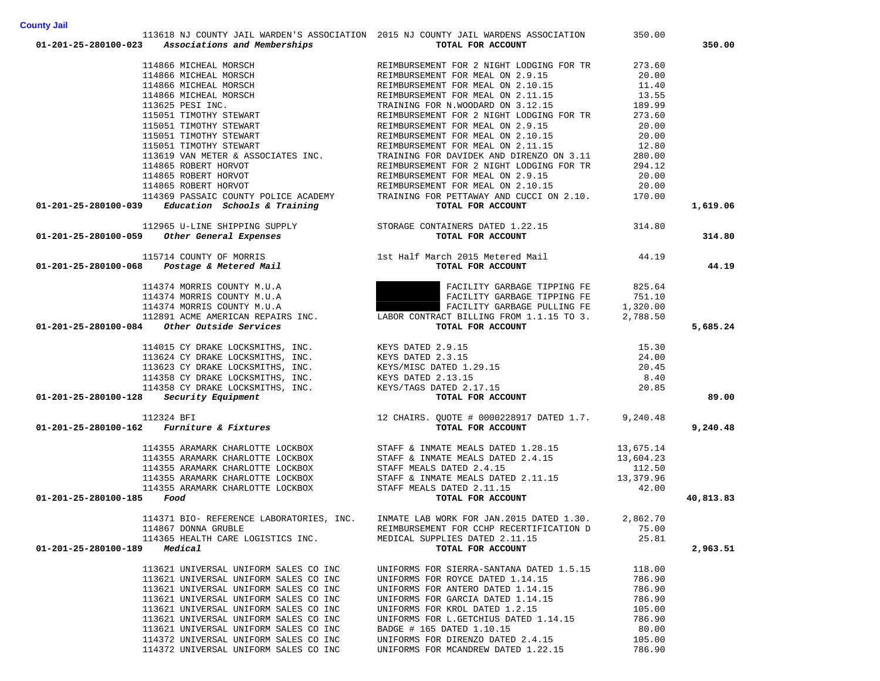| 114866 MICHEAL MORSCH                                                                                                           | REIMBURSEMENT FOR MEAL ON 2.9.15                                                                                                                                                                                                                 | 20.00  |           |
|---------------------------------------------------------------------------------------------------------------------------------|--------------------------------------------------------------------------------------------------------------------------------------------------------------------------------------------------------------------------------------------------|--------|-----------|
|                                                                                                                                 | 114866 MICHEAL MORSCH<br>114866 MICHEAL MORSCH<br>114866 MICHEAL MORSCH<br>114866 MICHEAL MORSCH<br>115051 TIMOTHY STEWART<br>115051 TIMOTHY STEWART<br>115051 TIMOTHY STEWART<br>115051 TIMOTHY STEWART<br>115051 TIMOTHY STEWART<br>115051 TIM | 11.40  |           |
|                                                                                                                                 |                                                                                                                                                                                                                                                  | 13.55  |           |
|                                                                                                                                 |                                                                                                                                                                                                                                                  | 189.99 |           |
|                                                                                                                                 |                                                                                                                                                                                                                                                  | 273.60 |           |
|                                                                                                                                 |                                                                                                                                                                                                                                                  | 20.00  |           |
|                                                                                                                                 |                                                                                                                                                                                                                                                  | 20.00  |           |
|                                                                                                                                 |                                                                                                                                                                                                                                                  | 12.80  |           |
|                                                                                                                                 |                                                                                                                                                                                                                                                  | 280.00 |           |
| 114865 ROBERT HORVOT                                                                                                            | REIMBURSEMENT FOR 2 NIGHT LODGING FOR TR                                                                                                                                                                                                         | 294.12 |           |
| 114865 ROBERT HORVOT                                                                                                            | REIMBURSEMENT FOR 2 NIGHT LODGING FOR TR<br>REIMBURSEMENT FOR MEAL ON 2.9.15                                                                                                                                                                     | 20.00  |           |
| 114865 ROBERT HORVOT                                                                                                            | REIMBURSEMENT FOR MEAL ON 2.10.15                                                                                                                                                                                                                | 20.00  |           |
| 114369 PASSAIC COUNTY POLICE ACADEMY                                                                                            | TRAINING FOR PETTAWAY AND CUCCI ON 2.10.                                                                                                                                                                                                         | 170.00 |           |
| $01-201-25-280100-039$ Education Schools & Training                                                                             | TOTAL FOR ACCOUNT                                                                                                                                                                                                                                |        | 1,619.06  |
|                                                                                                                                 |                                                                                                                                                                                                                                                  |        |           |
|                                                                                                                                 |                                                                                                                                                                                                                                                  |        |           |
| 112965 U-LINE SHIPPING SUPPLY STORAGE CONTAINERS DATED 1.22.15<br>01-201-25-280100-059 Other General Expenses TOTAL FOR ACCOUNT |                                                                                                                                                                                                                                                  |        | 314.80    |
|                                                                                                                                 |                                                                                                                                                                                                                                                  |        |           |
|                                                                                                                                 | 115714 COUNTY OF MORRIS 1st Half March 2015 Metered Mail 44.19                                                                                                                                                                                   |        |           |
| 01-201-25-280100-068  Postage & Metered Mail                                                                                    | TOTAL FOR ACCOUNT                                                                                                                                                                                                                                |        | 44.19     |
|                                                                                                                                 |                                                                                                                                                                                                                                                  |        |           |
| 114374 MORRIS COUNTY M.U.A                                                                                                      | FACILITY GARBAGE TIPPING FE 825.64                                                                                                                                                                                                               |        |           |
|                                                                                                                                 |                                                                                                                                                                                                                                                  |        |           |
|                                                                                                                                 | 114374 MORRIS COUNTY M.U.A<br>114374 MORRIS COUNTY M.U.A<br>114374 MORRIS COUNTY M.U.A<br>114374 MORRIS COUNTY M.U.A<br>112891 ACME AMERICAN REPAIRS INC.<br>12891 ACME AMERICAN REPAIRS INC.<br>12891 ACME AMERICAN REPAIRS INC.<br>12891 A     |        |           |
|                                                                                                                                 |                                                                                                                                                                                                                                                  |        |           |
| $01-201-25-280100-084$ Other Outside Services                                                                                   | TOTAL FOR ACCOUNT                                                                                                                                                                                                                                |        | 5,685.24  |
|                                                                                                                                 |                                                                                                                                                                                                                                                  |        |           |
|                                                                                                                                 |                                                                                                                                                                                                                                                  | 15.30  |           |
|                                                                                                                                 |                                                                                                                                                                                                                                                  | 24.00  |           |
|                                                                                                                                 |                                                                                                                                                                                                                                                  | 20.45  |           |
|                                                                                                                                 |                                                                                                                                                                                                                                                  | 8.40   |           |
|                                                                                                                                 |                                                                                                                                                                                                                                                  | 20.85  |           |
| $01-201-25-280100-128$ Security Equipment                                                                                       | 114015 CY DRAKE LOCKSMITHS, INC.<br>113624 CY DRAKE LOCKSMITHS, INC.<br>113623 CY DRAKE LOCKSMITHS, INC.<br>11358 CY DRAKE LOCKSMITHS, INC.<br>114358 CY DRAKE LOCKSMITHS, INC.<br>114358 CY DRAKE LOCKSMITHS, INC.<br>114358 CY DRAKE LOC       |        | 89.00     |
| 112324 BFI<br>112324 BFI 12 CHAIRS. QUOTE # 0000228917 DATED 1.7. 9,240.48<br>TOTAL ROD ACCORD                                  |                                                                                                                                                                                                                                                  |        |           |
|                                                                                                                                 |                                                                                                                                                                                                                                                  |        |           |
|                                                                                                                                 |                                                                                                                                                                                                                                                  |        | 9,240.48  |
|                                                                                                                                 |                                                                                                                                                                                                                                                  |        |           |
|                                                                                                                                 | 114355 ARAMARK CHARLOTTE LOCKBOX STAFF & INMATE MEALS DATED $1.28.15$ 13,675.14                                                                                                                                                                  |        |           |
|                                                                                                                                 |                                                                                                                                                                                                                                                  |        |           |
|                                                                                                                                 | 114355 ARAMARK CHARLOTTE LOCKBOX<br>114355 ARAMARK CHARLOTTE LOCKBOX STAFF MEALS DATED 2.4.15<br>112.50                                                                                                                                          |        |           |
|                                                                                                                                 |                                                                                                                                                                                                                                                  |        |           |
|                                                                                                                                 | 114355 ARAMARK CHARLOTTE LOCKBOX<br>114355 ARAMARK CHARLOTTE LOCKBOX STAFF & INMATE MEALS DATED 2.11.15<br>5 <b>Food</b> TOTAL FOR ACCOUNT                                                                                                       |        |           |
| 01-201-25-280100-185 Food                                                                                                       |                                                                                                                                                                                                                                                  |        | 40,813.83 |
|                                                                                                                                 |                                                                                                                                                                                                                                                  |        |           |
|                                                                                                                                 | 114371 BIO- REFERENCE LABORATORIES, INC. INMATE LAB WORK FOR JAN.2015 DATED 1.30. 2,862.70<br>REIMBURSEMENT FOR CCHP RECERTIFICATION D 75.00                                                                                                     |        |           |
|                                                                                                                                 |                                                                                                                                                                                                                                                  |        |           |
|                                                                                                                                 | 114365 HEALTH CARE LOGISTICS INC.<br><b>MEDICAL SUPPLIES DATED 2.11.15</b><br><b>MEDICAL SUPPLIES DATED 2.11.15</b><br><b>MEDICAL SUPPLIES DATED 2.11.15</b>                                                                                     | 25.81  |           |
| 01-201-25-280100-189 Medical                                                                                                    |                                                                                                                                                                                                                                                  |        | 2,963.51  |
|                                                                                                                                 | 113621 UNIVERSAL UNIFORM SALES CO INC UNIFORMS FOR SIERRA-SANTANA DATED 1.5.15 118.00                                                                                                                                                            |        |           |
|                                                                                                                                 |                                                                                                                                                                                                                                                  |        |           |
| 113621 UNIVERSAL UNIFORM SALES CO INC                                                                                           | UNIFORMS FOR ROYCE DATED 1.14.15                                                                                                                                                                                                                 | 786.90 |           |
| 113621 UNIVERSAL UNIFORM SALES CO INC                                                                                           | UNIFORMS FOR ANTERO DATED 1.14.15                                                                                                                                                                                                                | 786.90 |           |
| 113621 UNIVERSAL UNIFORM SALES CO INC                                                                                           | UNIFORMS FOR GARCIA DATED 1.14.15                                                                                                                                                                                                                | 786.90 |           |
| 113621 UNIVERSAL UNIFORM SALES CO INC                                                                                           | UNIFORMS FOR KROL DATED 1.2.15                                                                                                                                                                                                                   | 105.00 |           |
| 113621 UNIVERSAL UNIFORM SALES CO INC                                                                                           | UNIFORMS FOR L.GETCHIUS DATED 1.14.15                                                                                                                                                                                                            | 786.90 |           |
| 113621 UNIVERSAL UNIFORM SALES CO INC                                                                                           | BADGE # 165 DATED 1.10.15                                                                                                                                                                                                                        | 80.00  |           |
| 114372 UNIVERSAL UNIFORM SALES CO INC                                                                                           | UNIFORMS FOR DIRENZO DATED 2.4.15                                                                                                                                                                                                                | 105.00 |           |
| 114372 UNIVERSAL UNIFORM SALES CO INC                                                                                           | UNIFORMS FOR MCANDREW DATED 1.22.15                                                                                                                                                                                                              | 786.90 |           |

 113618 NJ COUNTY JAIL WARDEN'S ASSOCIATION 2015 NJ COUNTY JAIL WARDENS ASSOCIATION 350.00  **01-201-25-280100-023** *Associations and Memberships* **TOTAL FOR ACCOUNT 350.00**

273.60

114866 MICHEAL MORSCH REIMBURSEMENT FOR 2 NIGHT LODGING FOR TR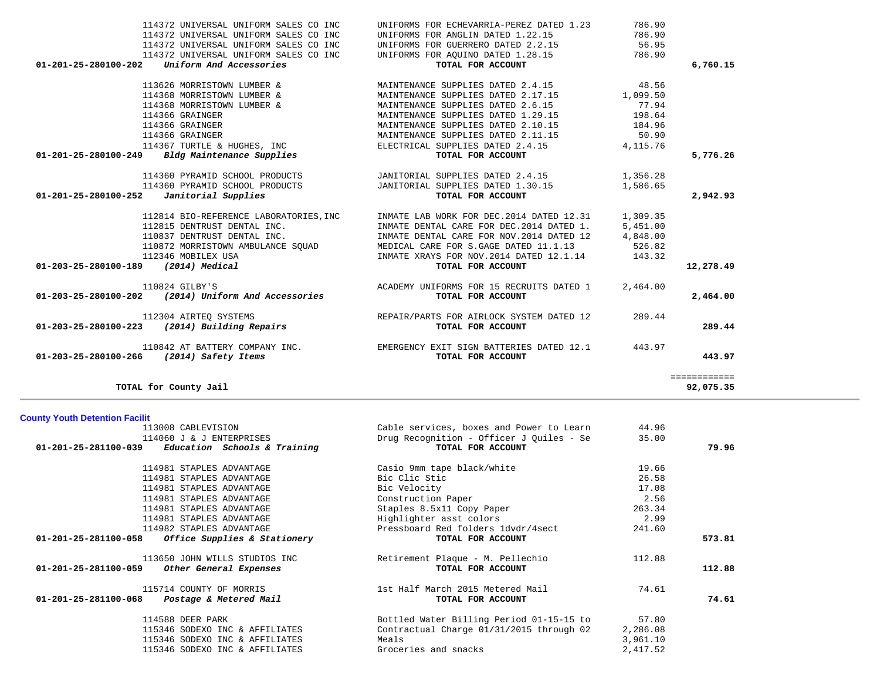| 113008 CABLEVISION                                  | Cable services, boxes and Power to Learn | 44.96    |        |
|-----------------------------------------------------|------------------------------------------|----------|--------|
| 114060 J & J ENTERPRISES                            | Drug Recognition - Officer J Quiles - Se | 35.00    |        |
| $01-201-25-281100-039$ Education Schools & Training | TOTAL FOR ACCOUNT                        |          | 79.96  |
| 114981 STAPLES ADVANTAGE                            | Casio 9mm tape black/white               | 19.66    |        |
| 114981 STAPLES ADVANTAGE                            | Bic Clic Stic                            | 26.58    |        |
| 114981 STAPLES ADVANTAGE                            | Bic Velocity                             | 17.08    |        |
| 114981 STAPLES ADVANTAGE                            | Construction Paper                       | 2.56     |        |
| 114981 STAPLES ADVANTAGE                            | Staples 8.5x11 Copy Paper                | 263.34   |        |
| 114981 STAPLES ADVANTAGE                            | Highlighter asst colors                  | 2.99     |        |
| 114982 STAPLES ADVANTAGE                            | Pressboard Red folders 1dvdr/4sect       | 241.60   |        |
| $01-201-25-281100-058$ Office Supplies & Stationery | TOTAL FOR ACCOUNT                        |          | 573.81 |
| 113650 JOHN WILLS STUDIOS INC                       | Retirement Plaque - M. Pellechio         | 112.88   |        |
| $01-201-25-281100-059$ Other General Expenses       | TOTAL FOR ACCOUNT                        |          | 112.88 |
| 115714 COUNTY OF MORRIS                             | 1st Half March 2015 Metered Mail         | 74.61    |        |
| 01-201-25-281100-068 Postage & Metered Mail         | TOTAL FOR ACCOUNT                        |          | 74.61  |
| 114588 DEER PARK                                    | Bottled Water Billing Period 01-15-15 to | 57.80    |        |
| 115346 SODEXO INC & AFFILIATES                      | Contractual Charge 01/31/2015 through 02 | 2,286.08 |        |
| 115346 SODEXO INC & AFFILIATES                      | Meals                                    | 3,961.10 |        |
| 115346 SODEXO INC & AFFILIATES                      | Groceries and snacks                     | 2,417.52 |        |

| 113626 MORRISTOWN LUMBER &                        | MAINTENANCE SUPPLIES DATED 2.4.15         | 48.56    |           |
|---------------------------------------------------|-------------------------------------------|----------|-----------|
| 114368 MORRISTOWN LUMBER &                        | MAINTENANCE SUPPLIES DATED 2.17.15        | 1,099.50 |           |
| 114368 MORRISTOWN LUMBER &                        | MAINTENANCE SUPPLIES DATED 2.6.15         | 77.94    |           |
| 114366 GRAINGER                                   | MAINTENANCE SUPPLIES DATED 1.29.15        | 198.64   |           |
| 114366 GRAINGER                                   | MAINTENANCE SUPPLIES DATED 2.10.15        | 184.96   |           |
| 114366 GRAINGER                                   | MAINTENANCE SUPPLIES DATED 2.11.15        | 50.90    |           |
| 114367 TURTLE & HUGHES, INC                       | ELECTRICAL SUPPLIES DATED 2.4.15          | 4,115.76 |           |
| Bldg Maintenance Supplies<br>01-201-25-280100-249 | TOTAL FOR ACCOUNT                         |          | 5,776.26  |
| 114360 PYRAMID SCHOOL PRODUCTS                    | JANITORIAL SUPPLIES DATED 2.4.15          | 1,356.28 |           |
| 114360 PYRAMID SCHOOL PRODUCTS                    | JANITORIAL SUPPLIES DATED 1.30.15         | 1,586.65 |           |
| Janitorial Supplies<br>01-201-25-280100-252       | TOTAL FOR ACCOUNT                         |          | 2,942.93  |
| 112814 BIO-REFERENCE LABORATORIES, INC            | INMATE LAB WORK FOR DEC.2014 DATED 12.31  | 1,309.35 |           |
| 112815 DENTRUST DENTAL INC.                       | INMATE DENTAL CARE FOR DEC.2014 DATED 1.  | 5,451.00 |           |
| 110837 DENTRUST DENTAL INC.                       | INMATE DENTAL CARE FOR NOV. 2014 DATED 12 | 4,848.00 |           |
| 110872 MORRISTOWN AMBULANCE SOUAD                 | MEDICAL CARE FOR S.GAGE DATED 11.1.13     | 526.82   |           |
| 112346 MOBILEX USA                                | INMATE XRAYS FOR NOV.2014 DATED 12.1.14   | 143.32   |           |
| (2014) Medical<br>01-203-25-280100-189            | TOTAL FOR ACCOUNT                         |          | 12,278.49 |

 110824 GILBY'S ACADEMY UNIFORMS FOR 15 RECRUITS DATED 1 2,464.00  **01-203-25-280100-202** *(2014) Uniform And Accessories* **TOTAL FOR ACCOUNT 2,464.00**

 112304 AIRTEQ SYSTEMS REPAIR/PARTS FOR AIRLOCK SYSTEM DATED 12 289.44  **01-203-25-280100-223** *(2014) Building Repairs* **TOTAL FOR ACCOUNT 289.44**

**TOTAL for County Jail 92,075.35**

 **01-203-25-280100-266** *(2014) Safety Items* **TOTAL FOR ACCOUNT 443.97**

============

110842 AT BATTERY COMPANY INC. EMERGENCY EXIT SIGN BATTERIES DATED 12.1 443.97

**County Youth Detention Facilit**

|                      |                                       |  |                                          | .      |          |
|----------------------|---------------------------------------|--|------------------------------------------|--------|----------|
| 01-201-25-280100-202 | Uniform And Accessories               |  | TOTAL FOR ACCOUNT                        |        | 6,760.15 |
|                      | 114372 UNIVERSAL UNIFORM SALES CO INC |  | UNIFORMS FOR AOUINO DATED 1.28.15        | 786.90 |          |
|                      | 114372 UNIVERSAL UNIFORM SALES CO INC |  | UNIFORMS FOR GUERRERO DATED 2.2.15       | 56.95  |          |
|                      | 114372 UNIVERSAL UNIFORM SALES CO INC |  | UNIFORMS FOR ANGLIN DATED 1.22.15        | 786.90 |          |
|                      | 114372 UNIVERSAL UNIFORM SALES CO INC |  | UNIFORMS FOR ECHEVARRIA-PEREZ DATED 1.23 | 786.90 |          |
|                      |                                       |  |                                          |        |          |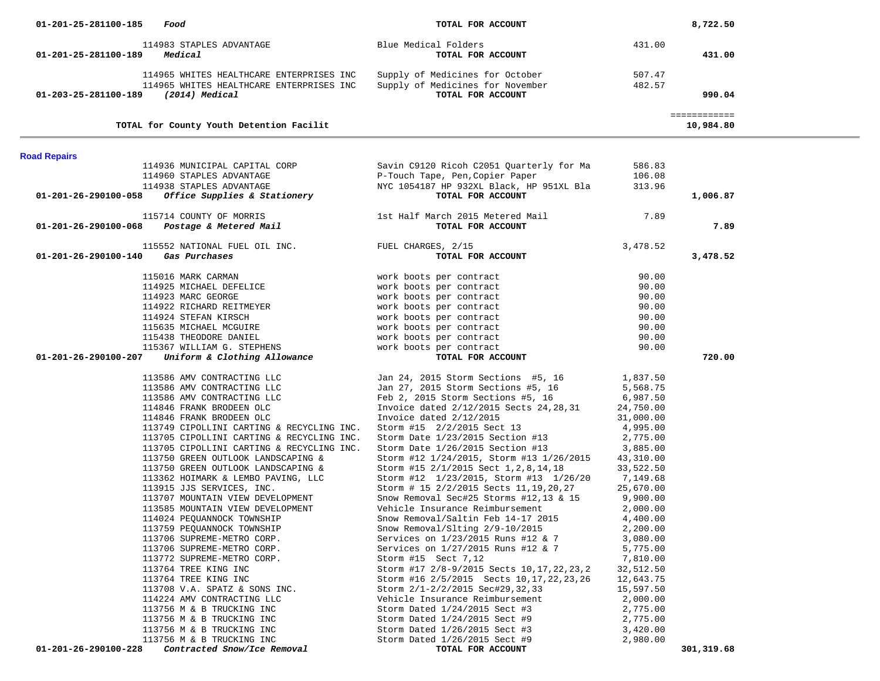| 01-201-25-281100-185<br>Food                                             | TOTAL FOR ACCOUNT                                                                  |                       | 8,722.50     |  |
|--------------------------------------------------------------------------|------------------------------------------------------------------------------------|-----------------------|--------------|--|
| 114983 STAPLES ADVANTAGE                                                 | Blue Medical Folders                                                               | 431.00                |              |  |
| Medical<br>01-201-25-281100-189                                          | TOTAL FOR ACCOUNT                                                                  |                       | 431.00       |  |
|                                                                          |                                                                                    |                       |              |  |
| 114965 WHITES HEALTHCARE ENTERPRISES INC                                 | Supply of Medicines for October                                                    | 507.47                |              |  |
| 114965 WHITES HEALTHCARE ENTERPRISES INC                                 | Supply of Medicines for November                                                   | 482.57                |              |  |
| 01-203-25-281100-189<br>(2014) Medical                                   | TOTAL FOR ACCOUNT                                                                  |                       | 990.04       |  |
|                                                                          |                                                                                    |                       | ============ |  |
| TOTAL for County Youth Detention Facilit                                 |                                                                                    |                       | 10,984.80    |  |
|                                                                          |                                                                                    |                       |              |  |
| <b>Road Repairs</b><br>114936 MUNICIPAL CAPITAL CORP                     | Savin C9120 Ricoh C2051 Quarterly for Ma                                           |                       |              |  |
| 114960 STAPLES ADVANTAGE                                                 | P-Touch Tape, Pen, Copier Paper                                                    | 586.83<br>106.08      |              |  |
| 114938 STAPLES ADVANTAGE                                                 | NYC 1054187 HP 932XL Black, HP 951XL Bla                                           | 313.96                |              |  |
| <i>Office Supplies &amp; Stationery</i><br>01-201-26-290100-058          | TOTAL FOR ACCOUNT                                                                  |                       | 1,006.87     |  |
|                                                                          |                                                                                    |                       |              |  |
| 115714 COUNTY OF MORRIS                                                  | 1st Half March 2015 Metered Mail                                                   | 7.89                  |              |  |
| Postage & Metered Mail<br>01-201-26-290100-068                           | TOTAL FOR ACCOUNT                                                                  |                       | 7.89         |  |
|                                                                          |                                                                                    |                       |              |  |
| 115552 NATIONAL FUEL OIL INC. TUEL CHARGES, 2/15<br>01-201-26-290100-140 |                                                                                    | 3,478.52              |              |  |
| Gas Purchases                                                            | TOTAL FOR ACCOUNT                                                                  |                       | 3,478.52     |  |
| 115016 MARK CARMAN                                                       | work boots per contract                                                            | 90.00                 |              |  |
| 114925 MICHAEL DEFELICE                                                  | work boots per contract                                                            | 90.00                 |              |  |
| 114923 MARC GEORGE                                                       | work boots per contract                                                            | 90.00                 |              |  |
| 114922 RICHARD REITMEYER                                                 | work boots per contract                                                            | 90.00                 |              |  |
| 114924 STEFAN KIRSCH                                                     | work boots per contract                                                            | 90.00                 |              |  |
| 115635 MICHAEL MCGUIRE                                                   | work boots per contract                                                            | 90.00                 |              |  |
| 115438 THEODORE DANIEL                                                   | work boots per contract                                                            | 90.00                 |              |  |
| 115367 WILLIAM G. STEPHENS                                               | work boots per contract                                                            | 90.00                 |              |  |
| Uniform & Clothing Allowance<br>01-201-26-290100-207                     | TOTAL FOR ACCOUNT                                                                  |                       | 720.00       |  |
| 113586 AMV CONTRACTING LLC                                               | Jan 24, 2015 Storm Sections #5, 16                                                 | 1,837.50              |              |  |
| 113586 AMV CONTRACTING LLC                                               | Jan 27, 2015 Storm Sections #5, 16                                                 | 5,568.75              |              |  |
| 113586 AMV CONTRACTING LLC                                               | Feb 2, 2015 Storm Sections #5, 16                                                  | 6,987.50              |              |  |
| 114846 FRANK BRODEEN OLC                                                 | Invoice dated 2/12/2015 Sects 24, 28, 31                                           | 24,750.00             |              |  |
| 114846 FRANK BRODEEN OLC                                                 | Invoice dated $2/12/2015$                                                          | 31,000.00             |              |  |
| 113749 CIPOLLINI CARTING & RECYCLING INC.                                | Storm #15 2/2/2015 Sect 13                                                         | 4,995.00              |              |  |
| 113705 CIPOLLINI CARTING & RECYCLING INC.                                | Storm Date 1/23/2015 Section #13                                                   | 2,775.00              |              |  |
| 113705 CIPOLLINI CARTING & RECYCLING INC.                                | Storm Date 1/26/2015 Section #13                                                   | 3,885.00              |              |  |
| 113750 GREEN OUTLOOK LANDSCAPING &                                       | Storm #12 1/24/2015, Storm #13 1/26/2015                                           | 43,310.00             |              |  |
| 113750 GREEN OUTLOOK LANDSCAPING &                                       | Storm #15 2/1/2015 Sect 1, 2, 8, 14, 18                                            | 33,522.50             |              |  |
| 113362 HOIMARK & LEMBO PAVING, LLC                                       | Storm #12 1/23/2015, Storm #13 1/26/20                                             | 7,149.68              |              |  |
| 113915 JJS SERVICES, INC.                                                | Storm # 15 2/2/2015 Sects 11, 19, 20, 27<br>Snow Removal Sec#25 Storms #12,13 & 15 | 25,670.00<br>9,900.00 |              |  |
| 113707 MOUNTAIN VIEW DEVELOPMENT<br>113585 MOUNTAIN VIEW DEVELOPMENT     | Vehicle Insurance Reimbursement                                                    | 2,000.00              |              |  |
| 114024 PEQUANNOCK TOWNSHIP                                               | Snow Removal/Saltin Feb 14-17 2015                                                 | 4,400.00              |              |  |
| 113759 PEQUANNOCK TOWNSHIP                                               | Snow Removal/Slting 2/9-10/2015                                                    | 2,200.00              |              |  |
| 113706 SUPREME-METRO CORP.                                               | Services on 1/23/2015 Runs #12 & 7                                                 | 3,080.00              |              |  |
| 113706 SUPREME-METRO CORP.                                               | Services on 1/27/2015 Runs #12 & 7                                                 | 5,775.00              |              |  |
| 113772 SUPREME-METRO CORP.                                               | Storm #15 Sect 7,12                                                                | 7,810.00              |              |  |
| 113764 TREE KING INC                                                     | Storm #17 2/8-9/2015 Sects 10, 17, 22, 23, 2                                       | 32,512.50             |              |  |
| 113764 TREE KING INC                                                     | Storm #16 2/5/2015 Sects 10, 17, 22, 23, 26                                        | 12,643.75             |              |  |
| 113708 V.A. SPATZ & SONS INC.                                            | Storm 2/1-2/2/2015 Sec#29, 32, 33                                                  | 15,597.50             |              |  |
| 114224 AMV CONTRACTING LLC                                               | Vehicle Insurance Reimbursement                                                    | 2,000.00              |              |  |
| 113756 M & B TRUCKING INC                                                | Storm Dated 1/24/2015 Sect #3                                                      | 2,775.00              |              |  |
| 113756 M & B TRUCKING INC                                                | Storm Dated 1/24/2015 Sect #9                                                      | 2,775.00              |              |  |
| 113756 M & B TRUCKING INC                                                | Storm Dated 1/26/2015 Sect #3                                                      | 3,420.00              |              |  |
| 113756 M & B TRUCKING INC                                                | Storm Dated 1/26/2015 Sect #9                                                      | 2,980.00              |              |  |
| 01-201-26-290100-228<br>Contracted Snow/Ice Removal                      | TOTAL FOR ACCOUNT                                                                  |                       | 301,319.68   |  |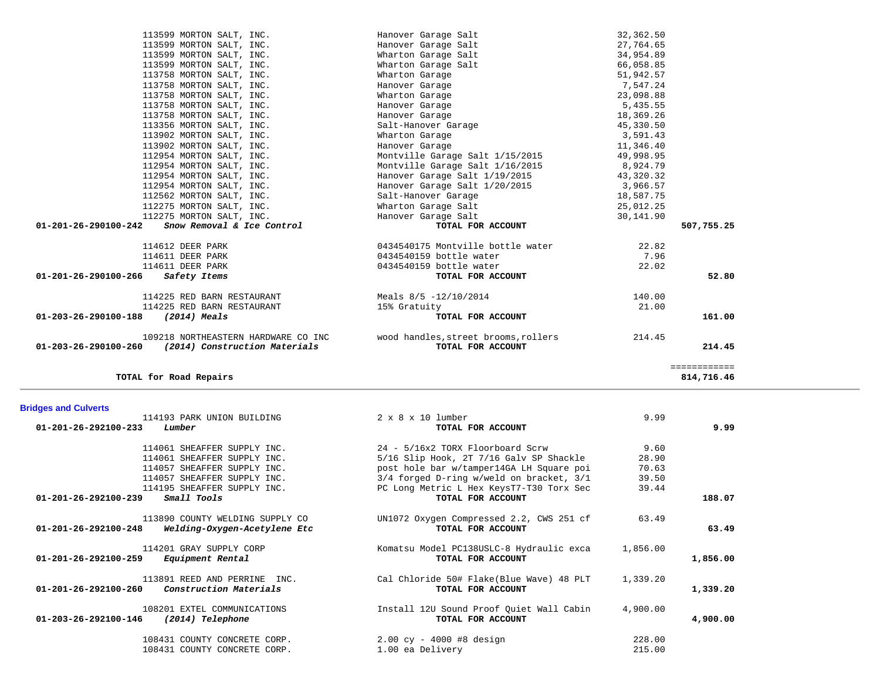| <b>Bridges and Culverts</b>                                                                       |                                                                 |                  |          |
|---------------------------------------------------------------------------------------------------|-----------------------------------------------------------------|------------------|----------|
| 114193 PARK UNION BUILDING                                                                        | $2 \times 8 \times 10$ lumber                                   | 9.99             |          |
| $01 - 201 - 26 - 292100 - 233$<br>Lumber                                                          | TOTAL FOR ACCOUNT                                               |                  | 9.99     |
| 114061 SHEAFFER SUPPLY INC.                                                                       | 24 - 5/16x2 TORX Floorboard Scrw                                | 9.60             |          |
| 114061 SHEAFFER SUPPLY INC.                                                                       | 5/16 Slip Hook, 2T 7/16 Galv SP Shackle                         | 28.90            |          |
| 114057 SHEAFFER SUPPLY INC.                                                                       | post hole bar w/tamper14GA LH Square poi                        | 70.63            |          |
| 114057 SHEAFFER SUPPLY INC.                                                                       | 3/4 forged D-ring w/weld on bracket, 3/1                        | 39.50            |          |
| 114195 SHEAFFER SUPPLY INC.                                                                       | PC Long Metric L Hex KeysT7-T30 Torx Sec                        | 39.44            |          |
| Small Tools<br>01-201-26-292100-239                                                               | TOTAL FOR ACCOUNT                                               |                  | 188.07   |
| 113890 COUNTY WELDING SUPPLY CO<br>$01 - 201 - 26 - 292100 - 248$<br>Welding-Oxygen-Acetylene Etc | UN1072 Oxygen Compressed 2.2, CWS 251 cf<br>TOTAL FOR ACCOUNT   | 63.49            | 63.49    |
| 114201 GRAY SUPPLY CORP<br>01-201-26-292100-259<br>Equipment Rental                               | Komatsu Model PC138USLC-8 Hydraulic exca<br>TOTAL FOR ACCOUNT   | 1,856.00         | 1,856.00 |
| 113891 REED AND PERRINE INC.<br>01-201-26-292100-260<br>Construction Materials                    | Cal Chloride 50# Flake(Blue Wave) 48 PLT<br>TOTAL FOR ACCOUNT   | 1,339.20         | 1,339.20 |
| 108201 EXTEL COMMUNICATIONS<br>$01 - 203 - 26 - 292100 - 146$<br>(2014) Telephone                 | Install 12U Sound Proof Quiet Wall Cabin<br>TOTAL FOR ACCOUNT   | 4,900.00         | 4,900.00 |
| 108431 COUNTY CONCRETE CORP.<br>108431 COUNTY CONCRETE CORP.                                      | $2.00 \text{ cy} - 4000 + 8 \text{ design}$<br>1.00 ea Delivery | 228.00<br>215.00 |          |

| TOTAL for Road Repairs                                                                              |                                                           |                       | ============<br>814,716.46 |
|-----------------------------------------------------------------------------------------------------|-----------------------------------------------------------|-----------------------|----------------------------|
| 109218 NORTHEASTERN HARDWARE CO INC<br>$01 - 203 - 26 - 290100 - 260$ (2014) Construction Materials | wood handles, street brooms, rollers<br>TOTAL FOR ACCOUNT | 214.45                | 214.45                     |
| 01-203-26-290100-188<br>(2014) Meals                                                                | TOTAL FOR ACCOUNT                                         |                       | 161.00                     |
| 114225 RED BARN RESTAURANT                                                                          | 15% Gratuity                                              | 21.00                 |                            |
| 114225 RED BARN RESTAURANT                                                                          | Meals 8/5 -12/10/2014                                     | 140.00                |                            |
| 01-201-26-290100-266<br>Safety Items                                                                | TOTAL FOR ACCOUNT                                         |                       | 52.80                      |
| 114611 DEER PARK                                                                                    | 0434540159 bottle water                                   | 22.02                 |                            |
| 114611 DEER PARK                                                                                    | 0434540159 bottle water                                   | 7.96                  |                            |
| 114612 DEER PARK                                                                                    | 0434540175 Montville bottle water                         | 22.82                 |                            |
| Snow Removal & Ice Control<br>01-201-26-290100-242                                                  | TOTAL FOR ACCOUNT                                         |                       | 507,755.25                 |
| 112275 MORTON SALT, INC.                                                                            | Hanover Garage Salt                                       | 30,141.90             |                            |
| 112275 MORTON SALT, INC.                                                                            | Wharton Garage Salt                                       | 25,012.25             |                            |
| 112562 MORTON SALT, INC.                                                                            | Salt-Hanover Garage                                       | 18,587.75             |                            |
| 112954 MORTON SALT, INC.                                                                            | Hanover Garage Salt 1/20/2015                             | 3,966.57              |                            |
| 112954 MORTON SALT, INC.                                                                            | Hanover Garage Salt 1/19/2015                             | 43,320.32             |                            |
| 112954 MORTON SALT, INC.                                                                            | Montville Garage Salt 1/16/2015                           | 8,924.79              |                            |
| 112954 MORTON SALT, INC.                                                                            | Montville Garage Salt 1/15/2015                           | 49,998.95             |                            |
| 113902 MORTON SALT, INC.                                                                            | Hanover Garage                                            | 11,346.40             |                            |
| 113902 MORTON SALT, INC.                                                                            | Wharton Garage                                            | 3,591.43              |                            |
| 113356 MORTON SALT, INC.                                                                            | Salt-Hanover Garage                                       | 45,330.50             |                            |
| 113758 MORTON SALT, INC.                                                                            | Hanover Garage<br>Hanover Garage                          | 18,369.26             |                            |
| 113758 MORTON SALT, INC.<br>113758 MORTON SALT, INC.                                                | Wharton Garage                                            | 23,098.88<br>5,435.55 |                            |
| 113758 MORTON SALT, INC.                                                                            | Hanover Garage                                            |                       |                            |
|                                                                                                     |                                                           | 7,547.24              |                            |

113599 MORTON SALT, INC.<br>113599 MORTON SALT, INC. THE STATE Hanover Garage Salt 113599 MORTON SALT, INC. 113599 MORTON SALT, INC. Hanover Garage Salt 27,764.65

 113599 MORTON SALT, INC. Wharton Garage Salt 66,058.85 113758 MORTON SALT, INC. Wharton Garage 51,942.57

113599 MORTON SALT, INC.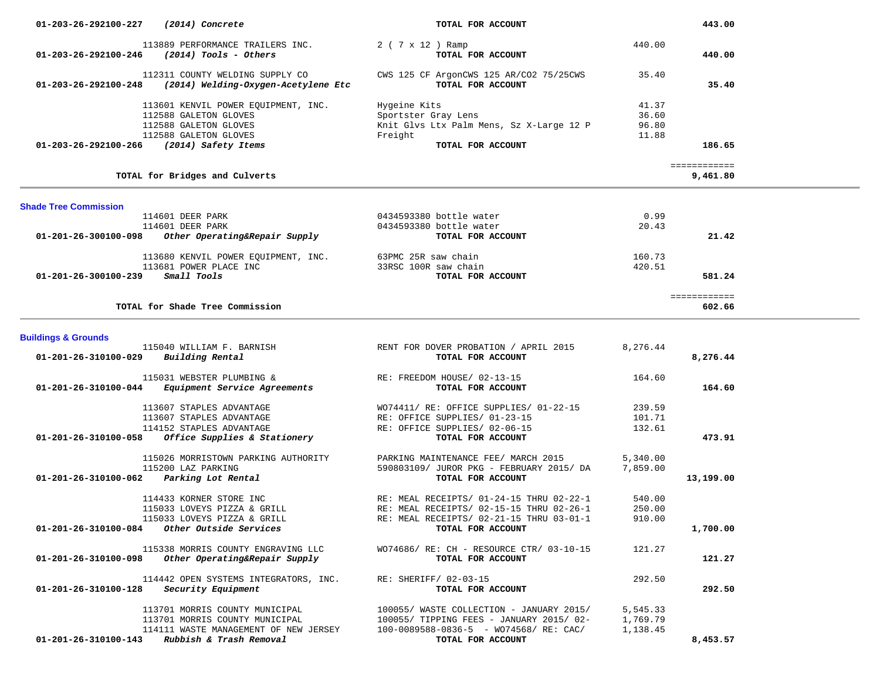| 01-203-26-292100-227<br>(2014) Concrete                                             | TOTAL FOR ACCOUNT                                               |                | 443.00       |  |
|-------------------------------------------------------------------------------------|-----------------------------------------------------------------|----------------|--------------|--|
| 113889 PERFORMANCE TRAILERS INC.                                                    | 2 ( 7 x 12 ) Ramp                                               | 440.00         |              |  |
| $01-203-26-292100-246$ (2014) Tools - Others                                        | TOTAL FOR ACCOUNT                                               |                | 440.00       |  |
| 112311 COUNTY WELDING SUPPLY CO                                                     |                                                                 | 35.40          |              |  |
| 01-203-26-292100-248<br>(2014) Welding-Oxygen-Acetylene Etc                         | CWS 125 CF ArgonCWS 125 AR/CO2 75/25CWS<br>TOTAL FOR ACCOUNT    |                | 35.40        |  |
|                                                                                     |                                                                 |                |              |  |
| 113601 KENVIL POWER EQUIPMENT, INC.                                                 | Hygeine Kits                                                    | 41.37          |              |  |
| 112588 GALETON GLOVES<br>112588 GALETON GLOVES                                      | Sportster Gray Lens<br>Knit Glvs Ltx Palm Mens, Sz X-Large 12 P | 36.60<br>96.80 |              |  |
| 112588 GALETON GLOVES                                                               | Freight                                                         | 11.88          |              |  |
| 01-203-26-292100-266 (2014) Safety Items                                            | TOTAL FOR ACCOUNT                                               |                | 186.65       |  |
|                                                                                     |                                                                 |                | ============ |  |
| TOTAL for Bridges and Culverts                                                      |                                                                 |                | 9,461.80     |  |
| <b>Shade Tree Commission</b>                                                        |                                                                 |                |              |  |
| 114601 DEER PARK                                                                    | 0434593380 bottle water                                         | 0.99           |              |  |
| 114601 DEER PARK                                                                    | 0434593380 bottle water                                         | 20.43          |              |  |
| Other Operating&Repair Supply<br>01-201-26-300100-098                               | TOTAL FOR ACCOUNT                                               |                | 21.42        |  |
| 113680 KENVIL POWER EQUIPMENT, INC.                                                 | 63PMC 25R saw chain                                             | 160.73         |              |  |
| 113681 POWER PLACE INC                                                              | 33RSC 100R saw chain                                            | 420.51         |              |  |
| 01-201-26-300100-239<br>Small Tools                                                 | TOTAL FOR ACCOUNT                                               |                | 581.24       |  |
|                                                                                     |                                                                 |                | ============ |  |
| TOTAL for Shade Tree Commission                                                     |                                                                 |                | 602.66       |  |
|                                                                                     |                                                                 |                |              |  |
| <b>Buildings &amp; Grounds</b>                                                      |                                                                 |                |              |  |
| 115040 WILLIAM F. BARNISH<br>01-201-26-310100-029<br>Building Rental                | RENT FOR DOVER PROBATION / APRIL 2015<br>TOTAL FOR ACCOUNT      | 8,276.44       | 8,276.44     |  |
|                                                                                     |                                                                 |                |              |  |
| 115031 WEBSTER PLUMBING &                                                           | RE: FREEDOM HOUSE/ 02-13-15                                     | 164.60         |              |  |
| 01-201-26-310100-044 Equipment Service Agreements                                   | TOTAL FOR ACCOUNT                                               |                | 164.60       |  |
| 113607 STAPLES ADVANTAGE                                                            | WO74411/ RE: OFFICE SUPPLIES/ 01-22-15                          | 239.59         |              |  |
| 113607 STAPLES ADVANTAGE                                                            | RE: OFFICE SUPPLIES/ 01-23-15                                   | 101.71         |              |  |
| 114152 STAPLES ADVANTAGE                                                            | RE: OFFICE SUPPLIES/ 02-06-15                                   | 132.61         |              |  |
| Office Supplies & Stationery<br>01-201-26-310100-058                                | TOTAL FOR ACCOUNT                                               |                | 473.91       |  |
| 115026 MORRISTOWN PARKING AUTHORITY                                                 | PARKING MAINTENANCE FEE/ MARCH 2015                             | 5,340.00       |              |  |
| 115200 LAZ PARKING                                                                  | 590803109/ JUROR PKG - FEBRUARY 2015/ DA                        | 7,859.00       |              |  |
| 01-201-26-310100-062<br>Parking Lot Rental                                          | TOTAL FOR ACCOUNT                                               |                | 13,199.00    |  |
| 114433 KORNER STORE INC                                                             | RE: MEAL RECEIPTS/ 01-24-15 THRU 02-22-1                        | 540.00         |              |  |
| 115033 LOVEYS PIZZA & GRILL                                                         | RE: MEAL RECEIPTS/ 02-15-15 THRU 02-26-1                        | 250.00         |              |  |
| 115033 LOVEYS PIZZA & GRILL                                                         | RE: MEAL RECEIPTS/ 02-21-15 THRU 03-01-1                        | 910.00         |              |  |
| $01-201-26-310100-084$ Other Outside Services                                       | TOTAL FOR ACCOUNT                                               |                | 1,700.00     |  |
| 115338 MORRIS COUNTY ENGRAVING LLC                                                  | WO74686/ RE: CH - RESOURCE CTR/ 03-10-15                        | 121.27         |              |  |
| Other Operating&Repair Supply<br>01-201-26-310100-098                               | TOTAL FOR ACCOUNT                                               |                | 121.27       |  |
|                                                                                     |                                                                 |                |              |  |
| 114442 OPEN SYSTEMS INTEGRATORS, INC.<br>Security Equipment<br>01-201-26-310100-128 | RE: SHERIFF/ 02-03-15<br>TOTAL FOR ACCOUNT                      | 292.50         | 292.50       |  |
|                                                                                     |                                                                 |                |              |  |
| 113701 MORRIS COUNTY MUNICIPAL                                                      | 100055/ WASTE COLLECTION - JANUARY 2015/                        | 5,545.33       |              |  |
| 113701 MORRIS COUNTY MUNICIPAL                                                      | 100055/ TIPPING FEES - JANUARY 2015/ 02-                        | 1,769.79       |              |  |
| 114111 WASTE MANAGEMENT OF NEW JERSEY<br>Rubbish & Trash Removal                    | $100-0089588-0836-5$ - WO74568/RE: CAC/                         | 1,138.45       |              |  |
| 01-201-26-310100-143                                                                | TOTAL FOR ACCOUNT                                               |                | 8,453.57     |  |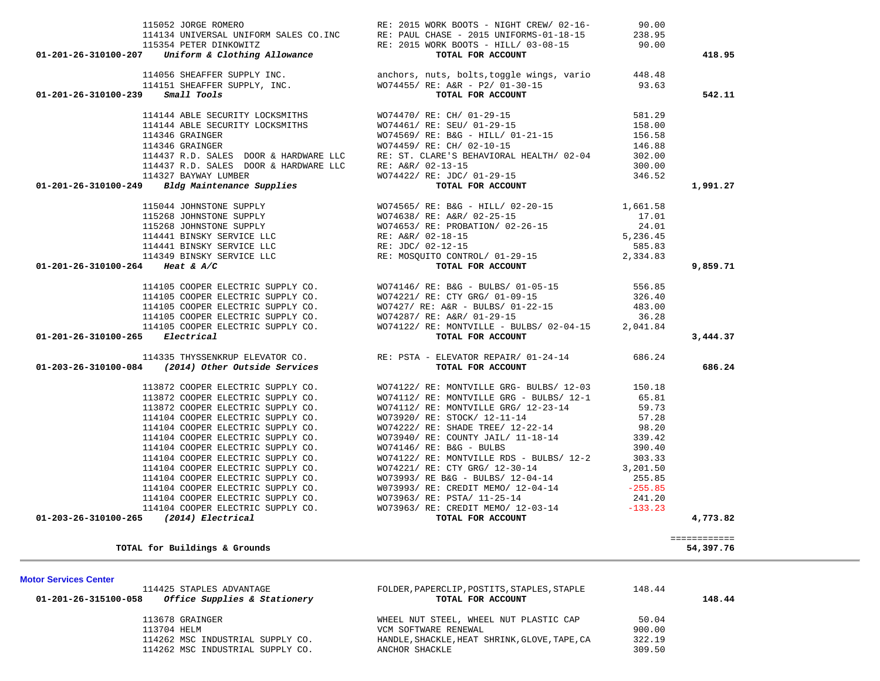| 114425 STAPLES ADVANTAGE<br>Office Supplies & Stationery<br>01-201-26-315100-058 | FOLDER, PAPERCLIP, POSTITS, STAPLES, STAPLE<br>TOTAL FOR ACCOUNT | 148.44 | 148.44 |
|----------------------------------------------------------------------------------|------------------------------------------------------------------|--------|--------|
| 113678 GRAINGER                                                                  | WHEEL NUT STEEL, WHEEL NUT PLASTIC CAP                           | 50.04  |        |
| 113704 HELM                                                                      | VCM SOFTWARE RENEWAL                                             | 900.00 |        |
| 114262 MSC INDUSTRIAL SUPPLY CO.                                                 | HANDLE, SHACKLE, HEAT SHRINK, GLOVE, TAPE, CA                    | 322.19 |        |
| 114262 MSC INDUSTRIAL SUPPLY CO.                                                 | ANCHOR SHACKLE                                                   | 309.50 |        |

| 114441 BINSKY SERVICE LLC RE: JDC/ 02-12-15          |                                                                                                  | 585.83 |          |
|------------------------------------------------------|--------------------------------------------------------------------------------------------------|--------|----------|
|                                                      | 114349 BINSKY SERVICE LLC<br>RE: MOSQUITO CONTROL/ 01-29-15<br>2,334.83                          |        |          |
| 01-201-26-310100-264 Heat & A/C                      | TOTAL FOR ACCOUNT                                                                                |        | 9,859.71 |
|                                                      | 114105 COOPER ELECTRIC SUPPLY CO. WO74146/RE: B&G - BULBS/ 01-05-15                              | 556.85 |          |
|                                                      | 114105 COOPER ELECTRIC SUPPLY CO. WO74221/ RE: CTY GRG/ 01-09-15                                 | 326.40 |          |
|                                                      | 114105 COOPER ELECTRIC SUPPLY CO. WO7427/ RE: A&R - BULBS/ 01-22-15 483.00                       |        |          |
|                                                      | 114105 COOPER ELECTRIC SUPPLY CO. WO74287/ RE: A&R/ 01-29-15 36.28                               |        |          |
|                                                      | 114105 COOPER ELECTRIC SUPPLY CO. WO74122/ RE: MONTVILLE - BULBS/ 02-04-15 2,041.84              |        |          |
| $01 - 201 - 26 - 310100 - 265$ Electrical            | TOTAL FOR ACCOUNT                                                                                |        | 3,444.37 |
| $01-203-26-310100-084$ (2014) Other Outside Services | 114335 THYSSENKRUP ELEVATOR CO. RE: PSTA - ELEVATOR REPAIR/ 01-24-14 686.24<br>TOTAL FOR ACCOUNT |        | 686.24   |
|                                                      |                                                                                                  |        |          |
|                                                      | 113872 COOPER ELECTRIC SUPPLY CO. WO74122/RE: MONTVILLE GRG- BULBS/ 12-03 150.18                 |        |          |
| 113872 COOPER ELECTRIC SUPPLY CO.                    | $WO74112/ RE: MONTVILLE GRG - BULBS/ 12-1$ 65.81                                                 |        |          |
| 113872 COOPER ELECTRIC SUPPLY CO.                    | WO74112/ RE: MONTVILLE GRG/ 12-23-14 59.73                                                       |        |          |
| 114104 COOPER ELECTRIC SUPPLY CO.                    | WO73920/ RE: STOCK/ 12-11-14 57.28                                                               |        |          |
| 114104 COOPER ELECTRIC SUPPLY CO.                    | WO74222/ RE: SHADE TREE/ 12-22-14 98.20                                                          |        |          |
| 114104 COOPER ELECTRIC SUPPLY CO.                    | WO73940/RE: COUNTY JAIL/ 11-18-14 339.42                                                         |        |          |
| 114104 COOPER ELECTRIC SUPPLY CO.                    | WO74146/RE: B&G - BULBS 390.40                                                                   |        |          |
| 114104 COOPER ELECTRIC SUPPLY CO.                    | $WO74122/RE: MONTVILLE RDS - BULBS/ 12-2$ 303.33                                                 |        |          |
| 114104 COOPER ELECTRIC SUPPLY CO.                    | WO74221/ RE: CTY GRG/ 12-30-14 3,201.50                                                          |        |          |
|                                                      | 114104 COOPER ELECTRIC SUPPLY CO. WO73993/ RE B&G - BULBS/ 12-04-14 255.85                       |        |          |
| 114104 COOPER ELECTRIC SUPPLY CO.                    | W073993/ RE: CREDIT MEMO/ 12-04-14 -255.85                                                       |        |          |

| 115052 JORGE ROMERO                                 |                                                         |                   | RE: 2015 WORK BOOTS - NIGHT CREW/ 02-16- 90.00                                 |          |          |
|-----------------------------------------------------|---------------------------------------------------------|-------------------|--------------------------------------------------------------------------------|----------|----------|
|                                                     |                                                         |                   | 114134 UNIVERSAL UNIFORM SALES CO.INC RE: PAUL CHASE - 2015 UNIFORMS-01-18-15  | 238.95   |          |
| 115354 PETER DINKOWITZ                              |                                                         |                   | RE: 2015 WORK BOOTS - HILL/ 03-08-15 90.00                                     |          |          |
| $01-201-26-310100-207$ Uniform & Clothing Allowance |                                                         |                   | TOTAL FOR ACCOUNT                                                              |          | 418.95   |
|                                                     | 114056 SHEAFFER SUPPLY INC.                             |                   | anchors, nuts, bolts, toggle wings, vario                                      | 448.48   |          |
|                                                     |                                                         |                   | 114151 SHEAFFER SUPPLY, INC. WO74455/RE: A&R - P2/01-30-15                     | 93.63    |          |
| $01 - 201 - 26 - 310100 - 239$ Small Tools          |                                                         |                   | TOTAL FOR ACCOUNT                                                              |          | 542.11   |
|                                                     | 114144 ABLE SECURITY LOCKSMITHS WO74470/RE: CH/01-29-15 |                   |                                                                                | 581.29   |          |
| 114144 ABLE SECURITY LOCKSMITHS                     |                                                         |                   | WO74461/ RE: SEU/ 01-29-15                                                     | 158.00   |          |
| 114346 GRAINGER                                     |                                                         |                   | WO74569/RE: B&G - HILL/ 01-21-15                                               | 156.58   |          |
| 114346 GRAINGER                                     |                                                         |                   | WO74459/ RE: CH/ 02-10-15                                                      | 146.88   |          |
|                                                     |                                                         |                   | 114437 R.D. SALES DOOR & HARDWARE LLC RE: ST. CLARE'S BEHAVIORAL HEALTH/ 02-04 | 302.00   |          |
| 114437 R.D. SALES DOOR & HARDWARE LLC               |                                                         | RE: A&R/ 02-13-15 |                                                                                | 300.00   |          |
| 114327 BAYWAY LUMBER                                | WO74422/ RE: JDC/ 01-29-15                              |                   |                                                                                | 346.52   |          |
| $01-201-26-310100-249$ Bldg Maintenance Supplies    |                                                         |                   | TOTAL FOR ACCOUNT                                                              |          | 1,991.27 |
| 115044 JOHNSTONE SUPPLY                             |                                                         |                   | WO74565/ RE: B&G - HILL/ 02-20-15                                              | 1,661.58 |          |
| 115268 JOHNSTONE SUPPLY                             |                                                         |                   | WO74638/ RE: A&R/ 02-25-15                                                     | 17.01    |          |
| 115268 JOHNSTONE SUPPLY                             |                                                         |                   | WO74653/RE: PROBATION/02-26-15                                                 | 24.01    |          |

**Motor Services Center** 

**TOTAL for Buildings & Grounds 54,397.76**

|                                            | 114056 SHEAFFER SUPPLY INC.<br>114151 SHEAFFER SUPPLY, INC.<br>114151 SHEAFFER SUPPLY, INC.<br>114151 Small Tools<br>193.63                                                                                                                                                                                                                                                                                                                                                                              |          |
|--------------------------------------------|----------------------------------------------------------------------------------------------------------------------------------------------------------------------------------------------------------------------------------------------------------------------------------------------------------------------------------------------------------------------------------------------------------------------------------------------------------------------------------------------------------|----------|
|                                            |                                                                                                                                                                                                                                                                                                                                                                                                                                                                                                          |          |
| $01 - 201 - 26 - 310100 - 239$ Small Tools |                                                                                                                                                                                                                                                                                                                                                                                                                                                                                                          | 542.11   |
|                                            |                                                                                                                                                                                                                                                                                                                                                                                                                                                                                                          |          |
|                                            |                                                                                                                                                                                                                                                                                                                                                                                                                                                                                                          |          |
|                                            |                                                                                                                                                                                                                                                                                                                                                                                                                                                                                                          |          |
|                                            |                                                                                                                                                                                                                                                                                                                                                                                                                                                                                                          |          |
|                                            |                                                                                                                                                                                                                                                                                                                                                                                                                                                                                                          |          |
|                                            |                                                                                                                                                                                                                                                                                                                                                                                                                                                                                                          |          |
|                                            |                                                                                                                                                                                                                                                                                                                                                                                                                                                                                                          |          |
|                                            | $114144\,\text{ABLE SECURITY LOKSMITHS}\,\begin{minipage}{0.99\textwidth} \begin{minipage}{0.99\textwidth} \begin{minipage}{0.99\textwidth} \begin{minipage}{0.99\textwidth} \begin{minipage}{0.99\textwidth} \begin{minipage}{0.99\textwidth} \begin{minipage}{0.99\textwidth} \begin{minipage}{0.99\textwidth} \begin{minipage}{0.99\textwidth} \begin{minipage}{0.99\textwidth} \begin{minipage}{0.99\textwidth} \begin{minipage}{0.99\textwidth} \begin{minipage}{0.99\textwidth} \begin{minipage}{$ | 1,991.27 |
|                                            | $\begin{tabular}{l c c c c c} \hline 115044 JOMNSTONE SUPPLY & WO74565/ RE: B6G - HILL/ 02-20-15 & 1,661.58 \\ 115268 JOMNSTONE SUPPLY & WO74638/ RE: AER/ 02-25-15 & 17.01 \\ 115268 JOMNSTONE SUPPLY & WO74638/ RE: RER/ 02-25-15 & 24.01 \\ 114441 BINSKY SERVICE LLC & RE: AGR/ 02-18-15 & 5,236.45 \\ 114441 BINSKY S$                                                                                                                                                                              |          |
|                                            |                                                                                                                                                                                                                                                                                                                                                                                                                                                                                                          |          |
|                                            |                                                                                                                                                                                                                                                                                                                                                                                                                                                                                                          |          |
|                                            |                                                                                                                                                                                                                                                                                                                                                                                                                                                                                                          |          |
|                                            |                                                                                                                                                                                                                                                                                                                                                                                                                                                                                                          |          |
|                                            |                                                                                                                                                                                                                                                                                                                                                                                                                                                                                                          |          |
| 01-201-26-310100-264 Heat & A/C            |                                                                                                                                                                                                                                                                                                                                                                                                                                                                                                          | 9,859.71 |
|                                            |                                                                                                                                                                                                                                                                                                                                                                                                                                                                                                          |          |
|                                            |                                                                                                                                                                                                                                                                                                                                                                                                                                                                                                          |          |
|                                            |                                                                                                                                                                                                                                                                                                                                                                                                                                                                                                          |          |
|                                            |                                                                                                                                                                                                                                                                                                                                                                                                                                                                                                          |          |
|                                            |                                                                                                                                                                                                                                                                                                                                                                                                                                                                                                          |          |
|                                            |                                                                                                                                                                                                                                                                                                                                                                                                                                                                                                          |          |
| $01 - 201 - 26 - 310100 - 265$ Electrical  |                                                                                                                                                                                                                                                                                                                                                                                                                                                                                                          | 3,444.37 |
|                                            |                                                                                                                                                                                                                                                                                                                                                                                                                                                                                                          |          |
|                                            |                                                                                                                                                                                                                                                                                                                                                                                                                                                                                                          |          |
|                                            |                                                                                                                                                                                                                                                                                                                                                                                                                                                                                                          | 686.24   |
|                                            | 114335 THYSSENKRUP ELEVATOR CO.<br><b>01-203-26-310100-084</b> (2014) Other Outside Services TOTAL FOR ACCOUNT                                                                                                                                                                                                                                                                                                                                                                                           |          |
|                                            |                                                                                                                                                                                                                                                                                                                                                                                                                                                                                                          |          |
|                                            |                                                                                                                                                                                                                                                                                                                                                                                                                                                                                                          |          |
|                                            |                                                                                                                                                                                                                                                                                                                                                                                                                                                                                                          |          |
|                                            |                                                                                                                                                                                                                                                                                                                                                                                                                                                                                                          |          |
|                                            |                                                                                                                                                                                                                                                                                                                                                                                                                                                                                                          |          |
|                                            |                                                                                                                                                                                                                                                                                                                                                                                                                                                                                                          |          |
|                                            |                                                                                                                                                                                                                                                                                                                                                                                                                                                                                                          |          |
|                                            |                                                                                                                                                                                                                                                                                                                                                                                                                                                                                                          |          |
|                                            |                                                                                                                                                                                                                                                                                                                                                                                                                                                                                                          |          |
|                                            |                                                                                                                                                                                                                                                                                                                                                                                                                                                                                                          |          |
|                                            |                                                                                                                                                                                                                                                                                                                                                                                                                                                                                                          |          |
|                                            |                                                                                                                                                                                                                                                                                                                                                                                                                                                                                                          |          |

54,397.76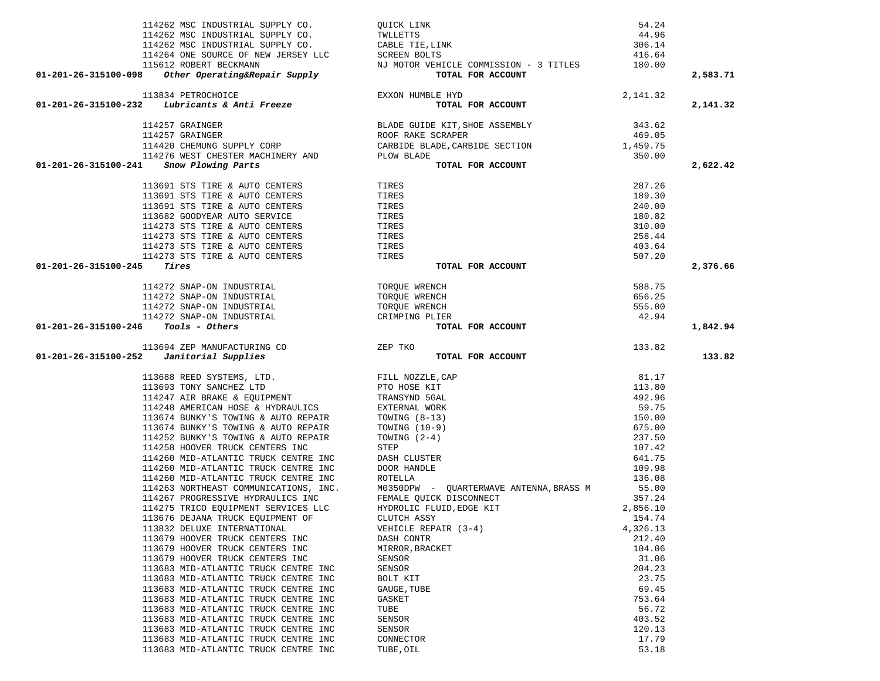| 114262 MSC INDUSTRIAL SUPPLY CO.                                                                                                                                                    |                                                                                                                                                                                                                 | 54.24          |          |
|-------------------------------------------------------------------------------------------------------------------------------------------------------------------------------------|-----------------------------------------------------------------------------------------------------------------------------------------------------------------------------------------------------------------|----------------|----------|
| 114262 MSC INDUSTRIAL SUPPLY CO.                                                                                                                                                    | QUICK LINK<br>TWLLETTS<br>CABLE TIE,LINK<br>SCREEN BOLTS                                                                                                                                                        | 44.96          |          |
| 114262 MSC INDUSTRIAL SUPPLY CO.                                                                                                                                                    |                                                                                                                                                                                                                 | 306.14         |          |
|                                                                                                                                                                                     |                                                                                                                                                                                                                 |                |          |
|                                                                                                                                                                                     |                                                                                                                                                                                                                 |                |          |
| 01-201-26-315100-098                                                                                                                                                                | 114264 ONE SOURCE OF NEW JERSEY LLC SCREEN BOLTS<br>115612 ROBERT BECKMANN NU MOTOR VEHICLE COMMISSION - 3 TITLES<br>3 Other Operating&Repair Supply<br>70TAL FOR ACCOUNT                                       |                | 2,583.71 |
|                                                                                                                                                                                     |                                                                                                                                                                                                                 |                |          |
| 113834 PETROCHOICE<br>01-201-26-315100-232 Lubricants & Anti Freeze                                                                                                                 | EXXON HUMBLE HYD<br>TOTAL FOR ACCOUNT                                                                                                                                                                           | 2,141.32       |          |
|                                                                                                                                                                                     |                                                                                                                                                                                                                 |                | 2,141.32 |
|                                                                                                                                                                                     |                                                                                                                                                                                                                 |                |          |
|                                                                                                                                                                                     |                                                                                                                                                                                                                 |                |          |
|                                                                                                                                                                                     |                                                                                                                                                                                                                 |                |          |
| 114276 WEST CHESTER MACHINERY AND PLOW BLADE                                                                                                                                        |                                                                                                                                                                                                                 | 350.00         |          |
| 01-201-26-315100-241<br>Snow Plowing Parts                                                                                                                                          | TOTAL FOR ACCOUNT                                                                                                                                                                                               |                | 2,622.42 |
|                                                                                                                                                                                     |                                                                                                                                                                                                                 |                |          |
| 113691 STS TIRE & AUTO CENTERS                                                                                                                                                      | TIRES                                                                                                                                                                                                           | 287.26         |          |
| 113691 STS TIRE & AUTO CENTERS                                                                                                                                                      | TIRES                                                                                                                                                                                                           | 189.30         |          |
| 113691 STS TIRE & AUTO CENTERS                                                                                                                                                      | TIRES                                                                                                                                                                                                           | 240.00         |          |
| 113682 GOODYEAR AUTO SERVICE                                                                                                                                                        | TIRES                                                                                                                                                                                                           | 180.82         |          |
| 114273 STS TIRE & AUTO CENTERS                                                                                                                                                      | TIRES                                                                                                                                                                                                           | 310.00         |          |
| 114273 STS TIRE & AUTO CENTERS                                                                                                                                                      | TIRES                                                                                                                                                                                                           | 258.44         |          |
| 114273 STS TIRE & AUTO CENTERS                                                                                                                                                      | TIRES                                                                                                                                                                                                           | 403.64         |          |
| 114273 STS TIRE & AUTO CENTERS                                                                                                                                                      | TIRES                                                                                                                                                                                                           | 507.20         |          |
| Tires<br>01-201-26-315100-245                                                                                                                                                       | TOTAL FOR ACCOUNT                                                                                                                                                                                               |                | 2,376.66 |
|                                                                                                                                                                                     |                                                                                                                                                                                                                 |                |          |
| 114272 SNAP-ON INDUSTRIAL                                                                                                                                                           | TOROUE WRENCH                                                                                                                                                                                                   |                |          |
| 114272 SNAP-ON INDUSTRIAL                                                                                                                                                           | TOROUE WRENCH                                                                                                                                                                                                   |                |          |
| 114272 SNAP-ON INDUSTRIAL                                                                                                                                                           | TOROUE WRENCH                                                                                                                                                                                                   |                |          |
| 114272 SNAP-ON INDUSTRIAL                                                                                                                                                           | CRIMPING PLIER                                                                                                                                                                                                  |                |          |
| $01 - 201 - 26 - 315100 - 246$ Tools - Others                                                                                                                                       | $\begin{array}{r} 588.75 \\ 656.25 \\ 555.00 \\ 42.94 \end{array}$ FOR ACCOUNT<br>TOTAL FOR ACCOUNT                                                                                                             |                | 1,842.94 |
|                                                                                                                                                                                     |                                                                                                                                                                                                                 |                |          |
|                                                                                                                                                                                     |                                                                                                                                                                                                                 |                |          |
| 113694 ZEP MANUFACTURING CO ZEP TKO<br>$01-201-26-315100-252$ Janitorial Supplies                                                                                                   | TOTAL FOR ACCOUNT                                                                                                                                                                                               | 133.82         | 133.82   |
|                                                                                                                                                                                     |                                                                                                                                                                                                                 |                |          |
|                                                                                                                                                                                     |                                                                                                                                                                                                                 | 81.17          |          |
|                                                                                                                                                                                     |                                                                                                                                                                                                                 | 113.80         |          |
|                                                                                                                                                                                     |                                                                                                                                                                                                                 | 492.96         |          |
| 113688 REED SYSTEMS, LTD. FILL NOZZLE, CAP<br>113693 TONY SANCHEZ LTD PTO HOSE KIT<br>114247 AIR BRAKE & EQUIPMENT TRANSYND 5GAL<br>114248 AMERICAN HOSE & HYDRAULICS EXTERNAL WORK |                                                                                                                                                                                                                 | 59.75          |          |
| 113674 BUNKY'S TOWING & AUTO REPAIR                                                                                                                                                 | TOWING $(8-13)$                                                                                                                                                                                                 | 150.00         |          |
| 113674 BUNKY'S TOWING & AUTO REPAIR                                                                                                                                                 | TOWING $(10-9)$                                                                                                                                                                                                 | 675.00         |          |
| 114252 BUNKY'S TOWING & AUTO REPAIR                                                                                                                                                 | TOWING (2-4)                                                                                                                                                                                                    | 237.50         |          |
| 114258 HOOVER TRUCK CENTERS INC                                                                                                                                                     | STEP                                                                                                                                                                                                            | 107.42         |          |
| 114260 MID-ATLANTIC TRUCK CENTRE INC                                                                                                                                                | DASH CLUSTER                                                                                                                                                                                                    | 641.75         |          |
| 114260 MID-ATLANTIC TRUCK CENTRE INC                                                                                                                                                | DOOR HANDLE                                                                                                                                                                                                     | 109.98         |          |
|                                                                                                                                                                                     |                                                                                                                                                                                                                 | 136.08         |          |
|                                                                                                                                                                                     |                                                                                                                                                                                                                 | 55.00          |          |
| 114267 PROGRESSIVE HYDRAULICS INC                                                                                                                                                   | 114260 MID-ATLANTIC TRUCK CENTRE INC<br>114263 NORTHEAST COMMUNICATIONS, INC. MO350DPW - QUARTERWAVE ANTENNA, BRASS M<br>114267 PROGRESSIVE HYDRAIILICS INC. FEMALE OUICK DISCONNECT<br>FEMALE QUICK DISCONNECT | 357.24         |          |
| 114275 TRICO EQUIPMENT SERVICES LLC                                                                                                                                                 | HYDROLIC FLUID, EDGE KIT                                                                                                                                                                                        | 2,856.10       |          |
| 113676 DEJANA TRUCK EQUIPMENT OF                                                                                                                                                    | CLUTCH ASSY                                                                                                                                                                                                     | 154.74         |          |
| 113832 DELUXE INTERNATIONAL                                                                                                                                                         | VEHICLE REPAIR (3-4)                                                                                                                                                                                            | 4,326.13       |          |
| 113679 HOOVER TRUCK CENTERS INC                                                                                                                                                     | DASH CONTR                                                                                                                                                                                                      | 212.40         |          |
| 113679 HOOVER TRUCK CENTERS INC                                                                                                                                                     | MIRROR, BRACKET                                                                                                                                                                                                 | 104.06         |          |
| 113679 HOOVER TRUCK CENTERS INC                                                                                                                                                     | SENSOR                                                                                                                                                                                                          | 31.06          |          |
| 113683 MID-ATLANTIC TRUCK CENTRE INC                                                                                                                                                | SENSOR                                                                                                                                                                                                          | 204.23         |          |
| 113683 MID-ATLANTIC TRUCK CENTRE INC                                                                                                                                                | BOLT KIT                                                                                                                                                                                                        | 23.75          |          |
| 113683 MID-ATLANTIC TRUCK CENTRE INC                                                                                                                                                | GAUGE, TUBE                                                                                                                                                                                                     | 69.45          |          |
| 113683 MID-ATLANTIC TRUCK CENTRE INC                                                                                                                                                | GASKET                                                                                                                                                                                                          | 753.64         |          |
| 113683 MID-ATLANTIC TRUCK CENTRE INC                                                                                                                                                | TUBE                                                                                                                                                                                                            | 56.72          |          |
| 113683 MID-ATLANTIC TRUCK CENTRE INC                                                                                                                                                | SENSOR                                                                                                                                                                                                          | 403.52         |          |
| 113683 MID-ATLANTIC TRUCK CENTRE INC                                                                                                                                                | SENSOR                                                                                                                                                                                                          | 120.13         |          |
| 113683 MID-ATLANTIC TRUCK CENTRE INC<br>113683 MID-ATLANTIC TRUCK CENTRE INC                                                                                                        | CONNECTOR<br>TUBE, OIL                                                                                                                                                                                          | 17.79<br>53.18 |          |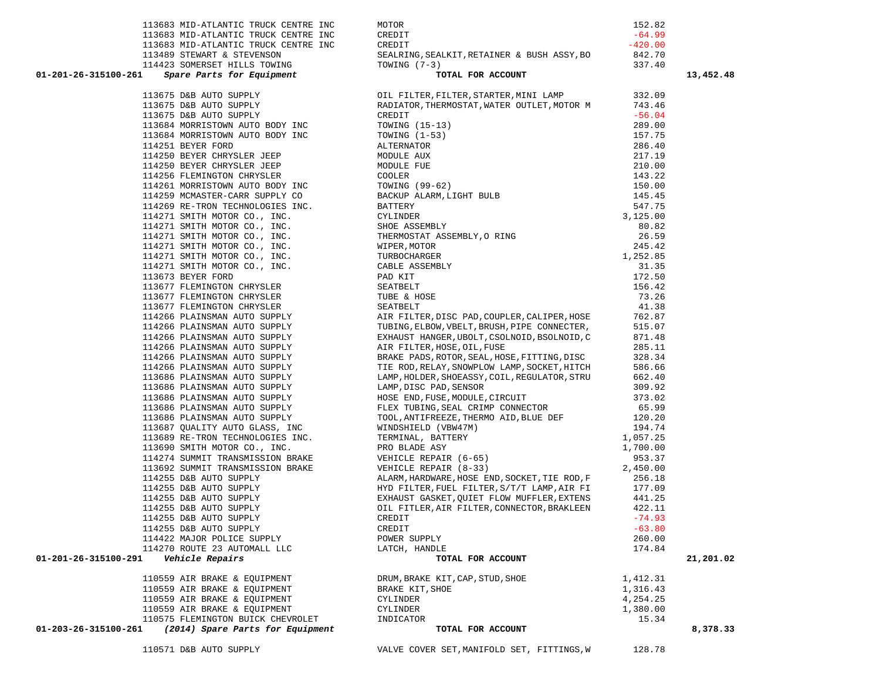|                                         |                                                                                                                                 |          | 13,452.48 |
|-----------------------------------------|---------------------------------------------------------------------------------------------------------------------------------|----------|-----------|
|                                         |                                                                                                                                 |          |           |
|                                         |                                                                                                                                 |          |           |
|                                         |                                                                                                                                 |          |           |
|                                         |                                                                                                                                 |          |           |
|                                         |                                                                                                                                 |          |           |
|                                         |                                                                                                                                 |          |           |
|                                         |                                                                                                                                 |          |           |
|                                         |                                                                                                                                 |          |           |
|                                         |                                                                                                                                 |          |           |
|                                         |                                                                                                                                 |          |           |
|                                         |                                                                                                                                 |          |           |
|                                         |                                                                                                                                 |          |           |
|                                         |                                                                                                                                 |          |           |
|                                         |                                                                                                                                 |          |           |
|                                         |                                                                                                                                 |          |           |
|                                         |                                                                                                                                 |          |           |
|                                         |                                                                                                                                 |          |           |
|                                         |                                                                                                                                 |          |           |
|                                         |                                                                                                                                 |          |           |
|                                         |                                                                                                                                 |          |           |
|                                         |                                                                                                                                 |          |           |
|                                         |                                                                                                                                 |          |           |
|                                         |                                                                                                                                 |          |           |
|                                         |                                                                                                                                 |          |           |
|                                         |                                                                                                                                 |          |           |
|                                         |                                                                                                                                 |          |           |
|                                         |                                                                                                                                 |          |           |
|                                         |                                                                                                                                 |          |           |
|                                         |                                                                                                                                 |          |           |
|                                         |                                                                                                                                 |          |           |
|                                         |                                                                                                                                 |          |           |
|                                         |                                                                                                                                 |          |           |
|                                         |                                                                                                                                 |          |           |
|                                         |                                                                                                                                 |          |           |
|                                         |                                                                                                                                 |          |           |
|                                         |                                                                                                                                 |          |           |
|                                         |                                                                                                                                 |          |           |
|                                         |                                                                                                                                 |          |           |
|                                         |                                                                                                                                 |          |           |
|                                         |                                                                                                                                 |          |           |
|                                         |                                                                                                                                 |          |           |
|                                         | OIL FITLER, AIR FILTER, CONNECTOR, BRAKLEEN                                                                                     | 422.11   |           |
|                                         |                                                                                                                                 | $-74.93$ |           |
|                                         |                                                                                                                                 | $-63.80$ |           |
|                                         |                                                                                                                                 | 260.00   |           |
|                                         |                                                                                                                                 | 174.84   |           |
| 01-201-26-315100-291    Vehicle Repairs | <sub>LY</sub><br>DLE<br><b>TOTAL FOR ACCOUNT</b>                                                                                |          | 21,201.02 |
|                                         | DRUM, BRAKE KIT, CAP, STUD, SHOE<br>BRAKE KIT, SHOE<br>1, 316.43<br>CYLINDER 4, 254.25<br>CYLINDER 1, 380.00<br>INDICATOR 15.34 |          |           |
|                                         |                                                                                                                                 |          |           |
|                                         |                                                                                                                                 |          |           |
|                                         |                                                                                                                                 |          |           |
|                                         |                                                                                                                                 | 15.34    |           |
| 01-203-26-315100-261                    | TOTAL FOR ACCOUNT                                                                                                               |          | 8,378.33  |

113683 MID-ATLANTIC TRUCK CENTRE INC MOTOR 152.82

| 113683 MID-ATLANTIC TRUCK CENTRE INC | CREDIT<br>11349 STRAFTS POINT IN CRITIC CONTROL (1971)<br>11359 STRAFTS POINT IN CONTROL AND INTERNATIONAL ARREST CONTROL AND THE SECOND IN A SUBARU AND CONTROL AND IN A SUBARU AND CONTROL AND CONTROL AND CONTROL AND CONTROL AND CONT | $-64.99$ | 13,452. |
|--------------------------------------|-------------------------------------------------------------------------------------------------------------------------------------------------------------------------------------------------------------------------------------------|----------|---------|
|                                      |                                                                                                                                                                                                                                           |          |         |
|                                      |                                                                                                                                                                                                                                           |          |         |
|                                      |                                                                                                                                                                                                                                           |          |         |
|                                      |                                                                                                                                                                                                                                           |          |         |
|                                      |                                                                                                                                                                                                                                           |          |         |
|                                      |                                                                                                                                                                                                                                           |          |         |
|                                      |                                                                                                                                                                                                                                           |          |         |
|                                      |                                                                                                                                                                                                                                           |          |         |
|                                      |                                                                                                                                                                                                                                           |          |         |
|                                      |                                                                                                                                                                                                                                           |          |         |
|                                      |                                                                                                                                                                                                                                           |          |         |
|                                      |                                                                                                                                                                                                                                           |          |         |
|                                      |                                                                                                                                                                                                                                           |          |         |
|                                      |                                                                                                                                                                                                                                           |          |         |
|                                      |                                                                                                                                                                                                                                           |          |         |
|                                      |                                                                                                                                                                                                                                           |          |         |
|                                      |                                                                                                                                                                                                                                           |          |         |
|                                      |                                                                                                                                                                                                                                           |          |         |
|                                      |                                                                                                                                                                                                                                           |          |         |
|                                      |                                                                                                                                                                                                                                           |          |         |
|                                      |                                                                                                                                                                                                                                           |          |         |
|                                      |                                                                                                                                                                                                                                           |          |         |
|                                      |                                                                                                                                                                                                                                           |          |         |
|                                      |                                                                                                                                                                                                                                           |          |         |
|                                      |                                                                                                                                                                                                                                           |          |         |
|                                      |                                                                                                                                                                                                                                           |          |         |
|                                      |                                                                                                                                                                                                                                           |          |         |
|                                      |                                                                                                                                                                                                                                           |          |         |
|                                      |                                                                                                                                                                                                                                           |          |         |
|                                      |                                                                                                                                                                                                                                           |          |         |
|                                      |                                                                                                                                                                                                                                           |          |         |
|                                      |                                                                                                                                                                                                                                           |          |         |
|                                      |                                                                                                                                                                                                                                           |          |         |
|                                      |                                                                                                                                                                                                                                           |          |         |
|                                      |                                                                                                                                                                                                                                           |          |         |
|                                      |                                                                                                                                                                                                                                           |          |         |
|                                      |                                                                                                                                                                                                                                           |          |         |
|                                      |                                                                                                                                                                                                                                           |          |         |
|                                      |                                                                                                                                                                                                                                           |          |         |
|                                      |                                                                                                                                                                                                                                           |          |         |
|                                      |                                                                                                                                                                                                                                           |          |         |
|                                      |                                                                                                                                                                                                                                           |          |         |
|                                      |                                                                                                                                                                                                                                           |          |         |
|                                      |                                                                                                                                                                                                                                           |          |         |
|                                      |                                                                                                                                                                                                                                           |          |         |
|                                      |                                                                                                                                                                                                                                           |          |         |
|                                      |                                                                                                                                                                                                                                           |          | 21,201. |
| 110559 AIR BRAKE & EQUIPMENT         | DRUM, BRAKE KIT, CAP, STUD, SHOE<br>1,412.31                                                                                                                                                                                              |          |         |
|                                      |                                                                                                                                                                                                                                           |          |         |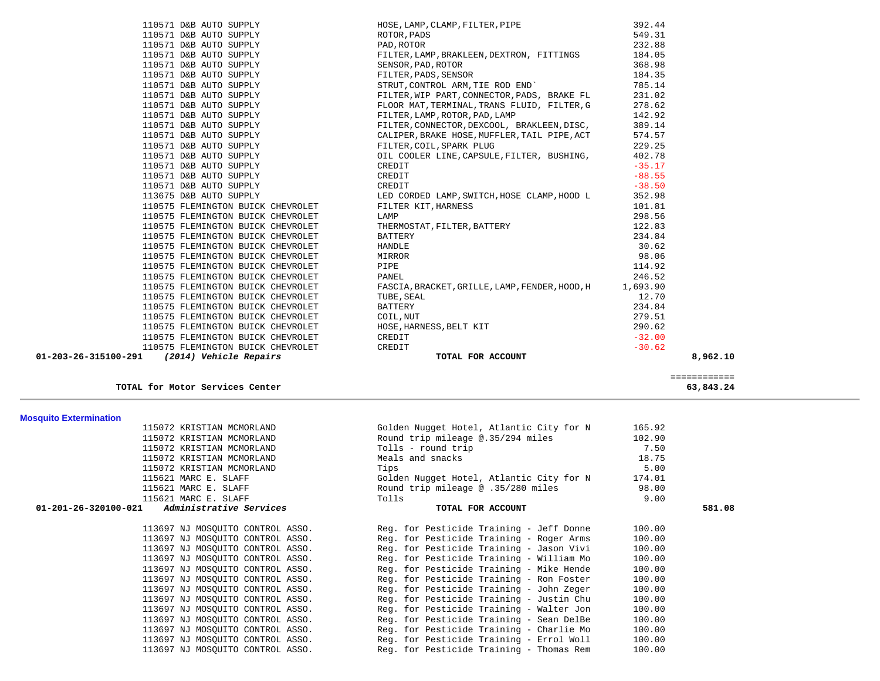| 110575 FLEMINGTON BUICK CHEVROLET<br>(2014) Vehicle Repairs<br>01-203-26-315100-291                                                                                                                                                              | CREDIT<br>TOTAL FOR ACCOUNT                                                            | $-30.62$<br>8,962.10 |
|--------------------------------------------------------------------------------------------------------------------------------------------------------------------------------------------------------------------------------------------------|----------------------------------------------------------------------------------------|----------------------|
| 110575 FLEMINGTON BUICK CHEVROLET                                                                                                                                                                                                                |                                                                                        | $-32.00$             |
| 110575 FLEMINGTON BUICK CHEVROLET                                                                                                                                                                                                                | ASCIA, BRACKEI, GRALL<br>FUBE, SEAL<br>BATTERY<br>COIL, NUT<br>HOSE, HARNESS, BELT KIT | 290.62               |
| 110575 FLEMINGTON BUICK CHEVROLET                                                                                                                                                                                                                |                                                                                        | 279.51               |
| 110575 FLEMINGTON BUICK CHEVROLET                                                                                                                                                                                                                |                                                                                        | 234.84               |
| 110575 FLEMINGTON BUICK CHEVROLET                                                                                                                                                                                                                |                                                                                        | 12.70                |
| 110575 FLEMINGTON BUICK CHEVROLET                                                                                                                                                                                                                | FASCIA, BRACKET, GRILLE, LAMP, FENDER, HOOD, H 1, 693.90                               |                      |
| 110575 FLEMINGTON BUICK CHEVROLET                                                                                                                                                                                                                | PANEL                                                                                  | 246.52               |
| 110575 FLEMINGTON BUICK CHEVROLET                                                                                                                                                                                                                | PIPE                                                                                   | 114.92               |
| 110575 FLEMINGTON BUICK CHEVROLET                                                                                                                                                                                                                | MIRROR                                                                                 | 98.06                |
| 110575 FLEMINGTON BUICK CHEVROLET                                                                                                                                                                                                                | HANDLE                                                                                 | 30.62                |
| 110575 FLEMINGTON BUICK CHEVROLET                                                                                                                                                                                                                | BATTERY                                                                                | 234.84               |
| 110575 FLEMINGTON BUICK CHEVROLET                                                                                                                                                                                                                | FILTER KIT, HARNESS<br>LAMP<br>THERMOSTAT, FILTER, BATTERY<br>RETERNY                  | 122.83               |
| 110575 FLEMINGTON BUICK CHEVROLET                                                                                                                                                                                                                |                                                                                        | 298.56               |
| 110575 FLEMINGTON BUICK CHEVROLET                                                                                                                                                                                                                |                                                                                        | 101.81               |
| 113675 D&B AUTO SUPPLY                                                                                                                                                                                                                           | LED CORDED LAMP, SWITCH, HOSE CLAMP, HOOD L                                            | 352.98               |
| 110571 D&B AUTO SUPPLY                                                                                                                                                                                                                           | CREDIT                                                                                 | $-38.50$             |
| 110571 D&B AUTO SUPPLY<br>110571 D&B AUTO SUPPLY<br>110571 D&B AUTO SUPPLY<br>110571 D&B AUTO SUPPLY<br>110571 D&B AUTO SUPPLY                                                                                                                   | CREDIT                                                                                 | $-88.55$             |
|                                                                                                                                                                                                                                                  | CREDIT                                                                                 | $-35.17$             |
|                                                                                                                                                                                                                                                  | OIL COOLER LINE, CAPSULE, FILTER, BUSHING,                                             | 402.78               |
|                                                                                                                                                                                                                                                  | FILTER, COIL, SPARK PLUG                                                               | 229.25               |
| 110571 D&B AUTO SUPPLY                                                                                                                                                                                                                           | CALIPER, BRAKE HOSE, MUFFLER, TAIL PIPE, ACT                                           | 574.57               |
| 110571 D&B AUTO SUPPLY                                                                                                                                                                                                                           | FILTER, CONNECTOR, DEXCOOL, BRAKLEEN, DISC,                                            | 389.14               |
| 110571 D&B AUTO SUPPLY                                                                                                                                                                                                                           | FILTER, LAMP, ROTOR, PAD, LAMP                                                         | 142.92               |
| 110571 D&B AUTO SUPPLY                                                                                                                                                                                                                           | FLOOR MAT, TERMINAL, TRANS FLUID, FILTER, G                                            | 278.62               |
| 110571 D&B AUTO SUPPLY                                                                                                                                                                                                                           | FILTER, WIP PART, CONNECTOR, PADS, BRAKE FL                                            | 231.02               |
| 110571 D&B AUTO SUPPLY<br>110571 D&B AUTO SUPPLY<br>110571 D&B AUTO SUPPLY<br>110571 D&B AUTO SUPPLY<br>110571 D&B AUTO SUPPLY<br>110571 D&B AUTO SUPPLY<br>110571 D&B AUTO SUPPLY<br>110571 D&B AUTO SUPPLY<br>110571 D&B AUTO SUPPLY<br>110571 | STRUT, CONTROL ARM, TIE ROD END`                                                       | 785.14               |
|                                                                                                                                                                                                                                                  |                                                                                        | 184.35               |
|                                                                                                                                                                                                                                                  |                                                                                        | 368.98               |
|                                                                                                                                                                                                                                                  | FILTER, LAMP, BRAKLEEN, DEXTRON, FITTINGS                                              | 184.05               |
| 110571 D&B AUTO SUPPLY                                                                                                                                                                                                                           | PAD, ROTOR                                                                             | 232.88               |
| 110571 D&B AUTO SUPPLY                                                                                                                                                                                                                           | ROTOR, PADS                                                                            | 549.31               |
| 110571 D&B AUTO SUPPLY                                                                                                                                                                                                                           | HOSE, LAMP, CLAMP, FILTER, PIPE                                                        | 392.44               |

**TOTAL for Motor Services Center 63,843.24**

| <b>Mosquito Extermination</b> |
|-------------------------------|
|                               |

| 115072 KRISTIAN MCMORLAND                    | Golden Nugget Hotel, Atlantic City for N | 165.92 |        |
|----------------------------------------------|------------------------------------------|--------|--------|
| 115072 KRISTIAN MCMORLAND                    | Round trip mileage @.35/294 miles        | 102.90 |        |
| 115072 KRISTIAN MCMORLAND                    | Tolls - round trip                       | 7.50   |        |
| 115072 KRISTIAN MCMORLAND                    | Meals and snacks                         | 18.75  |        |
| 115072 KRISTIAN MCMORLAND                    | Tips                                     | 5.00   |        |
| 115621 MARC E. SLAFF                         | Golden Nugget Hotel, Atlantic City for N | 174.01 |        |
| 115621 MARC E. SLAFF                         | Round trip mileage @ .35/280 miles       | 98.00  |        |
| 115621 MARC E. SLAFF                         | Tolls                                    | 9.00   |        |
| 01-201-26-320100-021 Administrative Services | TOTAL FOR ACCOUNT                        |        | 581.08 |
| 113697 NJ MOSOUITO CONTROL ASSO.             | Reg. for Pesticide Training - Jeff Donne | 100.00 |        |
| 113697 NJ MOSQUITO CONTROL ASSO.             | Reg. for Pesticide Training - Roger Arms | 100.00 |        |
| 113697 NJ MOSOUITO CONTROL ASSO.             | Reg. for Pesticide Training - Jason Vivi | 100.00 |        |
| 113697 NJ MOSOUITO CONTROL ASSO.             | Reg. for Pesticide Training - William Mo | 100.00 |        |
| 113697 NJ MOSOUITO CONTROL ASSO.             | Reg. for Pesticide Training - Mike Hende | 100.00 |        |
| 113697 NJ MOSOUITO CONTROL ASSO.             | Reg. for Pesticide Training - Ron Foster | 100.00 |        |
| 113697 NJ MOSOUITO CONTROL ASSO.             | Reg. for Pesticide Training - John Zeger | 100.00 |        |
| 113697 NJ MOSQUITO CONTROL ASSO.             | Reg. for Pesticide Training - Justin Chu | 100.00 |        |
| 113697 NJ MOSQUITO CONTROL ASSO.             | Reg. for Pesticide Training - Walter Jon | 100.00 |        |
| 113697 NJ MOSOUITO CONTROL ASSO.             | Reg. for Pesticide Training - Sean DelBe | 100.00 |        |
| 113697 NJ MOSOUITO CONTROL ASSO.             | Reg. for Pesticide Training - Charlie Mo | 100.00 |        |
| 113697 NJ MOSQUITO CONTROL ASSO.             | Reg. for Pesticide Training - Errol Woll | 100.00 |        |
| 113697 NJ MOSOUITO CONTROL ASSO.             | Reg. for Pesticide Training - Thomas Rem | 100.00 |        |
|                                              |                                          |        |        |

|  |  | $\sim$ | . <i>. .</i> | $\sim$ |  |  |
|--|--|--------|--------------|--------|--|--|
|  |  |        |              |        |  |  |
|  |  |        |              |        |  |  |
|  |  |        |              |        |  |  |

============

581.08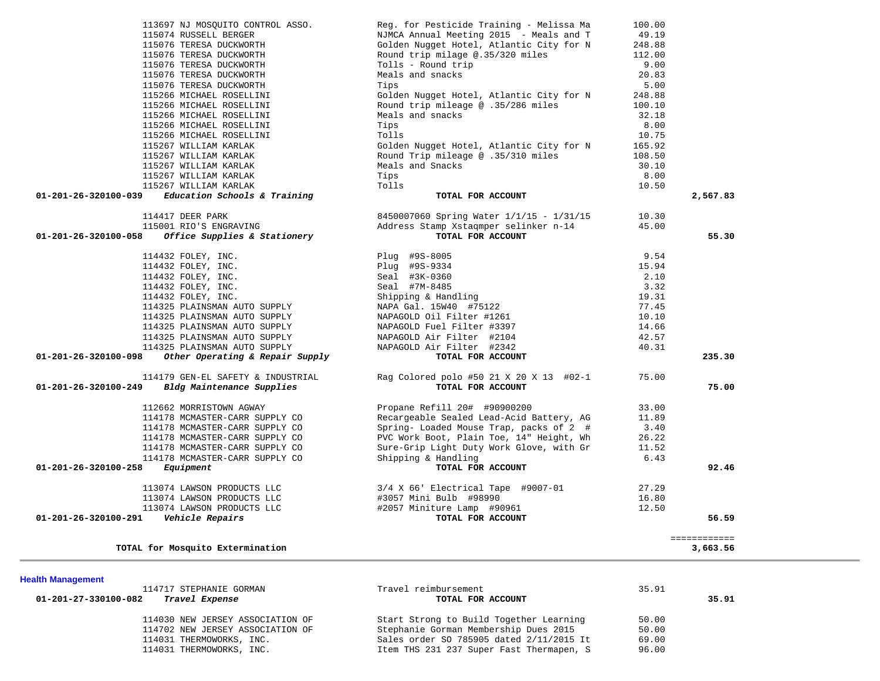| NJMCA Annual Meeting 2015 - Meals and T<br>49.19<br>115074 RUSSELL BERGER<br>115076 TERESA DUCKWORTH<br>Golden Nugget Hotel, Atlantic City for N<br>248.88<br>Round trip milage @.35/320 miles<br>112.00<br>115076 TERESA DUCKWORTH<br>Tolls - Round trip<br>9.00<br>115076 TERESA DUCKWORTH<br>Meals and snacks<br>115076 TERESA DUCKWORTH<br>20.83<br>115076 TERESA DUCKWORTH<br>Tips<br>5.00<br>115266 MICHAEL ROSELLINI<br>Golden Nugget Hotel, Atlantic City for N<br>248.88<br>Round trip mileage @ .35/286 miles<br>115266 MICHAEL ROSELLINI<br>100.10<br>115266 MICHAEL ROSELLINI<br>Meals and snacks<br>32.18<br>115266 MICHAEL ROSELLINI<br>Tips<br>8.00<br>115266 MICHAEL ROSELLINI<br>Tolls<br>10.75<br>115267 WILLIAM KARLAK<br>Golden Nugget Hotel, Atlantic City for N<br>165.92<br>Round Trip mileage @ .35/310 miles<br>115267 WILLIAM KARLAK<br>108.50<br>115267 WILLIAM KARLAK<br>Meals and Snacks<br>30.10<br>115267 WILLIAM KARLAK<br>Tips<br>8.00<br>115267 WILLIAM KARLAK<br>Tolls<br>10.50<br>Education Schools & Training<br>TOTAL FOR ACCOUNT<br>2,567.83<br>01-201-26-320100-039<br>114417 DEER PARK<br>8450007060 Spring Water 1/1/15 - 1/31/15<br>10.30<br>Address Stamp Xstaqmper selinker n-14<br>115001 RIO'S ENGRAVING<br>45.00<br>55.30<br>Office Supplies & Stationery<br>TOTAL FOR ACCOUNT<br>01-201-26-320100-058<br>9.54<br>114432 FOLEY, INC.<br>Plug #9S-8005<br>114432 FOLEY, INC.<br>Plug #9S-9334<br>15.94<br>114432 FOLEY, INC.<br>Seal #3K-0360<br>2.10<br>3.32<br>114432 FOLEY, INC.<br>Seal #7M-8485<br>114432 FOLEY, INC.<br>Shipping & Handling<br>19.31<br>114325 PLAINSMAN AUTO SUPPLY<br>NAPA Gal. 15W40 #75122<br>77.45<br>114325 PLAINSMAN AUTO SUPPLY<br>NAPAGOLD Oil Filter #1261<br>10.10<br>NAPAGOLD Fuel Filter #3397<br>114325 PLAINSMAN AUTO SUPPLY<br>14.66<br>114325 PLAINSMAN AUTO SUPPLY<br>NAPAGOLD Air Filter #2104<br>42.57<br>114325 PLAINSMAN AUTO SUPPLY<br>NAPAGOLD Air Filter #2342<br>40.31<br>Other Operating & Repair Supply<br>235.30<br>01-201-26-320100-098<br>TOTAL FOR ACCOUNT<br>114179 GEN-EL SAFETY & INDUSTRIAL<br>Rag Colored polo #50 21 X 20 X 13 #02-1<br>75.00<br>75.00<br>$01 - 201 - 26 - 320100 - 249$<br>Bldg Maintenance Supplies<br>TOTAL FOR ACCOUNT<br>Propane Refill 20# #90900200<br>112662 MORRISTOWN AGWAY<br>33.00<br>Recargeable Sealed Lead-Acid Battery, AG<br>114178 MCMASTER-CARR SUPPLY CO<br>11.89<br>114178 MCMASTER-CARR SUPPLY CO<br>Spring- Loaded Mouse Trap, packs of 2 #<br>3.40<br>114178 MCMASTER-CARR SUPPLY CO<br>PVC Work Boot, Plain Toe, 14" Height, Wh<br>26.22<br>Sure-Grip Light Duty Work Glove, with Gr<br>114178 MCMASTER-CARR SUPPLY CO<br>11.52<br>114178 MCMASTER-CARR SUPPLY CO<br>Shipping & Handling<br>6.43<br>92.46<br>01-201-26-320100-258<br>TOTAL FOR ACCOUNT<br>Equipment<br>113074 LAWSON PRODUCTS LLC<br>3/4 X 66' Electrical Tape #9007-01<br>27.29<br>#3057 Mini Bulb #98990<br>113074 LAWSON PRODUCTS LLC<br>16.80<br>#2057 Miniture Lamp #90961<br>12.50<br>113074 LAWSON PRODUCTS LLC<br>56.59<br>01-201-26-320100-291<br>Vehicle Repairs<br>TOTAL FOR ACCOUNT<br>============<br>TOTAL for Mosquito Extermination<br>3,663.56 | 113697 NJ MOSQUITO CONTROL ASSO. | Reg. for Pesticide Training - Melissa Ma | 100.00 |  |
|-------------------------------------------------------------------------------------------------------------------------------------------------------------------------------------------------------------------------------------------------------------------------------------------------------------------------------------------------------------------------------------------------------------------------------------------------------------------------------------------------------------------------------------------------------------------------------------------------------------------------------------------------------------------------------------------------------------------------------------------------------------------------------------------------------------------------------------------------------------------------------------------------------------------------------------------------------------------------------------------------------------------------------------------------------------------------------------------------------------------------------------------------------------------------------------------------------------------------------------------------------------------------------------------------------------------------------------------------------------------------------------------------------------------------------------------------------------------------------------------------------------------------------------------------------------------------------------------------------------------------------------------------------------------------------------------------------------------------------------------------------------------------------------------------------------------------------------------------------------------------------------------------------------------------------------------------------------------------------------------------------------------------------------------------------------------------------------------------------------------------------------------------------------------------------------------------------------------------------------------------------------------------------------------------------------------------------------------------------------------------------------------------------------------------------------------------------------------------------------------------------------------------------------------------------------------------------------------------------------------------------------------------------------------------------------------------------------------------------------------------------------------------------------------------------------------------------------------------------------------------------------------------------------------------------------------------------------------------------------------------------------------------------------------------------------------------------------------------------------------------------------------------------------------------------------|----------------------------------|------------------------------------------|--------|--|
|                                                                                                                                                                                                                                                                                                                                                                                                                                                                                                                                                                                                                                                                                                                                                                                                                                                                                                                                                                                                                                                                                                                                                                                                                                                                                                                                                                                                                                                                                                                                                                                                                                                                                                                                                                                                                                                                                                                                                                                                                                                                                                                                                                                                                                                                                                                                                                                                                                                                                                                                                                                                                                                                                                                                                                                                                                                                                                                                                                                                                                                                                                                                                                                     |                                  |                                          |        |  |
|                                                                                                                                                                                                                                                                                                                                                                                                                                                                                                                                                                                                                                                                                                                                                                                                                                                                                                                                                                                                                                                                                                                                                                                                                                                                                                                                                                                                                                                                                                                                                                                                                                                                                                                                                                                                                                                                                                                                                                                                                                                                                                                                                                                                                                                                                                                                                                                                                                                                                                                                                                                                                                                                                                                                                                                                                                                                                                                                                                                                                                                                                                                                                                                     |                                  |                                          |        |  |
|                                                                                                                                                                                                                                                                                                                                                                                                                                                                                                                                                                                                                                                                                                                                                                                                                                                                                                                                                                                                                                                                                                                                                                                                                                                                                                                                                                                                                                                                                                                                                                                                                                                                                                                                                                                                                                                                                                                                                                                                                                                                                                                                                                                                                                                                                                                                                                                                                                                                                                                                                                                                                                                                                                                                                                                                                                                                                                                                                                                                                                                                                                                                                                                     |                                  |                                          |        |  |
|                                                                                                                                                                                                                                                                                                                                                                                                                                                                                                                                                                                                                                                                                                                                                                                                                                                                                                                                                                                                                                                                                                                                                                                                                                                                                                                                                                                                                                                                                                                                                                                                                                                                                                                                                                                                                                                                                                                                                                                                                                                                                                                                                                                                                                                                                                                                                                                                                                                                                                                                                                                                                                                                                                                                                                                                                                                                                                                                                                                                                                                                                                                                                                                     |                                  |                                          |        |  |
|                                                                                                                                                                                                                                                                                                                                                                                                                                                                                                                                                                                                                                                                                                                                                                                                                                                                                                                                                                                                                                                                                                                                                                                                                                                                                                                                                                                                                                                                                                                                                                                                                                                                                                                                                                                                                                                                                                                                                                                                                                                                                                                                                                                                                                                                                                                                                                                                                                                                                                                                                                                                                                                                                                                                                                                                                                                                                                                                                                                                                                                                                                                                                                                     |                                  |                                          |        |  |
|                                                                                                                                                                                                                                                                                                                                                                                                                                                                                                                                                                                                                                                                                                                                                                                                                                                                                                                                                                                                                                                                                                                                                                                                                                                                                                                                                                                                                                                                                                                                                                                                                                                                                                                                                                                                                                                                                                                                                                                                                                                                                                                                                                                                                                                                                                                                                                                                                                                                                                                                                                                                                                                                                                                                                                                                                                                                                                                                                                                                                                                                                                                                                                                     |                                  |                                          |        |  |
|                                                                                                                                                                                                                                                                                                                                                                                                                                                                                                                                                                                                                                                                                                                                                                                                                                                                                                                                                                                                                                                                                                                                                                                                                                                                                                                                                                                                                                                                                                                                                                                                                                                                                                                                                                                                                                                                                                                                                                                                                                                                                                                                                                                                                                                                                                                                                                                                                                                                                                                                                                                                                                                                                                                                                                                                                                                                                                                                                                                                                                                                                                                                                                                     |                                  |                                          |        |  |
|                                                                                                                                                                                                                                                                                                                                                                                                                                                                                                                                                                                                                                                                                                                                                                                                                                                                                                                                                                                                                                                                                                                                                                                                                                                                                                                                                                                                                                                                                                                                                                                                                                                                                                                                                                                                                                                                                                                                                                                                                                                                                                                                                                                                                                                                                                                                                                                                                                                                                                                                                                                                                                                                                                                                                                                                                                                                                                                                                                                                                                                                                                                                                                                     |                                  |                                          |        |  |
|                                                                                                                                                                                                                                                                                                                                                                                                                                                                                                                                                                                                                                                                                                                                                                                                                                                                                                                                                                                                                                                                                                                                                                                                                                                                                                                                                                                                                                                                                                                                                                                                                                                                                                                                                                                                                                                                                                                                                                                                                                                                                                                                                                                                                                                                                                                                                                                                                                                                                                                                                                                                                                                                                                                                                                                                                                                                                                                                                                                                                                                                                                                                                                                     |                                  |                                          |        |  |
|                                                                                                                                                                                                                                                                                                                                                                                                                                                                                                                                                                                                                                                                                                                                                                                                                                                                                                                                                                                                                                                                                                                                                                                                                                                                                                                                                                                                                                                                                                                                                                                                                                                                                                                                                                                                                                                                                                                                                                                                                                                                                                                                                                                                                                                                                                                                                                                                                                                                                                                                                                                                                                                                                                                                                                                                                                                                                                                                                                                                                                                                                                                                                                                     |                                  |                                          |        |  |
|                                                                                                                                                                                                                                                                                                                                                                                                                                                                                                                                                                                                                                                                                                                                                                                                                                                                                                                                                                                                                                                                                                                                                                                                                                                                                                                                                                                                                                                                                                                                                                                                                                                                                                                                                                                                                                                                                                                                                                                                                                                                                                                                                                                                                                                                                                                                                                                                                                                                                                                                                                                                                                                                                                                                                                                                                                                                                                                                                                                                                                                                                                                                                                                     |                                  |                                          |        |  |
|                                                                                                                                                                                                                                                                                                                                                                                                                                                                                                                                                                                                                                                                                                                                                                                                                                                                                                                                                                                                                                                                                                                                                                                                                                                                                                                                                                                                                                                                                                                                                                                                                                                                                                                                                                                                                                                                                                                                                                                                                                                                                                                                                                                                                                                                                                                                                                                                                                                                                                                                                                                                                                                                                                                                                                                                                                                                                                                                                                                                                                                                                                                                                                                     |                                  |                                          |        |  |
|                                                                                                                                                                                                                                                                                                                                                                                                                                                                                                                                                                                                                                                                                                                                                                                                                                                                                                                                                                                                                                                                                                                                                                                                                                                                                                                                                                                                                                                                                                                                                                                                                                                                                                                                                                                                                                                                                                                                                                                                                                                                                                                                                                                                                                                                                                                                                                                                                                                                                                                                                                                                                                                                                                                                                                                                                                                                                                                                                                                                                                                                                                                                                                                     |                                  |                                          |        |  |
|                                                                                                                                                                                                                                                                                                                                                                                                                                                                                                                                                                                                                                                                                                                                                                                                                                                                                                                                                                                                                                                                                                                                                                                                                                                                                                                                                                                                                                                                                                                                                                                                                                                                                                                                                                                                                                                                                                                                                                                                                                                                                                                                                                                                                                                                                                                                                                                                                                                                                                                                                                                                                                                                                                                                                                                                                                                                                                                                                                                                                                                                                                                                                                                     |                                  |                                          |        |  |
|                                                                                                                                                                                                                                                                                                                                                                                                                                                                                                                                                                                                                                                                                                                                                                                                                                                                                                                                                                                                                                                                                                                                                                                                                                                                                                                                                                                                                                                                                                                                                                                                                                                                                                                                                                                                                                                                                                                                                                                                                                                                                                                                                                                                                                                                                                                                                                                                                                                                                                                                                                                                                                                                                                                                                                                                                                                                                                                                                                                                                                                                                                                                                                                     |                                  |                                          |        |  |
|                                                                                                                                                                                                                                                                                                                                                                                                                                                                                                                                                                                                                                                                                                                                                                                                                                                                                                                                                                                                                                                                                                                                                                                                                                                                                                                                                                                                                                                                                                                                                                                                                                                                                                                                                                                                                                                                                                                                                                                                                                                                                                                                                                                                                                                                                                                                                                                                                                                                                                                                                                                                                                                                                                                                                                                                                                                                                                                                                                                                                                                                                                                                                                                     |                                  |                                          |        |  |
|                                                                                                                                                                                                                                                                                                                                                                                                                                                                                                                                                                                                                                                                                                                                                                                                                                                                                                                                                                                                                                                                                                                                                                                                                                                                                                                                                                                                                                                                                                                                                                                                                                                                                                                                                                                                                                                                                                                                                                                                                                                                                                                                                                                                                                                                                                                                                                                                                                                                                                                                                                                                                                                                                                                                                                                                                                                                                                                                                                                                                                                                                                                                                                                     |                                  |                                          |        |  |
|                                                                                                                                                                                                                                                                                                                                                                                                                                                                                                                                                                                                                                                                                                                                                                                                                                                                                                                                                                                                                                                                                                                                                                                                                                                                                                                                                                                                                                                                                                                                                                                                                                                                                                                                                                                                                                                                                                                                                                                                                                                                                                                                                                                                                                                                                                                                                                                                                                                                                                                                                                                                                                                                                                                                                                                                                                                                                                                                                                                                                                                                                                                                                                                     |                                  |                                          |        |  |
|                                                                                                                                                                                                                                                                                                                                                                                                                                                                                                                                                                                                                                                                                                                                                                                                                                                                                                                                                                                                                                                                                                                                                                                                                                                                                                                                                                                                                                                                                                                                                                                                                                                                                                                                                                                                                                                                                                                                                                                                                                                                                                                                                                                                                                                                                                                                                                                                                                                                                                                                                                                                                                                                                                                                                                                                                                                                                                                                                                                                                                                                                                                                                                                     |                                  |                                          |        |  |
|                                                                                                                                                                                                                                                                                                                                                                                                                                                                                                                                                                                                                                                                                                                                                                                                                                                                                                                                                                                                                                                                                                                                                                                                                                                                                                                                                                                                                                                                                                                                                                                                                                                                                                                                                                                                                                                                                                                                                                                                                                                                                                                                                                                                                                                                                                                                                                                                                                                                                                                                                                                                                                                                                                                                                                                                                                                                                                                                                                                                                                                                                                                                                                                     |                                  |                                          |        |  |
|                                                                                                                                                                                                                                                                                                                                                                                                                                                                                                                                                                                                                                                                                                                                                                                                                                                                                                                                                                                                                                                                                                                                                                                                                                                                                                                                                                                                                                                                                                                                                                                                                                                                                                                                                                                                                                                                                                                                                                                                                                                                                                                                                                                                                                                                                                                                                                                                                                                                                                                                                                                                                                                                                                                                                                                                                                                                                                                                                                                                                                                                                                                                                                                     |                                  |                                          |        |  |
|                                                                                                                                                                                                                                                                                                                                                                                                                                                                                                                                                                                                                                                                                                                                                                                                                                                                                                                                                                                                                                                                                                                                                                                                                                                                                                                                                                                                                                                                                                                                                                                                                                                                                                                                                                                                                                                                                                                                                                                                                                                                                                                                                                                                                                                                                                                                                                                                                                                                                                                                                                                                                                                                                                                                                                                                                                                                                                                                                                                                                                                                                                                                                                                     |                                  |                                          |        |  |
|                                                                                                                                                                                                                                                                                                                                                                                                                                                                                                                                                                                                                                                                                                                                                                                                                                                                                                                                                                                                                                                                                                                                                                                                                                                                                                                                                                                                                                                                                                                                                                                                                                                                                                                                                                                                                                                                                                                                                                                                                                                                                                                                                                                                                                                                                                                                                                                                                                                                                                                                                                                                                                                                                                                                                                                                                                                                                                                                                                                                                                                                                                                                                                                     |                                  |                                          |        |  |
|                                                                                                                                                                                                                                                                                                                                                                                                                                                                                                                                                                                                                                                                                                                                                                                                                                                                                                                                                                                                                                                                                                                                                                                                                                                                                                                                                                                                                                                                                                                                                                                                                                                                                                                                                                                                                                                                                                                                                                                                                                                                                                                                                                                                                                                                                                                                                                                                                                                                                                                                                                                                                                                                                                                                                                                                                                                                                                                                                                                                                                                                                                                                                                                     |                                  |                                          |        |  |
|                                                                                                                                                                                                                                                                                                                                                                                                                                                                                                                                                                                                                                                                                                                                                                                                                                                                                                                                                                                                                                                                                                                                                                                                                                                                                                                                                                                                                                                                                                                                                                                                                                                                                                                                                                                                                                                                                                                                                                                                                                                                                                                                                                                                                                                                                                                                                                                                                                                                                                                                                                                                                                                                                                                                                                                                                                                                                                                                                                                                                                                                                                                                                                                     |                                  |                                          |        |  |
|                                                                                                                                                                                                                                                                                                                                                                                                                                                                                                                                                                                                                                                                                                                                                                                                                                                                                                                                                                                                                                                                                                                                                                                                                                                                                                                                                                                                                                                                                                                                                                                                                                                                                                                                                                                                                                                                                                                                                                                                                                                                                                                                                                                                                                                                                                                                                                                                                                                                                                                                                                                                                                                                                                                                                                                                                                                                                                                                                                                                                                                                                                                                                                                     |                                  |                                          |        |  |
|                                                                                                                                                                                                                                                                                                                                                                                                                                                                                                                                                                                                                                                                                                                                                                                                                                                                                                                                                                                                                                                                                                                                                                                                                                                                                                                                                                                                                                                                                                                                                                                                                                                                                                                                                                                                                                                                                                                                                                                                                                                                                                                                                                                                                                                                                                                                                                                                                                                                                                                                                                                                                                                                                                                                                                                                                                                                                                                                                                                                                                                                                                                                                                                     |                                  |                                          |        |  |
|                                                                                                                                                                                                                                                                                                                                                                                                                                                                                                                                                                                                                                                                                                                                                                                                                                                                                                                                                                                                                                                                                                                                                                                                                                                                                                                                                                                                                                                                                                                                                                                                                                                                                                                                                                                                                                                                                                                                                                                                                                                                                                                                                                                                                                                                                                                                                                                                                                                                                                                                                                                                                                                                                                                                                                                                                                                                                                                                                                                                                                                                                                                                                                                     |                                  |                                          |        |  |
|                                                                                                                                                                                                                                                                                                                                                                                                                                                                                                                                                                                                                                                                                                                                                                                                                                                                                                                                                                                                                                                                                                                                                                                                                                                                                                                                                                                                                                                                                                                                                                                                                                                                                                                                                                                                                                                                                                                                                                                                                                                                                                                                                                                                                                                                                                                                                                                                                                                                                                                                                                                                                                                                                                                                                                                                                                                                                                                                                                                                                                                                                                                                                                                     |                                  |                                          |        |  |
|                                                                                                                                                                                                                                                                                                                                                                                                                                                                                                                                                                                                                                                                                                                                                                                                                                                                                                                                                                                                                                                                                                                                                                                                                                                                                                                                                                                                                                                                                                                                                                                                                                                                                                                                                                                                                                                                                                                                                                                                                                                                                                                                                                                                                                                                                                                                                                                                                                                                                                                                                                                                                                                                                                                                                                                                                                                                                                                                                                                                                                                                                                                                                                                     |                                  |                                          |        |  |
|                                                                                                                                                                                                                                                                                                                                                                                                                                                                                                                                                                                                                                                                                                                                                                                                                                                                                                                                                                                                                                                                                                                                                                                                                                                                                                                                                                                                                                                                                                                                                                                                                                                                                                                                                                                                                                                                                                                                                                                                                                                                                                                                                                                                                                                                                                                                                                                                                                                                                                                                                                                                                                                                                                                                                                                                                                                                                                                                                                                                                                                                                                                                                                                     |                                  |                                          |        |  |
|                                                                                                                                                                                                                                                                                                                                                                                                                                                                                                                                                                                                                                                                                                                                                                                                                                                                                                                                                                                                                                                                                                                                                                                                                                                                                                                                                                                                                                                                                                                                                                                                                                                                                                                                                                                                                                                                                                                                                                                                                                                                                                                                                                                                                                                                                                                                                                                                                                                                                                                                                                                                                                                                                                                                                                                                                                                                                                                                                                                                                                                                                                                                                                                     |                                  |                                          |        |  |
|                                                                                                                                                                                                                                                                                                                                                                                                                                                                                                                                                                                                                                                                                                                                                                                                                                                                                                                                                                                                                                                                                                                                                                                                                                                                                                                                                                                                                                                                                                                                                                                                                                                                                                                                                                                                                                                                                                                                                                                                                                                                                                                                                                                                                                                                                                                                                                                                                                                                                                                                                                                                                                                                                                                                                                                                                                                                                                                                                                                                                                                                                                                                                                                     |                                  |                                          |        |  |
|                                                                                                                                                                                                                                                                                                                                                                                                                                                                                                                                                                                                                                                                                                                                                                                                                                                                                                                                                                                                                                                                                                                                                                                                                                                                                                                                                                                                                                                                                                                                                                                                                                                                                                                                                                                                                                                                                                                                                                                                                                                                                                                                                                                                                                                                                                                                                                                                                                                                                                                                                                                                                                                                                                                                                                                                                                                                                                                                                                                                                                                                                                                                                                                     |                                  |                                          |        |  |
|                                                                                                                                                                                                                                                                                                                                                                                                                                                                                                                                                                                                                                                                                                                                                                                                                                                                                                                                                                                                                                                                                                                                                                                                                                                                                                                                                                                                                                                                                                                                                                                                                                                                                                                                                                                                                                                                                                                                                                                                                                                                                                                                                                                                                                                                                                                                                                                                                                                                                                                                                                                                                                                                                                                                                                                                                                                                                                                                                                                                                                                                                                                                                                                     |                                  |                                          |        |  |
|                                                                                                                                                                                                                                                                                                                                                                                                                                                                                                                                                                                                                                                                                                                                                                                                                                                                                                                                                                                                                                                                                                                                                                                                                                                                                                                                                                                                                                                                                                                                                                                                                                                                                                                                                                                                                                                                                                                                                                                                                                                                                                                                                                                                                                                                                                                                                                                                                                                                                                                                                                                                                                                                                                                                                                                                                                                                                                                                                                                                                                                                                                                                                                                     |                                  |                                          |        |  |
|                                                                                                                                                                                                                                                                                                                                                                                                                                                                                                                                                                                                                                                                                                                                                                                                                                                                                                                                                                                                                                                                                                                                                                                                                                                                                                                                                                                                                                                                                                                                                                                                                                                                                                                                                                                                                                                                                                                                                                                                                                                                                                                                                                                                                                                                                                                                                                                                                                                                                                                                                                                                                                                                                                                                                                                                                                                                                                                                                                                                                                                                                                                                                                                     |                                  |                                          |        |  |
|                                                                                                                                                                                                                                                                                                                                                                                                                                                                                                                                                                                                                                                                                                                                                                                                                                                                                                                                                                                                                                                                                                                                                                                                                                                                                                                                                                                                                                                                                                                                                                                                                                                                                                                                                                                                                                                                                                                                                                                                                                                                                                                                                                                                                                                                                                                                                                                                                                                                                                                                                                                                                                                                                                                                                                                                                                                                                                                                                                                                                                                                                                                                                                                     |                                  |                                          |        |  |
|                                                                                                                                                                                                                                                                                                                                                                                                                                                                                                                                                                                                                                                                                                                                                                                                                                                                                                                                                                                                                                                                                                                                                                                                                                                                                                                                                                                                                                                                                                                                                                                                                                                                                                                                                                                                                                                                                                                                                                                                                                                                                                                                                                                                                                                                                                                                                                                                                                                                                                                                                                                                                                                                                                                                                                                                                                                                                                                                                                                                                                                                                                                                                                                     |                                  |                                          |        |  |
|                                                                                                                                                                                                                                                                                                                                                                                                                                                                                                                                                                                                                                                                                                                                                                                                                                                                                                                                                                                                                                                                                                                                                                                                                                                                                                                                                                                                                                                                                                                                                                                                                                                                                                                                                                                                                                                                                                                                                                                                                                                                                                                                                                                                                                                                                                                                                                                                                                                                                                                                                                                                                                                                                                                                                                                                                                                                                                                                                                                                                                                                                                                                                                                     |                                  |                                          |        |  |
|                                                                                                                                                                                                                                                                                                                                                                                                                                                                                                                                                                                                                                                                                                                                                                                                                                                                                                                                                                                                                                                                                                                                                                                                                                                                                                                                                                                                                                                                                                                                                                                                                                                                                                                                                                                                                                                                                                                                                                                                                                                                                                                                                                                                                                                                                                                                                                                                                                                                                                                                                                                                                                                                                                                                                                                                                                                                                                                                                                                                                                                                                                                                                                                     |                                  |                                          |        |  |
|                                                                                                                                                                                                                                                                                                                                                                                                                                                                                                                                                                                                                                                                                                                                                                                                                                                                                                                                                                                                                                                                                                                                                                                                                                                                                                                                                                                                                                                                                                                                                                                                                                                                                                                                                                                                                                                                                                                                                                                                                                                                                                                                                                                                                                                                                                                                                                                                                                                                                                                                                                                                                                                                                                                                                                                                                                                                                                                                                                                                                                                                                                                                                                                     |                                  |                                          |        |  |
|                                                                                                                                                                                                                                                                                                                                                                                                                                                                                                                                                                                                                                                                                                                                                                                                                                                                                                                                                                                                                                                                                                                                                                                                                                                                                                                                                                                                                                                                                                                                                                                                                                                                                                                                                                                                                                                                                                                                                                                                                                                                                                                                                                                                                                                                                                                                                                                                                                                                                                                                                                                                                                                                                                                                                                                                                                                                                                                                                                                                                                                                                                                                                                                     |                                  |                                          |        |  |
|                                                                                                                                                                                                                                                                                                                                                                                                                                                                                                                                                                                                                                                                                                                                                                                                                                                                                                                                                                                                                                                                                                                                                                                                                                                                                                                                                                                                                                                                                                                                                                                                                                                                                                                                                                                                                                                                                                                                                                                                                                                                                                                                                                                                                                                                                                                                                                                                                                                                                                                                                                                                                                                                                                                                                                                                                                                                                                                                                                                                                                                                                                                                                                                     |                                  |                                          |        |  |
|                                                                                                                                                                                                                                                                                                                                                                                                                                                                                                                                                                                                                                                                                                                                                                                                                                                                                                                                                                                                                                                                                                                                                                                                                                                                                                                                                                                                                                                                                                                                                                                                                                                                                                                                                                                                                                                                                                                                                                                                                                                                                                                                                                                                                                                                                                                                                                                                                                                                                                                                                                                                                                                                                                                                                                                                                                                                                                                                                                                                                                                                                                                                                                                     |                                  |                                          |        |  |
|                                                                                                                                                                                                                                                                                                                                                                                                                                                                                                                                                                                                                                                                                                                                                                                                                                                                                                                                                                                                                                                                                                                                                                                                                                                                                                                                                                                                                                                                                                                                                                                                                                                                                                                                                                                                                                                                                                                                                                                                                                                                                                                                                                                                                                                                                                                                                                                                                                                                                                                                                                                                                                                                                                                                                                                                                                                                                                                                                                                                                                                                                                                                                                                     |                                  |                                          |        |  |
|                                                                                                                                                                                                                                                                                                                                                                                                                                                                                                                                                                                                                                                                                                                                                                                                                                                                                                                                                                                                                                                                                                                                                                                                                                                                                                                                                                                                                                                                                                                                                                                                                                                                                                                                                                                                                                                                                                                                                                                                                                                                                                                                                                                                                                                                                                                                                                                                                                                                                                                                                                                                                                                                                                                                                                                                                                                                                                                                                                                                                                                                                                                                                                                     |                                  |                                          |        |  |
|                                                                                                                                                                                                                                                                                                                                                                                                                                                                                                                                                                                                                                                                                                                                                                                                                                                                                                                                                                                                                                                                                                                                                                                                                                                                                                                                                                                                                                                                                                                                                                                                                                                                                                                                                                                                                                                                                                                                                                                                                                                                                                                                                                                                                                                                                                                                                                                                                                                                                                                                                                                                                                                                                                                                                                                                                                                                                                                                                                                                                                                                                                                                                                                     |                                  |                                          |        |  |
|                                                                                                                                                                                                                                                                                                                                                                                                                                                                                                                                                                                                                                                                                                                                                                                                                                                                                                                                                                                                                                                                                                                                                                                                                                                                                                                                                                                                                                                                                                                                                                                                                                                                                                                                                                                                                                                                                                                                                                                                                                                                                                                                                                                                                                                                                                                                                                                                                                                                                                                                                                                                                                                                                                                                                                                                                                                                                                                                                                                                                                                                                                                                                                                     |                                  |                                          |        |  |
|                                                                                                                                                                                                                                                                                                                                                                                                                                                                                                                                                                                                                                                                                                                                                                                                                                                                                                                                                                                                                                                                                                                                                                                                                                                                                                                                                                                                                                                                                                                                                                                                                                                                                                                                                                                                                                                                                                                                                                                                                                                                                                                                                                                                                                                                                                                                                                                                                                                                                                                                                                                                                                                                                                                                                                                                                                                                                                                                                                                                                                                                                                                                                                                     |                                  |                                          |        |  |
|                                                                                                                                                                                                                                                                                                                                                                                                                                                                                                                                                                                                                                                                                                                                                                                                                                                                                                                                                                                                                                                                                                                                                                                                                                                                                                                                                                                                                                                                                                                                                                                                                                                                                                                                                                                                                                                                                                                                                                                                                                                                                                                                                                                                                                                                                                                                                                                                                                                                                                                                                                                                                                                                                                                                                                                                                                                                                                                                                                                                                                                                                                                                                                                     |                                  |                                          |        |  |
|                                                                                                                                                                                                                                                                                                                                                                                                                                                                                                                                                                                                                                                                                                                                                                                                                                                                                                                                                                                                                                                                                                                                                                                                                                                                                                                                                                                                                                                                                                                                                                                                                                                                                                                                                                                                                                                                                                                                                                                                                                                                                                                                                                                                                                                                                                                                                                                                                                                                                                                                                                                                                                                                                                                                                                                                                                                                                                                                                                                                                                                                                                                                                                                     |                                  |                                          |        |  |

**Health Management** 

| Travel reimbursement                     | 35.91 |       |
|------------------------------------------|-------|-------|
| TOTAL FOR ACCOUNT                        |       | 35.91 |
| Start Strong to Build Together Learning  | 50.00 |       |
| Stephanie Gorman Membership Dues 2015    | 50.00 |       |
| Sales order SO 785905 dated 2/11/2015 It | 69.00 |       |
| Item THS 231 237 Super Fast Thermapen, S | 96.00 |       |
|                                          |       |       |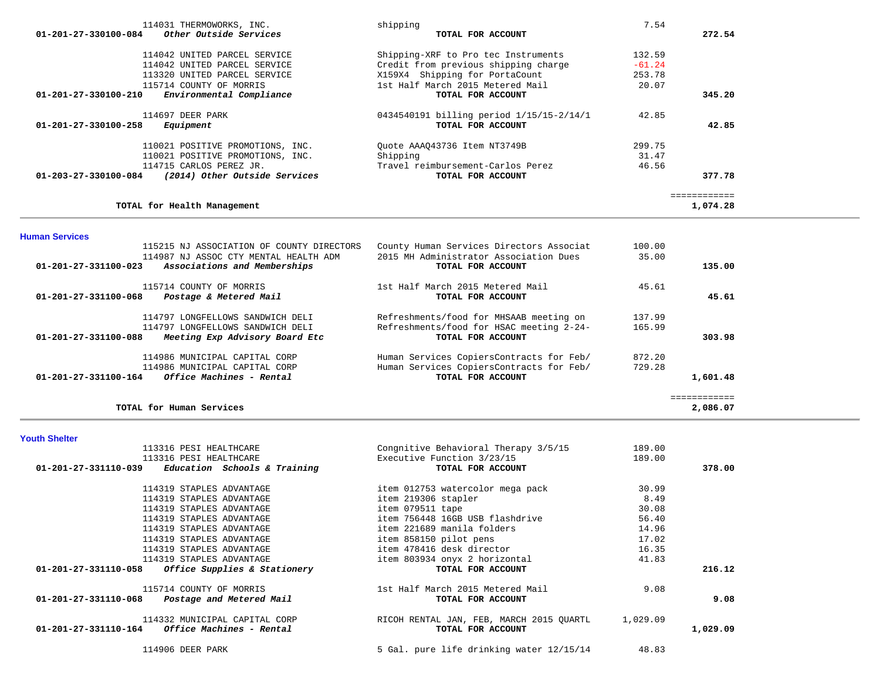| 114031 THERMOWORKS, INC.<br>Other Outside Services<br>$01 - 201 - 27 - 330100 - 084$ | shipping<br>TOTAL FOR ACCOUNT            | 7.54     | 272.54       |
|--------------------------------------------------------------------------------------|------------------------------------------|----------|--------------|
| 114042 UNITED PARCEL SERVICE                                                         | Shipping-XRF to Pro tec Instruments      | 132.59   |              |
| 114042 UNITED PARCEL SERVICE                                                         | Credit from previous shipping charge     | $-61.24$ |              |
| 113320 UNITED PARCEL SERVICE                                                         | X159X4 Shipping for PortaCount           | 253.78   |              |
| 115714 COUNTY OF MORRIS                                                              | 1st Half March 2015 Metered Mail         | 20.07    |              |
| Environmental Compliance<br>01-201-27-330100-210                                     | TOTAL FOR ACCOUNT                        |          | 345.20       |
| 114697 DEER PARK                                                                     | 0434540191 billing period 1/15/15-2/14/1 | 42.85    |              |
| $01 - 201 - 27 - 330100 - 258$<br>Equipment                                          | TOTAL FOR ACCOUNT                        |          | 42.85        |
| 110021 POSITIVE PROMOTIONS, INC.                                                     | Ouote AAA043736 Item NT3749B             | 299.75   |              |
| 110021 POSITIVE PROMOTIONS, INC.                                                     | Shipping                                 | 31.47    |              |
| 114715 CARLOS PEREZ JR.                                                              | Travel reimbursement-Carlos Perez        | 46.56    |              |
| (2014) Other Outside Services<br>$01 - 203 - 27 - 330100 - 084$                      | TOTAL FOR ACCOUNT                        |          | 377.78       |
|                                                                                      |                                          |          | ============ |
| TOTAL for Health Management                                                          |                                          |          | 1,074.28     |

**Human Services** 

| 115215 NJ ASSOCIATION OF COUNTY DIRECTORS                      | County Human Services Directors Associat | 100.00 |          |
|----------------------------------------------------------------|------------------------------------------|--------|----------|
| 114987 NJ ASSOC CTY MENTAL HEALTH ADM                          | 2015 MH Administrator Association Dues   | 35.00  |          |
| $01 - 201 - 27 - 331100 - 023$<br>Associations and Memberships | TOTAL FOR ACCOUNT                        |        | 135.00   |
| 115714 COUNTY OF MORRIS                                        | 1st Half March 2015 Metered Mail         | 45.61  |          |
| 01-201-27-331100-068<br>Postage & Metered Mail                 | TOTAL FOR ACCOUNT                        |        | 45.61    |
| 114797 LONGFELLOWS SANDWICH DELI                               | Refreshments/food for MHSAAB meeting on  | 137.99 |          |
| 114797 LONGFELLOWS SANDWICH DELI                               | Refreshments/food for HSAC meeting 2-24- | 165.99 |          |
| 01-201-27-331100-088<br>Meeting Exp Advisory Board Etc         | TOTAL FOR ACCOUNT                        |        | 303.98   |
| 114986 MUNICIPAL CAPITAL CORP                                  | Human Services CopiersContracts for Feb/ | 872.20 |          |
| 114986 MUNICIPAL CAPITAL CORP                                  | Human Services CopiersContracts for Feb/ | 729.28 |          |
| $01 - 201 - 27 - 331100 - 164$<br>Office Machines - Rental     | TOTAL FOR ACCOUNT                        |        | 1,601.48 |
|                                                                |                                          |        |          |
| TOTAL for Human Services                                       |                                          |        | 2,086.07 |

#### **Youth Shelter**

| 113316 PESI HEALTHCARE                                                           | Congnitive Behavioral Therapy 3/5/15                          | 189.00   |          |
|----------------------------------------------------------------------------------|---------------------------------------------------------------|----------|----------|
| 113316 PESI HEALTHCARE                                                           | Executive Function 3/23/15                                    | 189.00   |          |
| $01-201-27-331110-039$ Education Schools & Training                              | TOTAL FOR ACCOUNT                                             |          | 378.00   |
| 114319 STAPLES ADVANTAGE                                                         | item 012753 watercolor mega pack                              | 30.99    |          |
| 114319 STAPLES ADVANTAGE                                                         | item 219306 stapler                                           | 8.49     |          |
| 114319 STAPLES ADVANTAGE                                                         | item 079511 tape                                              | 30.08    |          |
| 114319 STAPLES ADVANTAGE                                                         | item 756448 16GB USB flashdrive                               | 56.40    |          |
| 114319 STAPLES ADVANTAGE                                                         | item 221689 manila folders                                    | 14.96    |          |
| 114319 STAPLES ADVANTAGE                                                         | item 858150 pilot pens                                        | 17.02    |          |
| 114319 STAPLES ADVANTAGE                                                         | item 478416 desk director                                     | 16.35    |          |
| 114319 STAPLES ADVANTAGE                                                         | item 803934 onyx 2 horizontal                                 | 41.83    |          |
| 01-201-27-331110-058<br>Office Supplies & Stationery                             | TOTAL FOR ACCOUNT                                             |          | 216.12   |
| 115714 COUNTY OF MORRIS<br>01-201-27-331110-068 Postage and Metered Mail         | 1st Half March 2015 Metered Mail<br>TOTAL FOR ACCOUNT         | 9.08     | 9.08     |
| 114332 MUNICIPAL CAPITAL CORP<br>$01-201-27-331110-164$ Office Machines - Rental | RICOH RENTAL JAN, FEB, MARCH 2015 OUARTL<br>TOTAL FOR ACCOUNT | 1,029.09 | 1,029.09 |
| 114906 DEER PARK                                                                 | 5 Gal. pure life drinking water 12/15/14                      | 48.83    |          |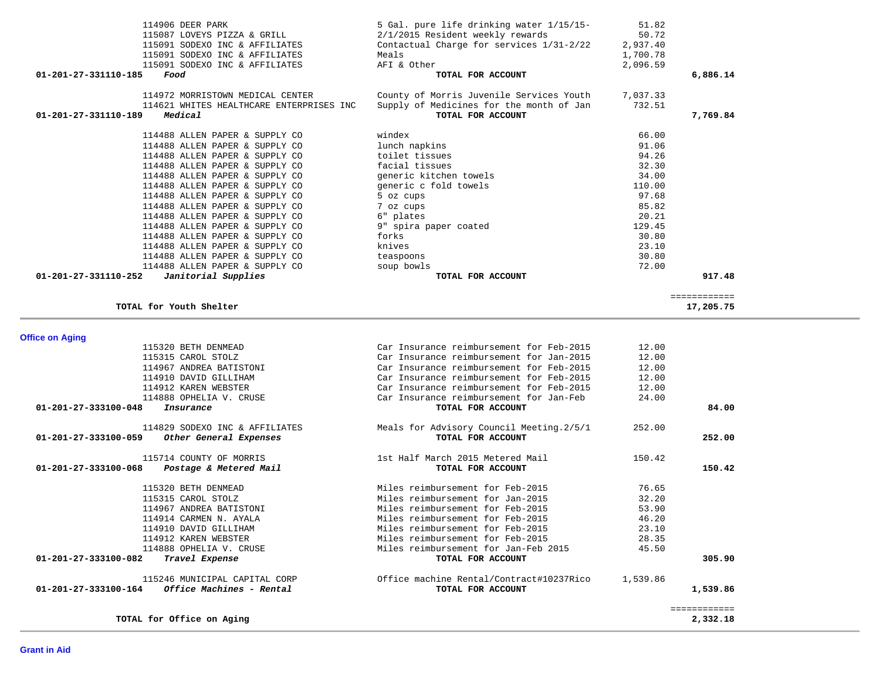| 115320 BETH DENMEAD                              | Car Insurance reimbursement for Feb-2015  | 12.00    |              |
|--------------------------------------------------|-------------------------------------------|----------|--------------|
| 115315 CAROL STOLZ                               | Car Insurance reimbursement for Jan-2015  | 12.00    |              |
| 114967 ANDREA BATISTONI                          | Car Insurance reimbursement for Feb-2015  | 12.00    |              |
| 114910 DAVID GILLIHAM                            | Car Insurance reimbursement for Feb-2015  | 12.00    |              |
| 114912 KAREN WEBSTER                             | Car Insurance reimbursement for Feb-2015  | 12.00    |              |
| 114888 OPHELIA V. CRUSE                          | Car Insurance reimbursement for Jan-Feb   | 24.00    |              |
| 01-201-27-333100-048<br>Insurance                | TOTAL FOR ACCOUNT                         |          | 84.00        |
| 114829 SODEXO INC & AFFILIATES                   | Meals for Advisory Council Meeting. 2/5/1 | 252.00   |              |
| 01-201-27-333100-059<br>Other General Expenses   | TOTAL FOR ACCOUNT                         |          | 252.00       |
| 115714 COUNTY OF MORRIS                          | 1st Half March 2015 Metered Mail          | 150.42   |              |
| 01-201-27-333100-068<br>Postage & Metered Mail   | TOTAL FOR ACCOUNT                         |          | 150.42       |
| 115320 BETH DENMEAD                              | Miles reimbursement for Feb-2015          | 76.65    |              |
| 115315 CAROL STOLZ                               | Miles reimbursement for Jan-2015          | 32.20    |              |
| 114967 ANDREA BATISTONI                          | Miles reimbursement for Feb-2015          | 53.90    |              |
| 114914 CARMEN N. AYALA                           | Miles reimbursement for Feb-2015          | 46.20    |              |
| 114910 DAVID GILLIHAM                            | Miles reimbursement for Feb-2015          | 23.10    |              |
| 114912 KAREN WEBSTER                             | Miles reimbursement for Feb-2015          | 28.35    |              |
| 114888 OPHELIA V. CRUSE                          | Miles reimbursement for Jan-Feb 2015      | 45.50    |              |
| 01-201-27-333100-082<br>Travel Expense           | TOTAL FOR ACCOUNT                         |          | 305.90       |
| 115246 MUNICIPAL CAPITAL CORP                    | Office machine Rental/Contract#10237Rico  | 1,539.86 |              |
| 01-201-27-333100-164<br>Office Machines - Rental | TOTAL FOR ACCOUNT                         |          | 1,539.86     |
|                                                  |                                           |          | ============ |
| TOTAL for Office on Aging                        |                                           |          | 2,332.18     |

# **Office on Aging**

| 114906 DEER PARK<br>115087 LOVEYS PIZZA & GRILL<br>115091 SODEXO INC & AFFILIATES<br>115091 SODEXO INC & AFFILIATES<br>115091 SODEXO INC & AFFILIATES<br>01-201-27-331110-185<br>Food | 5 Gal. pure life drinking water 1/15/15-<br>2/1/2015 Resident weekly rewards<br>Contactual Charge for services 1/31-2/22<br>Meals<br>AFI & Other<br>TOTAL FOR ACCOUNT | 51.82<br>50.72<br>2,937.40<br>1,700.78<br>2,096.59 | 6,886.14     |
|---------------------------------------------------------------------------------------------------------------------------------------------------------------------------------------|-----------------------------------------------------------------------------------------------------------------------------------------------------------------------|----------------------------------------------------|--------------|
| 114972 MORRISTOWN MEDICAL CENTER                                                                                                                                                      | County of Morris Juvenile Services Youth                                                                                                                              | 7,037.33                                           |              |
| 114621 WHITES HEALTHCARE ENTERPRISES INC                                                                                                                                              | Supply of Medicines for the month of Jan                                                                                                                              | 732.51                                             |              |
| Medical<br>01-201-27-331110-189                                                                                                                                                       | TOTAL FOR ACCOUNT                                                                                                                                                     |                                                    | 7,769.84     |
| 114488 ALLEN PAPER & SUPPLY CO                                                                                                                                                        | windex                                                                                                                                                                | 66.00                                              |              |
| 114488 ALLEN PAPER & SUPPLY CO                                                                                                                                                        | lunch napkins                                                                                                                                                         | 91.06                                              |              |
| 114488 ALLEN PAPER & SUPPLY CO                                                                                                                                                        | toilet tissues                                                                                                                                                        | 94.26                                              |              |
| 114488 ALLEN PAPER & SUPPLY CO                                                                                                                                                        | facial tissues                                                                                                                                                        | 32.30                                              |              |
| 114488 ALLEN PAPER & SUPPLY CO                                                                                                                                                        | generic kitchen towels                                                                                                                                                | 34.00                                              |              |
| 114488 ALLEN PAPER & SUPPLY CO                                                                                                                                                        | generic c fold towels                                                                                                                                                 | 110.00                                             |              |
| 114488 ALLEN PAPER & SUPPLY CO                                                                                                                                                        | 5 oz cups                                                                                                                                                             | 97.68                                              |              |
| 114488 ALLEN PAPER & SUPPLY CO                                                                                                                                                        | 7 oz cups                                                                                                                                                             | 85.82                                              |              |
| 114488 ALLEN PAPER & SUPPLY CO                                                                                                                                                        | 6" plates                                                                                                                                                             | 20.21                                              |              |
| 114488 ALLEN PAPER & SUPPLY CO                                                                                                                                                        | 9" spira paper coated                                                                                                                                                 | 129.45                                             |              |
| 114488 ALLEN PAPER & SUPPLY CO                                                                                                                                                        | forks                                                                                                                                                                 | 30.80                                              |              |
| 114488 ALLEN PAPER & SUPPLY CO                                                                                                                                                        | knives                                                                                                                                                                | 23.10                                              |              |
| 114488 ALLEN PAPER & SUPPLY CO                                                                                                                                                        | teaspoons                                                                                                                                                             | 30.80                                              |              |
| 114488 ALLEN PAPER & SUPPLY CO                                                                                                                                                        | soup bowls                                                                                                                                                            | 72.00                                              |              |
| $01 - 201 - 27 - 331110 - 252$<br>Janitorial Supplies                                                                                                                                 | TOTAL FOR ACCOUNT                                                                                                                                                     |                                                    | 917.48       |
|                                                                                                                                                                                       |                                                                                                                                                                       |                                                    | ============ |
| TOTAL for Youth Shelter                                                                                                                                                               |                                                                                                                                                                       |                                                    | 17,205.75    |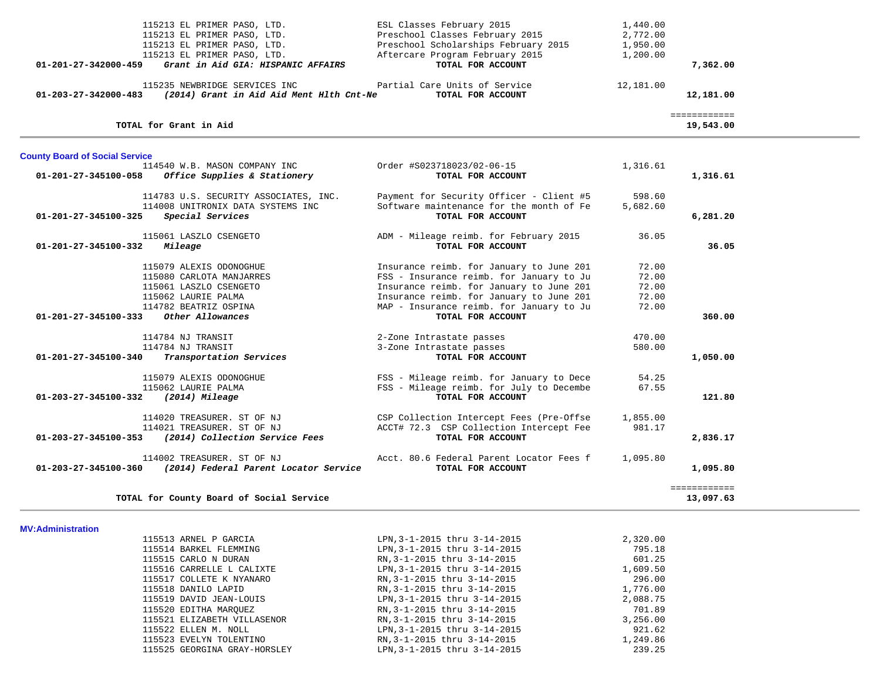|                                       | 115213 EL PRIMER PASO, LTD.              | ESL Classes February 2015                | 1,440.00  |                           |  |
|---------------------------------------|------------------------------------------|------------------------------------------|-----------|---------------------------|--|
|                                       | 115213 EL PRIMER PASO, LTD.              | Preschool Classes February 2015          | 2,772.00  |                           |  |
|                                       | 115213 EL PRIMER PASO, LTD.              | Preschool Scholarships February 2015     | 1,950.00  |                           |  |
|                                       | 115213 EL PRIMER PASO, LTD.              | Aftercare Program February 2015          | 1,200.00  |                           |  |
| $01 - 201 - 27 - 342000 - 459$        | Grant in Aid GIA: HISPANIC AFFAIRS       | TOTAL FOR ACCOUNT                        |           | 7,362.00                  |  |
|                                       | 115235 NEWBRIDGE SERVICES INC            | Partial Care Units of Service            | 12,181.00 |                           |  |
| 01-203-27-342000-483                  | (2014) Grant in Aid Aid Ment Hlth Cnt-Ne | TOTAL FOR ACCOUNT                        |           | 12,181.00                 |  |
|                                       | TOTAL for Grant in Aid                   |                                          |           | ============<br>19,543.00 |  |
|                                       |                                          |                                          |           |                           |  |
| <b>County Board of Social Service</b> |                                          |                                          |           |                           |  |
|                                       | 114540 W.B. MASON COMPANY INC            | Order #S023718023/02-06-15               | 1,316.61  |                           |  |
| 01-201-27-345100-058                  | Office Supplies & Stationery             | TOTAL FOR ACCOUNT                        |           | 1,316.61                  |  |
|                                       | 114783 U.S. SECURITY ASSOCIATES, INC.    | Payment for Security Officer - Client #5 | 598.60    |                           |  |
|                                       | 114008 UNITRONIX DATA SYSTEMS INC        | Software maintenance for the month of Fe | 5,682.60  |                           |  |
| 01-201-27-345100-325                  | Special Services                         | TOTAL FOR ACCOUNT                        |           | 6,281.20                  |  |
|                                       | 115061 LASZLO CSENGETO                   | ADM - Mileage reimb. for February 2015   | 36.05     |                           |  |
| 01-201-27-345100-332                  | Mileage                                  | TOTAL FOR ACCOUNT                        |           | 36.05                     |  |
|                                       | 115079 ALEXIS ODONOGHUE                  | Insurance reimb. for January to June 201 | 72.00     |                           |  |
|                                       | 115080 CARLOTA MANJARRES                 | FSS - Insurance reimb. for January to Ju | 72.00     |                           |  |
|                                       | 115061 LASZLO CSENGETO                   | Insurance reimb. for January to June 201 | 72.00     |                           |  |
|                                       | 115062 LAURIE PALMA                      | Insurance reimb. for January to June 201 | 72.00     |                           |  |
|                                       | 114782 BEATRIZ OSPINA                    | MAP - Insurance reimb. for January to Ju | 72.00     |                           |  |
| 01-201-27-345100-333                  | Other Allowances                         | TOTAL FOR ACCOUNT                        |           | 360.00                    |  |
|                                       | 114784 NJ TRANSIT                        | 2-Zone Intrastate passes                 | 470.00    |                           |  |
|                                       | 114784 NJ TRANSIT                        | 3-Zone Intrastate passes                 | 580.00    |                           |  |
| 01-201-27-345100-340                  | Transportation Services                  | TOTAL FOR ACCOUNT                        |           | 1,050.00                  |  |
|                                       | 115079 ALEXIS ODONOGHUE                  | FSS - Mileage reimb. for January to Dece | 54.25     |                           |  |
|                                       | 115062 LAURIE PALMA                      | FSS - Mileage reimb. for July to Decembe | 67.55     |                           |  |
| 01-203-27-345100-332                  | $(2014)$ Mileage                         | TOTAL FOR ACCOUNT                        |           | 121.80                    |  |
|                                       | 114020 TREASURER. ST OF NJ               | CSP Collection Intercept Fees (Pre-Offse | 1,855.00  |                           |  |
|                                       | 114021 TREASURER. ST OF NJ               | ACCT# 72.3 CSP Collection Intercept Fee  | 981.17    |                           |  |
| 01-203-27-345100-353                  | (2014) Collection Service Fees           | TOTAL FOR ACCOUNT                        |           | 2,836.17                  |  |
|                                       | 114002 TREASURER. ST OF NJ               | Acct. 80.6 Federal Parent Locator Fees f | 1,095.80  |                           |  |
| $01 - 203 - 27 - 345100 - 360$        | (2014) Federal Parent Locator Service    | TOTAL FOR ACCOUNT                        |           | 1,095.80                  |  |
|                                       |                                          |                                          |           | ============              |  |
|                                       | TOTAL for County Board of Social Service |                                          |           | 13,097.63                 |  |

**MV:Administration** 

| 115513 ARNEL P GARCIA        | LPN, 3-1-2015 thru 3-14-2015 | 2,320.00 |
|------------------------------|------------------------------|----------|
| 115514 BARKEL FLEMMING       | LPN, 3-1-2015 thru 3-14-2015 | 795.18   |
| 115515 CARLO N DURAN         | RN, 3-1-2015 thru 3-14-2015  | 601.25   |
| 115516 CARRELLE L CALIXTE    | LPN, 3-1-2015 thru 3-14-2015 | 1,609.50 |
| 115517 COLLETE K NYANARO     | RN, 3-1-2015 thru 3-14-2015  | 296.00   |
| 115518 DANILO LAPID          | RN, 3-1-2015 thru 3-14-2015  | 1,776.00 |
| 115519 DAVID JEAN-LOUIS      | LPN, 3-1-2015 thru 3-14-2015 | 2,088.75 |
| 115520 EDITHA MAROUEZ        | RN, 3-1-2015 thru 3-14-2015  | 701.89   |
| 115521 ELIZABETH VILLASENOR  | RN, 3-1-2015 thru 3-14-2015  | 3,256.00 |
| 115522 ELLEN M. NOLL         | LPN, 3-1-2015 thru 3-14-2015 | 921.62   |
| 115523 EVELYN TOLENTINO      | RN, 3-1-2015 thru 3-14-2015  | 1,249.86 |
| 115525 GEORGINA GRAY-HORSLEY | LPN, 3-1-2015 thru 3-14-2015 | 239.25   |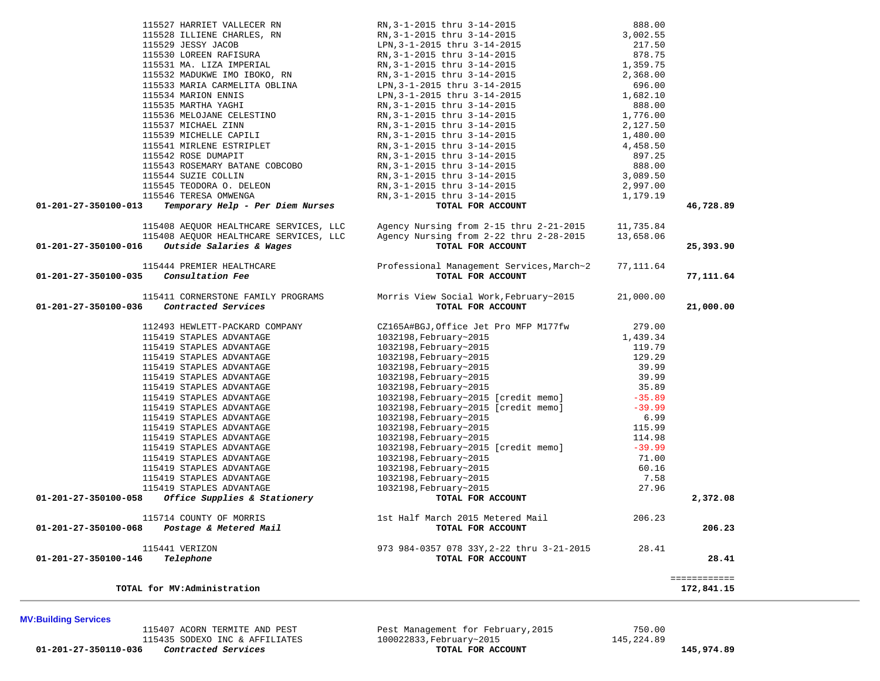**01-201-27-350110-036** *Contracted Services* **TOTAL FOR ACCOUNT 145,974.89**

115407 ACORN TERMITE AND PEST **Pest Management for February,2015** 750.00<br>115435 SODEXO INC & AFFILIATES 100022833, February~2015 145,224.89 115435 SODEXO INC & AFFILIATES 100022833, February~2015<br>5 **Contracted Services** 100022833, Tebruary~2015

**TOTAL for MV:Administration 172,841.15 MV:Building Services** 

 115528 ILLIENE CHARLES, RN RN,3-1-2015 thru 3-14-2015 3,002.55 115529 JESSY JACOB LPN,3-1-2015 thru 3-14-2015 217.50 115530 LOREEN RAFISURA RN,3-1-2015 thru 3-14-2015 878.75 115531 MA. LIZA IMPERIAL RN,3-1-2015 thru 3-14-2015 1,359.75 115532 MADUKWE IMO IBOKO, RN RN,3-1-2015 thru 3-14-2015 2,368.00 115533 MARIA CARMELITA OBLINA LPN,3-1-2015 thru 3-14-2015 696.00 115534 MARION ENNIS LPN,3-1-2015 thru 3-14-2015 1,682.10 115535 MARTHA YAGHI RN,3-1-2015 thru 3-14-2015 888.00 115536 MELOJANE CELESTINO RN,3-1-2015 thru 3-14-2015 1,776.00 115537 MICHAEL ZINN RN,3-1-2015 thru 3-14-2015 2,127.50 115539 MICHELLE CAPILI RN,3-1-2015 thru 3-14-2015 1,480.00 115541 MIRLENE ESTRIPLET RN,3-1-2015 thru 3-14-2015 4,458.50 115542 ROSE DUMAPIT RN,3-1-2015 thru 3-14-2015 897.25 115543 ROSEMARY BATANE COBCOBO RN,3-1-2015 thru 3-14-2015 888.00 115544 SUZIE COLLIN RN,3-1-2015 thru 3-14-2015 3,089.50 115545 TEODORA O. DELEON RN,3-1-2015 thru 3-14-2015 2,997.00 115546 TERESA OMWENGA RN,3-1-2015 thru 3-14-2015 1,179.19  **01-201-27-350100-013** *Temporary Help - Per Diem Nurses* **TOTAL FOR ACCOUNT 46,728.89** 115408 AEQUOR HEALTHCARE SERVICES, LLC Agency Nursing from 2-15 thru 2-21-2015 11,735.84 115408 AEQUOR HEALTHCARE SERVICES, LLC Agency Nursing from 2-22 thru 2-28-2015 13,658.06  **01-201-27-350100-016** *Outside Salaries & Wages* **TOTAL FOR ACCOUNT 25,393.90** 115444 PREMIER HEALTHCARE Professional Management Services,March~2 77,111.64  **01-201-27-350100-035** *Consultation Fee* **TOTAL FOR ACCOUNT 77,111.64** 115411 CORNERSTONE FAMILY PROGRAMS Morris View Social Work, February~2015 21,000.00<br>6 **Contracted Services 11.1** TOTAL FOR ACCOUNT  **01-201-27-350100-036** *Contracted Services* **TOTAL FOR ACCOUNT 21,000.00** 112493 HEWLETT-PACKARD COMPANY CZ165A#BGJ,Office Jet Pro MFP M177fw 279.00 115419 STAPLES ADVANTAGE 1032198,February~2015 1,439.34 115419 STAPLES ADVANTAGE 1032198,February~2015 119.79 115419 STAPLES ADVANTAGE 1032198,February~2015 129.29 115419 STAPLES ADVANTAGE 1032198,February~2015 39.99 115419 STAPLES ADVANTAGE 1032198,February~2015 39.99 115419 STAPLES ADVANTAGE 1032198,February~2015 35.89 115419 STAPLES ADVANTAGE 1032198,February~2015 [credit memo] -35.89 115419 STAPLES ADVANTAGE 1032198,February~2015 [credit memo] -39.99 115419 STAPLES ADVANTAGE 1032198,February~2015 6.99 115419 STAPLES ADVANTAGE 1032198,February~2015 115.99 115419 STAPLES ADVANTAGE 1032198,February~2015 114.98 115419 STAPLES ADVANTAGE 1032198,February~2015 [credit memo] -39.99 115419 STAPLES ADVANTAGE 1032198,February~2015 71.00 115419 STAPLES ADVANTAGE 1032198,February~2015 60.16 115419 STAPLES ADVANTAGE 1032198,February~2015 7.58 115419 STAPLES ADVANTAGE 1032198,February~2015 27.96  **01-201-27-350100-058** *Office Supplies & Stationery* **TOTAL FOR ACCOUNT 2,372.08** 115714 COUNTY OF MORRIS 1st Half March 2015 Metered Mail 206.23 1st Half March 2015 Metered Mail 206.23<br> **TOTAL FOR ACCOUNT** 115714 COUNTY OF MORRIS **115714 COUNTY OF MORRIS** 1st Half March 2015 Metered Mail 206.23<br>**206.23 206.23 POR ACCOUNT** 200.23 115441 VERIZON 973 984-0357 078 33Y,2-22 thru 3-21-2015 28.41  **01-201-27-350100-146** *Telephone* **TOTAL FOR ACCOUNT 28.41** ============

115527 HARRIET VALLECER RN RN,3-1-2015 thru 3-14-2015 888.00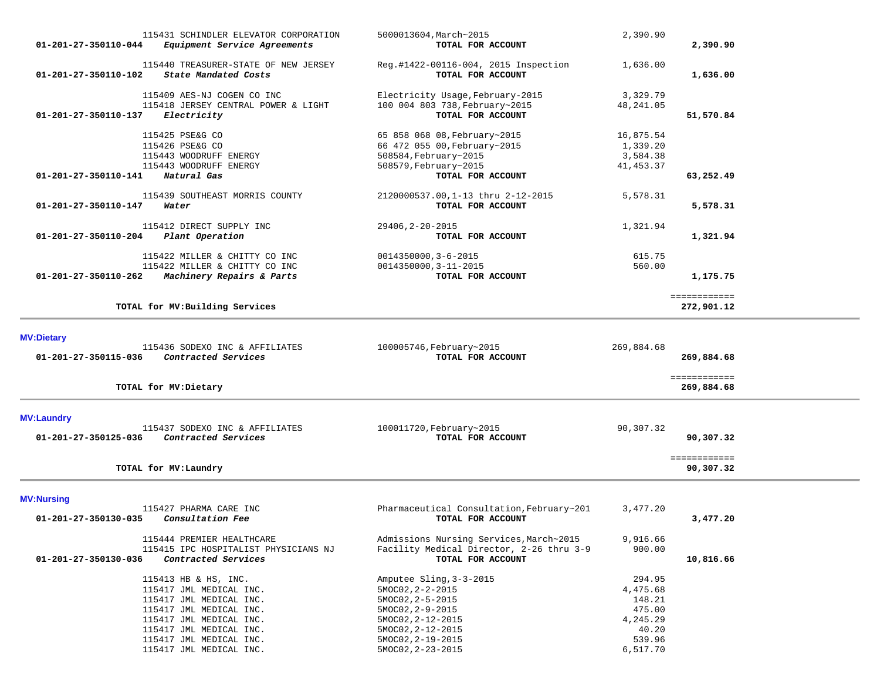| 115431 SCHINDLER ELEVATOR CORPORATION<br>01-201-27-350110-044<br>Equipment Service Agreements | 5000013604, March~2015<br>TOTAL FOR ACCOUNT               | 2,390.90           | 2,390.90                   |
|-----------------------------------------------------------------------------------------------|-----------------------------------------------------------|--------------------|----------------------------|
| 115440 TREASURER-STATE OF NEW JERSEY<br>01-201-27-350110-102<br>State Mandated Costs          | Reg.#1422-00116-004, 2015 Inspection<br>TOTAL FOR ACCOUNT | 1,636.00           | 1,636.00                   |
| 115409 AES-NJ COGEN CO INC                                                                    | Electricity Usage, February-2015                          | 3,329.79           |                            |
| 115418 JERSEY CENTRAL POWER & LIGHT                                                           | 100 004 803 738, February~2015                            | 48, 241.05         |                            |
| Electricity<br>01-201-27-350110-137                                                           | TOTAL FOR ACCOUNT                                         |                    | 51,570.84                  |
| 115425 PSE&G CO                                                                               | 65 858 068 08, February~2015                              | 16,875.54          |                            |
| 115426 PSE&G CO                                                                               | 66 472 055 00, February~2015                              | 1,339.20           |                            |
| 115443 WOODRUFF ENERGY                                                                        | 508584, February~2015                                     | 3,584.38           |                            |
| 115443 WOODRUFF ENERGY                                                                        | 508579, February~2015                                     | 41, 453.37         |                            |
| Natural Gas<br>01-201-27-350110-141                                                           | TOTAL FOR ACCOUNT                                         |                    | 63,252.49                  |
| 115439 SOUTHEAST MORRIS COUNTY                                                                | 2120000537.00,1-13 thru 2-12-2015                         | 5,578.31           |                            |
| 01-201-27-350110-147<br>Water                                                                 | TOTAL FOR ACCOUNT                                         |                    | 5,578.31                   |
| 115412 DIRECT SUPPLY INC                                                                      | 29406, 2-20-2015                                          | 1,321.94           |                            |
| 01-201-27-350110-204<br>Plant Operation                                                       | TOTAL FOR ACCOUNT                                         |                    | 1,321.94                   |
|                                                                                               |                                                           |                    |                            |
| 115422 MILLER & CHITTY CO INC                                                                 | $0014350000, 3 - 6 - 2015$                                | 615.75             |                            |
| 115422 MILLER & CHITTY CO INC<br>Machinery Repairs & Parts<br>01-201-27-350110-262            | 0014350000, 3-11-2015<br>TOTAL FOR ACCOUNT                | 560.00             | 1,175.75                   |
|                                                                                               |                                                           |                    |                            |
| TOTAL for MV: Building Services                                                               |                                                           |                    | ============<br>272,901.12 |
|                                                                                               |                                                           |                    |                            |
| <b>MV:Dietary</b>                                                                             |                                                           |                    |                            |
| 115436 SODEXO INC & AFFILIATES<br>Contracted Services<br>01-201-27-350115-036                 | 100005746, February~2015<br>TOTAL FOR ACCOUNT             | 269,884.68         | 269,884.68                 |
|                                                                                               |                                                           |                    |                            |
| TOTAL for MV: Dietary                                                                         |                                                           |                    | ============<br>269,884.68 |
| <b>MV:Laundry</b>                                                                             |                                                           |                    |                            |
| 115437 SODEXO INC & AFFILIATES                                                                | 100011720, February~2015                                  | 90,307.32          |                            |
| Contracted Services<br>01-201-27-350125-036                                                   | TOTAL FOR ACCOUNT                                         |                    | 90,307.32                  |
|                                                                                               |                                                           |                    | ============               |
| TOTAL for MV: Laundry                                                                         |                                                           |                    | 90,307.32                  |
| <b>MV:Nursing</b>                                                                             |                                                           |                    |                            |
| 115427 PHARMA CARE INC                                                                        | Pharmaceutical Consultation, February~201                 | 3,477.20           |                            |
| 01-201-27-350130-035<br><i>Consultation Fee</i>                                               | TOTAL FOR ACCOUNT                                         |                    | 3,477.20                   |
| 115444 PREMIER HEALTHCARE                                                                     | Admissions Nursing Services, March~2015                   | 9,916.66           |                            |
| 115415 IPC HOSPITALIST PHYSICIANS NJ                                                          | Facility Medical Director, 2-26 thru 3-9                  | 900.00             |                            |
| 01-201-27-350130-036<br>Contracted Services                                                   | TOTAL FOR ACCOUNT                                         |                    | 10,816.66                  |
|                                                                                               |                                                           |                    |                            |
|                                                                                               |                                                           |                    |                            |
| 115413 HB & HS, INC.<br>115417 JML MEDICAL INC.                                               | Amputee Sling, 3-3-2015<br>$5MOCO2, 2-2-2015$             | 294.95<br>4,475.68 |                            |
| 115417 JML MEDICAL INC.                                                                       | $5MOCO2, 2-5-2015$                                        | 148.21             |                            |
| 115417 JML MEDICAL INC.                                                                       | 5MOC02, 2-9-2015                                          | 475.00             |                            |
| 115417 JML MEDICAL INC.                                                                       | 5MOC02, 2-12-2015                                         | 4,245.29           |                            |
| 115417 JML MEDICAL INC.                                                                       | 5MOC02, 2-12-2015                                         | 40.20              |                            |
| 115417 JML MEDICAL INC.<br>115417 JML MEDICAL INC.                                            | 5MOC02, 2-19-2015<br>5MOC02, 2-23-2015                    | 539.96<br>6,517.70 |                            |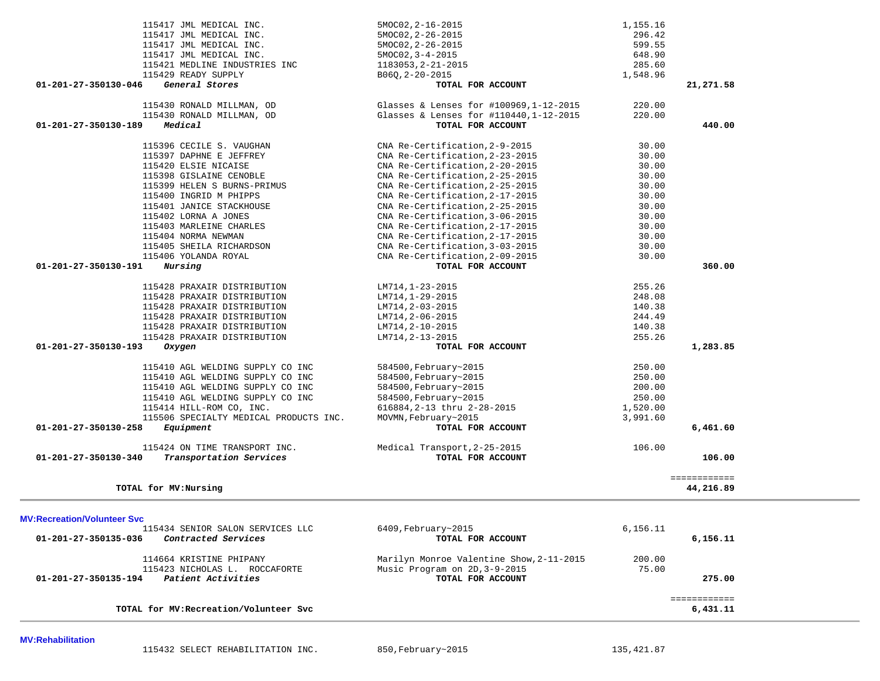| TOTAL for MV: Recreation/Volunteer Svc                                                     |                                                                           |                  | ============<br>6,431.11  |
|--------------------------------------------------------------------------------------------|---------------------------------------------------------------------------|------------------|---------------------------|
| Patient Activities<br>01-201-27-350135-194                                                 | TOTAL FOR ACCOUNT                                                         |                  | 275.00                    |
| 114664 KRISTINE PHIPANY<br>115423 NICHOLAS L. ROCCAFORTE                                   | Marilyn Monroe Valentine Show, 2-11-2015<br>Music Program on 2D, 3-9-2015 | 200.00<br>75.00  |                           |
|                                                                                            |                                                                           |                  |                           |
| 115434 SENIOR SALON SERVICES LLC<br>Contracted Services<br>01-201-27-350135-036            | 6409, February~2015<br>TOTAL FOR ACCOUNT                                  | 6.156.11         | 6,156.11                  |
| <b>MV:Recreation/Volunteer Svc</b>                                                         |                                                                           |                  |                           |
| TOTAL for MV: Nursing                                                                      |                                                                           |                  | ============<br>44,216.89 |
|                                                                                            |                                                                           |                  |                           |
| 115424 ON TIME TRANSPORT INC.<br>$01 - 201 - 27 - 350130 - 340$<br>Transportation Services | Medical Transport, 2-25-2015<br>TOTAL FOR ACCOUNT                         | 106.00           | 106.00                    |
|                                                                                            |                                                                           |                  |                           |
| $01 - 201 - 27 - 350130 - 258$<br>Equipment                                                | TOTAL FOR ACCOUNT                                                         |                  | 6,461.60                  |
| 115506 SPECIALTY MEDICAL PRODUCTS INC.                                                     | MOVMN, February~2015                                                      | 3,991.60         |                           |
| 115414 HILL-ROM CO, INC.                                                                   | 616884, 2-13 thru 2-28-2015                                               | 1,520.00         |                           |
| 115410 AGL WELDING SUPPLY CO INC<br>115410 AGL WELDING SUPPLY CO INC                       | 584500, February~2015<br>584500, February~2015                            | 200.00<br>250.00 |                           |
| 115410 AGL WELDING SUPPLY CO INC                                                           | 584500, February~2015                                                     | 250.00           |                           |
| 115410 AGL WELDING SUPPLY CO INC                                                           | 584500, February~2015                                                     | 250.00           |                           |
|                                                                                            |                                                                           |                  |                           |
| 01-201-27-350130-193<br>Oxygen                                                             | TOTAL FOR ACCOUNT                                                         |                  | 1,283.85                  |
| 115428 PRAXAIR DISTRIBUTION                                                                | LM714, 2-13-2015                                                          | 255.26           |                           |
| 115428 PRAXAIR DISTRIBUTION                                                                | $LM714, 2-10-2015$                                                        | 140.38           |                           |
| 115428 PRAXAIR DISTRIBUTION                                                                | LM714, 2-06-2015                                                          | 244.49           |                           |
| 115428 PRAXAIR DISTRIBUTION                                                                | LM714, 2-03-2015                                                          | 140.38           |                           |
| 115428 PRAXAIR DISTRIBUTION                                                                | LM714, 1-29-2015                                                          | 248.08           |                           |
| 115428 PRAXAIR DISTRIBUTION                                                                | LM714, 1-23-2015                                                          | 255.26           |                           |
|                                                                                            |                                                                           |                  |                           |
| 115406 YOLANDA ROYAL<br>01-201-27-350130-191<br>Nursing                                    | CNA Re-Certification, 2-09-2015<br>TOTAL FOR ACCOUNT                      | 30.00            | 360.00                    |
| 115405 SHEILA RICHARDSON                                                                   | CNA Re-Certification, 3-03-2015                                           | 30.00            |                           |
| 115404 NORMA NEWMAN                                                                        | CNA Re-Certification, 2-17-2015                                           | 30.00            |                           |
| 115403 MARLEINE CHARLES                                                                    | CNA Re-Certification, 2-17-2015                                           | 30.00            |                           |
| 115402 LORNA A JONES                                                                       | CNA Re-Certification, 3-06-2015                                           | 30.00            |                           |
| 115401 JANICE STACKHOUSE                                                                   | CNA Re-Certification, 2-25-2015                                           | 30.00            |                           |
| 115400 INGRID M PHIPPS                                                                     | CNA Re-Certification, 2-17-2015                                           | 30.00            |                           |
| 115399 HELEN S BURNS-PRIMUS                                                                | CNA Re-Certification, 2-25-2015                                           | 30.00            |                           |
| 115398 GISLAINE CENOBLE                                                                    | CNA Re-Certification, 2-25-2015                                           | 30.00            |                           |
| 115420 ELSIE NICAISE                                                                       | CNA Re-Certification, 2-20-2015                                           | 30.00            |                           |
| 115397 DAPHNE E JEFFREY                                                                    | CNA Re-Certification, 2-23-2015                                           | 30.00            |                           |
| 115396 CECILE S. VAUGHAN                                                                   | CNA Re-Certification, 2-9-2015                                            | 30.00            |                           |
|                                                                                            |                                                                           |                  |                           |
| $01 - 201 - 27 - 350130 - 189$<br>Medical                                                  | TOTAL FOR ACCOUNT                                                         |                  | 440.00                    |
| 115430 RONALD MILLMAN, OD                                                                  | Glasses & Lenses for #110440, 1-12-2015                                   | 220.00           |                           |

115417 JML MEDICAL INC. 5MOC02, 2-16-2015 1,155.16 115417 JML MEDICAL INC.<br>115417 JML MEDICAL INC. 5MOC02,2-26-2015 599.55

115417 JML MEDICAL INC. 5MOC02, 3-4-2015 648.90 115421 MEDLINE INDUSTRIES INC 1183053,2-21-2015 285.60 115429 READY SUPPLY  $B06Q, 2-20-2015$ <br> **6** General Stores **1,548.96 1,548.96 01-201-27-350130-046** *General Stores* **TOTAL FOR ACCOUNT 21,271.58**

115417 JML MEDICAL INC. 5MOC02, 2-26-2015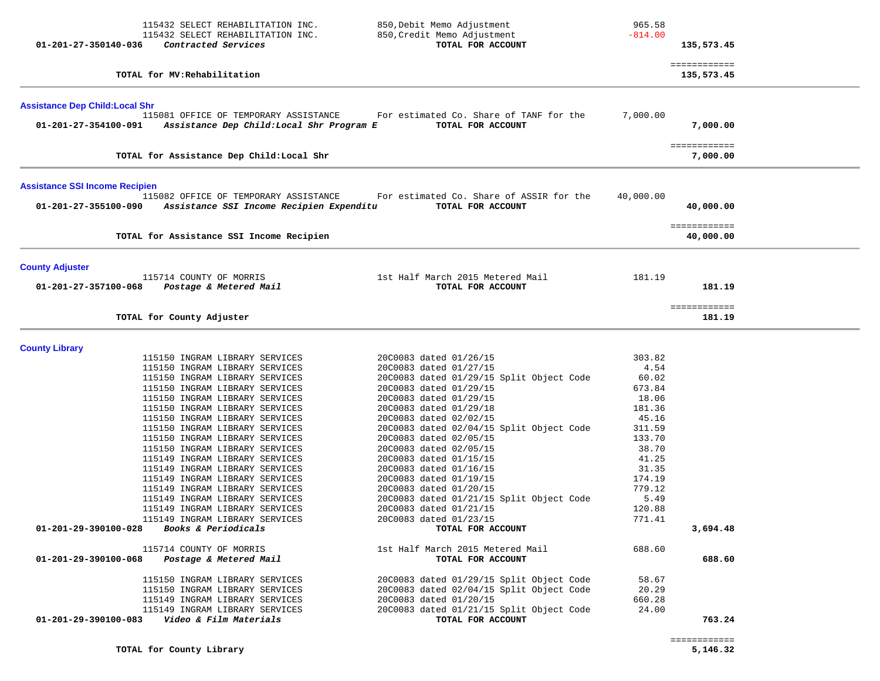| 01-201-27-350140-036                                          | 115432 SELECT REHABILITATION INC.<br>115432 SELECT REHABILITATION INC.<br>Contracted Services                                                                                                                                                                                                                                                                                                                                                                                                                                                                                                                                                                                         | 850, Debit Memo Adjustment<br>850, Credit Memo Adjustment<br>TOTAL FOR ACCOUNT                                                                                                                                                                                                                                                                                                                                                                                                                                                                                                             | 965.58<br>$-814.00$                                                                                                                                                    | 135,573.45                 |
|---------------------------------------------------------------|---------------------------------------------------------------------------------------------------------------------------------------------------------------------------------------------------------------------------------------------------------------------------------------------------------------------------------------------------------------------------------------------------------------------------------------------------------------------------------------------------------------------------------------------------------------------------------------------------------------------------------------------------------------------------------------|--------------------------------------------------------------------------------------------------------------------------------------------------------------------------------------------------------------------------------------------------------------------------------------------------------------------------------------------------------------------------------------------------------------------------------------------------------------------------------------------------------------------------------------------------------------------------------------------|------------------------------------------------------------------------------------------------------------------------------------------------------------------------|----------------------------|
|                                                               | TOTAL for MV: Rehabilitation                                                                                                                                                                                                                                                                                                                                                                                                                                                                                                                                                                                                                                                          |                                                                                                                                                                                                                                                                                                                                                                                                                                                                                                                                                                                            |                                                                                                                                                                        | ============<br>135,573.45 |
| <b>Assistance Dep Child: Local Shr</b>                        |                                                                                                                                                                                                                                                                                                                                                                                                                                                                                                                                                                                                                                                                                       |                                                                                                                                                                                                                                                                                                                                                                                                                                                                                                                                                                                            |                                                                                                                                                                        |                            |
| 01-201-27-354100-091                                          | 115081 OFFICE OF TEMPORARY ASSISTANCE<br>Assistance Dep Child:Local Shr Program E                                                                                                                                                                                                                                                                                                                                                                                                                                                                                                                                                                                                     | For estimated Co. Share of TANF for the<br>TOTAL FOR ACCOUNT                                                                                                                                                                                                                                                                                                                                                                                                                                                                                                                               | 7,000.00                                                                                                                                                               | 7,000.00                   |
|                                                               | TOTAL for Assistance Dep Child: Local Shr                                                                                                                                                                                                                                                                                                                                                                                                                                                                                                                                                                                                                                             |                                                                                                                                                                                                                                                                                                                                                                                                                                                                                                                                                                                            |                                                                                                                                                                        | ============<br>7,000.00   |
| <b>Assistance SSI Income Recipien</b><br>01-201-27-355100-090 | 115082 OFFICE OF TEMPORARY ASSISTANCE<br>Assistance SSI Income Recipien Expenditu                                                                                                                                                                                                                                                                                                                                                                                                                                                                                                                                                                                                     | For estimated Co. Share of ASSIR for the<br>TOTAL FOR ACCOUNT                                                                                                                                                                                                                                                                                                                                                                                                                                                                                                                              | 40,000.00                                                                                                                                                              | 40,000.00                  |
|                                                               | TOTAL for Assistance SSI Income Recipien                                                                                                                                                                                                                                                                                                                                                                                                                                                                                                                                                                                                                                              |                                                                                                                                                                                                                                                                                                                                                                                                                                                                                                                                                                                            |                                                                                                                                                                        | ============<br>40,000.00  |
| <b>County Adjuster</b><br>01-201-27-357100-068                | 115714 COUNTY OF MORRIS<br>Postage & Metered Mail                                                                                                                                                                                                                                                                                                                                                                                                                                                                                                                                                                                                                                     | 1st Half March 2015 Metered Mail<br>TOTAL FOR ACCOUNT                                                                                                                                                                                                                                                                                                                                                                                                                                                                                                                                      | 181.19                                                                                                                                                                 | 181.19                     |
|                                                               | TOTAL for County Adjuster                                                                                                                                                                                                                                                                                                                                                                                                                                                                                                                                                                                                                                                             |                                                                                                                                                                                                                                                                                                                                                                                                                                                                                                                                                                                            |                                                                                                                                                                        | ============<br>181.19     |
| <b>County Library</b>                                         |                                                                                                                                                                                                                                                                                                                                                                                                                                                                                                                                                                                                                                                                                       |                                                                                                                                                                                                                                                                                                                                                                                                                                                                                                                                                                                            |                                                                                                                                                                        |                            |
| 01-201-29-390100-028<br>01-201-29-390100-068                  | 115150 INGRAM LIBRARY SERVICES<br>115150 INGRAM LIBRARY SERVICES<br>115150 INGRAM LIBRARY SERVICES<br>115150 INGRAM LIBRARY SERVICES<br>115150 INGRAM LIBRARY SERVICES<br>115150 INGRAM LIBRARY SERVICES<br>115150 INGRAM LIBRARY SERVICES<br>115150 INGRAM LIBRARY SERVICES<br>115150 INGRAM LIBRARY SERVICES<br>115150 INGRAM LIBRARY SERVICES<br>115149 INGRAM LIBRARY SERVICES<br>115149 INGRAM LIBRARY SERVICES<br>115149 INGRAM LIBRARY SERVICES<br>115149 INGRAM LIBRARY SERVICES<br>115149 INGRAM LIBRARY SERVICES<br>115149 INGRAM LIBRARY SERVICES<br>115149 INGRAM LIBRARY SERVICES<br><i>Books &amp; Periodicals</i><br>115714 COUNTY OF MORRIS<br>Postage & Metered Mail | 20C0083 dated 01/26/15<br>20C0083 dated 01/27/15<br>20C0083 dated 01/29/15 Split Object Code<br>20C0083 dated 01/29/15<br>20C0083 dated 01/29/15<br>20C0083 dated 01/29/18<br>20C0083 dated 02/02/15<br>20C0083 dated 02/04/15 Split Object Code<br>20C0083 dated 02/05/15<br>20C0083 dated 02/05/15<br>20C0083 dated 01/15/15<br>20C0083 dated 01/16/15<br>20C0083 dated 01/19/15<br>20C0083 dated 01/20/15<br>20C0083 dated 01/21/15 Split Object Code<br>20C0083 dated 01/21/15<br>20C0083 dated 01/23/15<br>TOTAL FOR ACCOUNT<br>1st Half March 2015 Metered Mail<br>TOTAL FOR ACCOUNT | 303.82<br>4.54<br>60.02<br>673.84<br>18.06<br>181.36<br>45.16<br>311.59<br>133.70<br>38.70<br>41.25<br>31.35<br>174.19<br>779.12<br>5.49<br>120.88<br>771.41<br>688.60 | 3,694.48<br>688.60         |
|                                                               | 115150 INGRAM LIBRARY SERVICES<br>115150 INGRAM LIBRARY SERVICES<br>115149 INGRAM LIBRARY SERVICES<br>115149 INGRAM LIBRARY SERVICES                                                                                                                                                                                                                                                                                                                                                                                                                                                                                                                                                  | 20C0083 dated 01/29/15 Split Object Code<br>20C0083 dated 02/04/15 Split Object Code<br>20C0083 dated 01/20/15<br>20C0083 dated 01/21/15 Split Object Code                                                                                                                                                                                                                                                                                                                                                                                                                                 | 58.67<br>20.29<br>660.28<br>24.00                                                                                                                                      |                            |
| 01-201-29-390100-083                                          | Video & Film Materials                                                                                                                                                                                                                                                                                                                                                                                                                                                                                                                                                                                                                                                                | TOTAL FOR ACCOUNT                                                                                                                                                                                                                                                                                                                                                                                                                                                                                                                                                                          |                                                                                                                                                                        | 763.24                     |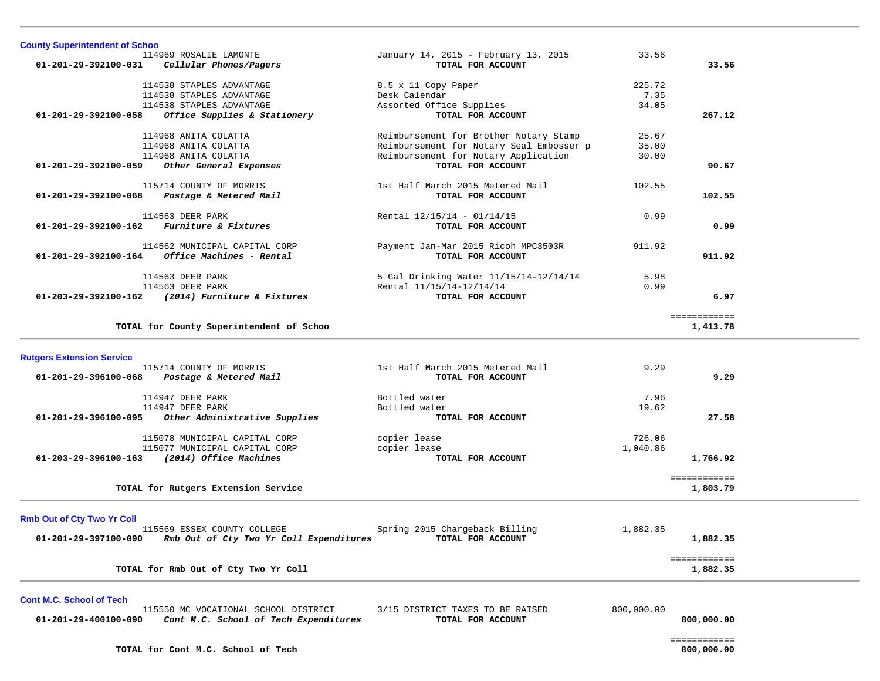| <b>County Superintendent of Schoo</b> |                                                                               |                                                           |            |                          |  |
|---------------------------------------|-------------------------------------------------------------------------------|-----------------------------------------------------------|------------|--------------------------|--|
|                                       | 114969 ROSALIE LAMONTE                                                        | January 14, 2015 - February 13, 2015                      | 33.56      |                          |  |
|                                       | 01-201-29-392100-031 Cellular Phones/Pagers                                   | TOTAL FOR ACCOUNT                                         |            | 33.56                    |  |
|                                       | 114538 STAPLES ADVANTAGE                                                      | 8.5 x 11 Copy Paper                                       | 225.72     |                          |  |
|                                       | 114538 STAPLES ADVANTAGE                                                      | Desk Calendar                                             | 7.35       |                          |  |
|                                       | 114538 STAPLES ADVANTAGE                                                      | Assorted Office Supplies                                  | 34.05      |                          |  |
| 01-201-29-392100-058                  | Office Supplies & Stationery                                                  | TOTAL FOR ACCOUNT                                         |            | 267.12                   |  |
|                                       |                                                                               |                                                           |            |                          |  |
|                                       | 114968 ANITA COLATTA                                                          | Reimbursement for Brother Notary Stamp                    | 25.67      |                          |  |
|                                       | 114968 ANITA COLATTA                                                          | Reimbursement for Notary Seal Embosser p                  | 35.00      |                          |  |
|                                       | 114968 ANITA COLATTA<br>01-201-29-392100-059 Other General Expenses           | Reimbursement for Notary Application<br>TOTAL FOR ACCOUNT | 30.00      | 90.67                    |  |
|                                       |                                                                               |                                                           |            |                          |  |
|                                       | 115714 COUNTY OF MORRIS                                                       | 1st Half March 2015 Metered Mail                          | 102.55     |                          |  |
|                                       | 01-201-29-392100-068 Postage & Metered Mail                                   | TOTAL FOR ACCOUNT                                         |            | 102.55                   |  |
|                                       |                                                                               |                                                           |            |                          |  |
|                                       | 114563 DEER PARK<br>01-201-29-392100-162 Furniture & Fixtures                 | Rental 12/15/14 - 01/14/15                                | 0.99       | 0.99                     |  |
|                                       |                                                                               | TOTAL FOR ACCOUNT                                         |            |                          |  |
|                                       | 114562 MUNICIPAL CAPITAL CORP                                                 | Payment Jan-Mar 2015 Ricoh MPC3503R                       | 911.92     |                          |  |
|                                       | $01 - 201 - 29 - 392100 - 164$ Office Machines - Rental                       | TOTAL FOR ACCOUNT                                         |            | 911.92                   |  |
|                                       |                                                                               |                                                           |            |                          |  |
|                                       | 114563 DEER PARK                                                              | 5 Gal Drinking Water 11/15/14-12/14/14                    | 5.98       |                          |  |
|                                       | 114563 DEER PARK<br>01-203-29-392100-162 (2014) Furniture & Fixtures          | Rental 11/15/14-12/14/14<br>TOTAL FOR ACCOUNT             | 0.99       | 6.97                     |  |
|                                       |                                                                               |                                                           |            |                          |  |
|                                       |                                                                               |                                                           |            | ============             |  |
|                                       | TOTAL for County Superintendent of Schoo                                      |                                                           |            | 1,413.78                 |  |
|                                       |                                                                               |                                                           |            |                          |  |
|                                       |                                                                               |                                                           |            |                          |  |
| <b>Rutgers Extension Service</b>      |                                                                               |                                                           |            |                          |  |
|                                       | 115714 COUNTY OF MORRIS                                                       | 1st Half March 2015 Metered Mail                          | 9.29       |                          |  |
|                                       | 01-201-29-396100-068 Postage & Metered Mail                                   | TOTAL FOR ACCOUNT                                         |            | 9.29                     |  |
|                                       |                                                                               |                                                           |            |                          |  |
|                                       | 114947 DEER PARK                                                              | Bottled water                                             | 7.96       |                          |  |
|                                       | 114947 DEER PARK                                                              | Bottled water<br>TOTAL FOR ACCOUNT                        | 19.62      | 27.58                    |  |
|                                       | 01-201-29-396100-095 Other Administrative Supplies                            |                                                           |            |                          |  |
|                                       | 115078 MUNICIPAL CAPITAL CORP                                                 | copier lease                                              | 726.06     |                          |  |
|                                       | 115077 MUNICIPAL CAPITAL CORP                                                 | copier lease                                              | 1,040.86   |                          |  |
|                                       | 01-203-29-396100-163 (2014) Office Machines                                   | TOTAL FOR ACCOUNT                                         |            | 1,766.92                 |  |
|                                       |                                                                               |                                                           |            |                          |  |
|                                       | TOTAL for Rutgers Extension Service                                           |                                                           |            | ============<br>1,803.79 |  |
|                                       |                                                                               |                                                           |            |                          |  |
|                                       |                                                                               |                                                           |            |                          |  |
| <b>Rmb Out of Cty Two Yr Coll</b>     | 115569 ESSEX COUNTY COLLEGE                                                   | Spring 2015 Chargeback Billing                            | 1,882.35   |                          |  |
| 01-201-29-397100-090                  | Rmb Out of Cty Two Yr Coll Expenditures                                       | TOTAL FOR ACCOUNT                                         |            | 1,882.35                 |  |
|                                       |                                                                               |                                                           |            |                          |  |
|                                       |                                                                               |                                                           |            | ============             |  |
|                                       | TOTAL for Rmb Out of Cty Two Yr Coll                                          |                                                           |            | 1,882.35                 |  |
|                                       |                                                                               |                                                           |            |                          |  |
| <b>Cont M.C. School of Tech</b>       |                                                                               |                                                           |            |                          |  |
| 01-201-29-400100-090                  | 115550 MC VOCATIONAL SCHOOL DISTRICT<br>Cont M.C. School of Tech Expenditures | 3/15 DISTRICT TAXES TO BE RAISED<br>TOTAL FOR ACCOUNT     | 800,000.00 | 800,000.00               |  |
|                                       |                                                                               |                                                           |            |                          |  |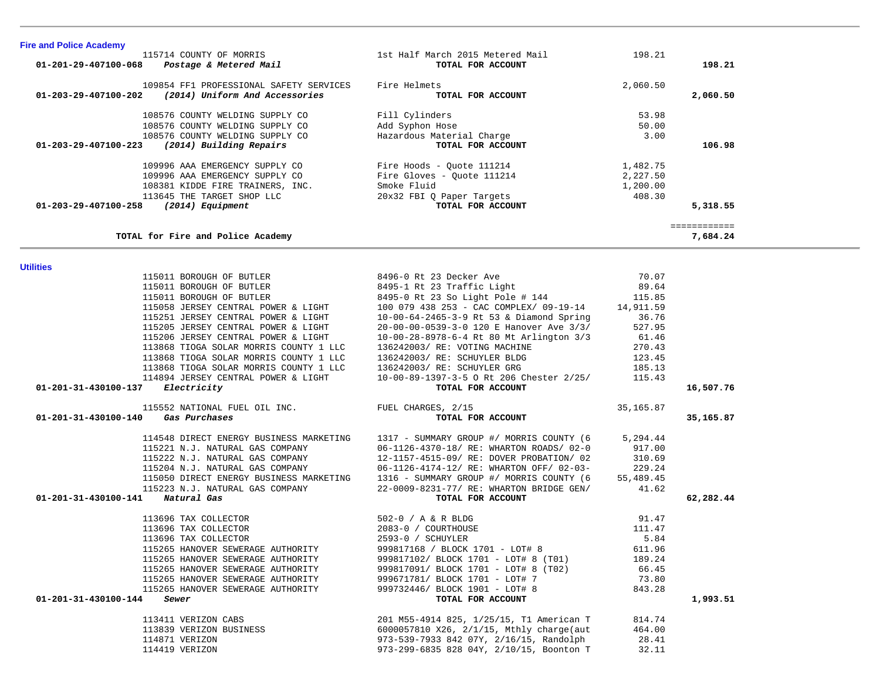| 115011 BOROUGH OF BUTLER                         | 8495-0 Rt 23 So Light Pole # 144                                                 | 115.85     |           |
|--------------------------------------------------|----------------------------------------------------------------------------------|------------|-----------|
| 115058 JERSEY CENTRAL POWER & LIGHT              | 100 079 438 253 - CAC COMPLEX/ 09-19-14 14,911.59                                |            |           |
| 115251 JERSEY CENTRAL POWER & LIGHT              | 10-00-64-2465-3-9 Rt 53 & Diamond Spring                                         | 36.76      |           |
| 115205 JERSEY CENTRAL POWER & LIGHT              | 20-00-00-0539-3-0 120 E Hanover Ave 3/3/                                         | 527.95     |           |
| 115206 JERSEY CENTRAL POWER & LIGHT              | 10-00-28-8978-6-4 Rt 80 Mt Arlington 3/3                                         | 61.46      |           |
| 113868 TIOGA SOLAR MORRIS COUNTY 1 LLC           | 136242003/ RE: VOTING MACHINE                                                    | 270.43     |           |
| 113868 TIOGA SOLAR MORRIS COUNTY 1 LLC           | 136242003/ RE: SCHUYLER BLDG                                                     | 123.45     |           |
| 113868 TIOGA SOLAR MORRIS COUNTY 1 LLC           | 136242003/ RE: SCHUYLER GRG                                                      | 185.13     |           |
| 114894 JERSEY CENTRAL POWER & LIGHT              | 10-00-89-1397-3-5 O Rt 206 Chester 2/25/                                         | 115.43     |           |
| 01-201-31-430100-137 Electricity                 | TOTAL FOR ACCOUNT                                                                |            | 16,507.76 |
| 115552 NATIONAL FUEL OIL INC. FUEL CHARGES, 2/15 |                                                                                  | 35, 165.87 |           |
| 01-201-31-430100-140 Gas Purchases               | TOTAL FOR ACCOUNT                                                                |            | 35,165.87 |
|                                                  | 114548 DIRECT ENERGY BUSINESS MARKETING 1317 - SUMMARY GROUP #/ MORRIS COUNTY (6 | 5,294.44   |           |
| 115221 N.J. NATURAL GAS COMPANY                  | 06-1126-4370-18/ RE: WHARTON ROADS/ 02-0                                         | 917.00     |           |
| 115222 N.J. NATURAL GAS COMPANY                  | 12-1157-4515-09/ RE: DOVER PROBATION/ 02                                         | 310.69     |           |
| 115204 N.J. NATURAL GAS COMPANY                  | 06-1126-4174-12/ RE: WHARTON OFF/ 02-03-                                         | 229.24     |           |
|                                                  | 115050 DIRECT ENERGY BUSINESS MARKETING 1316 - SUMMARY GROUP #/ MORRIS COUNTY (6 | 55,489.45  |           |
| 115223 N.J. NATURAL GAS COMPANY                  | 22-0009-8231-77/ RE: WHARTON BRIDGE GEN/                                         | 41.62      |           |
| 01-201-31-430100-141 Natural Gas                 | TOTAL FOR ACCOUNT                                                                |            | 62,282.44 |
| 113696 TAX COLLECTOR                             | 502-0 / A & R BLDG                                                               | 91.47      |           |
| 113696 TAX COLLECTOR                             | 2083-0 / COURTHOUSE                                                              | 111.47     |           |
| 113696 TAX COLLECTOR                             | 2593-0 / SCHUYLER                                                                | 5.84       |           |
| 115265 HANOVER SEWERAGE AUTHORITY                | 999817168 / BLOCK 1701 - LOT# 8                                                  | 611.96     |           |
| 115265 HANOVER SEWERAGE AUTHORITY                | 999817102/ BLOCK 1701 - LOT# 8 (T01)                                             | 189.24     |           |
| 115265 HANOVER SEWERAGE AUTHORITY                | 999817091/ BLOCK 1701 - LOT# 8 (T02)                                             | 66.45      |           |
| 115265 HANOVER SEWERAGE AUTHORITY                | 999671781/ BLOCK 1701 - LOT# 7                                                   | 73.80      |           |
| 115265 HANOVER SEWERAGE AUTHORITY                | 999732446/ BLOCK 1901 - LOT# 8                                                   | 843.28     |           |
| 01-201-31-430100-144<br>Sewer                    | TOTAL FOR ACCOUNT                                                                |            | 1,993.51  |
| 113411 VERIZON CABS                              | 201 M55-4914 825, 1/25/15, T1 American T                                         | 814.74     |           |
| 113839 VERIZON BUSINESS                          | 6000057810 X26, 2/1/15, Mthly charge(aut                                         | 464.00     |           |
| 114871 VERIZON                                   | 973-539-7933 842 07Y, 2/16/15, Randolph                                          | 28.41      |           |
| 114419 VERIZON                                   | 973-299-6835 828 04Y, 2/10/15, Boonton T                                         | 32.11      |           |

**Utilities** 

| <b>Fire and Police Academy</b>                            |                                  |          |            |
|-----------------------------------------------------------|----------------------------------|----------|------------|
| 115714 COUNTY OF MORRIS                                   | 1st Half March 2015 Metered Mail | 198.21   |            |
| Postage & Metered Mail<br>01-201-29-407100-068            | TOTAL FOR ACCOUNT                |          | 198.21     |
| 109854 FF1 PROFESSIONAL SAFETY SERVICES                   | Fire Helmets                     | 2,060.50 |            |
| (2014) Uniform And Accessories<br>01-203-29-407100-202    | TOTAL FOR ACCOUNT                |          | 2,060.50   |
| 108576 COUNTY WELDING SUPPLY CO                           | Fill Cylinders                   | 53.98    |            |
| 108576 COUNTY WELDING SUPPLY CO                           | Add Syphon Hose                  | 50.00    |            |
| 108576 COUNTY WELDING SUPPLY CO                           | Hazardous Material Charge        | 3.00     |            |
| $01 - 203 - 29 - 407100 - 223$<br>(2014) Building Repairs | TOTAL FOR ACCOUNT                |          | 106.98     |
| 109996 AAA EMERGENCY SUPPLY CO                            | Fire Hoods - Ouote 111214        | 1,482.75 |            |
| 109996 AAA EMERGENCY SUPPLY CO                            | Fire Gloves - Ouote 111214       | 2,227.50 |            |
| 108381 KIDDE FIRE TRAINERS, INC.                          | Smoke Fluid                      | 1,200.00 |            |
| 113645 THE TARGET SHOP LLC                                | 20x32 FBI Q Paper Targets        | 408.30   |            |
| 01-203-29-407100-258<br>(2014) Equipment                  | TOTAL FOR ACCOUNT                |          | 5,318.55   |
|                                                           |                                  |          | ---------- |
| TOTAL for Fire and Police Academy                         |                                  |          | 7,684.24   |

115011 BOROUGH OF BUTLER 8496-0 Rt 23 Decker Ave 70.07

115011 BOROUGH OF BUTLER 8495-1 Rt 23 Traffic Light

89.64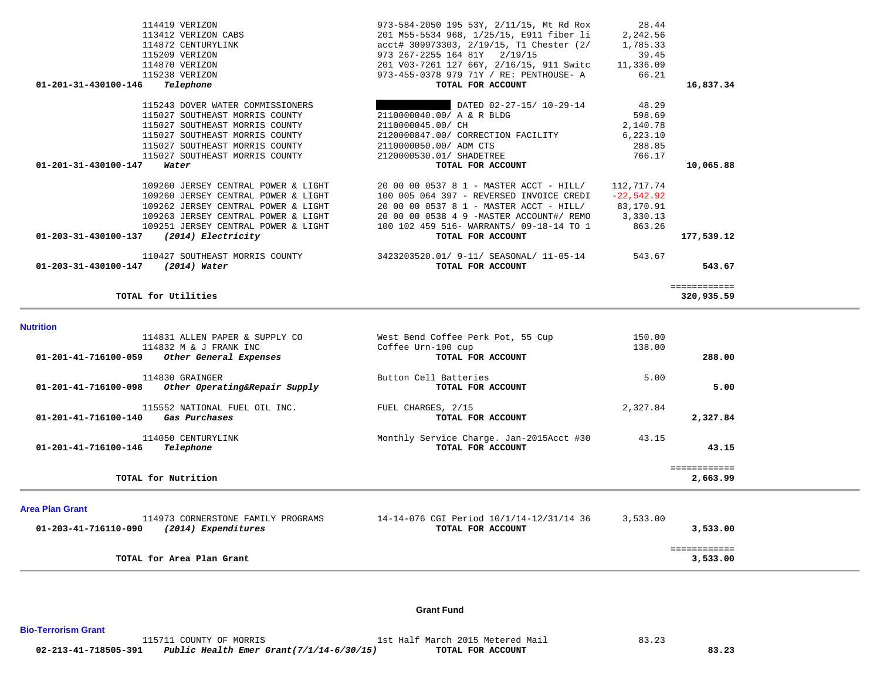|                        | 115243 DOVER WATER COMMISSIONERS    | DATED 02-27-15/ 10-29-14                 | 48.29        |              |
|------------------------|-------------------------------------|------------------------------------------|--------------|--------------|
|                        | 115027 SOUTHEAST MORRIS COUNTY      | 2110000040.00/ A & R BLDG                | 598.69       |              |
|                        | 115027 SOUTHEAST MORRIS COUNTY      | 2110000045.00/ CH                        | 2,140.78     |              |
|                        | 115027 SOUTHEAST MORRIS COUNTY      | 2120000847.00/ CORRECTION FACILITY       | 6, 223.10    |              |
|                        | 115027 SOUTHEAST MORRIS COUNTY      | 2110000050.00/ ADM CTS                   | 288.85       |              |
|                        | 115027 SOUTHEAST MORRIS COUNTY      | 2120000530.01/ SHADETREE                 | 766.17       |              |
| 01-201-31-430100-147   | Water                               | TOTAL FOR ACCOUNT                        |              | 10,065.88    |
|                        |                                     |                                          |              |              |
|                        | 109260 JERSEY CENTRAL POWER & LIGHT | 20 00 00 0537 8 1 - MASTER ACCT - HILL/  | 112,717.74   |              |
|                        | 109260 JERSEY CENTRAL POWER & LIGHT | 100 005 064 397 - REVERSED INVOICE CREDI | $-22,542.92$ |              |
|                        | 109262 JERSEY CENTRAL POWER & LIGHT | 20 00 00 0537 8 1 - MASTER ACCT - HILL/  | 83,170.91    |              |
|                        | 109263 JERSEY CENTRAL POWER & LIGHT | 20 00 00 0538 4 9 -MASTER ACCOUNT#/ REMO | 3,330.13     |              |
|                        |                                     |                                          | 863.26       |              |
|                        | 109251 JERSEY CENTRAL POWER & LIGHT | 100 102 459 516- WARRANTS/ 09-18-14 TO 1 |              |              |
| 01-203-31-430100-137   | (2014) Electricity                  | TOTAL FOR ACCOUNT                        |              | 177,539.12   |
|                        | 110427 SOUTHEAST MORRIS COUNTY      | 3423203520.01/ 9-11/ SEASONAL/ 11-05-14  | 543.67       |              |
| 01-203-31-430100-147   | (2014) Water                        | TOTAL FOR ACCOUNT                        |              | 543.67       |
|                        |                                     |                                          |              |              |
|                        |                                     |                                          |              | ============ |
|                        | TOTAL for Utilities                 |                                          |              | 320,935.59   |
|                        |                                     |                                          |              |              |
|                        | 114831 ALLEN PAPER & SUPPLY CO      |                                          | 150.00       |              |
|                        | 114832 M & J FRANK INC              | West Bend Coffee Perk Pot, 55 Cup        | 138.00       |              |
| 01-201-41-716100-059   | Other General Expenses              | Coffee Urn-100 cup<br>TOTAL FOR ACCOUNT  |              | 288.00       |
| <b>Nutrition</b>       |                                     |                                          |              |              |
|                        | 114830 GRAINGER                     | Button Cell Batteries                    | 5.00         |              |
| 01-201-41-716100-098   | Other Operating&Repair Supply       | TOTAL FOR ACCOUNT                        |              | 5.00         |
|                        |                                     |                                          |              |              |
|                        | 115552 NATIONAL FUEL OIL INC.       | FUEL CHARGES, 2/15                       | 2,327.84     |              |
| 01-201-41-716100-140   | Gas Purchases                       | TOTAL FOR ACCOUNT                        |              | 2,327.84     |
|                        |                                     |                                          |              |              |
|                        | 114050 CENTURYLINK                  | Monthly Service Charge. Jan-2015Acct #30 | 43.15        |              |
| 01-201-41-716100-146   | Telephone                           | TOTAL FOR ACCOUNT                        |              | 43.15        |
|                        |                                     |                                          |              | ============ |
|                        | TOTAL for Nutrition                 |                                          |              | 2,663.99     |
| <b>Area Plan Grant</b> |                                     |                                          |              |              |
|                        | 114973 CORNERSTONE FAMILY PROGRAMS  | 14-14-076 CGI Period 10/1/14-12/31/14 36 | 3,533.00     |              |
| 01-203-41-716110-090   | (2014) Expenditures                 | TOTAL FOR ACCOUNT                        |              | 3,533.00     |
|                        |                                     |                                          |              | ============ |

 114419 VERIZON 973-584-2050 195 53Y, 2/11/15, Mt Rd Rox 28.44 113412 VERIZON CABS 201 M55-5534 968, 1/25/15, E911 fiber li 2,242.56 114872 CENTURYLINK acct# 309973303, 2/19/15, T1 Chester (2/ 1,785.33 115209 VERIZON 973 267-2255 164 81Y 2/19/15 39.45 114870 VERIZON 201 V03-7261 127 66Y, 2/16/15, 911 Switc 11,336.09 115238 VERIZON 973-455-0378 979 71Y / RE: PENTHOUSE- A 66.21  **01-201-31-430100-146** *Telephone* **TOTAL FOR ACCOUNT 16,837.34**

## **Grant Fund**

### **Bio-Terrorism Grant**  115711 COUNTY OF MORRIS 1st Half March 2015 Metered Mail 83.23  **02-213-41-718505-391** *Public Health Emer Grant(7/1/14-6/30/15)* **TOTAL FOR ACCOUNT 83.23**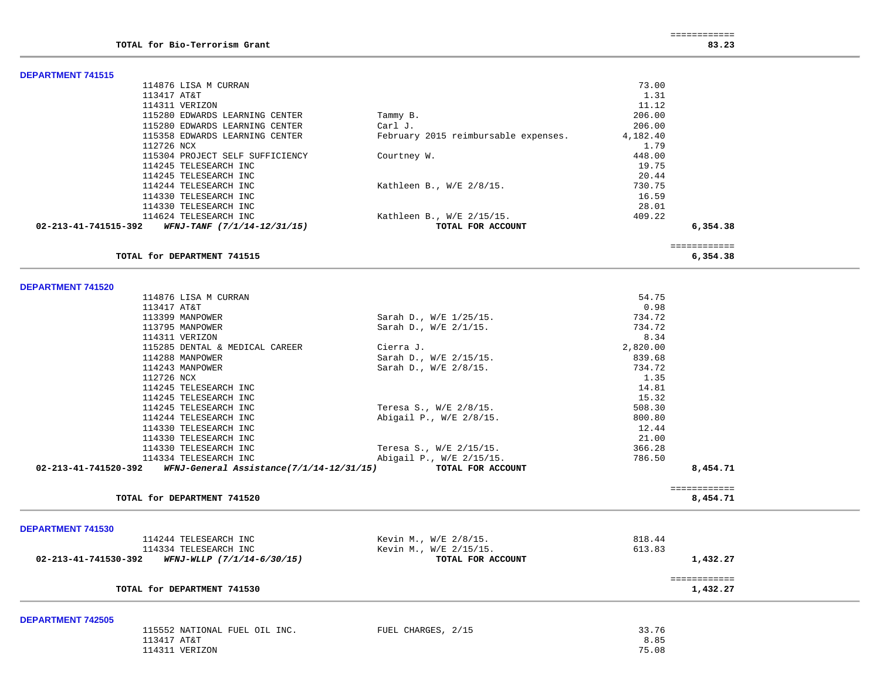$\overline{\phantom{a}}$ 

 $\overline{\phantom{a}}$ 

| <b>DEPARTMENT 741515</b> |                                                  |                                      |                  |                          |  |
|--------------------------|--------------------------------------------------|--------------------------------------|------------------|--------------------------|--|
|                          | 114876 LISA M CURRAN                             |                                      | 73.00            |                          |  |
|                          | 113417 AT&T                                      |                                      | 1.31             |                          |  |
|                          | 114311 VERIZON                                   |                                      | 11.12            |                          |  |
|                          | 115280 EDWARDS LEARNING CENTER                   | Tammy B.                             | 206.00           |                          |  |
|                          | 115280 EDWARDS LEARNING CENTER                   | Carl J.                              | 206.00           |                          |  |
|                          | 115358 EDWARDS LEARNING CENTER                   | February 2015 reimbursable expenses. | 4,182.40         |                          |  |
|                          | 112726 NCX                                       |                                      | 1.79             |                          |  |
|                          | 115304 PROJECT SELF SUFFICIENCY                  | Courtney W.                          | 448.00           |                          |  |
|                          | 114245 TELESEARCH INC                            |                                      | 19.75            |                          |  |
|                          | 114245 TELESEARCH INC                            |                                      | 20.44            |                          |  |
|                          | 114244 TELESEARCH INC                            | Kathleen B., W/E 2/8/15.             | 730.75           |                          |  |
|                          | 114330 TELESEARCH INC                            |                                      | 16.59            |                          |  |
|                          | 114330 TELESEARCH INC                            |                                      | 28.01            |                          |  |
|                          | 114624 TELESEARCH INC                            | Kathleen B., $W/E$ 2/15/15.          | 409.22           |                          |  |
| 02-213-41-741515-392     | WFNJ-TANF (7/1/14-12/31/15)                      | TOTAL FOR ACCOUNT                    |                  | 6,354.38                 |  |
|                          |                                                  |                                      |                  |                          |  |
|                          | TOTAL for DEPARTMENT 741515                      |                                      |                  | ============<br>6,354.38 |  |
|                          |                                                  |                                      |                  |                          |  |
|                          |                                                  |                                      |                  |                          |  |
| <b>DEPARTMENT 741520</b> |                                                  |                                      |                  |                          |  |
|                          | 114876 LISA M CURRAN                             |                                      | 54.75            |                          |  |
|                          | 113417 AT&T                                      |                                      | 0.98             |                          |  |
|                          | 113399 MANPOWER                                  | Sarah D., W/E 1/25/15.               | 734.72           |                          |  |
|                          | 113795 MANPOWER                                  | Sarah D., W/E 2/1/15.                | 734.72           |                          |  |
|                          | 114311 VERIZON<br>115285 DENTAL & MEDICAL CAREER |                                      | 8.34<br>2,820.00 |                          |  |
|                          |                                                  | Cierra J.                            |                  |                          |  |
|                          | 114288 MANPOWER                                  | Sarah D., W/E 2/15/15.               | 839.68           |                          |  |
|                          | 114243 MANPOWER                                  | Sarah D., W/E 2/8/15.                | 734.72           |                          |  |
|                          | 112726 NCX                                       |                                      | 1.35             |                          |  |
|                          | 114245 TELESEARCH INC                            |                                      | 14.81            |                          |  |
|                          | 114245 TELESEARCH INC                            |                                      | 15.32            |                          |  |
|                          | 114245 TELESEARCH INC                            | Teresa S., W/E 2/8/15.               | 508.30           |                          |  |
|                          | 114244 TELESEARCH INC                            | Abigail P., W/E 2/8/15.              | 800.80           |                          |  |
|                          | 114330 TELESEARCH INC                            |                                      | 12.44            |                          |  |
|                          | 114330 TELESEARCH INC                            |                                      | 21.00            |                          |  |
|                          | 114330 TELESEARCH INC                            | Teresa S., W/E 2/15/15.              | 366.28           |                          |  |
|                          | 114334 TELESEARCH INC                            | Abigail P., W/E 2/15/15.             | 786.50           |                          |  |
| 02-213-41-741520-392     | WFNJ-General Assistance(7/1/14-12/31/15)         | TOTAL FOR ACCOUNT                    |                  | 8,454.71                 |  |
|                          |                                                  |                                      |                  | ============             |  |
|                          | TOTAL for DEPARTMENT 741520                      |                                      |                  | 8,454.71                 |  |
|                          |                                                  |                                      |                  |                          |  |
| <b>DEPARTMENT 741530</b> |                                                  |                                      |                  |                          |  |
|                          | 114244 TELESEARCH INC                            | Kevin M., W/E 2/8/15.                | 818.44           |                          |  |
|                          | 114334 TELESEARCH INC                            | Kevin M., W/E 2/15/15.               | 613.83           |                          |  |
| 02-213-41-741530-392     | WFNJ-WLLP (7/1/14-6/30/15)                       | TOTAL FOR ACCOUNT                    |                  | 1,432.27                 |  |
|                          |                                                  |                                      |                  | ============             |  |
|                          | TOTAL for DEPARTMENT 741530                      |                                      |                  | 1,432.27                 |  |
| <b>DEPARTMENT 742505</b> |                                                  |                                      |                  |                          |  |
|                          | 115552 NATIONAL FUEL OIL INC.                    | FUEL CHARGES, 2/15                   | 33.76            |                          |  |
|                          | 113417 AT&T                                      |                                      | 8.85             |                          |  |
|                          | 114311 VERIZON                                   |                                      | 75.08            |                          |  |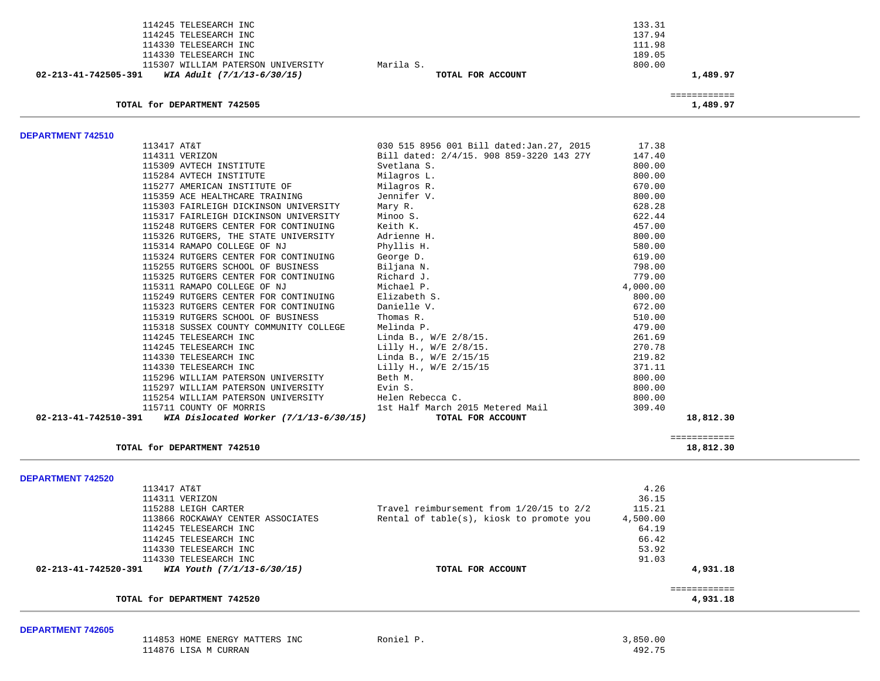|                          | 114245 TELESEARCH INC                                               |                                                       | 133.31   |                           |
|--------------------------|---------------------------------------------------------------------|-------------------------------------------------------|----------|---------------------------|
|                          | 114245 TELESEARCH INC                                               |                                                       | 137.94   |                           |
|                          | 114330 TELESEARCH INC                                               |                                                       | 111.98   |                           |
|                          | 114330 TELESEARCH INC                                               |                                                       | 189.05   |                           |
|                          | 115307 WILLIAM PATERSON UNIVERSITY                                  | Marila S.                                             | 800.00   |                           |
| 02-213-41-742505-391     | WIA Adult (7/1/13-6/30/15)                                          | TOTAL FOR ACCOUNT                                     |          | 1,489.97                  |
|                          | TOTAL for DEPARTMENT 742505                                         |                                                       |          | ============<br>1,489.97  |
| <b>DEPARTMENT 742510</b> |                                                                     |                                                       |          |                           |
|                          | 113417 AT&T                                                         | 030 515 8956 001 Bill dated: Jan. 27, 2015            | 17.38    |                           |
|                          | 114311 VERIZON                                                      | Bill dated: 2/4/15. 908 859-3220 143 27Y              | 147.40   |                           |
|                          | 115309 AVTECH INSTITUTE                                             | Svetlana S.                                           | 800.00   |                           |
|                          | 115284 AVTECH INSTITUTE                                             | Milagros L.                                           | 800.00   |                           |
|                          | 115277 AMERICAN INSTITUTE OF                                        | Milagros R.                                           | 670.00   |                           |
|                          | 115359 ACE HEALTHCARE TRAINING                                      | Jennifer V.                                           | 800.00   |                           |
|                          | 115303 FAIRLEIGH DICKINSON UNIVERSITY                               | Mary R.                                               | 628.28   |                           |
|                          | 115317 FAIRLEIGH DICKINSON UNIVERSITY                               | Minoo S.                                              | 622.44   |                           |
|                          | 115248 RUTGERS CENTER FOR CONTINUING                                | Keith K.                                              | 457.00   |                           |
|                          | 115326 RUTGERS, THE STATE UNIVERSITY                                | Adrienne H.                                           | 800.00   |                           |
|                          | 115314 RAMAPO COLLEGE OF NJ                                         | Phyllis H.                                            | 580.00   |                           |
|                          | 115324 RUTGERS CENTER FOR CONTINUING                                | George D.                                             | 619.00   |                           |
|                          | 115255 RUTGERS SCHOOL OF BUSINESS                                   | Biljana N.                                            | 798.00   |                           |
|                          | 115325 RUTGERS CENTER FOR CONTINUING                                | Richard J.                                            | 779.00   |                           |
|                          | 115311 RAMAPO COLLEGE OF NJ                                         | Michael P.                                            | 4,000.00 |                           |
|                          | 115249 RUTGERS CENTER FOR CONTINUING                                | Elizabeth S.                                          | 800.00   |                           |
|                          | 115323 RUTGERS CENTER FOR CONTINUING                                | Danielle V.                                           | 672.00   |                           |
|                          | 115319 RUTGERS SCHOOL OF BUSINESS                                   | Thomas R.                                             | 510.00   |                           |
|                          | 115318 SUSSEX COUNTY COMMUNITY COLLEGE                              | Melinda P.                                            | 479.00   |                           |
|                          | 114245 TELESEARCH INC                                               | Linda B., W/E 2/8/15.                                 | 261.69   |                           |
|                          | 114245 TELESEARCH INC                                               | Lilly H., W/E 2/8/15.                                 | 270.78   |                           |
|                          | 114330 TELESEARCH INC                                               | Linda B., W/E 2/15/15                                 | 219.82   |                           |
|                          | 114330 TELESEARCH INC                                               | Lilly H., W/E 2/15/15                                 | 371.11   |                           |
|                          | 115296 WILLIAM PATERSON UNIVERSITY                                  | Beth M.                                               | 800.00   |                           |
|                          | 115297 WILLIAM PATERSON UNIVERSITY                                  | Evin S.                                               | 800.00   |                           |
|                          | 115254 WILLIAM PATERSON UNIVERSITY                                  | Helen Rebecca C.                                      | 800.00   |                           |
| 02-213-41-742510-391     | 115711 COUNTY OF MORRIS<br>WIA Dislocated Worker $(7/1/13-6/30/15)$ | 1st Half March 2015 Metered Mail<br>TOTAL FOR ACCOUNT | 309.40   | 18,812.30                 |
|                          |                                                                     |                                                       |          |                           |
|                          | TOTAL for DEPARTMENT 742510                                         |                                                       |          | ============<br>18,812.30 |

| TOTAL for DEPARTMENT 742520                        |                                          | 4,931.18 |  |
|----------------------------------------------------|------------------------------------------|----------|--|
| 02-213-41-742520-391<br>WIA Youth (7/1/13-6/30/15) | TOTAL FOR ACCOUNT                        | 4,931.18 |  |
| 114330 TELESEARCH INC                              |                                          | 91.03    |  |
| 114330 TELESEARCH INC                              |                                          | 53.92    |  |
| 114245 TELESEARCH INC                              |                                          | 66.42    |  |
| 114245 TELESEARCH INC                              |                                          | 64.19    |  |
| 113866 ROCKAWAY CENTER ASSOCIATES                  | Rental of table(s), kiosk to promote you | 4,500.00 |  |
| 115288 LEIGH CARTER                                | Travel reimbursement from 1/20/15 to 2/2 | 115.21   |  |
| 114311 VERIZON                                     |                                          | 36.15    |  |
|                                                    |                                          |          |  |

#### **DEPARTMENT 742605**

| 114853<br>HOME ENERGY MATTERS<br>INC | Roniel | ,850.00 |
|--------------------------------------|--------|---------|
| 114876<br>M AZT.T<br>CURRAN          |        | 492.75  |

-

-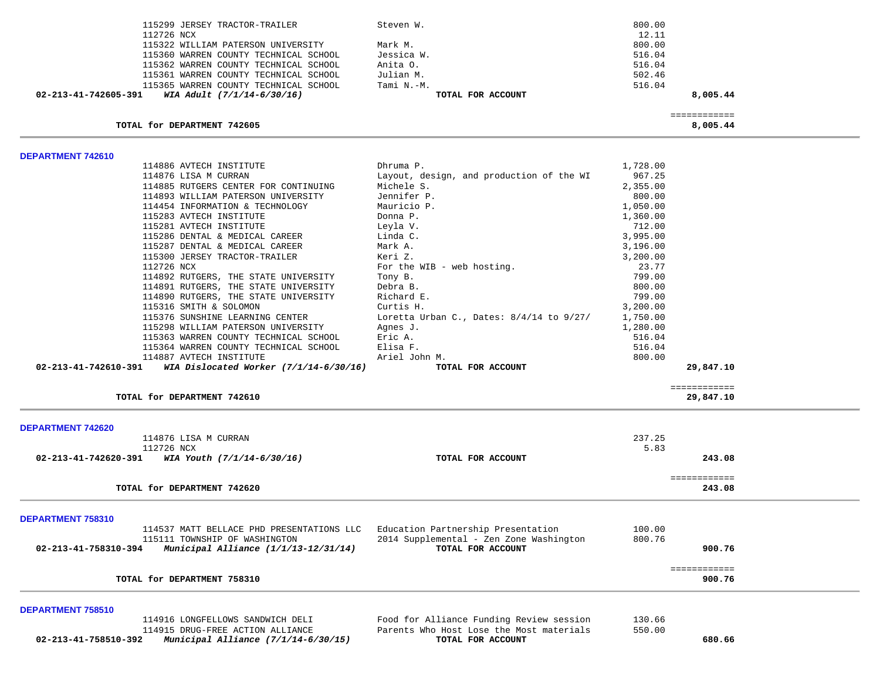| 115299 JERSEY TRACTOR-TRAILER                                               | Steven W.                                    | 800.00   |                           |  |
|-----------------------------------------------------------------------------|----------------------------------------------|----------|---------------------------|--|
| 112726 NCX                                                                  |                                              | 12.11    |                           |  |
| 115322 WILLIAM PATERSON UNIVERSITY                                          | Mark M.                                      | 800.00   |                           |  |
| 115360 WARREN COUNTY TECHNICAL SCHOOL                                       | Jessica W.                                   | 516.04   |                           |  |
| 115362 WARREN COUNTY TECHNICAL SCHOOL                                       | Anita O.                                     | 516.04   |                           |  |
| 115361 WARREN COUNTY TECHNICAL SCHOOL                                       | Julian M.                                    | 502.46   |                           |  |
| 115365 WARREN COUNTY TECHNICAL SCHOOL                                       | Tami N.-M.                                   | 516.04   |                           |  |
| 02-213-41-742605-391<br>WIA Adult (7/1/14-6/30/16)                          | TOTAL FOR ACCOUNT                            |          | 8,005.44                  |  |
|                                                                             |                                              |          |                           |  |
| TOTAL for DEPARTMENT 742605                                                 |                                              |          | ============<br>8,005.44  |  |
|                                                                             |                                              |          |                           |  |
| DEPARTMENT 742610<br>114886 AVTECH INSTITUTE                                | Dhruma P.                                    | 1,728.00 |                           |  |
| 114876 LISA M CURRAN                                                        | Layout, design, and production of the WI     | 967.25   |                           |  |
| 114885 RUTGERS CENTER FOR CONTINUING                                        | Michele S.                                   | 2,355.00 |                           |  |
|                                                                             |                                              |          |                           |  |
| 114893 WILLIAM PATERSON UNIVERSITY                                          | Jennifer P.                                  | 800.00   |                           |  |
| 114454 INFORMATION & TECHNOLOGY                                             | Mauricio P.                                  | 1,050.00 |                           |  |
| 115283 AVTECH INSTITUTE                                                     | Donna P.                                     | 1,360.00 |                           |  |
| 115281 AVTECH INSTITUTE                                                     | Leyla V.                                     | 712.00   |                           |  |
| 115286 DENTAL & MEDICAL CAREER                                              | Linda C.                                     | 3,995.00 |                           |  |
| 115287 DENTAL & MEDICAL CAREER                                              | Mark A.                                      | 3,196.00 |                           |  |
| 115300 JERSEY TRACTOR-TRAILER                                               | Keri Z.                                      | 3,200.00 |                           |  |
| 112726 NCX                                                                  | For the WIB - web hosting.                   | 23.77    |                           |  |
| 114892 RUTGERS, THE STATE UNIVERSITY                                        | Tony B.                                      | 799.00   |                           |  |
| 114891 RUTGERS, THE STATE UNIVERSITY                                        | Debra B.                                     | 800.00   |                           |  |
| 114890 RUTGERS, THE STATE UNIVERSITY                                        | Richard E.                                   | 799.00   |                           |  |
| 115316 SMITH & SOLOMON                                                      | Curtis H.                                    | 3,200.00 |                           |  |
| 115376 SUNSHINE LEARNING CENTER                                             | Loretta Urban C., Dates: $8/4/14$ to $9/27/$ | 1,750.00 |                           |  |
| 115298 WILLIAM PATERSON UNIVERSITY                                          | Agnes J.                                     | 1,280.00 |                           |  |
| 115363 WARREN COUNTY TECHNICAL SCHOOL                                       | Eric A.                                      | 516.04   |                           |  |
| 115364 WARREN COUNTY TECHNICAL SCHOOL                                       | Elisa F.                                     | 516.04   |                           |  |
| 114887 AVTECH INSTITUTE                                                     | Ariel John M.                                | 800.00   |                           |  |
| $02 - 213 - 41 - 742610 - 391$ WIA Dislocated Worker $(7/1/14 - 6/30/16)$   | TOTAL FOR ACCOUNT                            |          | 29,847.10                 |  |
| TOTAL for DEPARTMENT 742610                                                 |                                              |          | ============<br>29,847.10 |  |
|                                                                             |                                              |          |                           |  |
| <b>DEPARTMENT 742620</b><br>114876 LISA M CURRAN                            |                                              | 237.25   |                           |  |
|                                                                             |                                              |          |                           |  |
| 112726 NCX<br>$02 - 213 - 41 - 742620 - 391$ WIA Youth $(7/1/14 - 6/30/16)$ | TOTAL FOR ACCOUNT                            | 5.83     | 243.08                    |  |
|                                                                             |                                              |          |                           |  |
|                                                                             |                                              |          | ============              |  |
| TOTAL for DEPARTMENT 742620                                                 |                                              |          | 243.08                    |  |
| DEPARTMENT 758310                                                           |                                              |          |                           |  |
| 114537 MATT BELLACE PHD PRESENTATIONS LLC                                   | Education Partnership Presentation           | 100.00   |                           |  |
| 115111 TOWNSHIP OF WASHINGTON                                               | 2014 Supplemental - Zen Zone Washington      | 800.76   |                           |  |
| Municipal Alliance (1/1/13-12/31/14)<br>02-213-41-758310-394                | TOTAL FOR ACCOUNT                            |          | 900.76                    |  |
|                                                                             |                                              |          |                           |  |
| TOTAL for DEPARTMENT 758310                                                 |                                              |          | ============<br>900.76    |  |
|                                                                             |                                              |          |                           |  |
| DEPARTMENT 758510<br>114916 LONGFELLOWS SANDWICH DELI                       | Food for Alliance Funding Review session     | 130.66   |                           |  |
| 114915 DRUG-FREE ACTION ALLIANCE                                            | Parents Who Host Lose the Most materials     | 550.00   |                           |  |
| Municipal Alliance (7/1/14-6/30/15)<br>02-213-41-758510-392                 | TOTAL FOR ACCOUNT                            |          | 680.66                    |  |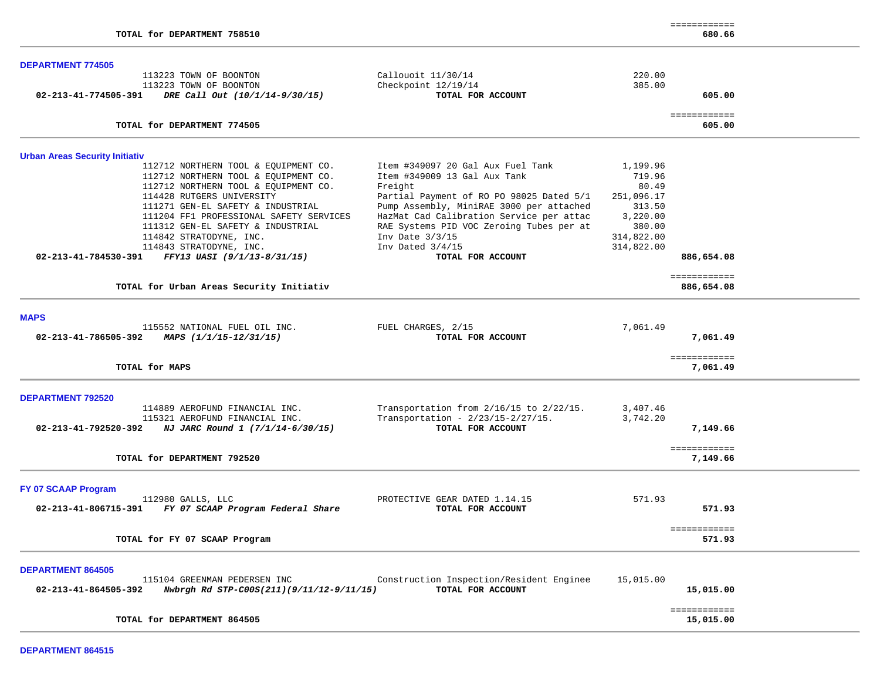| <b>DEPARTMENT 774505</b>                                         |                                          |            |                          |  |
|------------------------------------------------------------------|------------------------------------------|------------|--------------------------|--|
| 113223 TOWN OF BOONTON                                           | Callouoit 11/30/14                       | 220.00     |                          |  |
| 113223 TOWN OF BOONTON                                           | Checkpoint 12/19/14                      | 385.00     |                          |  |
| 02-213-41-774505-391<br>DRE Call Out (10/1/14-9/30/15)           | TOTAL FOR ACCOUNT                        |            | 605.00                   |  |
| TOTAL for DEPARTMENT 774505                                      |                                          |            | ============<br>605.00   |  |
|                                                                  |                                          |            |                          |  |
| <b>Urban Areas Security Initiativ</b>                            |                                          |            |                          |  |
| 112712 NORTHERN TOOL & EQUIPMENT CO.                             | Item #349097 20 Gal Aux Fuel Tank        | 1,199.96   |                          |  |
| 112712 NORTHERN TOOL & EQUIPMENT CO.                             | Item #349009 13 Gal Aux Tank             | 719.96     |                          |  |
| 112712 NORTHERN TOOL & EQUIPMENT CO.                             | Freight                                  | 80.49      |                          |  |
| 114428 RUTGERS UNIVERSITY                                        | Partial Payment of RO PO 98025 Dated 5/1 | 251,096.17 |                          |  |
| 111271 GEN-EL SAFETY & INDUSTRIAL                                | Pump Assembly, MiniRAE 3000 per attached | 313.50     |                          |  |
| 111204 FF1 PROFESSIONAL SAFETY SERVICES                          | HazMat Cad Calibration Service per attac | 3,220.00   |                          |  |
| 111312 GEN-EL SAFETY & INDUSTRIAL                                | RAE Systems PID VOC Zeroing Tubes per at | 380.00     |                          |  |
| 114842 STRATODYNE, INC.                                          | Inv Date $3/3/15$                        | 314,822.00 |                          |  |
| 114843 STRATODYNE, INC.                                          | Inv Dated $3/4/15$                       | 314,822.00 |                          |  |
| FFY13 UASI (9/1/13-8/31/15)<br>02-213-41-784530-391              | TOTAL FOR ACCOUNT                        |            | 886,654.08               |  |
|                                                                  |                                          |            | ============             |  |
| TOTAL for Urban Areas Security Initiativ                         |                                          |            | 886,654.08               |  |
|                                                                  |                                          |            |                          |  |
| <b>MAPS</b>                                                      |                                          |            |                          |  |
| 115552 NATIONAL FUEL OIL INC.                                    | FUEL CHARGES, 2/15                       | 7,061.49   |                          |  |
| 02-213-41-786505-392<br>MAPS (1/1/15-12/31/15)                   | TOTAL FOR ACCOUNT                        |            | 7,061.49                 |  |
| TOTAL for MAPS                                                   |                                          |            | ============<br>7,061.49 |  |
|                                                                  |                                          |            |                          |  |
| <b>DEPARTMENT 792520</b>                                         |                                          |            |                          |  |
| 114889 AEROFUND FINANCIAL INC.                                   | Transportation from 2/16/15 to 2/22/15.  | 3,407.46   |                          |  |
| 115321 AEROFUND FINANCIAL INC.                                   | Transportation - $2/23/15 - 2/27/15$ .   | 3,742.20   |                          |  |
| NJ JARC Round 1 (7/1/14-6/30/15)<br>02-213-41-792520-392         | TOTAL FOR ACCOUNT                        |            | 7,149.66                 |  |
|                                                                  |                                          |            |                          |  |
|                                                                  |                                          |            | ============             |  |
| TOTAL for DEPARTMENT 792520                                      |                                          |            | 7,149.66                 |  |
| FY 07 SCAAP Program                                              |                                          |            |                          |  |
| 112980 GALLS, LLC                                                | PROTECTIVE GEAR DATED 1.14.15            | 571.93     |                          |  |
| FY 07 SCAAP Program Federal Share<br>02-213-41-806715-391        | TOTAL FOR ACCOUNT                        |            | 571.93                   |  |
|                                                                  |                                          |            |                          |  |
| TOTAL for FY 07 SCAAP Program                                    |                                          |            | ============<br>571.93   |  |
|                                                                  |                                          |            |                          |  |
| <b>DEPARTMENT 864505</b>                                         |                                          |            |                          |  |
| 115104 GREENMAN PEDERSEN INC                                     | Construction Inspection/Resident Enginee | 15,015.00  |                          |  |
| 02-213-41-864505-392<br>Nwbrgh Rd STP-C00S(211)(9/11/12-9/11/15) | TOTAL FOR ACCOUNT                        |            | 15,015.00                |  |
|                                                                  |                                          |            | ============             |  |
| TOTAL for DEPARTMENT 864505                                      |                                          |            | 15,015.00                |  |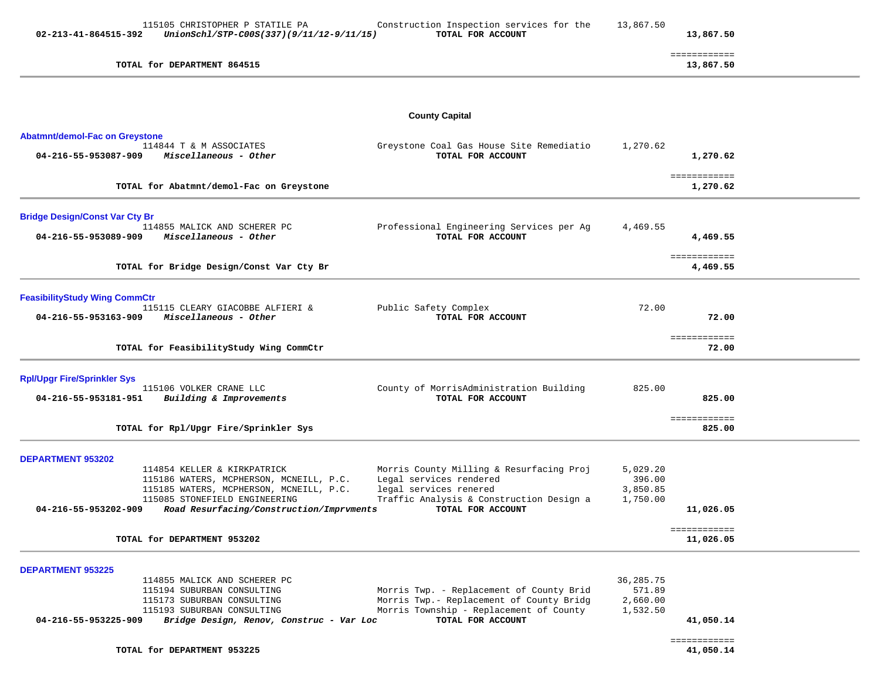| 02-213-41-864515-392                                          | 115105 CHRISTOPHER P STATILE PA<br>UnionSchl/STP-C00S(337)(9/11/12-9/11/15)                                                                                                                                                   | Construction Inspection services for the<br>TOTAL FOR ACCOUNT                                                                                                  | 13,867.50                                   | 13,867.50                              |
|---------------------------------------------------------------|-------------------------------------------------------------------------------------------------------------------------------------------------------------------------------------------------------------------------------|----------------------------------------------------------------------------------------------------------------------------------------------------------------|---------------------------------------------|----------------------------------------|
|                                                               | TOTAL for DEPARTMENT 864515                                                                                                                                                                                                   |                                                                                                                                                                |                                             | ============<br>13,867.50              |
|                                                               |                                                                                                                                                                                                                               | <b>County Capital</b>                                                                                                                                          |                                             |                                        |
| <b>Abatmnt/demol-Fac on Greystone</b><br>04-216-55-953087-909 | 114844 T & M ASSOCIATES<br>Miscellaneous - Other                                                                                                                                                                              | Greystone Coal Gas House Site Remediatio<br>TOTAL FOR ACCOUNT                                                                                                  | 1,270.62                                    | 1,270.62                               |
|                                                               | TOTAL for Abatmnt/demol-Fac on Greystone                                                                                                                                                                                      |                                                                                                                                                                |                                             | ============<br>1,270.62               |
| <b>Bridge Design/Const Var Cty Br</b><br>04-216-55-953089-909 | 114855 MALICK AND SCHERER PC<br>Miscellaneous - Other                                                                                                                                                                         | Professional Engineering Services per Ag<br>TOTAL FOR ACCOUNT                                                                                                  | 4,469.55                                    | 4,469.55                               |
|                                                               | TOTAL for Bridge Design/Const Var Cty Br                                                                                                                                                                                      |                                                                                                                                                                |                                             | ============<br>4,469.55               |
| <b>FeasibilityStudy Wing CommCtr</b><br>04-216-55-953163-909  | 115115 CLEARY GIACOBBE ALFIERI &<br>Miscellaneous - Other                                                                                                                                                                     | Public Safety Complex<br>TOTAL FOR ACCOUNT                                                                                                                     | 72.00                                       | 72.00                                  |
|                                                               | TOTAL for FeasibilityStudy Wing CommCtr                                                                                                                                                                                       |                                                                                                                                                                |                                             | ============<br>72.00                  |
| <b>Rpl/Upgr Fire/Sprinkler Sys</b><br>04-216-55-953181-951    | 115106 VOLKER CRANE LLC<br>Building & Improvements                                                                                                                                                                            | County of MorrisAdministration Building<br>TOTAL FOR ACCOUNT                                                                                                   | 825.00                                      | 825.00<br>============                 |
|                                                               | TOTAL for Rpl/Upgr Fire/Sprinkler Sys                                                                                                                                                                                         |                                                                                                                                                                |                                             | 825.00                                 |
| <b>DEPARTMENT 953202</b><br>04-216-55-953202-909              | 114854 KELLER & KIRKPATRICK<br>115186 WATERS, MCPHERSON, MCNEILL, P.C.<br>115185 WATERS, MCPHERSON, MCNEILL, P.C.<br>115085 STONEFIELD ENGINEERING<br>Road Resurfacing/Construction/Imprvments<br>TOTAL for DEPARTMENT 953202 | Morris County Milling & Resurfacing Proj<br>Legal services rendered<br>legal services renered<br>Traffic Analysis & Construction Design a<br>TOTAL FOR ACCOUNT | 5,029.20<br>396.00<br>3,850.85<br>1,750.00  | 11,026.05<br>============<br>11,026.05 |
|                                                               |                                                                                                                                                                                                                               |                                                                                                                                                                |                                             |                                        |
| <b>DEPARTMENT 953225</b><br>04-216-55-953225-909              | 114855 MALICK AND SCHERER PC<br>115194 SUBURBAN CONSULTING<br>115173 SUBURBAN CONSULTING<br>115193 SUBURBAN CONSULTING<br>Bridge Design, Renov, Construc - Var Loc                                                            | Morris Twp. - Replacement of County Brid<br>Morris Twp.- Replacement of County Bridg<br>Morris Township - Replacement of County<br>TOTAL FOR ACCOUNT           | 36,285.75<br>571.89<br>2,660.00<br>1,532.50 | 41,050.14<br>============              |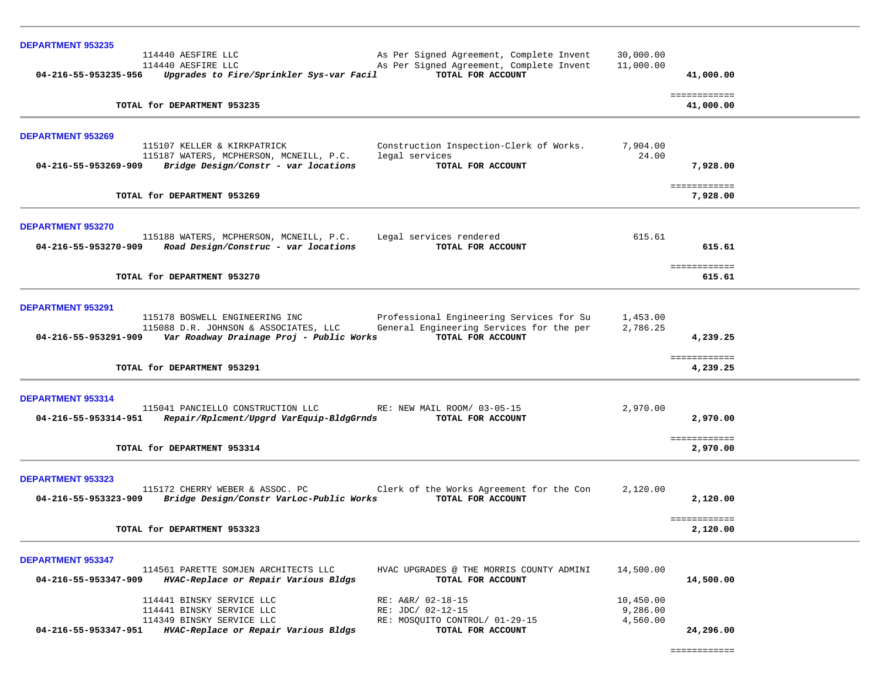| <b>DEPARTMENT 953235</b> |                                                                                   |                                                               |           |                           |
|--------------------------|-----------------------------------------------------------------------------------|---------------------------------------------------------------|-----------|---------------------------|
|                          | 114440 AESFIRE LLC                                                                | As Per Signed Agreement, Complete Invent                      | 30,000.00 |                           |
|                          | 114440 AESFIRE LLC                                                                | As Per Signed Agreement, Complete Invent                      | 11,000.00 |                           |
| 04-216-55-953235-956     | Upgrades to Fire/Sprinkler Sys-var Facil                                          | TOTAL FOR ACCOUNT                                             |           | 41,000.00                 |
|                          | TOTAL for DEPARTMENT 953235                                                       |                                                               |           | ============<br>41,000.00 |
| <b>DEPARTMENT 953269</b> |                                                                                   |                                                               |           |                           |
|                          | 115107 KELLER & KIRKPATRICK                                                       | Construction Inspection-Clerk of Works.                       | 7,904.00  |                           |
| 04-216-55-953269-909     | 115187 WATERS, MCPHERSON, MCNEILL, P.C.<br>Bridge Design/Constr - var locations   | legal services<br>TOTAL FOR ACCOUNT                           | 24.00     | 7,928,00                  |
|                          |                                                                                   |                                                               |           |                           |
|                          | TOTAL for DEPARTMENT 953269                                                       |                                                               |           | ============<br>7,928,00  |
| <b>DEPARTMENT 953270</b> |                                                                                   |                                                               |           |                           |
|                          | 115188 WATERS, MCPHERSON, MCNEILL, P.C.                                           | Legal services rendered                                       | 615.61    |                           |
| 04-216-55-953270-909     | Road Design/Construc - var locations                                              | TOTAL FOR ACCOUNT                                             |           | 615.61                    |
|                          | TOTAL for DEPARTMENT 953270                                                       |                                                               |           | ============<br>615.61    |
|                          |                                                                                   |                                                               |           |                           |
| DEPARTMENT 953291        |                                                                                   |                                                               |           |                           |
|                          | 115178 BOSWELL ENGINEERING INC                                                    | Professional Engineering Services for Su                      | 1,453.00  |                           |
| 04-216-55-953291-909     | 115088 D.R. JOHNSON & ASSOCIATES, LLC<br>Var Roadway Drainage Proj - Public Works | General Engineering Services for the per<br>TOTAL FOR ACCOUNT | 2,786.25  | 4,239.25                  |
|                          |                                                                                   |                                                               |           |                           |
|                          | TOTAL for DEPARTMENT 953291                                                       |                                                               |           | ============<br>4,239.25  |
|                          |                                                                                   |                                                               |           |                           |
| DEPARTMENT 953314        | 115041 PANCIELLO CONSTRUCTION LLC                                                 | RE: NEW MAIL ROOM/ 03-05-15                                   | 2,970.00  |                           |
| 04-216-55-953314-951     | Repair/Rplcment/Upgrd VarEquip-BldgGrnds                                          | TOTAL FOR ACCOUNT                                             |           | 2,970.00                  |
|                          |                                                                                   |                                                               |           | ============              |
|                          | TOTAL for DEPARTMENT 953314                                                       |                                                               |           | 2,970.00                  |
| <b>DEPARTMENT 953323</b> |                                                                                   |                                                               |           |                           |
|                          | 115172 CHERRY WEBER & ASSOC. PC                                                   | Clerk of the Works Agreement for the Con                      | 2,120.00  |                           |
| 04-216-55-953323-909     | Bridge Design/Constr VarLoc-Public Works                                          | TOTAL FOR ACCOUNT                                             |           | 2,120.00                  |
|                          | TOTAL for DEPARTMENT 953323                                                       |                                                               |           | ============              |
|                          |                                                                                   |                                                               |           | 2,120.00                  |
| <b>DEPARTMENT 953347</b> |                                                                                   |                                                               |           |                           |
| 04-216-55-953347-909     | 114561 PARETTE SOMJEN ARCHITECTS LLC<br>HVAC-Replace or Repair Various Bldgs      | HVAC UPGRADES @ THE MORRIS COUNTY ADMINI<br>TOTAL FOR ACCOUNT | 14,500.00 | 14,500.00                 |
|                          | 114441 BINSKY SERVICE LLC                                                         | RE: A&R/ 02-18-15                                             | 10,450.00 |                           |
|                          | 114441 BINSKY SERVICE LLC                                                         | RE: JDC/ 02-12-15                                             | 9,286.00  |                           |
| 04-216-55-953347-951     | 114349 BINSKY SERVICE LLC                                                         | RE: MOSQUITO CONTROL/ 01-29-15<br>TOTAL FOR ACCOUNT           | 4,560.00  | 24,296.00                 |
|                          | HVAC-Replace or Repair Various Bldgs                                              |                                                               |           |                           |

============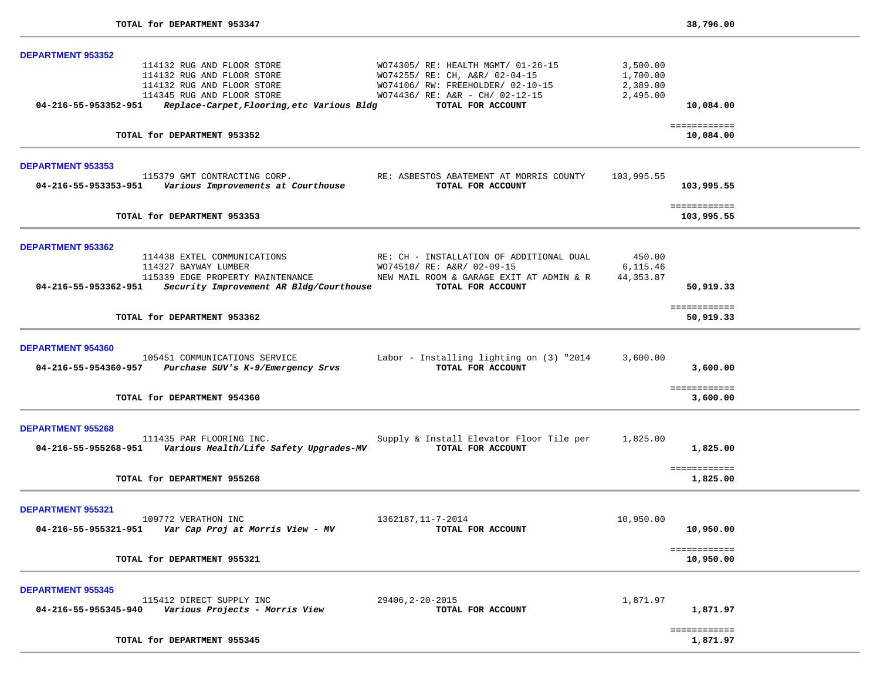| <b>DEPARTMENT 953352</b> |                                                            |                                          |            |                           |  |
|--------------------------|------------------------------------------------------------|------------------------------------------|------------|---------------------------|--|
|                          | 114132 RUG AND FLOOR STORE                                 | WO74305/ RE: HEALTH MGMT/ 01-26-15       | 3,500.00   |                           |  |
|                          | 114132 RUG AND FLOOR STORE                                 | WO74255/ RE: CH, A&R/ 02-04-15           | 1,700.00   |                           |  |
|                          | 114132 RUG AND FLOOR STORE                                 | WO74106/RW: FREEHOLDER/02-10-15          | 2,389.00   |                           |  |
|                          | 114345 RUG AND FLOOR STORE                                 | WO74436/ RE: A&R - CH/ 02-12-15          | 2,495.00   |                           |  |
| 04-216-55-953352-951     | Replace-Carpet, Flooring, etc Various Bldg                 | TOTAL FOR ACCOUNT                        |            | 10,084.00                 |  |
|                          | TOTAL for DEPARTMENT 953352                                |                                          |            | ============<br>10,084.00 |  |
|                          |                                                            |                                          |            |                           |  |
| <b>DEPARTMENT 953353</b> | 115379 GMT CONTRACTING CORP.                               | RE: ASBESTOS ABATEMENT AT MORRIS COUNTY  | 103,995.55 |                           |  |
| 04-216-55-953353-951     | Various Improvements at Courthouse                         | TOTAL FOR ACCOUNT                        |            | 103,995.55                |  |
|                          |                                                            |                                          |            | ============              |  |
|                          | TOTAL for DEPARTMENT 953353                                |                                          |            | 103,995.55                |  |
| <b>DEPARTMENT 953362</b> |                                                            |                                          |            |                           |  |
|                          | 114438 EXTEL COMMUNICATIONS                                | RE: CH - INSTALLATION OF ADDITIONAL DUAL | 450.00     |                           |  |
|                          | 114327 BAYWAY LUMBER                                       | WO74510/ RE: A&R/ 02-09-15               | 6,115.46   |                           |  |
|                          | 115339 EDGE PROPERTY MAINTENANCE                           | NEW MAIL ROOM & GARAGE EXIT AT ADMIN & R | 44, 353.87 |                           |  |
| 04-216-55-953362-951     | Security Improvement AR Bldg/Courthouse                    | TOTAL FOR ACCOUNT                        |            | 50,919.33                 |  |
|                          |                                                            |                                          |            | ============              |  |
|                          | TOTAL for DEPARTMENT 953362                                |                                          |            | 50,919.33                 |  |
| <b>DEPARTMENT 954360</b> |                                                            |                                          |            |                           |  |
|                          | 105451 COMMUNICATIONS SERVICE                              | Labor - Installing lighting on (3) "2014 | 3,600.00   |                           |  |
|                          | 04-216-55-954360-957 Purchase SUV's K-9/Emergency Srvs     | TOTAL FOR ACCOUNT                        |            | 3,600.00                  |  |
|                          |                                                            |                                          |            | ============              |  |
|                          | TOTAL for DEPARTMENT 954360                                |                                          |            | 3,600.00                  |  |
| <b>DEPARTMENT 955268</b> |                                                            |                                          |            |                           |  |
|                          | 111435 PAR FLOORING INC.                                   | Supply & Install Elevator Floor Tile per | 1,825.00   |                           |  |
| 04-216-55-955268-951     | Various Health/Life Safety Upgrades-MV                     | TOTAL FOR ACCOUNT                        |            | 1,825.00                  |  |
|                          |                                                            |                                          |            | ============              |  |
|                          | TOTAL for DEPARTMENT 955268                                |                                          |            | 1,825.00                  |  |
| <b>DEPARTMENT 955321</b> |                                                            |                                          |            |                           |  |
|                          | 109772 VERATHON INC                                        | 1362187, 11-7-2014                       | 10,950.00  |                           |  |
| 04-216-55-955321-951     | Var Cap Proj at Morris View - MV                           | TOTAL FOR ACCOUNT                        |            | 10,950.00                 |  |
|                          |                                                            |                                          |            |                           |  |
|                          | TOTAL for DEPARTMENT 955321                                |                                          |            | ============<br>10,950.00 |  |
|                          |                                                            |                                          |            |                           |  |
| <b>DEPARTMENT 955345</b> |                                                            |                                          |            |                           |  |
| 04-216-55-955345-940     | 115412 DIRECT SUPPLY INC<br>Various Projects - Morris View | 29406, 2-20-2015<br>TOTAL FOR ACCOUNT    | 1,871.97   |                           |  |
|                          |                                                            |                                          |            | 1,871.97                  |  |
|                          | TOTAL for DEPARTMENT 955345                                |                                          |            | ============<br>1,871.97  |  |
|                          |                                                            |                                          |            |                           |  |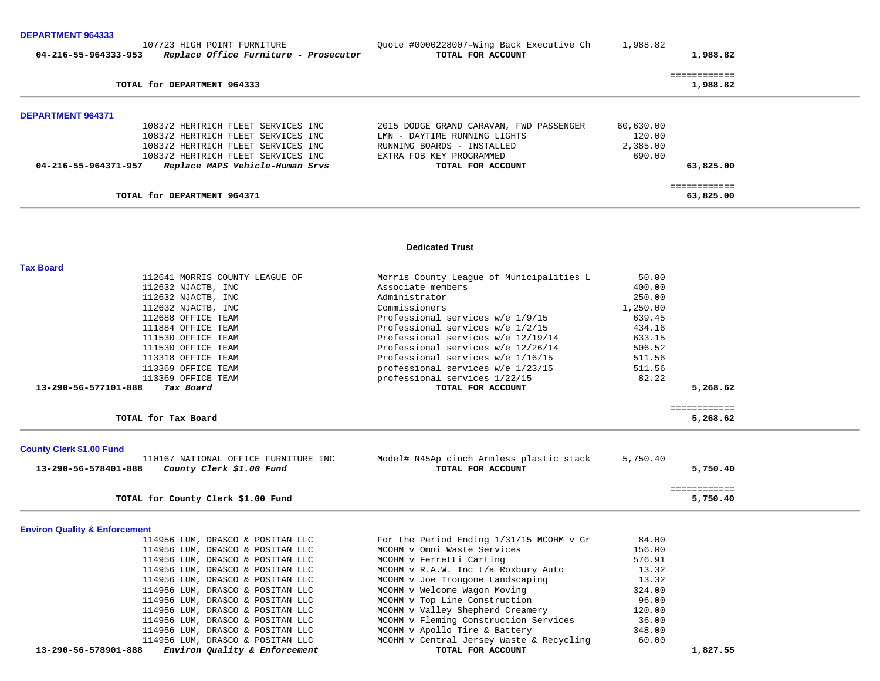#### **DEPARTMENT 964333**

| 107723 HIGH POINT FURNITURE                                   | Quote #0000228007-Wing Back Executive Ch | 1,988.82                 |  |
|---------------------------------------------------------------|------------------------------------------|--------------------------|--|
| Replace Office Furniture - Prosecutor<br>04-216-55-964333-953 | TOTAL FOR ACCOUNT                        | 1,988.82                 |  |
| TOTAL for DEPARTMENT 964333                                   |                                          | ------------<br>1,988.82 |  |
|                                                               |                                          |                          |  |
| <b>DEPARTMENT 964371</b>                                      |                                          |                          |  |
| 108372 HERTRICH FLEET SERVICES INC                            | 2015 DODGE GRAND CARAVAN, FWD PASSENGER  | 60,630.00                |  |
| 108372 HERTRICH FLEET SERVICES INC                            | LMN - DAYTIME RUNNING LIGHTS             | 120.00                   |  |
| 108372 HERTRICH FLEET SERVICES INC                            | RUNNING BOARDS - INSTALLED               | 2,385.00                 |  |
| 108372 HERTRICH FLEET SERVICES INC                            | EXTRA FOB KEY PROGRAMMED                 | 690.00                   |  |
| Replace MAPS Vehicle-Human Srvs<br>04-216-55-964371-957       | TOTAL FOR ACCOUNT                        | 63,825,00                |  |
|                                                               |                                          |                          |  |
| TOTAL for DEPARTMENT 964371                                   |                                          | 63,825.00                |  |

#### **Dedicated Trust**

| <b>Tax Board</b>                                                                         |                                                               |          |                          |  |
|------------------------------------------------------------------------------------------|---------------------------------------------------------------|----------|--------------------------|--|
| 112641 MORRIS COUNTY LEAGUE OF                                                           | Morris County League of Municipalities L                      | 50.00    |                          |  |
| 112632 NJACTB, INC                                                                       | Associate members                                             | 400.00   |                          |  |
| 112632 NJACTB, INC                                                                       | Administrator                                                 | 250.00   |                          |  |
| 112632 NJACTB, INC                                                                       | Commissioners                                                 | 1,250.00 |                          |  |
| 112688 OFFICE TEAM                                                                       | Professional services w/e 1/9/15                              | 639.45   |                          |  |
| 111884 OFFICE TEAM                                                                       | Professional services w/e 1/2/15                              | 434.16   |                          |  |
| 111530 OFFICE TEAM                                                                       | Professional services w/e 12/19/14                            | 633.15   |                          |  |
| 111530 OFFICE TEAM                                                                       | Professional services w/e 12/26/14                            | 506.52   |                          |  |
| 113318 OFFICE TEAM                                                                       | Professional services w/e 1/16/15                             | 511.56   |                          |  |
| 113369 OFFICE TEAM                                                                       | professional services w/e 1/23/15                             | 511.56   |                          |  |
| 113369 OFFICE TEAM                                                                       | professional services 1/22/15                                 | 82.22    |                          |  |
| 13-290-56-577101-888<br>Tax Board                                                        | TOTAL FOR ACCOUNT                                             |          | 5,268.62                 |  |
|                                                                                          |                                                               |          | ============             |  |
| TOTAL for Tax Board                                                                      |                                                               |          | 5,268.62                 |  |
|                                                                                          |                                                               |          |                          |  |
| <b>County Clerk \$1.00 Fund</b>                                                          |                                                               |          |                          |  |
| 110167 NATIONAL OFFICE FURNITURE INC<br>13-290-56-578401-888<br>County Clerk \$1.00 Fund | Model# N45Ap cinch Armless plastic stack<br>TOTAL FOR ACCOUNT | 5,750.40 | 5,750.40                 |  |
|                                                                                          |                                                               |          |                          |  |
| TOTAL for County Clerk \$1.00 Fund                                                       |                                                               |          | ============<br>5,750.40 |  |
|                                                                                          |                                                               |          |                          |  |
| <b>Environ Quality &amp; Enforcement</b>                                                 |                                                               |          |                          |  |
| 114956 LUM, DRASCO & POSITAN LLC                                                         | For the Period Ending 1/31/15 MCOHM v Gr                      | 84.00    |                          |  |
| 114956 LUM, DRASCO & POSITAN LLC                                                         | MCOHM v Omni Waste Services                                   | 156.00   |                          |  |
| 114956 LUM, DRASCO & POSITAN LLC                                                         | MCOHM v Ferretti Carting                                      | 576.91   |                          |  |
| 114956 LUM, DRASCO & POSITAN LLC                                                         | MCOHM v R.A.W. Inc t/a Roxbury Auto                           | 13.32    |                          |  |
| 114956 LUM, DRASCO & POSITAN LLC                                                         | MCOHM v Joe Trongone Landscaping                              | 13.32    |                          |  |
| 114956 LUM, DRASCO & POSITAN LLC                                                         | MCOHM v Welcome Wagon Moving                                  | 324.00   |                          |  |
| 114956 LUM, DRASCO & POSITAN LLC                                                         | MCOHM v Top Line Construction                                 | 96.00    |                          |  |
| 114956 LUM, DRASCO & POSITAN LLC                                                         | MCOHM v Valley Shepherd Creamery                              | 120.00   |                          |  |
| 114956 LUM, DRASCO & POSITAN LLC                                                         | MCOHM v Fleming Construction Services                         | 36.00    |                          |  |
| 114956 LUM, DRASCO & POSITAN LLC                                                         | MCOHM v Apollo Tire & Battery                                 | 348.00   |                          |  |
| 114956 LUM, DRASCO & POSITAN LLC                                                         | MCOHM v Central Jersey Waste & Recycling                      | 60.00    |                          |  |
| Environ Quality & Enforcement<br>13-290-56-578901-888                                    | TOTAL FOR ACCOUNT                                             |          | 1,827.55                 |  |